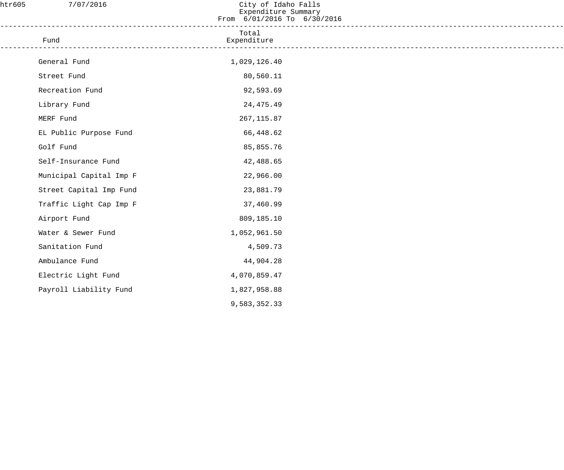| htr605 | 7/07/2016                                                                | City of Idaho Falls<br>Expenditure Summary<br>From 6/01/2016 To 6/30/2016 |  |
|--------|--------------------------------------------------------------------------|---------------------------------------------------------------------------|--|
|        | _____________________________<br>Fund<br>------------------------------- | Total<br>Expenditure                                                      |  |
|        | General Fund                                                             | 1,029,126.40                                                              |  |
|        | Street Fund                                                              | 80,560.11                                                                 |  |
|        | Recreation Fund                                                          | 92,593.69                                                                 |  |
|        | Library Fund                                                             | 24, 475. 49                                                               |  |
|        | MERF Fund                                                                | 267, 115.87                                                               |  |
|        | EL Public Purpose Fund                                                   | 66,448.62                                                                 |  |
|        | Golf Fund                                                                | 85,855.76                                                                 |  |
|        | Self-Insurance Fund                                                      | 42,488.65                                                                 |  |
|        | Municipal Capital Imp F                                                  | 22,966.00                                                                 |  |
|        | Street Capital Imp Fund                                                  | 23,881.79                                                                 |  |
|        | Traffic Light Cap Imp F                                                  | 37,460.99                                                                 |  |
|        | Airport Fund                                                             | 809,185.10                                                                |  |
|        | Water & Sewer Fund                                                       | 1,052,961.50                                                              |  |
|        | Sanitation Fund                                                          | 4,509.73                                                                  |  |
|        | Ambulance Fund                                                           | 44,904.28                                                                 |  |
|        | Electric Light Fund                                                      | 4,070,859.47                                                              |  |
|        | Payroll Liability Fund                                                   | 1,827,958.88                                                              |  |
|        |                                                                          | 9,583,352.33                                                              |  |
|        |                                                                          |                                                                           |  |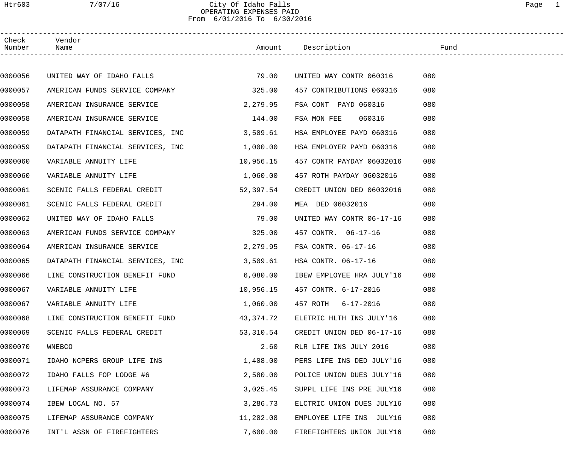# Htr603 7/07/16 City Of Idaho Falls Page 1 OPERATING EXPENSES PAID From 6/01/2016 To 6/30/2016

| Check<br>Number | Vendor<br>Name                   |           | Amount Description             | Fund |  |
|-----------------|----------------------------------|-----------|--------------------------------|------|--|
|                 |                                  |           |                                |      |  |
| 0000056         | UNITED WAY OF IDAHO FALLS        | 79.00     | UNITED WAY CONTR 060316        | 080  |  |
| 0000057         | AMERICAN FUNDS SERVICE COMPANY   | 325.00    | 457 CONTRIBUTIONS 060316       | 080  |  |
| 0000058         | AMERICAN INSURANCE SERVICE       | 2,279.95  | FSA CONT PAYD 060316           | 080  |  |
| 0000058         | AMERICAN INSURANCE SERVICE       | 144.00    | FSA MON FEE<br>060316          | 080  |  |
| 0000059         | DATAPATH FINANCIAL SERVICES, INC | 3,509.61  | HSA EMPLOYEE PAYD 060316       | 080  |  |
| 0000059         | DATAPATH FINANCIAL SERVICES, INC | 1,000.00  | HSA EMPLOYER PAYD 060316       | 080  |  |
| 0000060         | VARIABLE ANNUITY LIFE            | 10,956.15 | 457 CONTR PAYDAY 06032016      | 080  |  |
| 0000060         | VARIABLE ANNUITY LIFE            | 1,060.00  | 457 ROTH PAYDAY 06032016       | 080  |  |
| 0000061         | SCENIC FALLS FEDERAL CREDIT      | 52,397.54 | CREDIT UNION DED 06032016      | 080  |  |
| 0000061         | SCENIC FALLS FEDERAL CREDIT      | 294.00    | MEA DED 06032016               | 080  |  |
| 0000062         | UNITED WAY OF IDAHO FALLS        | 79.00     | UNITED WAY CONTR 06-17-16      | 080  |  |
| 0000063         | AMERICAN FUNDS SERVICE COMPANY   | 325.00    | 457 CONTR. 06-17-16            | 080  |  |
| 0000064         | AMERICAN INSURANCE SERVICE       | 2,279.95  | FSA CONTR. 06-17-16            | 080  |  |
| 0000065         | DATAPATH FINANCIAL SERVICES, INC | 3,509.61  | HSA CONTR. 06-17-16            | 080  |  |
| 0000066         | LINE CONSTRUCTION BENEFIT FUND   | 6,080.00  | IBEW EMPLOYEE HRA JULY'16      | 080  |  |
| 0000067         | VARIABLE ANNUITY LIFE            |           | 10,956.15 457 CONTR. 6-17-2016 | 080  |  |
| 0000067         | VARIABLE ANNUITY LIFE            | 1,060.00  | 457 ROTH 6-17-2016             | 080  |  |
| 0000068         | LINE CONSTRUCTION BENEFIT FUND   | 43,374.72 | ELETRIC HLTH INS JULY'16       | 080  |  |
| 0000069         | SCENIC FALLS FEDERAL CREDIT      | 53,310.54 | CREDIT UNION DED 06-17-16      | 080  |  |
| 0000070         | WNEBCO                           | 2.60      | RLR LIFE INS JULY 2016         | 080  |  |
| 0000071         | IDAHO NCPERS GROUP LIFE INS      | 1,408.00  | PERS LIFE INS DED JULY'16      | 080  |  |
| 0000072         | IDAHO FALLS FOP LODGE #6         | 2,580.00  | POLICE UNION DUES JULY'16      | 080  |  |
| 0000073         | LIFEMAP ASSURANCE COMPANY        | 3,025.45  | SUPPL LIFE INS PRE JULY16      | 080  |  |
| 0000074         | IBEW LOCAL NO. 57                | 3,286.73  | ELCTRIC UNION DUES JULY16      | 080  |  |
| 0000075         | LIFEMAP ASSURANCE COMPANY        | 11,202.08 | EMPLOYEE LIFE INS JULY16       | 080  |  |
| 0000076         | INT'L ASSN OF FIREFIGHTERS       | 7,600.00  | FIREFIGHTERS UNION JULY16      | 080  |  |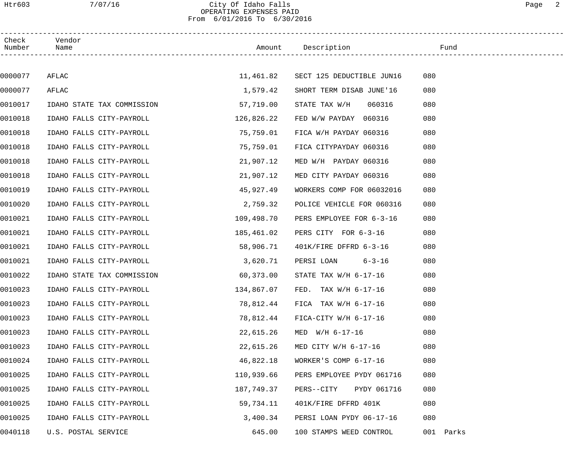## Htr603 7/07/16 City Of Idaho Falls Page 2 OPERATING EXPENSES PAID From 6/01/2016 To 6/30/2016

| Check<br>Number | Vendor<br>Name             |            | Amount Description                  | Fund      |
|-----------------|----------------------------|------------|-------------------------------------|-----------|
|                 |                            |            |                                     |           |
| 0000077         | AFLAC                      |            | 11,461.82 SECT 125 DEDUCTIBLE JUN16 | 080       |
| 0000077         | AFLAC                      | 1,579.42   | SHORT TERM DISAB JUNE'16            | 080       |
| 0010017         | IDAHO STATE TAX COMMISSION | 57,719.00  | 060316<br>STATE TAX W/H             | 080       |
| 0010018         | IDAHO FALLS CITY-PAYROLL   | 126,826.22 | FED W/W PAYDAY 060316               | 080       |
| 0010018         | IDAHO FALLS CITY-PAYROLL   | 75,759.01  | FICA W/H PAYDAY 060316              | 080       |
| 0010018         | IDAHO FALLS CITY-PAYROLL   | 75,759.01  | FICA CITYPAYDAY 060316              | 080       |
| 0010018         | IDAHO FALLS CITY-PAYROLL   | 21,907.12  | MED W/H PAYDAY 060316               | 080       |
| 0010018         | IDAHO FALLS CITY-PAYROLL   | 21,907.12  | MED CITY PAYDAY 060316              | 080       |
| 0010019         | IDAHO FALLS CITY-PAYROLL   | 45,927.49  | WORKERS COMP FOR 06032016           | 080       |
| 0010020         | IDAHO FALLS CITY-PAYROLL   | 2,759.32   | POLICE VEHICLE FOR 060316           | 080       |
| 0010021         | IDAHO FALLS CITY-PAYROLL   | 109,498.70 | PERS EMPLOYEE FOR 6-3-16            | 080       |
| 0010021         | IDAHO FALLS CITY-PAYROLL   | 185,461.02 | PERS CITY FOR 6-3-16                | 080       |
| 0010021         | IDAHO FALLS CITY-PAYROLL   | 58,906.71  | 401K/FIRE DFFRD 6-3-16              | 080       |
| 0010021         | IDAHO FALLS CITY-PAYROLL   | 3,620.71   | PERSI LOAN 6-3-16                   | 080       |
| 0010022         | IDAHO STATE TAX COMMISSION | 60,373.00  | STATE TAX W/H 6-17-16               | 080       |
| 0010023         | IDAHO FALLS CITY-PAYROLL   | 134,867.07 | FED. TAX $W/H$ 6-17-16              | 080       |
| 0010023         | IDAHO FALLS CITY-PAYROLL   | 78,812.44  | FICA TAX $W/H$ 6-17-16              | 080       |
| 0010023         | IDAHO FALLS CITY-PAYROLL   | 78,812.44  | FICA-CITY W/H 6-17-16               | 080       |
| 0010023         | IDAHO FALLS CITY-PAYROLL   | 22,615.26  | $MED$ $W/H$ 6-17-16                 | 080       |
| 0010023         | IDAHO FALLS CITY-PAYROLL   | 22,615.26  | MED CITY W/H $6-17-16$              | 080       |
| 0010024         | IDAHO FALLS CITY-PAYROLL   | 46,822.18  | WORKER'S COMP 6-17-16               | 080       |
| 0010025         | IDAHO FALLS CITY-PAYROLL   | 110,939.66 | PERS EMPLOYEE PYDY 061716           | 080       |
| 0010025         | IDAHO FALLS CITY-PAYROLL   | 187,749.37 | PYDY 061716<br>PERS--CITY           | 080       |
| 0010025         | IDAHO FALLS CITY-PAYROLL   | 59,734.11  | 401K/FIRE DFFRD 401K                | 080       |
| 0010025         | IDAHO FALLS CITY-PAYROLL   | 3,400.34   | PERSI LOAN PYDY 06-17-16            | 080       |
| 0040118         | U.S. POSTAL SERVICE        | 645.00     | 100 STAMPS WEED CONTROL             | 001 Parks |
|                 |                            |            |                                     |           |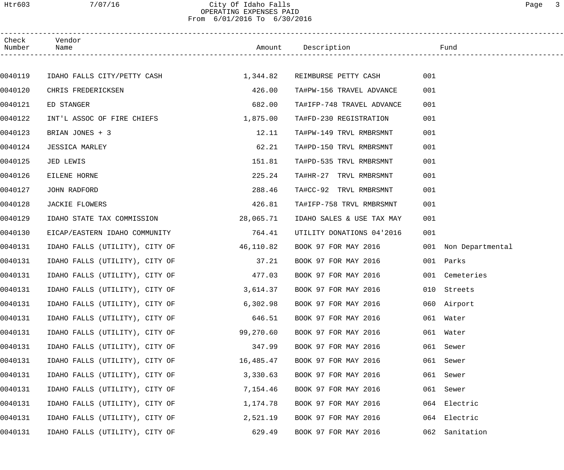## Htr603 7/07/16 City Of Idaho Falls Page 3 OPERATING EXPENSES PAID From 6/01/2016 To 6/30/2016

| Check<br>Number | Vendor<br>Name                 |           | Amount Description            | Fund                 |  |
|-----------------|--------------------------------|-----------|-------------------------------|----------------------|--|
|                 |                                |           |                               |                      |  |
| 0040119         | IDAHO FALLS CITY/PETTY CASH    | 1,344.82  | REIMBURSE PETTY CASH          | 001                  |  |
| 0040120         | CHRIS FREDERICKSEN             | 426.00    | TA#PW-156 TRAVEL ADVANCE      | 001                  |  |
| 0040121         | ED STANGER                     | 682.00    | TA#IFP-748 TRAVEL ADVANCE     | 001                  |  |
| 0040122         | INT'L ASSOC OF FIRE CHIEFS     | 1,875.00  | TA#FD-230 REGISTRATION        | 001                  |  |
| 0040123         | BRIAN JONES + 3                | 12.11     | TA#PW-149 TRVL RMBRSMNT       | 001                  |  |
| 0040124         | <b>JESSICA MARLEY</b>          | 62.21     | TA#PD-150 TRVL RMBRSMNT       | 001                  |  |
| 0040125         | JED LEWIS                      | 151.81    | TA#PD-535 TRVL RMBRSMNT       | 001                  |  |
| 0040126         | EILENE HORNE                   | 225.24    | TA#HR-27 TRVL RMBRSMNT        | 001                  |  |
| 0040127         | JOHN RADFORD                   | 288.46    | TA#CC-92 TRVL RMBRSMNT        | 001                  |  |
| 0040128         | JACKIE FLOWERS                 | 426.81    | TA#IFP-758 TRVL RMBRSMNT      | 001                  |  |
| 0040129         | IDAHO STATE TAX COMMISSION     | 28,065.71 | IDAHO SALES & USE TAX MAY     | 001                  |  |
| 0040130         | EICAP/EASTERN IDAHO COMMUNITY  | 764.41    | UTILITY DONATIONS 04'2016     | 001                  |  |
| 0040131         | IDAHO FALLS (UTILITY), CITY OF | 46,110.82 | BOOK 97 FOR MAY 2016          | 001 Non Departmental |  |
| 0040131         | IDAHO FALLS (UTILITY), CITY OF | 37.21     | BOOK 97 FOR MAY 2016          | 001 Parks            |  |
| 0040131         | IDAHO FALLS (UTILITY), CITY OF | 477.03    | BOOK 97 FOR MAY 2016          | 001 Cemeteries       |  |
| 0040131         | IDAHO FALLS (UTILITY), CITY OF |           | 3,614.37 BOOK 97 FOR MAY 2016 | 010 Streets          |  |
| 0040131         | IDAHO FALLS (UTILITY), CITY OF | 6,302.98  | BOOK 97 FOR MAY 2016          | 060 Airport          |  |
| 0040131         | IDAHO FALLS (UTILITY), CITY OF | 646.51    | BOOK 97 FOR MAY 2016          | 061 Water            |  |
| 0040131         | IDAHO FALLS (UTILITY), CITY OF | 99,270.60 | BOOK 97 FOR MAY 2016          | 061 Water            |  |
| 0040131         | IDAHO FALLS (UTILITY), CITY OF | 347.99    | BOOK 97 FOR MAY 2016          | 061 Sewer            |  |
| 0040131         | IDAHO FALLS (UTILITY), CITY OF | 16,485.47 | BOOK 97 FOR MAY 2016          | 061 Sewer            |  |
| 0040131         | IDAHO FALLS (UTILITY), CITY OF | 3,330.63  | BOOK 97 FOR MAY 2016          | 061<br>Sewer         |  |
| 0040131         | IDAHO FALLS (UTILITY), CITY OF | 7,154.46  | BOOK 97 FOR MAY 2016          | Sewer<br>061         |  |
| 0040131         | IDAHO FALLS (UTILITY), CITY OF | 1,174.78  | BOOK 97 FOR MAY 2016          | 064 Electric         |  |
| 0040131         | IDAHO FALLS (UTILITY), CITY OF | 2,521.19  | BOOK 97 FOR MAY 2016          | 064 Electric         |  |
| 0040131         | IDAHO FALLS (UTILITY), CITY OF | 629.49    | BOOK 97 FOR MAY 2016          | 062 Sanitation       |  |
|                 |                                |           |                               |                      |  |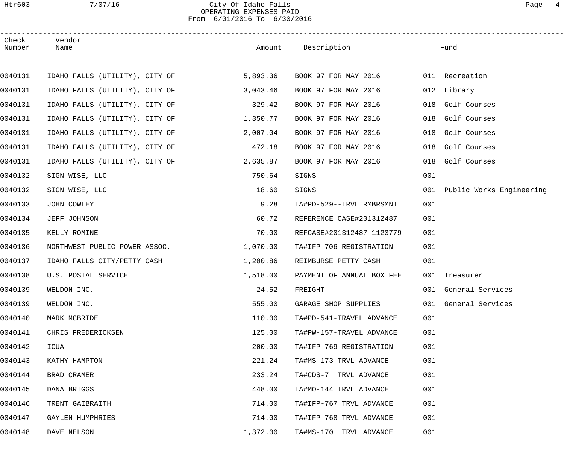# Htr603 7/07/16 City Of Idaho Falls Page 4 OPERATING EXPENSES PAID From 6/01/2016 To 6/30/2016

| Check<br>Number | Vendor<br>Name                 |          | Amount Description                  |     | Fund                         |
|-----------------|--------------------------------|----------|-------------------------------------|-----|------------------------------|
|                 |                                |          |                                     |     |                              |
| 0040131         | IDAHO FALLS (UTILITY), CITY OF | 5,893.36 | BOOK 97 FOR MAY 2016 011 Recreation |     |                              |
| 0040131         | IDAHO FALLS (UTILITY), CITY OF | 3,043.46 | BOOK 97 FOR MAY 2016                |     | 012 Library                  |
| 0040131         | IDAHO FALLS (UTILITY), CITY OF | 329.42   | BOOK 97 FOR MAY 2016                | 018 | Golf Courses                 |
| 0040131         | IDAHO FALLS (UTILITY), CITY OF | 1,350.77 | BOOK 97 FOR MAY 2016                | 018 | Golf Courses                 |
| 0040131         | IDAHO FALLS (UTILITY), CITY OF | 2,007.04 | BOOK 97 FOR MAY 2016                | 018 | Golf Courses                 |
| 0040131         | IDAHO FALLS (UTILITY), CITY OF | 472.18   | BOOK 97 FOR MAY 2016                | 018 | Golf Courses                 |
| 0040131         | IDAHO FALLS (UTILITY), CITY OF | 2,635.87 | BOOK 97 FOR MAY 2016                | 018 | Golf Courses                 |
| 0040132         | SIGN WISE, LLC                 | 750.64   | SIGNS                               | 001 |                              |
| 0040132         | SIGN WISE, LLC                 | 18.60    | SIGNS                               |     | 001 Public Works Engineering |
| 0040133         | JOHN COWLEY                    | 9.28     | TA#PD-529--TRVL RMBRSMNT            | 001 |                              |
| 0040134         | JEFF JOHNSON                   | 60.72    | REFERENCE CASE#201312487            | 001 |                              |
| 0040135         | KELLY ROMINE                   | 70.00    | REFCASE#201312487 1123779           | 001 |                              |
| 0040136         | NORTHWEST PUBLIC POWER ASSOC.  | 1,070.00 | TA#IFP-706-REGISTRATION             | 001 |                              |
| 0040137         | IDAHO FALLS CITY/PETTY CASH    | 1,200.86 | REIMBURSE PETTY CASH                | 001 |                              |
| 0040138         | U.S. POSTAL SERVICE            | 1,518.00 | PAYMENT OF ANNUAL BOX FEE           |     | 001 Treasurer                |
| 0040139         | WELDON INC.                    | 24.52    | FREIGHT                             |     | 001 General Services         |
| 0040139         | WELDON INC.                    | 555.00   | GARAGE SHOP SUPPLIES                |     | 001 General Services         |
| 0040140         | MARK MCBRIDE                   | 110.00   | TA#PD-541-TRAVEL ADVANCE            | 001 |                              |
| 0040141         | CHRIS FREDERICKSEN             | 125.00   | TA#PW-157-TRAVEL ADVANCE            | 001 |                              |
| 0040142         | ICUA                           | 200.00   | TA#IFP-769 REGISTRATION             | 001 |                              |
| 0040143         | KATHY HAMPTON                  | 221.24   | TA#MS-173 TRVL ADVANCE              | 001 |                              |
| 0040144         | BRAD CRAMER                    | 233.24   | TA#CDS-7 TRVL ADVANCE               | 001 |                              |
| 0040145         | DANA BRIGGS                    | 448.00   | TA#MO-144 TRVL ADVANCE              | 001 |                              |
| 0040146         | TRENT GAIBRAITH                | 714.00   | TA#IFP-767 TRVL ADVANCE             | 001 |                              |
| 0040147         | GAYLEN HUMPHRIES               | 714.00   | TA#IFP-768 TRVL ADVANCE             | 001 |                              |
| 0040148         | DAVE NELSON                    | 1,372.00 | TA#MS-170 TRVL ADVANCE              | 001 |                              |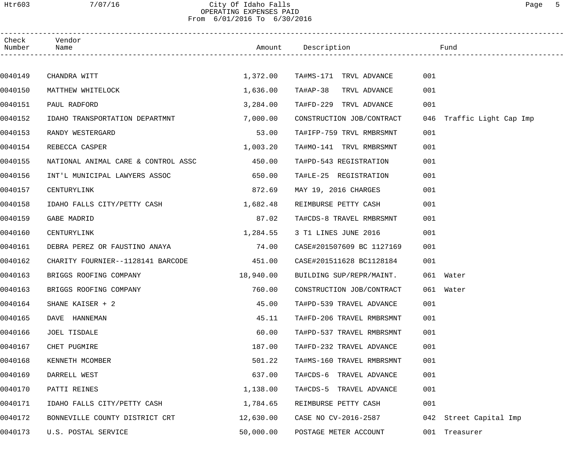## Htr603 7/07/16 City Of Idaho Falls Page 5 OPERATING EXPENSES PAID From 6/01/2016 To 6/30/2016

| Check<br>Number | Vendor<br>Name                      |           | Amount Description        | Fund                         |
|-----------------|-------------------------------------|-----------|---------------------------|------------------------------|
|                 |                                     |           |                           |                              |
| 0040149         | CHANDRA WITT                        | 1,372.00  | TA#MS-171 TRVL ADVANCE    | 001                          |
| 0040150         | MATTHEW WHITELOCK                   | 1,636.00  | TA#AP-38<br>TRVL ADVANCE  | 001                          |
| 0040151         | PAUL RADFORD                        | 3,284.00  | TA#FD-229 TRVL ADVANCE    | 001                          |
| 0040152         | IDAHO TRANSPORTATION DEPARTMNT      | 7,000.00  | CONSTRUCTION JOB/CONTRACT | Traffic Light Cap Imp<br>046 |
| 0040153         | RANDY WESTERGARD                    | 53.00     | TA#IFP-759 TRVL RMBRSMNT  | 001                          |
| 0040154         | REBECCA CASPER                      | 1,003.20  | TA#MO-141 TRVL RMBRSMNT   | 001                          |
| 0040155         | NATIONAL ANIMAL CARE & CONTROL ASSC | 450.00    | TA#PD-543 REGISTRATION    | 001                          |
| 0040156         | INT'L MUNICIPAL LAWYERS ASSOC       | 650.00    | TA#LE-25 REGISTRATION     | 001                          |
| 0040157         | CENTURYLINK                         | 872.69    | MAY 19, 2016 CHARGES      | 001                          |
| 0040158         | IDAHO FALLS CITY/PETTY CASH         | 1,682.48  | REIMBURSE PETTY CASH      | 001                          |
| 0040159         | GABE MADRID                         | 87.02     | TA#CDS-8 TRAVEL RMBRSMNT  | 001                          |
| 0040160         | CENTURYLINK                         | 1,284.55  | 3 T1 LINES JUNE 2016      | 001                          |
| 0040161         | DEBRA PEREZ OR FAUSTINO ANAYA       | 74.00     | CASE#201507609 BC 1127169 | 001                          |
| 0040162         | CHARITY FOURNIER--1128141 BARCODE   | 451.00    | CASE#201511628 BC1128184  | 001                          |
| 0040163         | BRIGGS ROOFING COMPANY              | 18,940.00 | BUILDING SUP/REPR/MAINT.  | 061 Water                    |
| 0040163         | BRIGGS ROOFING COMPANY              | 760.00    | CONSTRUCTION JOB/CONTRACT | 061 Water                    |
| 0040164         | SHANE KAISER + 2                    | 45.00     | TA#PD-539 TRAVEL ADVANCE  | 001                          |
| 0040165         | DAVE HANNEMAN                       | 45.11     | TA#FD-206 TRAVEL RMBRSMNT | 001                          |
| 0040166         | JOEL TISDALE                        | 60.00     | TA#PD-537 TRAVEL RMBRSMNT | 001                          |
| 0040167         | CHET PUGMIRE                        | 187.00    | TA#FD-232 TRAVEL ADVANCE  | 001                          |
| 0040168         | KENNETH MCOMBER                     | 501.22    | TA#MS-160 TRAVEL RMBRSMNT | 001                          |
| 0040169         | DARRELL WEST                        | 637.00    | TA#CDS-6 TRAVEL ADVANCE   | 001                          |
| 0040170         | PATTI REINES                        | 1,138.00  | TA#CDS-5 TRAVEL ADVANCE   | 001                          |
| 0040171         | IDAHO FALLS CITY/PETTY CASH         | 1,784.65  | REIMBURSE PETTY CASH      | 001                          |
| 0040172         | BONNEVILLE COUNTY DISTRICT CRT      | 12,630.00 | CASE NO CV-2016-2587      | 042 Street Capital Imp       |
| 0040173         | U.S. POSTAL SERVICE                 | 50,000.00 | POSTAGE METER ACCOUNT     | 001 Treasurer                |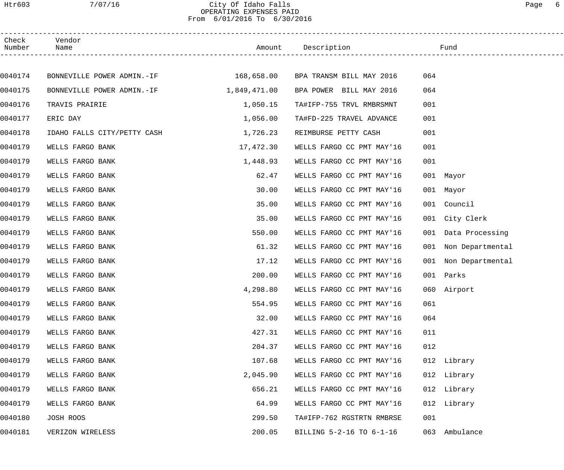# Htr603 7/07/16 City Of Idaho Falls Page 6 OPERATING EXPENSES PAID From 6/01/2016 To 6/30/2016

| Check<br>Number | Vendor<br>Name                                                 |              | Amount Description        | Fund                    |  |
|-----------------|----------------------------------------------------------------|--------------|---------------------------|-------------------------|--|
|                 |                                                                |              |                           |                         |  |
| 0040174         | BONNEVILLE POWER ADMIN.-IF 168,658.00 BPA TRANSM BILL MAY 2016 |              |                           | 064                     |  |
| 0040175         | BONNEVILLE POWER ADMIN.-IF                                     | 1,849,471.00 | BPA POWER BILL MAY 2016   | 064                     |  |
| 0040176         | TRAVIS PRAIRIE                                                 | 1,050.15     | TA#IFP-755 TRVL RMBRSMNT  | 001                     |  |
| 0040177         | ERIC DAY                                                       | 1,056.00     | TA#FD-225 TRAVEL ADVANCE  | 001                     |  |
| 0040178         | IDAHO FALLS CITY/PETTY CASH                                    | 1,726.23     | REIMBURSE PETTY CASH      | 001                     |  |
| 0040179         | WELLS FARGO BANK                                               | 17,472.30    | WELLS FARGO CC PMT MAY'16 | 001                     |  |
| 0040179         | WELLS FARGO BANK                                               | 1,448.93     | WELLS FARGO CC PMT MAY'16 | 001                     |  |
| 0040179         | WELLS FARGO BANK                                               | 62.47        | WELLS FARGO CC PMT MAY'16 | 001 Mayor               |  |
| 0040179         | WELLS FARGO BANK                                               | 30.00        | WELLS FARGO CC PMT MAY'16 | 001 Mayor               |  |
| 0040179         | WELLS FARGO BANK                                               | 35.00        | WELLS FARGO CC PMT MAY'16 | 001 Council             |  |
| 0040179         | WELLS FARGO BANK                                               | 35.00        | WELLS FARGO CC PMT MAY'16 | 001 City Clerk          |  |
| 0040179         | WELLS FARGO BANK                                               | 550.00       | WELLS FARGO CC PMT MAY'16 | 001 Data Processing     |  |
| 0040179         | WELLS FARGO BANK                                               | 61.32        | WELLS FARGO CC PMT MAY'16 | 001 Non Departmental    |  |
| 0040179         | WELLS FARGO BANK                                               | 17.12        | WELLS FARGO CC PMT MAY'16 | 001<br>Non Departmental |  |
| 0040179         | WELLS FARGO BANK                                               | 200.00       | WELLS FARGO CC PMT MAY'16 | 001 Parks               |  |
| 0040179         | WELLS FARGO BANK                                               | 4,298.80     | WELLS FARGO CC PMT MAY'16 | 060 Airport             |  |
| 0040179         | WELLS FARGO BANK                                               | 554.95       | WELLS FARGO CC PMT MAY'16 | 061                     |  |
| 0040179         | WELLS FARGO BANK                                               | 32.00        | WELLS FARGO CC PMT MAY'16 | 064                     |  |
| 0040179         | WELLS FARGO BANK                                               | 427.31       | WELLS FARGO CC PMT MAY'16 | 011                     |  |
| 0040179         | WELLS FARGO BANK                                               | 204.37       | WELLS FARGO CC PMT MAY'16 | 012                     |  |
| 0040179         | WELLS FARGO BANK                                               | 107.68       | WELLS FARGO CC PMT MAY'16 | 012 Library             |  |
| 0040179         | WELLS FARGO BANK                                               | 2,045.90     | WELLS FARGO CC PMT MAY'16 | 012 Library             |  |
| 0040179         | WELLS FARGO BANK                                               | 656.21       | WELLS FARGO CC PMT MAY'16 | 012 Library             |  |
| 0040179         | WELLS FARGO BANK                                               | 64.99        | WELLS FARGO CC PMT MAY'16 | 012 Library             |  |
| 0040180         | JOSH ROOS                                                      | 299.50       | TA#IFP-762 RGSTRTN RMBRSE | 001                     |  |
| 0040181         | VERIZON WIRELESS                                               | 200.05       | BILLING 5-2-16 TO 6-1-16  | Ambulance<br>063        |  |
|                 |                                                                |              |                           |                         |  |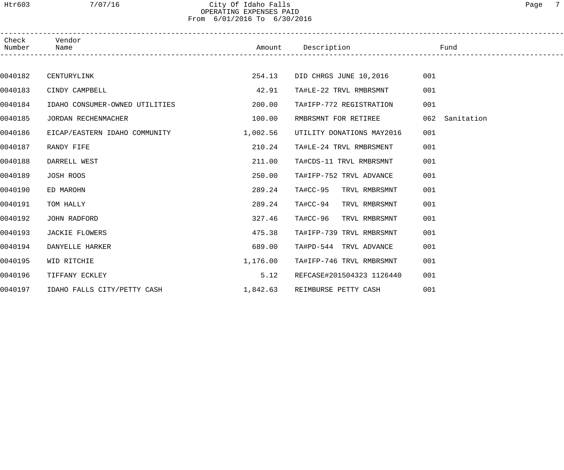## Htr603 7/07/16 City Of Idaho Falls Page 7 OPERATING EXPENSES PAID From 6/01/2016 To 6/30/2016

| Check<br>Number | Vendor<br>Name                 |          | Amount Description Fund   |                |
|-----------------|--------------------------------|----------|---------------------------|----------------|
|                 |                                |          |                           |                |
| 0040182         | CENTURYLINK                    | 254.13   | DID CHRGS JUNE 10,2016    | 001            |
| 0040183         | CINDY CAMPBELL                 | 42.91    | TA#LE-22 TRVL RMBRSMNT    | 001            |
| 0040184         | IDAHO CONSUMER-OWNED UTILITIES | 200.00   | TA#IFP-772 REGISTRATION   | 001            |
| 0040185         | JORDAN RECHENMACHER            | 100.00   | RMBRSMNT FOR RETIREE      | 062 Sanitation |
| 0040186         | EICAP/EASTERN IDAHO COMMUNITY  | 1,002.56 | UTILITY DONATIONS MAY2016 | 001            |
| 0040187         | RANDY FIFE                     | 210.24   | TA#LE-24 TRVL RMBRSMENT   | 001            |
| 0040188         | DARRELL WEST                   | 211.00   | TA#CDS-11 TRVL RMBRSMNT   | 001            |
| 0040189         | JOSH ROOS                      | 250.00   | TA#IFP-752 TRVL ADVANCE   | 001            |
| 0040190         | ED MAROHN                      | 289.24   | TA#CC-95 TRVL RMBRSMNT    | 001            |
| 0040191         | TOM HALLY                      | 289.24   | TA#CC-94 TRVL RMBRSMNT    | 001            |
| 0040192         | JOHN RADFORD                   | 327.46   | TA#CC-96 TRVL RMBRSMNT    | 001            |
| 0040193         | JACKIE FLOWERS                 | 475.38   | TA#IFP-739 TRVL RMBRSMNT  | 001            |
| 0040194         | DANYELLE HARKER                | 689.00   | TA#PD-544 TRVL ADVANCE    | 001            |
| 0040195         | WID RITCHIE                    | 1,176.00 | TA#IFP-746 TRVL RMBRSMNT  | 001            |
| 0040196         | TIFFANY ECKLEY                 | 5.12     | REFCASE#201504323 1126440 | 001            |
| 0040197         | IDAHO FALLS CITY/PETTY CASH    | 1,842.63 | REIMBURSE PETTY CASH      | 001            |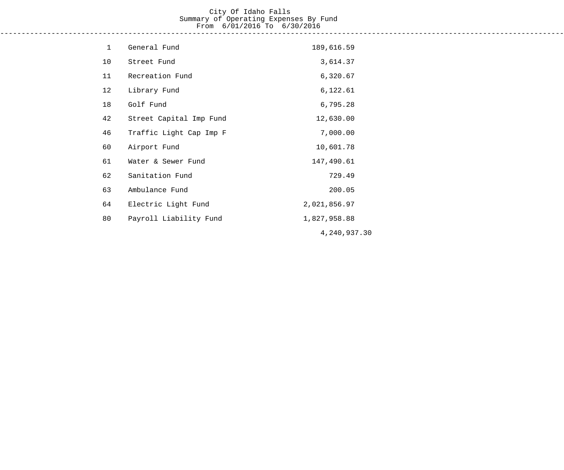# City Of Idaho Falls Summary of Operating Expenses By Fund From 6/01/2016 To 6/30/2016

------------------------------------------------------------------------------------------------------------------------------------

| $\mathbf 1$ | General Fund            | 189,616.59   |
|-------------|-------------------------|--------------|
| 10          | Street Fund             | 3,614.37     |
| 11          | Recreation Fund         | 6,320.67     |
| 12          | Library Fund            | 6,122.61     |
| 18          | Golf Fund               | 6,795.28     |
| 42          | Street Capital Imp Fund | 12,630.00    |
| 46          | Traffic Light Cap Imp F | 7,000.00     |
| 60          | Airport Fund            | 10,601.78    |
| 61          | Water & Sewer Fund      | 147,490.61   |
| 62          | Sanitation Fund         | 729.49       |
| 63          | Ambulance Fund          | 200.05       |
| 64          | Electric Light Fund     | 2,021,856.97 |
| 80          | Payroll Liability Fund  | 1,827,958.88 |
|             |                         | 4,240,937.30 |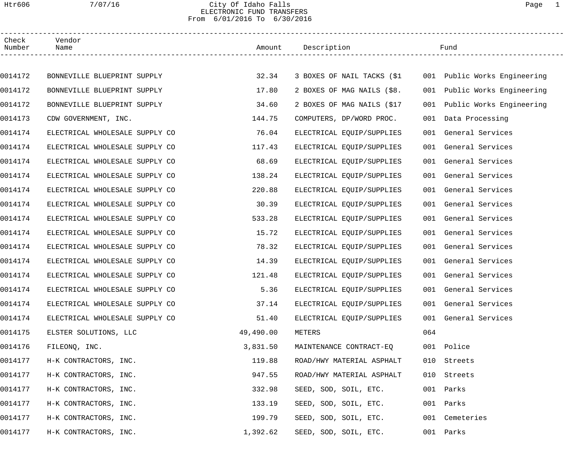## Htr606 7/07/16 City Of Idaho Falls Page 1 ELECTRONIC FUND TRANSFERS From 6/01/2016 To 6/30/2016

| Check<br>Number | Vendor<br>Name                 |           | Amount Description         |     | Fund                         |
|-----------------|--------------------------------|-----------|----------------------------|-----|------------------------------|
|                 |                                |           |                            |     |                              |
| 0014172         | BONNEVILLE BLUEPRINT SUPPLY    | 32.34     | 3 BOXES OF NAIL TACKS (\$1 |     | 001 Public Works Engineering |
| 0014172         | BONNEVILLE BLUEPRINT SUPPLY    | 17.80     | 2 BOXES OF MAG NAILS (\$8. |     | 001 Public Works Engineering |
| 0014172         | BONNEVILLE BLUEPRINT SUPPLY    | 34.60     | 2 BOXES OF MAG NAILS (\$17 |     | 001 Public Works Engineering |
| 0014173         | CDW GOVERNMENT, INC.           | 144.75    | COMPUTERS, DP/WORD PROC.   |     | 001 Data Processing          |
| 0014174         | ELECTRICAL WHOLESALE SUPPLY CO | 76.04     | ELECTRICAL EQUIP/SUPPLIES  |     | 001 General Services         |
| 0014174         | ELECTRICAL WHOLESALE SUPPLY CO | 117.43    | ELECTRICAL EQUIP/SUPPLIES  |     | 001 General Services         |
| 0014174         | ELECTRICAL WHOLESALE SUPPLY CO | 68.69     | ELECTRICAL EQUIP/SUPPLIES  |     | 001 General Services         |
| 0014174         | ELECTRICAL WHOLESALE SUPPLY CO | 138.24    | ELECTRICAL EQUIP/SUPPLIES  |     | 001 General Services         |
| 0014174         | ELECTRICAL WHOLESALE SUPPLY CO | 220.88    | ELECTRICAL EQUIP/SUPPLIES  |     | 001 General Services         |
| 0014174         | ELECTRICAL WHOLESALE SUPPLY CO | 30.39     | ELECTRICAL EQUIP/SUPPLIES  |     | 001 General Services         |
| 0014174         | ELECTRICAL WHOLESALE SUPPLY CO | 533.28    | ELECTRICAL EQUIP/SUPPLIES  |     | 001 General Services         |
| 0014174         | ELECTRICAL WHOLESALE SUPPLY CO | 15.72     | ELECTRICAL EQUIP/SUPPLIES  |     | 001 General Services         |
| 0014174         | ELECTRICAL WHOLESALE SUPPLY CO | 78.32     | ELECTRICAL EQUIP/SUPPLIES  |     | 001 General Services         |
| 0014174         | ELECTRICAL WHOLESALE SUPPLY CO | 14.39     | ELECTRICAL EQUIP/SUPPLIES  |     | 001 General Services         |
| 0014174         | ELECTRICAL WHOLESALE SUPPLY CO | 121.48    | ELECTRICAL EQUIP/SUPPLIES  |     | 001 General Services         |
| 0014174         | ELECTRICAL WHOLESALE SUPPLY CO | 5.36      | ELECTRICAL EQUIP/SUPPLIES  |     | 001 General Services         |
| 0014174         | ELECTRICAL WHOLESALE SUPPLY CO | 37.14     | ELECTRICAL EQUIP/SUPPLIES  |     | 001 General Services         |
| 0014174         | ELECTRICAL WHOLESALE SUPPLY CO | 51.40     | ELECTRICAL EQUIP/SUPPLIES  |     | 001 General Services         |
| 0014175         | ELSTER SOLUTIONS, LLC          | 49,490.00 | METERS                     | 064 |                              |
| 0014176         | FILEONO, INC.                  | 3,831.50  | MAINTENANCE CONTRACT-EQ    |     | 001 Police                   |
| 0014177         | H-K CONTRACTORS, INC.          | 119.88    | ROAD/HWY MATERIAL ASPHALT  | 010 | Streets                      |
| 0014177         | H-K CONTRACTORS, INC.          | 947.55    | ROAD/HWY MATERIAL ASPHALT  | 010 | Streets                      |
| 0014177         | H-K CONTRACTORS, INC.          | 332.98    | SEED, SOD, SOIL, ETC.      | 001 | Parks                        |
| 0014177         | H-K CONTRACTORS, INC.          | 133.19    | SEED, SOD, SOIL, ETC.      | 001 | Parks                        |
| 0014177         | H-K CONTRACTORS, INC.          | 199.79    | SEED, SOD, SOIL, ETC.      |     | 001 Cemeteries               |
| 0014177         | H-K CONTRACTORS, INC.          | 1,392.62  | SEED, SOD, SOIL, ETC.      |     | 001 Parks                    |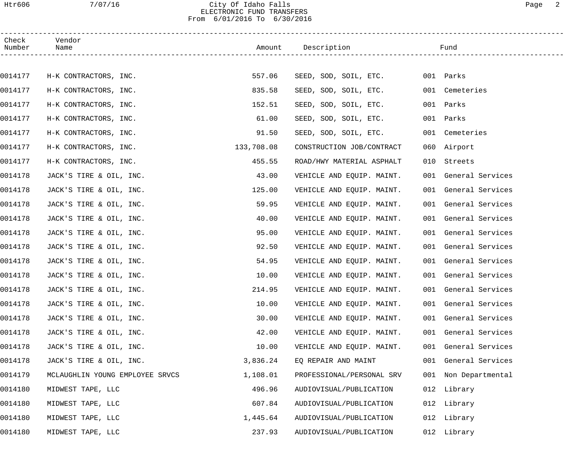# Htr606 7/07/16 City Of Idaho Falls Page 2 ELECTRONIC FUND TRANSFERS From 6/01/2016 To 6/30/2016

| Check<br>Number | Vendor<br>Name                  |            | Amount Description        |     | Fund                 |  |
|-----------------|---------------------------------|------------|---------------------------|-----|----------------------|--|
|                 |                                 |            |                           |     |                      |  |
| 0014177         | H-K CONTRACTORS, INC.           | 557.06     | SEED, SOD, SOIL, ETC.     |     | 001 Parks            |  |
| 0014177         | H-K CONTRACTORS, INC.           | 835.58     | SEED, SOD, SOIL, ETC.     |     | 001 Cemeteries       |  |
| 0014177         | H-K CONTRACTORS, INC.           | 152.51     | SEED, SOD, SOIL, ETC.     |     | 001 Parks            |  |
| 0014177         | H-K CONTRACTORS, INC.           | 61.00      | SEED, SOD, SOIL, ETC.     |     | 001 Parks            |  |
| 0014177         | H-K CONTRACTORS, INC.           | 91.50      | SEED, SOD, SOIL, ETC.     |     | 001 Cemeteries       |  |
| 0014177         | H-K CONTRACTORS, INC.           | 133,708.08 | CONSTRUCTION JOB/CONTRACT |     | 060 Airport          |  |
| 0014177         | H-K CONTRACTORS, INC.           | 455.55     | ROAD/HWY MATERIAL ASPHALT | 010 | Streets              |  |
| 0014178         | JACK'S TIRE & OIL, INC.         | 43.00      | VEHICLE AND EQUIP. MAINT. |     | 001 General Services |  |
| 0014178         | JACK'S TIRE & OIL, INC.         | 125.00     | VEHICLE AND EQUIP. MAINT. |     | 001 General Services |  |
| 0014178         | JACK'S TIRE & OIL, INC.         | 59.95      | VEHICLE AND EQUIP. MAINT. |     | 001 General Services |  |
| 0014178         | JACK'S TIRE & OIL, INC.         | 40.00      | VEHICLE AND EQUIP. MAINT. |     | 001 General Services |  |
| 0014178         | JACK'S TIRE & OIL, INC.         | 95.00      | VEHICLE AND EQUIP. MAINT. |     | 001 General Services |  |
| 0014178         | JACK'S TIRE & OIL, INC.         | 92.50      | VEHICLE AND EQUIP. MAINT. |     | 001 General Services |  |
| 0014178         | JACK'S TIRE & OIL, INC.         | 54.95      | VEHICLE AND EQUIP. MAINT. |     | 001 General Services |  |
| 0014178         | JACK'S TIRE & OIL, INC.         | 10.00      | VEHICLE AND EQUIP. MAINT. |     | 001 General Services |  |
| 0014178         | JACK'S TIRE & OIL, INC.         | 214.95     | VEHICLE AND EQUIP. MAINT. |     | 001 General Services |  |
| 0014178         | JACK'S TIRE & OIL, INC.         | 10.00      | VEHICLE AND EQUIP. MAINT. |     | 001 General Services |  |
| 0014178         | JACK'S TIRE & OIL, INC.         | 30.00      | VEHICLE AND EQUIP. MAINT. |     | 001 General Services |  |
| 0014178         | JACK'S TIRE & OIL, INC.         | 42.00      | VEHICLE AND EQUIP. MAINT. |     | 001 General Services |  |
| 0014178         | JACK'S TIRE & OIL, INC.         | 10.00      | VEHICLE AND EQUIP. MAINT. |     | 001 General Services |  |
| 0014178         | JACK'S TIRE & OIL, INC.         | 3,836.24   | EQ REPAIR AND MAINT       |     | 001 General Services |  |
| 0014179         | MCLAUGHLIN YOUNG EMPLOYEE SRVCS | 1,108.01   | PROFESSIONAL/PERSONAL SRV |     | 001 Non Departmental |  |
| 0014180         | MIDWEST TAPE, LLC               | 496.96     | AUDIOVISUAL/PUBLICATION   |     | 012 Library          |  |
| 0014180         | MIDWEST TAPE, LLC               | 607.84     | AUDIOVISUAL/PUBLICATION   |     | 012 Library          |  |
| 0014180         | MIDWEST TAPE, LLC               | 1,445.64   | AUDIOVISUAL/PUBLICATION   |     | 012 Library          |  |
| 0014180         | MIDWEST TAPE, LLC               | 237.93     | AUDIOVISUAL/PUBLICATION   |     | 012 Library          |  |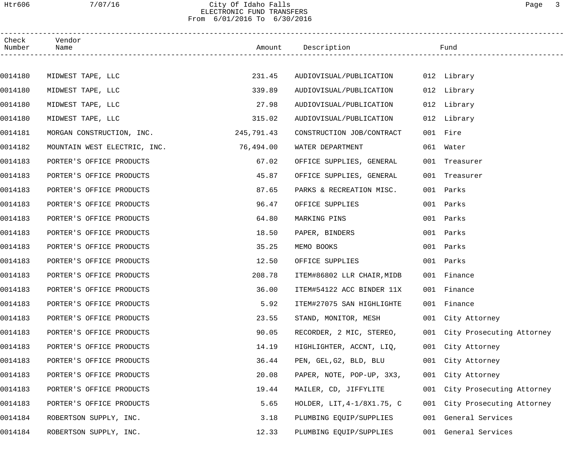## Htr606 7/07/16 City Of Idaho Falls Page 3 ELECTRONIC FUND TRANSFERS From 6/01/2016 To 6/30/2016

| Check<br>Number | Vendor<br>Name                         |            | Amount Description         |     | Fund                      |  |
|-----------------|----------------------------------------|------------|----------------------------|-----|---------------------------|--|
|                 |                                        |            |                            |     |                           |  |
| 0014180         | MIDWEST TAPE, LLC                      | 231.45     | AUDIOVISUAL/PUBLICATION    |     | 012 Library               |  |
| 0014180         | MIDWEST TAPE, LLC                      | 339.89     | AUDIOVISUAL/PUBLICATION    |     | 012 Library               |  |
| 0014180         | MIDWEST TAPE, LLC                      | 27.98      | AUDIOVISUAL/PUBLICATION    |     | 012 Library               |  |
| 0014180         | MIDWEST TAPE, LLC                      | 315.02     | AUDIOVISUAL/PUBLICATION    |     | 012 Library               |  |
| 0014181         | MORGAN CONSTRUCTION, INC.              | 245,791.43 | CONSTRUCTION JOB/CONTRACT  |     | 001 Fire                  |  |
| 0014182         | MOUNTAIN WEST ELECTRIC, INC. 76,494.00 |            | WATER DEPARTMENT           |     | 061 Water                 |  |
| 0014183         | PORTER'S OFFICE PRODUCTS               | 67.02      | OFFICE SUPPLIES, GENERAL   |     | 001 Treasurer             |  |
| 0014183         | PORTER'S OFFICE PRODUCTS               | 45.87      | OFFICE SUPPLIES, GENERAL   |     | 001 Treasurer             |  |
| 0014183         | PORTER'S OFFICE PRODUCTS               | 87.65      | PARKS & RECREATION MISC.   |     | 001 Parks                 |  |
| 0014183         | PORTER'S OFFICE PRODUCTS               | 96.47      | OFFICE SUPPLIES            |     | 001 Parks                 |  |
| 0014183         | PORTER'S OFFICE PRODUCTS               | 64.80      | MARKING PINS               |     | 001 Parks                 |  |
| 0014183         | PORTER'S OFFICE PRODUCTS               | 18.50      | PAPER, BINDERS             |     | 001 Parks                 |  |
| 0014183         | PORTER'S OFFICE PRODUCTS               | 35.25      | MEMO BOOKS                 |     | 001 Parks                 |  |
| 0014183         | PORTER'S OFFICE PRODUCTS               | 12.50      | OFFICE SUPPLIES            |     | 001 Parks                 |  |
| 0014183         | PORTER'S OFFICE PRODUCTS               | 208.78     | ITEM#86802 LLR CHAIR, MIDB |     | 001 Finance               |  |
| 0014183         | PORTER'S OFFICE PRODUCTS               | 36.00      | ITEM#54122 ACC BINDER 11X  |     | 001 Finance               |  |
| 0014183         | PORTER'S OFFICE PRODUCTS               | 5.92       | ITEM#27075 SAN HIGHLIGHTE  |     | 001 Finance               |  |
| 0014183         | PORTER'S OFFICE PRODUCTS               | 23.55      | STAND, MONITOR, MESH       |     | 001 City Attorney         |  |
| 0014183         | PORTER'S OFFICE PRODUCTS               | 90.05      | RECORDER, 2 MIC, STEREO,   | 001 | City Prosecuting Attorney |  |
| 0014183         | PORTER'S OFFICE PRODUCTS               | 14.19      | HIGHLIGHTER, ACCNT, LIQ,   | 001 | City Attorney             |  |
| 0014183         | PORTER'S OFFICE PRODUCTS               | 36.44      | PEN, GEL, G2, BLD, BLU     |     | 001 City Attorney         |  |
| 0014183         | PORTER'S OFFICE PRODUCTS               | 20.08      | PAPER, NOTE, POP-UP, 3X3,  |     | 001 City Attorney         |  |
| 0014183         | PORTER'S OFFICE PRODUCTS               | 19.44      | MAILER, CD, JIFFYLITE      | 001 | City Prosecuting Attorney |  |
| 0014183         | PORTER'S OFFICE PRODUCTS               | 5.65       | HOLDER, LIT, 4-1/8X1.75, C | 001 | City Prosecuting Attorney |  |
| 0014184         | ROBERTSON SUPPLY, INC.                 | 3.18       | PLUMBING EQUIP/SUPPLIES    | 001 | General Services          |  |
| 0014184         | ROBERTSON SUPPLY, INC.                 | 12.33      | PLUMBING EQUIP/SUPPLIES    | 001 | General Services          |  |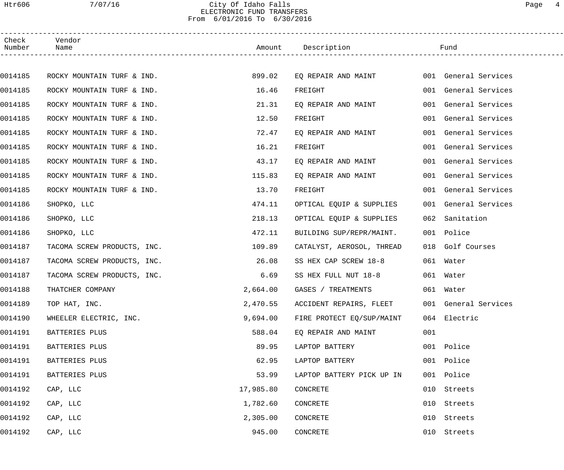## Htr606 7/07/16 City Of Idaho Falls Page 4 ELECTRONIC FUND TRANSFERS From 6/01/2016 To 6/30/2016

| Check<br>Number | Vendor<br>Name              |           | Amount Description        |     | Fund                 |
|-----------------|-----------------------------|-----------|---------------------------|-----|----------------------|
|                 |                             |           |                           |     |                      |
| 0014185         | ROCKY MOUNTAIN TURF & IND.  | 899.02    | EQ REPAIR AND MAINT       |     | 001 General Services |
| 0014185         | ROCKY MOUNTAIN TURF & IND.  | 16.46     | FREIGHT                   |     | 001 General Services |
| 0014185         | ROCKY MOUNTAIN TURF & IND.  | 21.31     | EQ REPAIR AND MAINT       |     | 001 General Services |
| 0014185         | ROCKY MOUNTAIN TURF & IND.  | 12.50     | FREIGHT                   |     | 001 General Services |
| 0014185         | ROCKY MOUNTAIN TURF & IND.  | 72.47     | EQ REPAIR AND MAINT       |     | 001 General Services |
| 0014185         | ROCKY MOUNTAIN TURF & IND.  | 16.21     | FREIGHT                   |     | 001 General Services |
| 0014185         | ROCKY MOUNTAIN TURF & IND.  | 43.17     | EQ REPAIR AND MAINT       |     | 001 General Services |
| 0014185         | ROCKY MOUNTAIN TURF & IND.  | 115.83    | EQ REPAIR AND MAINT       |     | 001 General Services |
| 0014185         | ROCKY MOUNTAIN TURF & IND.  | 13.70     | FREIGHT                   |     | 001 General Services |
| 0014186         | SHOPKO, LLC                 | 474.11    | OPTICAL EQUIP & SUPPLIES  |     | 001 General Services |
| 0014186         | SHOPKO, LLC                 | 218.13    | OPTICAL EQUIP & SUPPLIES  | 062 | Sanitation           |
| 0014186         | SHOPKO, LLC                 | 472.11    | BUILDING SUP/REPR/MAINT.  |     | 001 Police           |
| 0014187         | TACOMA SCREW PRODUCTS, INC. | 109.89    | CATALYST, AEROSOL, THREAD |     | 018 Golf Courses     |
| 0014187         | TACOMA SCREW PRODUCTS, INC. | 26.08     | SS HEX CAP SCREW 18-8     |     | 061 Water            |
| 0014187         | TACOMA SCREW PRODUCTS, INC. | 6.69      | SS HEX FULL NUT 18-8      |     | 061 Water            |
| 0014188         | THATCHER COMPANY            | 2,664.00  | GASES / TREATMENTS        |     | 061 Water            |
| 0014189         | TOP HAT, INC.               | 2,470.55  | ACCIDENT REPAIRS, FLEET   |     | 001 General Services |
| 0014190         | WHEELER ELECTRIC, INC.      | 9,694.00  | FIRE PROTECT EQ/SUP/MAINT |     | 064 Electric         |
| 0014191         | BATTERIES PLUS              | 588.04    | EQ REPAIR AND MAINT       | 001 |                      |
| 0014191         | BATTERIES PLUS              | 89.95     | LAPTOP BATTERY            |     | 001 Police           |
| 0014191         | BATTERIES PLUS              | 62.95     | LAPTOP BATTERY            |     | 001 Police           |
| 0014191         | BATTERIES PLUS              | 53.99     | LAPTOP BATTERY PICK UP IN | 001 | Police               |
| 0014192         | CAP, LLC                    | 17,985.80 | CONCRETE                  | 010 | Streets              |
| 0014192         | CAP, LLC                    | 1,782.60  | CONCRETE                  | 010 | Streets              |
| 0014192         | CAP, LLC                    | 2,305.00  | CONCRETE                  | 010 | Streets              |
| 0014192         | CAP, LLC                    | 945.00    | CONCRETE                  |     | 010 Streets          |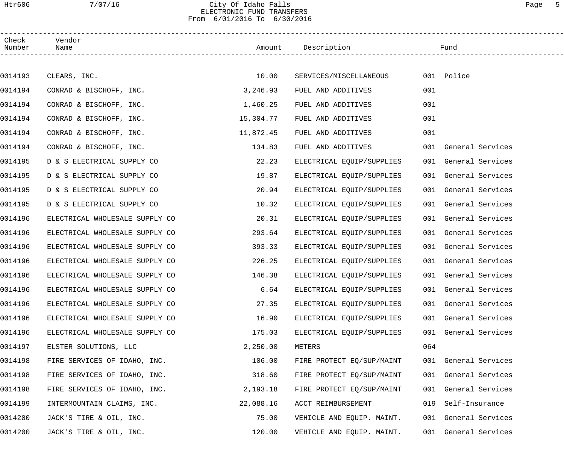# Htr606 7/07/16 City Of Idaho Falls Page 5 ELECTRONIC FUND TRANSFERS From 6/01/2016 To 6/30/2016

| Check<br>Number | Vendor<br>Name                 |           | Amount Description        |     | Fund                 |  |
|-----------------|--------------------------------|-----------|---------------------------|-----|----------------------|--|
|                 |                                |           |                           |     |                      |  |
| 0014193         | CLEARS, INC.                   | 10.00     | SERVICES/MISCELLANEOUS    |     | 001 Police           |  |
| 0014194         | CONRAD & BISCHOFF, INC.        | 3,246.93  | FUEL AND ADDITIVES        | 001 |                      |  |
| 0014194         | CONRAD & BISCHOFF, INC.        | 1,460.25  | FUEL AND ADDITIVES        | 001 |                      |  |
| 0014194         | CONRAD & BISCHOFF, INC.        | 15,304.77 | FUEL AND ADDITIVES        | 001 |                      |  |
| 0014194         | CONRAD & BISCHOFF, INC.        | 11,872.45 | FUEL AND ADDITIVES        | 001 |                      |  |
| 0014194         | CONRAD & BISCHOFF, INC.        | 134.83    | FUEL AND ADDITIVES        |     | 001 General Services |  |
| 0014195         | D & S ELECTRICAL SUPPLY CO     | 22.23     | ELECTRICAL EQUIP/SUPPLIES |     | 001 General Services |  |
| 0014195         | D & S ELECTRICAL SUPPLY CO     | 19.87     | ELECTRICAL EQUIP/SUPPLIES |     | 001 General Services |  |
| 0014195         | D & S ELECTRICAL SUPPLY CO     | 20.94     | ELECTRICAL EQUIP/SUPPLIES |     | 001 General Services |  |
| 0014195         | D & S ELECTRICAL SUPPLY CO     | 10.32     | ELECTRICAL EQUIP/SUPPLIES |     | 001 General Services |  |
| 0014196         | ELECTRICAL WHOLESALE SUPPLY CO | 20.31     | ELECTRICAL EQUIP/SUPPLIES |     | 001 General Services |  |
| 0014196         | ELECTRICAL WHOLESALE SUPPLY CO | 293.64    | ELECTRICAL EQUIP/SUPPLIES |     | 001 General Services |  |
| 0014196         | ELECTRICAL WHOLESALE SUPPLY CO | 393.33    | ELECTRICAL EQUIP/SUPPLIES |     | 001 General Services |  |
| 0014196         | ELECTRICAL WHOLESALE SUPPLY CO | 226.25    | ELECTRICAL EQUIP/SUPPLIES |     | 001 General Services |  |
| 0014196         | ELECTRICAL WHOLESALE SUPPLY CO | 146.38    | ELECTRICAL EQUIP/SUPPLIES |     | 001 General Services |  |
| 0014196         | ELECTRICAL WHOLESALE SUPPLY CO | 6.64      | ELECTRICAL EQUIP/SUPPLIES |     | 001 General Services |  |
| 0014196         | ELECTRICAL WHOLESALE SUPPLY CO | 27.35     | ELECTRICAL EQUIP/SUPPLIES |     | 001 General Services |  |
| 0014196         | ELECTRICAL WHOLESALE SUPPLY CO | 16.90     | ELECTRICAL EQUIP/SUPPLIES |     | 001 General Services |  |
| 0014196         | ELECTRICAL WHOLESALE SUPPLY CO | 175.03    | ELECTRICAL EQUIP/SUPPLIES |     | 001 General Services |  |
| 0014197         | ELSTER SOLUTIONS, LLC          | 2,250.00  | METERS                    | 064 |                      |  |
| 0014198         | FIRE SERVICES OF IDAHO, INC.   | 106.00    | FIRE PROTECT EQ/SUP/MAINT |     | 001 General Services |  |
| 0014198         | FIRE SERVICES OF IDAHO, INC.   | 318.60    | FIRE PROTECT EQ/SUP/MAINT |     | 001 General Services |  |
| 0014198         | FIRE SERVICES OF IDAHO, INC.   | 2,193.18  | FIRE PROTECT EQ/SUP/MAINT |     | 001 General Services |  |
| 0014199         | INTERMOUNTAIN CLAIMS, INC.     | 22,088.16 | ACCT REIMBURSEMENT        | 019 | Self-Insurance       |  |
| 0014200         | JACK'S TIRE & OIL, INC.        | 75.00     | VEHICLE AND EQUIP. MAINT. |     | 001 General Services |  |
| 0014200         | JACK'S TIRE & OIL, INC.        | 120.00    | VEHICLE AND EQUIP. MAINT. |     | 001 General Services |  |
|                 |                                |           |                           |     |                      |  |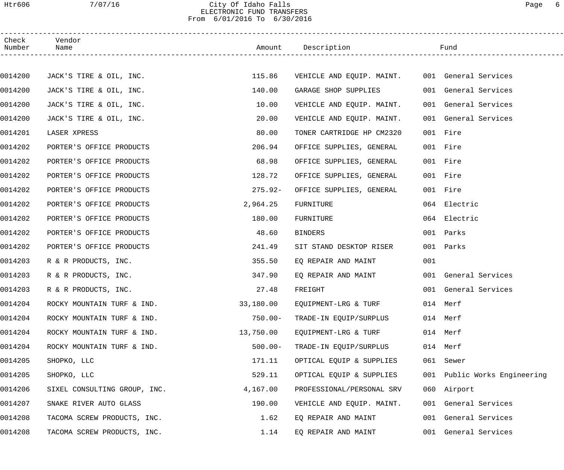# Htr606 7/07/16 City Of Idaho Falls Page 6 ELECTRONIC FUND TRANSFERS From 6/01/2016 To 6/30/2016

| Check<br>Number | Vendor<br>Name               |            | Amount Description                             |     | Fund                         |
|-----------------|------------------------------|------------|------------------------------------------------|-----|------------------------------|
|                 |                              |            |                                                |     |                              |
| 0014200         | JACK'S TIRE & OIL, INC.      | 115.86     | VEHICLE AND EQUIP. MAINT. 001 General Services |     |                              |
| 0014200         | JACK'S TIRE & OIL, INC.      | 140.00     | GARAGE SHOP SUPPLIES                           |     | 001 General Services         |
| 0014200         | JACK'S TIRE & OIL, INC.      | 10.00      | VEHICLE AND EQUIP. MAINT.                      |     | 001 General Services         |
| 0014200         | JACK'S TIRE & OIL, INC.      | 20.00      | VEHICLE AND EQUIP. MAINT.                      |     | 001 General Services         |
| 0014201         | LASER XPRESS                 | 80.00      | TONER CARTRIDGE HP CM2320                      |     | 001 Fire                     |
| 0014202         | PORTER'S OFFICE PRODUCTS     | 206.94     | OFFICE SUPPLIES, GENERAL                       |     | 001 Fire                     |
| 0014202         | PORTER'S OFFICE PRODUCTS     | 68.98      | OFFICE SUPPLIES, GENERAL                       |     | 001 Fire                     |
| 0014202         | PORTER'S OFFICE PRODUCTS     | 128.72     | OFFICE SUPPLIES, GENERAL                       |     | 001 Fire                     |
| 0014202         | PORTER'S OFFICE PRODUCTS     | $275.92-$  | OFFICE SUPPLIES, GENERAL                       |     | 001 Fire                     |
| 0014202         | PORTER'S OFFICE PRODUCTS     | 2,964.25   | FURNITURE                                      |     | 064 Electric                 |
| 0014202         | PORTER'S OFFICE PRODUCTS     | 180.00     | FURNITURE                                      |     | 064 Electric                 |
| 0014202         | PORTER'S OFFICE PRODUCTS     | 48.60      | <b>BINDERS</b>                                 |     | 001 Parks                    |
| 0014202         | PORTER'S OFFICE PRODUCTS     | 241.49     | SIT STAND DESKTOP RISER                        |     | 001 Parks                    |
| 0014203         | R & R PRODUCTS, INC.         | 355.50     | EQ REPAIR AND MAINT                            | 001 |                              |
| 0014203         | R & R PRODUCTS, INC.         | 347.90     | EQ REPAIR AND MAINT                            |     | 001 General Services         |
| 0014203         | R & R PRODUCTS, INC.         | 27.48      | FREIGHT                                        |     | 001 General Services         |
| 0014204         | ROCKY MOUNTAIN TURF & IND.   | 33,180.00  | EQUIPMENT-LRG & TURF                           |     | 014 Merf                     |
| 0014204         | ROCKY MOUNTAIN TURF & IND.   | $750.00 -$ | TRADE-IN EQUIP/SURPLUS                         |     | 014 Merf                     |
| 0014204         | ROCKY MOUNTAIN TURF & IND.   | 13,750.00  | EQUIPMENT-LRG & TURF                           |     | 014 Merf                     |
| 0014204         | ROCKY MOUNTAIN TURF & IND.   | $500.00 -$ | TRADE-IN EQUIP/SURPLUS                         |     | 014 Merf                     |
| 0014205         | SHOPKO, LLC                  | 171.11     | OPTICAL EQUIP & SUPPLIES                       |     | 061 Sewer                    |
| 0014205         | SHOPKO, LLC                  | 529.11     | OPTICAL EQUIP & SUPPLIES                       |     | 001 Public Works Engineering |
| 0014206         | SIXEL CONSULTING GROUP, INC. | 4,167.00   | PROFESSIONAL/PERSONAL SRV                      |     | 060 Airport                  |
| 0014207         | SNAKE RIVER AUTO GLASS       | 190.00     | VEHICLE AND EQUIP. MAINT.                      |     | 001 General Services         |
| 0014208         | TACOMA SCREW PRODUCTS, INC.  | 1.62       | EQ REPAIR AND MAINT                            |     | 001 General Services         |
| 0014208         | TACOMA SCREW PRODUCTS, INC.  | 1.14       | EQ REPAIR AND MAINT                            |     | 001 General Services         |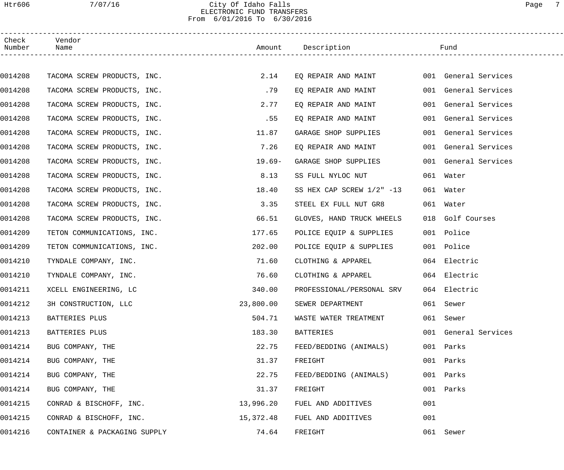## Htr606 7/07/16 City Of Idaho Falls Page 7 ELECTRONIC FUND TRANSFERS From 6/01/2016 To 6/30/2016

| Check<br>Number | Vendor<br>Name               |           | Amount Description        |     | Fund                 |
|-----------------|------------------------------|-----------|---------------------------|-----|----------------------|
|                 |                              |           |                           |     |                      |
| 0014208         | TACOMA SCREW PRODUCTS, INC.  | 2.14      | EQ REPAIR AND MAINT       |     | 001 General Services |
| 0014208         | TACOMA SCREW PRODUCTS, INC.  | .79       | EQ REPAIR AND MAINT       |     | 001 General Services |
| 0014208         | TACOMA SCREW PRODUCTS, INC.  | 2.77      | EQ REPAIR AND MAINT       |     | 001 General Services |
| 0014208         | TACOMA SCREW PRODUCTS, INC.  | .55       | EQ REPAIR AND MAINT       |     | 001 General Services |
| 0014208         | TACOMA SCREW PRODUCTS, INC.  | 11.87     | GARAGE SHOP SUPPLIES      |     | 001 General Services |
| 0014208         | TACOMA SCREW PRODUCTS, INC.  | 7.26      | EQ REPAIR AND MAINT       |     | 001 General Services |
| 0014208         | TACOMA SCREW PRODUCTS, INC.  | $19.69-$  | GARAGE SHOP SUPPLIES      |     | 001 General Services |
| 0014208         | TACOMA SCREW PRODUCTS, INC.  | 8.13      | SS FULL NYLOC NUT         |     | 061 Water            |
| 0014208         | TACOMA SCREW PRODUCTS, INC.  | 18.40     | SS HEX CAP SCREW 1/2" -13 |     | 061 Water            |
| 0014208         | TACOMA SCREW PRODUCTS, INC.  | 3.35      | STEEL EX FULL NUT GR8     |     | 061 Water            |
| 0014208         | TACOMA SCREW PRODUCTS, INC.  | 66.51     | GLOVES, HAND TRUCK WHEELS |     | 018 Golf Courses     |
| 0014209         | TETON COMMUNICATIONS, INC.   | 177.65    | POLICE EQUIP & SUPPLIES   |     | 001 Police           |
| 0014209         | TETON COMMUNICATIONS, INC.   | 202.00    | POLICE EQUIP & SUPPLIES   |     | 001 Police           |
| 0014210         | TYNDALE COMPANY, INC.        | 71.60     | CLOTHING & APPAREL        |     | 064 Electric         |
| 0014210         | TYNDALE COMPANY, INC.        | 76.60     | CLOTHING & APPAREL        |     | 064 Electric         |
| 0014211         | XCELL ENGINEERING, LC        | 340.00    | PROFESSIONAL/PERSONAL SRV |     | 064 Electric         |
| 0014212         | 3H CONSTRUCTION, LLC         | 23,800.00 | SEWER DEPARTMENT          |     | 061 Sewer            |
| 0014213         | BATTERIES PLUS               | 504.71    | WASTE WATER TREATMENT     |     | 061 Sewer            |
| 0014213         | BATTERIES PLUS               | 183.30    | <b>BATTERIES</b>          |     | 001 General Services |
| 0014214         | BUG COMPANY, THE             | 22.75     | FEED/BEDDING (ANIMALS)    |     | 001 Parks            |
| 0014214         | BUG COMPANY, THE             | 31.37     | FREIGHT                   |     | 001 Parks            |
| 0014214         | BUG COMPANY, THE             | 22.75     | FEED/BEDDING (ANIMALS)    |     | 001 Parks            |
| 0014214         | BUG COMPANY, THE             | 31.37     | FREIGHT                   |     | 001 Parks            |
| 0014215         | CONRAD & BISCHOFF, INC.      | 13,996.20 | FUEL AND ADDITIVES        | 001 |                      |
| 0014215         | CONRAD & BISCHOFF, INC.      | 15,372.48 | FUEL AND ADDITIVES        | 001 |                      |
| 0014216         | CONTAINER & PACKAGING SUPPLY | 74.64     | FREIGHT                   |     | 061 Sewer            |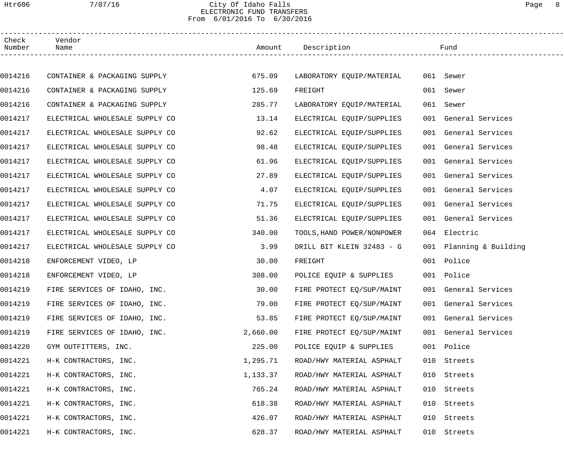## Htr606 7/07/16 City Of Idaho Falls Page 8 ELECTRONIC FUND TRANSFERS From 6/01/2016 To 6/30/2016

| Check<br>Number | Vendor<br>Name                 |          | Amount Description         |     | Fund                    |  |
|-----------------|--------------------------------|----------|----------------------------|-----|-------------------------|--|
|                 |                                |          |                            |     |                         |  |
| 0014216         | CONTAINER & PACKAGING SUPPLY   | 675.09   | LABORATORY EQUIP/MATERIAL  |     | 061 Sewer               |  |
| 0014216         | CONTAINER & PACKAGING SUPPLY   | 125.69   | FREIGHT                    |     | 061 Sewer               |  |
| 0014216         | CONTAINER & PACKAGING SUPPLY   | 285.77   | LABORATORY EQUIP/MATERIAL  | 061 | Sewer                   |  |
| 0014217         | ELECTRICAL WHOLESALE SUPPLY CO | 13.14    | ELECTRICAL EQUIP/SUPPLIES  |     | 001 General Services    |  |
| 0014217         | ELECTRICAL WHOLESALE SUPPLY CO | 92.62    | ELECTRICAL EQUIP/SUPPLIES  |     | 001 General Services    |  |
| 0014217         | ELECTRICAL WHOLESALE SUPPLY CO | 98.48    | ELECTRICAL EQUIP/SUPPLIES  |     | 001 General Services    |  |
| 0014217         | ELECTRICAL WHOLESALE SUPPLY CO | 61.96    | ELECTRICAL EQUIP/SUPPLIES  |     | 001 General Services    |  |
| 0014217         | ELECTRICAL WHOLESALE SUPPLY CO | 27.89    | ELECTRICAL EQUIP/SUPPLIES  |     | 001 General Services    |  |
| 0014217         | ELECTRICAL WHOLESALE SUPPLY CO | 4.07     | ELECTRICAL EQUIP/SUPPLIES  |     | 001 General Services    |  |
| 0014217         | ELECTRICAL WHOLESALE SUPPLY CO | 71.75    | ELECTRICAL EQUIP/SUPPLIES  |     | 001 General Services    |  |
| 0014217         | ELECTRICAL WHOLESALE SUPPLY CO | 51.36    | ELECTRICAL EQUIP/SUPPLIES  |     | 001 General Services    |  |
| 0014217         | ELECTRICAL WHOLESALE SUPPLY CO | 340.00   | TOOLS, HAND POWER/NONPOWER |     | 064 Electric            |  |
| 0014217         | ELECTRICAL WHOLESALE SUPPLY CO | 3.99     | DRILL BIT KLEIN 32483 - G  |     | 001 Planning & Building |  |
| 0014218         | ENFORCEMENT VIDEO, LP          | 30.00    | FREIGHT                    |     | 001 Police              |  |
| 0014218         | ENFORCEMENT VIDEO, LP          | 308.00   | POLICE EQUIP & SUPPLIES    |     | 001 Police              |  |
| 0014219         | FIRE SERVICES OF IDAHO, INC.   | 30.00    | FIRE PROTECT EQ/SUP/MAINT  |     | 001 General Services    |  |
| 0014219         | FIRE SERVICES OF IDAHO, INC.   | 79.00    | FIRE PROTECT EQ/SUP/MAINT  |     | 001 General Services    |  |
| 0014219         | FIRE SERVICES OF IDAHO, INC.   | 53.85    | FIRE PROTECT EQ/SUP/MAINT  |     | 001 General Services    |  |
| 0014219         | FIRE SERVICES OF IDAHO, INC.   | 2,660.00 | FIRE PROTECT EQ/SUP/MAINT  |     | 001 General Services    |  |
| 0014220         | GYM OUTFITTERS, INC.           | 225.00   | POLICE EQUIP & SUPPLIES    |     | 001 Police              |  |
| 0014221         | H-K CONTRACTORS, INC.          | 1,295.71 | ROAD/HWY MATERIAL ASPHALT  | 010 | Streets                 |  |
| 0014221         | H-K CONTRACTORS, INC.          | 1,133.37 | ROAD/HWY MATERIAL ASPHALT  | 010 | Streets                 |  |
| 0014221         | H-K CONTRACTORS, INC.          | 765.24   | ROAD/HWY MATERIAL ASPHALT  | 010 | Streets                 |  |
| 0014221         | H-K CONTRACTORS, INC.          | 618.38   | ROAD/HWY MATERIAL ASPHALT  | 010 | Streets                 |  |
| 0014221         | H-K CONTRACTORS, INC.          | 426.07   | ROAD/HWY MATERIAL ASPHALT  | 010 | Streets                 |  |
| 0014221         | H-K CONTRACTORS, INC.          | 628.37   | ROAD/HWY MATERIAL ASPHALT  | 010 | Streets                 |  |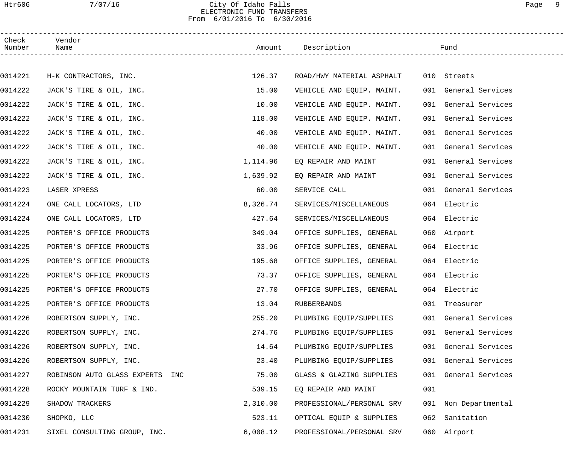## Htr606 7/07/16 City Of Idaho Falls Page 9 ELECTRONIC FUND TRANSFERS From 6/01/2016 To 6/30/2016

| Check<br>Number | Vendor<br>Name                  |          | Amount Description        |     | Fund                 |  |
|-----------------|---------------------------------|----------|---------------------------|-----|----------------------|--|
|                 |                                 |          |                           |     |                      |  |
| 0014221         | H-K CONTRACTORS, INC.           | 126.37   | ROAD/HWY MATERIAL ASPHALT |     | 010 Streets          |  |
| 0014222         | JACK'S TIRE & OIL, INC.         | 15.00    | VEHICLE AND EQUIP. MAINT. |     | 001 General Services |  |
| 0014222         | JACK'S TIRE & OIL, INC.         | 10.00    | VEHICLE AND EQUIP. MAINT. |     | 001 General Services |  |
| 0014222         | JACK'S TIRE & OIL, INC.         | 118.00   | VEHICLE AND EQUIP. MAINT. |     | 001 General Services |  |
| 0014222         | JACK'S TIRE & OIL, INC.         | 40.00    | VEHICLE AND EQUIP. MAINT. |     | 001 General Services |  |
| 0014222         | JACK'S TIRE & OIL, INC.         | 40.00    | VEHICLE AND EQUIP. MAINT. |     | 001 General Services |  |
| 0014222         | JACK'S TIRE & OIL, INC.         | 1,114.96 | EO REPAIR AND MAINT       |     | 001 General Services |  |
| 0014222         | JACK'S TIRE & OIL, INC.         | 1,639.92 | EQ REPAIR AND MAINT       |     | 001 General Services |  |
| 0014223         | LASER XPRESS                    | 60.00    | SERVICE CALL              |     | 001 General Services |  |
| 0014224         | ONE CALL LOCATORS, LTD          | 8,326.74 | SERVICES/MISCELLANEOUS    |     | 064 Electric         |  |
| 0014224         | ONE CALL LOCATORS, LTD          | 427.64   | SERVICES/MISCELLANEOUS    |     | 064 Electric         |  |
| 0014225         | PORTER'S OFFICE PRODUCTS        | 349.04   | OFFICE SUPPLIES, GENERAL  |     | 060 Airport          |  |
| 0014225         | PORTER'S OFFICE PRODUCTS        | 33.96    | OFFICE SUPPLIES, GENERAL  |     | 064 Electric         |  |
| 0014225         | PORTER'S OFFICE PRODUCTS        | 195.68   | OFFICE SUPPLIES, GENERAL  |     | 064 Electric         |  |
| 0014225         | PORTER'S OFFICE PRODUCTS        | 73.37    | OFFICE SUPPLIES, GENERAL  |     | 064 Electric         |  |
| 0014225         | PORTER'S OFFICE PRODUCTS        | 27.70    | OFFICE SUPPLIES, GENERAL  |     | 064 Electric         |  |
| 0014225         | PORTER'S OFFICE PRODUCTS        | 13.04    | RUBBERBANDS               |     | 001 Treasurer        |  |
| 0014226         | ROBERTSON SUPPLY, INC.          | 255.20   | PLUMBING EQUIP/SUPPLIES   |     | 001 General Services |  |
| 0014226         | ROBERTSON SUPPLY, INC.          | 274.76   | PLUMBING EQUIP/SUPPLIES   | 001 | General Services     |  |
| 0014226         | ROBERTSON SUPPLY, INC.          | 14.64    | PLUMBING EQUIP/SUPPLIES   | 001 | General Services     |  |
| 0014226         | ROBERTSON SUPPLY, INC.          | 23.40    | PLUMBING EQUIP/SUPPLIES   | 001 | General Services     |  |
| 0014227         | ROBINSON AUTO GLASS EXPERTS INC | 75.00    | GLASS & GLAZING SUPPLIES  | 001 | General Services     |  |
| 0014228         | ROCKY MOUNTAIN TURF & IND.      | 539.15   | EQ REPAIR AND MAINT       | 001 |                      |  |
| 0014229         | SHADOW TRACKERS                 | 2,310.00 | PROFESSIONAL/PERSONAL SRV |     | 001 Non Departmental |  |
| 0014230         | SHOPKO, LLC                     | 523.11   | OPTICAL EQUIP & SUPPLIES  | 062 | Sanitation           |  |
| 0014231         | SIXEL CONSULTING GROUP, INC.    | 6,008.12 | PROFESSIONAL/PERSONAL SRV |     | 060 Airport          |  |
|                 |                                 |          |                           |     |                      |  |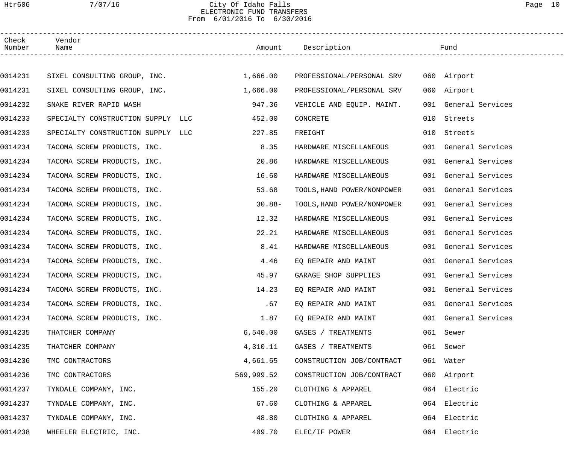## Htr606 7/07/16 City Of Idaho Falls Page 10 ELECTRONIC FUND TRANSFERS From 6/01/2016 To 6/30/2016

| Check<br>Number | Vendor<br>Name                    |            | Amount Description         |     | Fund                 |
|-----------------|-----------------------------------|------------|----------------------------|-----|----------------------|
|                 |                                   |            |                            |     |                      |
| 0014231         | SIXEL CONSULTING GROUP, INC.      | 1,666.00   | PROFESSIONAL/PERSONAL SRV  |     | 060 Airport          |
| 0014231         | SIXEL CONSULTING GROUP, INC.      | 1,666.00   | PROFESSIONAL/PERSONAL SRV  |     | 060 Airport          |
| 0014232         | SNAKE RIVER RAPID WASH            | 947.36     | VEHICLE AND EQUIP. MAINT.  |     | 001 General Services |
| 0014233         | SPECIALTY CONSTRUCTION SUPPLY LLC | 452.00     | CONCRETE                   | 010 | Streets              |
| 0014233         | SPECIALTY CONSTRUCTION SUPPLY LLC | 227.85     | FREIGHT                    | 010 | Streets              |
| 0014234         | TACOMA SCREW PRODUCTS, INC.       | 8.35       | HARDWARE MISCELLANEOUS     |     | 001 General Services |
| 0014234         | TACOMA SCREW PRODUCTS, INC.       | 20.86      | HARDWARE MISCELLANEOUS     |     | 001 General Services |
| 0014234         | TACOMA SCREW PRODUCTS, INC.       | 16.60      | HARDWARE MISCELLANEOUS     |     | 001 General Services |
| 0014234         | TACOMA SCREW PRODUCTS, INC.       | 53.68      | TOOLS, HAND POWER/NONPOWER |     | 001 General Services |
| 0014234         | TACOMA SCREW PRODUCTS, INC.       | $30.88 -$  | TOOLS, HAND POWER/NONPOWER |     | 001 General Services |
| 0014234         | TACOMA SCREW PRODUCTS, INC.       | 12.32      | HARDWARE MISCELLANEOUS     |     | 001 General Services |
| 0014234         | TACOMA SCREW PRODUCTS, INC.       | 22.21      | HARDWARE MISCELLANEOUS     |     | 001 General Services |
| 0014234         | TACOMA SCREW PRODUCTS, INC.       | 8.41       | HARDWARE MISCELLANEOUS     |     | 001 General Services |
| 0014234         | TACOMA SCREW PRODUCTS, INC.       | 4.46       | EQ REPAIR AND MAINT        |     | 001 General Services |
| 0014234         | TACOMA SCREW PRODUCTS, INC.       | 45.97      | GARAGE SHOP SUPPLIES       |     | 001 General Services |
| 0014234         | TACOMA SCREW PRODUCTS, INC.       | 14.23      | EQ REPAIR AND MAINT        |     | 001 General Services |
| 0014234         | TACOMA SCREW PRODUCTS, INC.       | .67        | EQ REPAIR AND MAINT        |     | 001 General Services |
| 0014234         | TACOMA SCREW PRODUCTS, INC.       | 1.87       | EQ REPAIR AND MAINT        |     | 001 General Services |
| 0014235         | THATCHER COMPANY                  | 6,540.00   | GASES / TREATMENTS         |     | 061 Sewer            |
| 0014235         | THATCHER COMPANY                  | 4,310.11   | GASES / TREATMENTS         |     | 061 Sewer            |
| 0014236         | TMC CONTRACTORS                   | 4,661.65   | CONSTRUCTION JOB/CONTRACT  |     | 061 Water            |
| 0014236         | TMC CONTRACTORS                   | 569,999.52 | CONSTRUCTION JOB/CONTRACT  |     | 060 Airport          |
| 0014237         | TYNDALE COMPANY, INC.             | 155.20     | CLOTHING & APPAREL         |     | 064 Electric         |
| 0014237         | TYNDALE COMPANY, INC.             | 67.60      | CLOTHING & APPAREL         |     | 064 Electric         |
| 0014237         | TYNDALE COMPANY, INC.             | 48.80      | CLOTHING & APPAREL         | 064 | Electric             |
| 0014238         | WHEELER ELECTRIC, INC.            | 409.70     | ELEC/IF POWER              |     | 064 Electric         |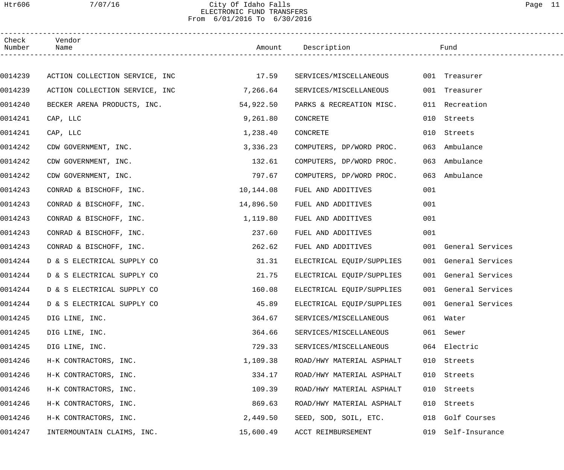## Htr606 7/07/16 City Of Idaho Falls Page 11 ELECTRONIC FUND TRANSFERS From 6/01/2016 To 6/30/2016

| Check<br>Number | Vendor<br>Name                 |           | Amount Description        |     | Fund                 |  |
|-----------------|--------------------------------|-----------|---------------------------|-----|----------------------|--|
|                 |                                |           |                           |     |                      |  |
| 0014239         | ACTION COLLECTION SERVICE, INC | 17.59     | SERVICES/MISCELLANEOUS    |     | 001 Treasurer        |  |
| 0014239         | ACTION COLLECTION SERVICE, INC | 7,266.64  | SERVICES/MISCELLANEOUS    |     | 001 Treasurer        |  |
| 0014240         | BECKER ARENA PRODUCTS, INC.    | 54,922.50 | PARKS & RECREATION MISC.  |     | 011 Recreation       |  |
| 0014241         | CAP, LLC                       | 9,261.80  | CONCRETE                  | 010 | Streets              |  |
| 0014241         | CAP, LLC                       | 1,238.40  | CONCRETE                  | 010 | Streets              |  |
| 0014242         | CDW GOVERNMENT, INC.           | 3,336.23  | COMPUTERS, DP/WORD PROC.  | 063 | Ambulance            |  |
| 0014242         | CDW GOVERNMENT, INC.           | 132.61    | COMPUTERS, DP/WORD PROC.  | 063 | Ambulance            |  |
| 0014242         | CDW GOVERNMENT, INC.           | 797.67    | COMPUTERS, DP/WORD PROC.  | 063 | Ambulance            |  |
| 0014243         | CONRAD & BISCHOFF, INC.        | 10,144.08 | FUEL AND ADDITIVES        | 001 |                      |  |
| 0014243         | CONRAD & BISCHOFF, INC.        | 14,896.50 | FUEL AND ADDITIVES        | 001 |                      |  |
| 0014243         | CONRAD & BISCHOFF, INC.        | 1,119.80  | FUEL AND ADDITIVES        | 001 |                      |  |
| 0014243         | CONRAD & BISCHOFF, INC.        | 237.60    | FUEL AND ADDITIVES        | 001 |                      |  |
| 0014243         | CONRAD & BISCHOFF, INC.        | 262.62    | FUEL AND ADDITIVES        |     | 001 General Services |  |
| 0014244         | D & S ELECTRICAL SUPPLY CO     | 31.31     | ELECTRICAL EQUIP/SUPPLIES |     | 001 General Services |  |
| 0014244         | D & S ELECTRICAL SUPPLY CO     | 21.75     | ELECTRICAL EQUIP/SUPPLIES |     | 001 General Services |  |
| 0014244         | D & S ELECTRICAL SUPPLY CO     | 160.08    | ELECTRICAL EQUIP/SUPPLIES |     | 001 General Services |  |
| 0014244         | D & S ELECTRICAL SUPPLY CO     | 45.89     | ELECTRICAL EQUIP/SUPPLIES |     | 001 General Services |  |
| 0014245         | DIG LINE, INC.                 | 364.67    | SERVICES/MISCELLANEOUS    |     | 061 Water            |  |
| 0014245         | DIG LINE, INC.                 | 364.66    | SERVICES/MISCELLANEOUS    | 061 | Sewer                |  |
| 0014245         | DIG LINE, INC.                 | 729.33    | SERVICES/MISCELLANEOUS    |     | 064 Electric         |  |
| 0014246         | H-K CONTRACTORS, INC.          | 1,109.38  | ROAD/HWY MATERIAL ASPHALT | 010 | Streets              |  |
| 0014246         | H-K CONTRACTORS, INC.          | 334.17    | ROAD/HWY MATERIAL ASPHALT | 010 | Streets              |  |
| 0014246         | H-K CONTRACTORS, INC.          | 109.39    | ROAD/HWY MATERIAL ASPHALT | 010 | Streets              |  |
| 0014246         | H-K CONTRACTORS, INC.          | 869.63    | ROAD/HWY MATERIAL ASPHALT | 010 | Streets              |  |
| 0014246         | H-K CONTRACTORS, INC.          | 2,449.50  | SEED, SOD, SOIL, ETC.     | 018 | Golf Courses         |  |
| 0014247         | INTERMOUNTAIN CLAIMS, INC.     | 15,600.49 | ACCT REIMBURSEMENT        | 019 | Self-Insurance       |  |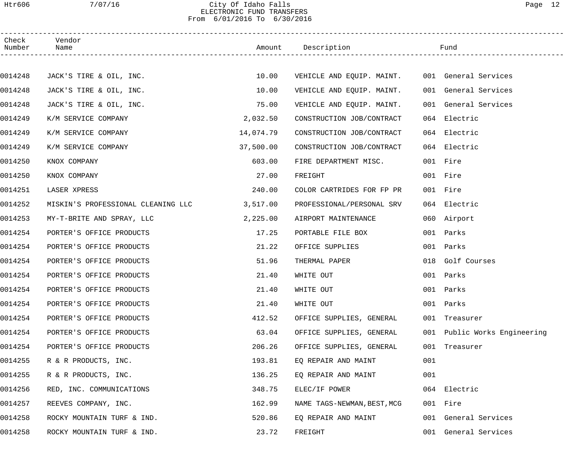## Htr606 7/07/16 City Of Idaho Falls Page 12 ELECTRONIC FUND TRANSFERS From 6/01/2016 To 6/30/2016

| Check<br>Number | Vendor<br>Name                     |           | Amount Description                             |     | Fund                         |  |
|-----------------|------------------------------------|-----------|------------------------------------------------|-----|------------------------------|--|
|                 |                                    |           |                                                |     |                              |  |
| 0014248         | JACK'S TIRE & OIL, INC.            | 10.00     | VEHICLE AND EQUIP. MAINT. 001 General Services |     |                              |  |
| 0014248         | JACK'S TIRE & OIL, INC.            | 10.00     | VEHICLE AND EQUIP. MAINT.                      |     | 001 General Services         |  |
| 0014248         | JACK'S TIRE & OIL, INC.            | 75.00     | VEHICLE AND EQUIP. MAINT.                      |     | 001 General Services         |  |
| 0014249         | K/M SERVICE COMPANY                | 2,032.50  | CONSTRUCTION JOB/CONTRACT                      |     | 064 Electric                 |  |
| 0014249         | K/M SERVICE COMPANY                | 14,074.79 | CONSTRUCTION JOB/CONTRACT                      |     | 064 Electric                 |  |
| 0014249         | K/M SERVICE COMPANY                | 37,500.00 | CONSTRUCTION JOB/CONTRACT                      |     | 064 Electric                 |  |
| 0014250         | KNOX COMPANY                       | 603.00    | FIRE DEPARTMENT MISC.                          |     | 001 Fire                     |  |
| 0014250         | KNOX COMPANY                       | 27.00     | FREIGHT                                        |     | 001 Fire                     |  |
| 0014251         | LASER XPRESS                       | 240.00    | COLOR CARTRIDES FOR FP PR                      |     | 001 Fire                     |  |
| 0014252         | MISKIN'S PROFESSIONAL CLEANING LLC | 3,517.00  | PROFESSIONAL/PERSONAL SRV                      |     | 064 Electric                 |  |
| 0014253         | MY-T-BRITE AND SPRAY, LLC          | 2,225.00  | AIRPORT MAINTENANCE                            |     | 060 Airport                  |  |
| 0014254         | PORTER'S OFFICE PRODUCTS           | 17.25     | PORTABLE FILE BOX                              |     | 001 Parks                    |  |
| 0014254         | PORTER'S OFFICE PRODUCTS           | 21.22     | OFFICE SUPPLIES                                |     | 001 Parks                    |  |
| 0014254         | PORTER'S OFFICE PRODUCTS           | 51.96     | THERMAL PAPER                                  |     | 018 Golf Courses             |  |
| 0014254         | PORTER'S OFFICE PRODUCTS           | 21.40     | WHITE OUT                                      |     | 001 Parks                    |  |
| 0014254         | PORTER'S OFFICE PRODUCTS           | 21.40     | WHITE OUT                                      |     | 001 Parks                    |  |
| 0014254         | PORTER'S OFFICE PRODUCTS           | 21.40     | WHITE OUT                                      |     | 001 Parks                    |  |
| 0014254         | PORTER'S OFFICE PRODUCTS           | 412.52    | OFFICE SUPPLIES, GENERAL                       |     | 001 Treasurer                |  |
| 0014254         | PORTER'S OFFICE PRODUCTS           | 63.04     | OFFICE SUPPLIES, GENERAL                       |     | 001 Public Works Engineering |  |
| 0014254         | PORTER'S OFFICE PRODUCTS           | 206.26    | OFFICE SUPPLIES, GENERAL                       |     | 001 Treasurer                |  |
| 0014255         | R & R PRODUCTS, INC.               | 193.81    | EQ REPAIR AND MAINT                            | 001 |                              |  |
| 0014255         | R & R PRODUCTS, INC.               | 136.25    | EQ REPAIR AND MAINT                            | 001 |                              |  |
| 0014256         | RED, INC. COMMUNICATIONS           | 348.75    | ELEC/IF POWER                                  |     | 064 Electric                 |  |
| 0014257         | REEVES COMPANY, INC.               | 162.99    | NAME TAGS-NEWMAN, BEST, MCG                    |     | 001 Fire                     |  |
| 0014258         | ROCKY MOUNTAIN TURF & IND.         | 520.86    | EQ REPAIR AND MAINT                            |     | 001 General Services         |  |
| 0014258         | ROCKY MOUNTAIN TURF & IND.         | 23.72     | FREIGHT                                        |     | 001 General Services         |  |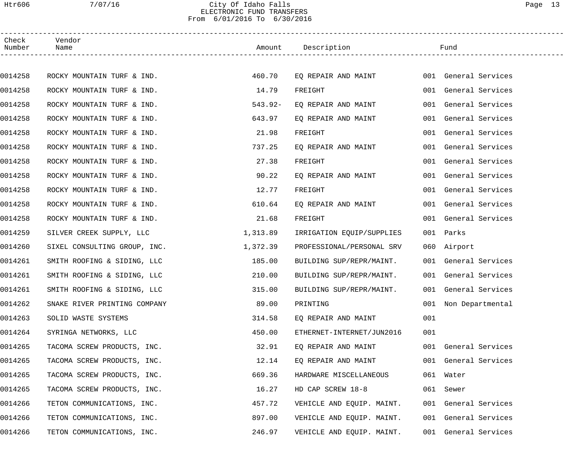## Htr606 7/07/16 City Of Idaho Falls Page 13 ELECTRONIC FUND TRANSFERS From 6/01/2016 To 6/30/2016

| Check<br>Number | Vendor<br>Name               |           | Amount Description        |     | Fund                 |
|-----------------|------------------------------|-----------|---------------------------|-----|----------------------|
|                 |                              |           |                           |     |                      |
| 0014258         | ROCKY MOUNTAIN TURF & IND.   | 460.70    | EQ REPAIR AND MAINT       |     | 001 General Services |
| 0014258         | ROCKY MOUNTAIN TURF & IND.   | 14.79     | FREIGHT                   |     | 001 General Services |
| 0014258         | ROCKY MOUNTAIN TURF & IND.   | $543.92-$ | EQ REPAIR AND MAINT       |     | 001 General Services |
| 0014258         | ROCKY MOUNTAIN TURF & IND.   | 643.97    | EQ REPAIR AND MAINT       |     | 001 General Services |
| 0014258         | ROCKY MOUNTAIN TURF & IND.   | 21.98     | FREIGHT                   |     | 001 General Services |
| 0014258         | ROCKY MOUNTAIN TURF & IND.   | 737.25    | EQ REPAIR AND MAINT       |     | 001 General Services |
| 0014258         | ROCKY MOUNTAIN TURF & IND.   | 27.38     | FREIGHT                   |     | 001 General Services |
| 0014258         | ROCKY MOUNTAIN TURF & IND.   | 90.22     | EQ REPAIR AND MAINT       |     | 001 General Services |
| 0014258         | ROCKY MOUNTAIN TURF & IND.   | 12.77     | FREIGHT                   |     | 001 General Services |
| 0014258         | ROCKY MOUNTAIN TURF & IND.   | 610.64    | EQ REPAIR AND MAINT       |     | 001 General Services |
| 0014258         | ROCKY MOUNTAIN TURF & IND.   | 21.68     | FREIGHT                   |     | 001 General Services |
| 0014259         | SILVER CREEK SUPPLY, LLC     | 1,313.89  | IRRIGATION EQUIP/SUPPLIES |     | 001 Parks            |
| 0014260         | SIXEL CONSULTING GROUP, INC. | 1,372.39  | PROFESSIONAL/PERSONAL SRV |     | 060 Airport          |
| 0014261         | SMITH ROOFING & SIDING, LLC  | 185.00    | BUILDING SUP/REPR/MAINT.  |     | 001 General Services |
| 0014261         | SMITH ROOFING & SIDING, LLC  | 210.00    | BUILDING SUP/REPR/MAINT.  |     | 001 General Services |
| 0014261         | SMITH ROOFING & SIDING, LLC  | 315.00    | BUILDING SUP/REPR/MAINT.  |     | 001 General Services |
| 0014262         | SNAKE RIVER PRINTING COMPANY | 89.00     | PRINTING                  |     | 001 Non Departmental |
| 0014263         | SOLID WASTE SYSTEMS          | 314.58    | EQ REPAIR AND MAINT       | 001 |                      |
| 0014264         | SYRINGA NETWORKS, LLC        | 450.00    | ETHERNET-INTERNET/JUN2016 | 001 |                      |
| 0014265         | TACOMA SCREW PRODUCTS, INC.  | 32.91     | EO REPAIR AND MAINT       |     | 001 General Services |
| 0014265         | TACOMA SCREW PRODUCTS, INC.  | 12.14     | EQ REPAIR AND MAINT       |     | 001 General Services |
| 0014265         | TACOMA SCREW PRODUCTS, INC.  | 669.36    | HARDWARE MISCELLANEOUS    |     | 061 Water            |
| 0014265         | TACOMA SCREW PRODUCTS, INC.  | 16.27     | HD CAP SCREW 18-8         |     | 061 Sewer            |
| 0014266         | TETON COMMUNICATIONS, INC.   | 457.72    | VEHICLE AND EQUIP. MAINT. |     | 001 General Services |
| 0014266         | TETON COMMUNICATIONS, INC.   | 897.00    | VEHICLE AND EQUIP. MAINT. |     | 001 General Services |
| 0014266         | TETON COMMUNICATIONS, INC.   | 246.97    | VEHICLE AND EQUIP. MAINT. |     | 001 General Services |
|                 |                              |           |                           |     |                      |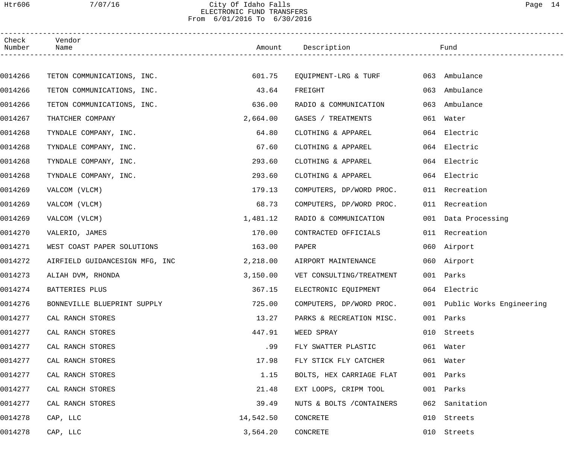## Htr606 7/07/16 City Of Idaho Falls Page 14 ELECTRONIC FUND TRANSFERS From 6/01/2016 To 6/30/2016

| Check<br>Number | Vendor<br>Name                 |           | Amount Description        |     | Fund                         |  |
|-----------------|--------------------------------|-----------|---------------------------|-----|------------------------------|--|
|                 |                                |           |                           |     |                              |  |
| 0014266         | TETON COMMUNICATIONS, INC.     | 601.75    | EQUIPMENT-LRG & TURF      |     | 063 Ambulance                |  |
| 0014266         | TETON COMMUNICATIONS, INC.     | 43.64     | FREIGHT                   | 063 | Ambulance                    |  |
| 0014266         | TETON COMMUNICATIONS, INC.     | 636.00    | RADIO & COMMUNICATION     | 063 | Ambulance                    |  |
| 0014267         | THATCHER COMPANY               | 2,664.00  | GASES / TREATMENTS        | 061 | Water                        |  |
| 0014268         | TYNDALE COMPANY, INC.          | 64.80     | CLOTHING & APPAREL        | 064 | Electric                     |  |
| 0014268         | TYNDALE COMPANY, INC.          | 67.60     | CLOTHING & APPAREL        | 064 | Electric                     |  |
| 0014268         | TYNDALE COMPANY, INC.          | 293.60    | CLOTHING & APPAREL        |     | 064 Electric                 |  |
| 0014268         | TYNDALE COMPANY, INC.          | 293.60    | CLOTHING & APPAREL        |     | 064 Electric                 |  |
| 0014269         | VALCOM (VLCM)                  | 179.13    | COMPUTERS, DP/WORD PROC.  |     | 011 Recreation               |  |
| 0014269         | VALCOM (VLCM)                  | 68.73     | COMPUTERS, DP/WORD PROC.  |     | 011 Recreation               |  |
| 0014269         | VALCOM (VLCM)                  | 1,481.12  | RADIO & COMMUNICATION     |     | 001 Data Processing          |  |
| 0014270         | VALERIO, JAMES                 | 170.00    | CONTRACTED OFFICIALS      |     | 011 Recreation               |  |
| 0014271         | WEST COAST PAPER SOLUTIONS     | 163.00    | PAPER                     |     | 060 Airport                  |  |
| 0014272         | AIRFIELD GUIDANCESIGN MFG, INC | 2,218.00  | AIRPORT MAINTENANCE       |     | 060 Airport                  |  |
| 0014273         | ALIAH DVM, RHONDA              | 3,150.00  | VET CONSULTING/TREATMENT  |     | 001 Parks                    |  |
| 0014274         | BATTERIES PLUS                 | 367.15    | ELECTRONIC EQUIPMENT      |     | 064 Electric                 |  |
| 0014276         | BONNEVILLE BLUEPRINT SUPPLY    | 725.00    | COMPUTERS, DP/WORD PROC.  |     | 001 Public Works Engineering |  |
| 0014277         | CAL RANCH STORES               | 13.27     | PARKS & RECREATION MISC.  |     | 001 Parks                    |  |
| 0014277         | CAL RANCH STORES               | 447.91    | WEED SPRAY                |     | 010 Streets                  |  |
| 0014277         | CAL RANCH STORES               | .99       | FLY SWATTER PLASTIC       |     | 061 Water                    |  |
| 0014277         | CAL RANCH STORES               | 17.98     | FLY STICK FLY CATCHER     |     | 061 Water                    |  |
| 0014277         | CAL RANCH STORES               | 1.15      | BOLTS, HEX CARRIAGE FLAT  |     | 001 Parks                    |  |
| 0014277         | CAL RANCH STORES               | 21.48     | EXT LOOPS, CRIPM TOOL     | 001 | Parks                        |  |
| 0014277         | CAL RANCH STORES               | 39.49     | NUTS & BOLTS / CONTAINERS | 062 | Sanitation                   |  |
| 0014278         | CAP, LLC                       | 14,542.50 | CONCRETE                  | 010 | Streets                      |  |
| 0014278         | CAP, LLC                       | 3,564.20  | CONCRETE                  |     | 010 Streets                  |  |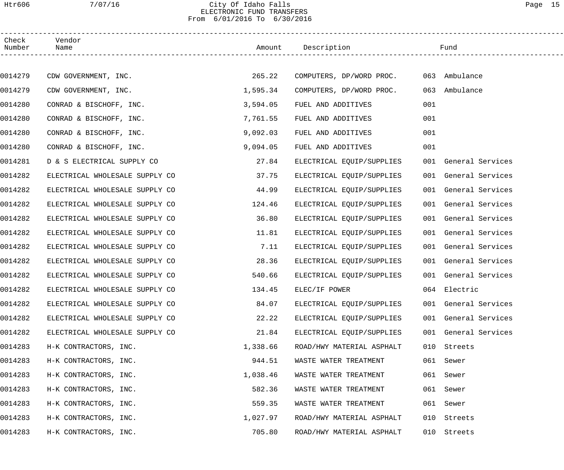## Htr606 7/07/16 City Of Idaho Falls Page 15 ELECTRONIC FUND TRANSFERS From 6/01/2016 To 6/30/2016

| Check<br>Number | Vendor<br>Name                 |          | Amount Description        |     | Fund                 |
|-----------------|--------------------------------|----------|---------------------------|-----|----------------------|
|                 |                                |          |                           |     |                      |
| 0014279         | CDW GOVERNMENT, INC.           | 265.22   | COMPUTERS, DP/WORD PROC.  |     | 063 Ambulance        |
| 0014279         | CDW GOVERNMENT, INC.           | 1,595.34 | COMPUTERS, DP/WORD PROC.  | 063 | Ambulance            |
| 0014280         | CONRAD & BISCHOFF, INC.        | 3,594.05 | FUEL AND ADDITIVES        | 001 |                      |
| 0014280         | CONRAD & BISCHOFF, INC.        | 7,761.55 | FUEL AND ADDITIVES        | 001 |                      |
| 0014280         | CONRAD & BISCHOFF, INC.        | 9,092.03 | FUEL AND ADDITIVES        | 001 |                      |
| 0014280         | CONRAD & BISCHOFF, INC.        | 9,094.05 | FUEL AND ADDITIVES        | 001 |                      |
| 0014281         | D & S ELECTRICAL SUPPLY CO     | 27.84    | ELECTRICAL EQUIP/SUPPLIES |     | 001 General Services |
| 0014282         | ELECTRICAL WHOLESALE SUPPLY CO | 37.75    | ELECTRICAL EQUIP/SUPPLIES |     | 001 General Services |
| 0014282         | ELECTRICAL WHOLESALE SUPPLY CO | 44.99    | ELECTRICAL EQUIP/SUPPLIES |     | 001 General Services |
| 0014282         | ELECTRICAL WHOLESALE SUPPLY CO | 124.46   | ELECTRICAL EQUIP/SUPPLIES |     | 001 General Services |
| 0014282         | ELECTRICAL WHOLESALE SUPPLY CO | 36.80    | ELECTRICAL EQUIP/SUPPLIES |     | 001 General Services |
| 0014282         | ELECTRICAL WHOLESALE SUPPLY CO | 11.81    | ELECTRICAL EQUIP/SUPPLIES |     | 001 General Services |
| 0014282         | ELECTRICAL WHOLESALE SUPPLY CO | 7.11     | ELECTRICAL EQUIP/SUPPLIES |     | 001 General Services |
| 0014282         | ELECTRICAL WHOLESALE SUPPLY CO | 28.36    | ELECTRICAL EQUIP/SUPPLIES |     | 001 General Services |
| 0014282         | ELECTRICAL WHOLESALE SUPPLY CO | 540.66   | ELECTRICAL EQUIP/SUPPLIES |     | 001 General Services |
| 0014282         | ELECTRICAL WHOLESALE SUPPLY CO | 134.45   | ELEC/IF POWER             |     | 064 Electric         |
| 0014282         | ELECTRICAL WHOLESALE SUPPLY CO | 84.07    | ELECTRICAL EQUIP/SUPPLIES |     | 001 General Services |
| 0014282         | ELECTRICAL WHOLESALE SUPPLY CO | 22.22    | ELECTRICAL EQUIP/SUPPLIES |     | 001 General Services |
| 0014282         | ELECTRICAL WHOLESALE SUPPLY CO | 21.84    | ELECTRICAL EQUIP/SUPPLIES |     | 001 General Services |
| 0014283         | H-K CONTRACTORS, INC.          | 1,338.66 | ROAD/HWY MATERIAL ASPHALT | 010 | Streets              |
| 0014283         | H-K CONTRACTORS, INC.          | 944.51   | WASTE WATER TREATMENT     | 061 | Sewer                |
| 0014283         | H-K CONTRACTORS, INC.          | 1,038.46 | WASTE WATER TREATMENT     | 061 | Sewer                |
| 0014283         | H-K CONTRACTORS, INC.          | 582.36   | WASTE WATER TREATMENT     | 061 | Sewer                |
| 0014283         | H-K CONTRACTORS, INC.          | 559.35   | WASTE WATER TREATMENT     | 061 | Sewer                |
| 0014283         | H-K CONTRACTORS, INC.          | 1,027.97 | ROAD/HWY MATERIAL ASPHALT | 010 | Streets              |
| 0014283         | H-K CONTRACTORS, INC.          | 705.80   | ROAD/HWY MATERIAL ASPHALT | 010 | Streets              |
|                 |                                |          |                           |     |                      |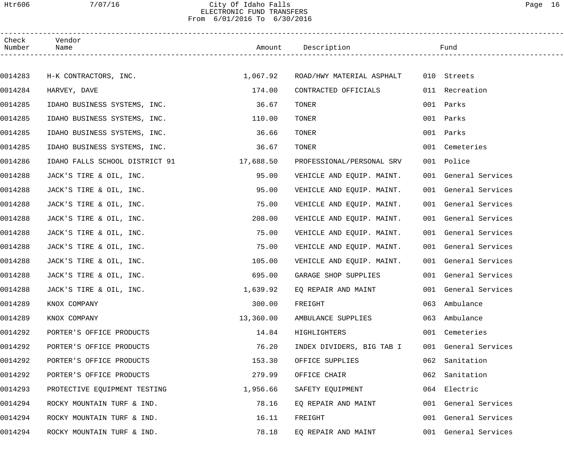## Htr606 7/07/16 City Of Idaho Falls Page 16 ELECTRONIC FUND TRANSFERS From 6/01/2016 To 6/30/2016

| Check<br>Number | Vendor<br>Name                 |           | Amount Description        |     | Fund                 |  |
|-----------------|--------------------------------|-----------|---------------------------|-----|----------------------|--|
|                 |                                |           |                           |     |                      |  |
| 0014283         | H-K CONTRACTORS, INC.          | 1,067.92  | ROAD/HWY MATERIAL ASPHALT |     | 010 Streets          |  |
| 0014284         | HARVEY, DAVE                   | 174.00    | CONTRACTED OFFICIALS      |     | 011 Recreation       |  |
| 0014285         | IDAHO BUSINESS SYSTEMS, INC.   | 36.67     | TONER                     | 001 | Parks                |  |
| 0014285         | IDAHO BUSINESS SYSTEMS, INC.   | 110.00    | TONER                     | 001 | Parks                |  |
| 0014285         | IDAHO BUSINESS SYSTEMS, INC.   | 36.66     | TONER                     |     | 001 Parks            |  |
| 0014285         | IDAHO BUSINESS SYSTEMS, INC.   | 36.67     | TONER                     | 001 | Cemeteries           |  |
| 0014286         | IDAHO FALLS SCHOOL DISTRICT 91 | 17,688.50 | PROFESSIONAL/PERSONAL SRV |     | 001 Police           |  |
| 0014288         | JACK'S TIRE & OIL, INC.        | 95.00     | VEHICLE AND EQUIP. MAINT. |     | 001 General Services |  |
| 0014288         | JACK'S TIRE & OIL, INC.        | 95.00     | VEHICLE AND EQUIP. MAINT. |     | 001 General Services |  |
| 0014288         | JACK'S TIRE & OIL, INC.        | 75.00     | VEHICLE AND EQUIP. MAINT. |     | 001 General Services |  |
| 0014288         | JACK'S TIRE & OIL, INC.        | 208.00    | VEHICLE AND EQUIP. MAINT. |     | 001 General Services |  |
| 0014288         | JACK'S TIRE & OIL, INC.        | 75.00     | VEHICLE AND EQUIP. MAINT. |     | 001 General Services |  |
| 0014288         | JACK'S TIRE & OIL, INC.        | 75.00     | VEHICLE AND EQUIP. MAINT. |     | 001 General Services |  |
| 0014288         | JACK'S TIRE & OIL, INC.        | 105.00    | VEHICLE AND EQUIP. MAINT. |     | 001 General Services |  |
| 0014288         | JACK'S TIRE & OIL, INC.        | 695.00    | GARAGE SHOP SUPPLIES      |     | 001 General Services |  |
| 0014288         | JACK'S TIRE & OIL, INC.        | 1,639.92  | EQ REPAIR AND MAINT       |     | 001 General Services |  |
| 0014289         | KNOX COMPANY                   | 300.00    | FREIGHT                   |     | 063 Ambulance        |  |
| 0014289         | KNOX COMPANY                   | 13,360.00 | AMBULANCE SUPPLIES        | 063 | Ambulance            |  |
| 0014292         | PORTER'S OFFICE PRODUCTS       | 14.84     | HIGHLIGHTERS              |     | 001 Cemeteries       |  |
| 0014292         | PORTER'S OFFICE PRODUCTS       | 76.20     | INDEX DIVIDERS, BIG TAB I |     | 001 General Services |  |
| 0014292         | PORTER'S OFFICE PRODUCTS       | 153.30    | OFFICE SUPPLIES           | 062 | Sanitation           |  |
| 0014292         | PORTER'S OFFICE PRODUCTS       | 279.99    | OFFICE CHAIR              | 062 | Sanitation           |  |
| 0014293         | PROTECTIVE EQUIPMENT TESTING   | 1,956.66  | SAFETY EQUIPMENT          | 064 | Electric             |  |
| 0014294         | ROCKY MOUNTAIN TURF & IND.     | 78.16     | EQ REPAIR AND MAINT       |     | 001 General Services |  |
| 0014294         | ROCKY MOUNTAIN TURF & IND.     | 16.11     | FREIGHT                   |     | 001 General Services |  |
| 0014294         | ROCKY MOUNTAIN TURF & IND.     | 78.18     | EQ REPAIR AND MAINT       |     | 001 General Services |  |
|                 |                                |           |                           |     |                      |  |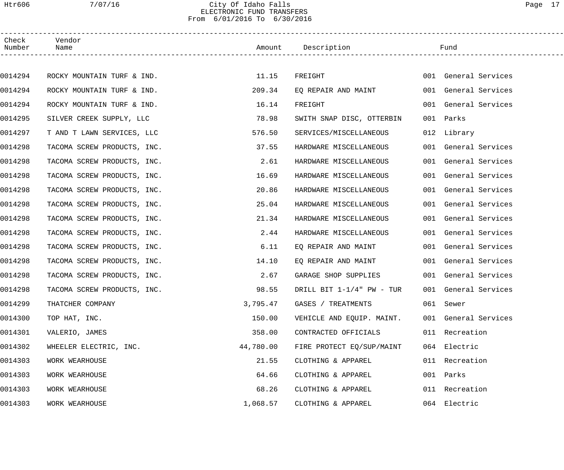## Htr606 7/07/16 City Of Idaho Falls Page 17 ELECTRONIC FUND TRANSFERS From 6/01/2016 To 6/30/2016

| Check<br>Number | Vendor<br>Name              |           | Amount Description        |     | Fund                 |
|-----------------|-----------------------------|-----------|---------------------------|-----|----------------------|
|                 |                             |           |                           |     |                      |
| 0014294         | ROCKY MOUNTAIN TURF & IND.  | 11.15     | FREIGHT                   |     | 001 General Services |
| 0014294         | ROCKY MOUNTAIN TURF & IND.  | 209.34    | EQ REPAIR AND MAINT       |     | 001 General Services |
| 0014294         | ROCKY MOUNTAIN TURF & IND.  | 16.14     | FREIGHT                   |     | 001 General Services |
| 0014295         | SILVER CREEK SUPPLY, LLC    | 78.98     | SWITH SNAP DISC, OTTERBIN |     | 001 Parks            |
| 0014297         | T AND T LAWN SERVICES, LLC  | 576.50    | SERVICES/MISCELLANEOUS    |     | 012 Library          |
| 0014298         | TACOMA SCREW PRODUCTS, INC. | 37.55     | HARDWARE MISCELLANEOUS    |     | 001 General Services |
| 0014298         | TACOMA SCREW PRODUCTS, INC. | 2.61      | HARDWARE MISCELLANEOUS    |     | 001 General Services |
| 0014298         | TACOMA SCREW PRODUCTS, INC. | 16.69     | HARDWARE MISCELLANEOUS    |     | 001 General Services |
| 0014298         | TACOMA SCREW PRODUCTS, INC. | 20.86     | HARDWARE MISCELLANEOUS    |     | 001 General Services |
| 0014298         | TACOMA SCREW PRODUCTS, INC. | 25.04     | HARDWARE MISCELLANEOUS    |     | 001 General Services |
| 0014298         | TACOMA SCREW PRODUCTS, INC. | 21.34     | HARDWARE MISCELLANEOUS    |     | 001 General Services |
| 0014298         | TACOMA SCREW PRODUCTS, INC. | 2.44      | HARDWARE MISCELLANEOUS    |     | 001 General Services |
| 0014298         | TACOMA SCREW PRODUCTS, INC. | 6.11      | EQ REPAIR AND MAINT       |     | 001 General Services |
| 0014298         | TACOMA SCREW PRODUCTS, INC. | 14.10     | EQ REPAIR AND MAINT       |     | 001 General Services |
| 0014298         | TACOMA SCREW PRODUCTS, INC. | 2.67      | GARAGE SHOP SUPPLIES      |     | 001 General Services |
| 0014298         | TACOMA SCREW PRODUCTS, INC. | 98.55     | DRILL BIT 1-1/4" PW - TUR |     | 001 General Services |
| 0014299         | THATCHER COMPANY            | 3,795.47  | GASES / TREATMENTS        |     | 061 Sewer            |
| 0014300         | TOP HAT, INC.               | 150.00    | VEHICLE AND EQUIP. MAINT. |     | 001 General Services |
| 0014301         | VALERIO, JAMES              | 358.00    | CONTRACTED OFFICIALS      |     | 011 Recreation       |
| 0014302         | WHEELER ELECTRIC, INC.      | 44,780.00 | FIRE PROTECT EQ/SUP/MAINT |     | 064 Electric         |
| 0014303         | WORK WEARHOUSE              | 21.55     | CLOTHING & APPAREL        |     | 011 Recreation       |
| 0014303         | WORK WEARHOUSE              | 64.66     | CLOTHING & APPAREL        | 001 | Parks                |
| 0014303         | WORK WEARHOUSE              | 68.26     | CLOTHING & APPAREL        |     | 011 Recreation       |
| 0014303         | WORK WEARHOUSE              | 1,068.57  | CLOTHING & APPAREL        |     | 064 Electric         |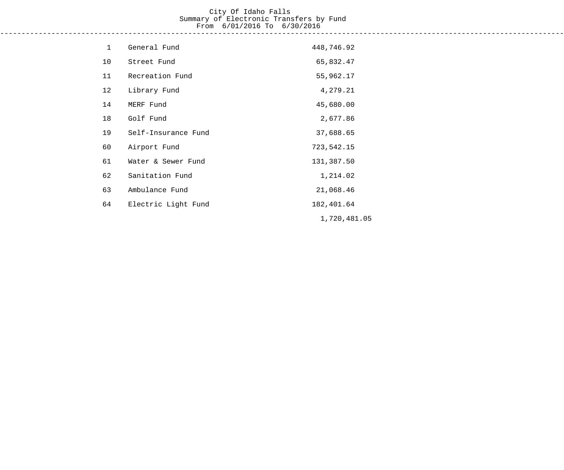# City Of Idaho Falls Summary of Electronic Transfers by Fund From 6/01/2016 To 6/30/2016

------------------------------------------------------------------------------------------------------------------------------------

| $\mathbf{1}$ | General Fund        | 448,746.92   |
|--------------|---------------------|--------------|
| 10           | Street Fund         | 65,832.47    |
| 11           | Recreation Fund     | 55,962.17    |
| 12           | Library Fund        | 4,279.21     |
| 14           | MERF Fund           | 45,680.00    |
| 18           | Golf Fund           | 2,677.86     |
| 19           | Self-Insurance Fund | 37,688.65    |
| 60           | Airport Fund        | 723,542.15   |
| 61           | Water & Sewer Fund  | 131,387.50   |
| 62           | Sanitation Fund     | 1,214.02     |
| 63           | Ambulance Fund      | 21,068.46    |
| 64           | Electric Light Fund | 182,401.64   |
|              |                     | 1,720,481.05 |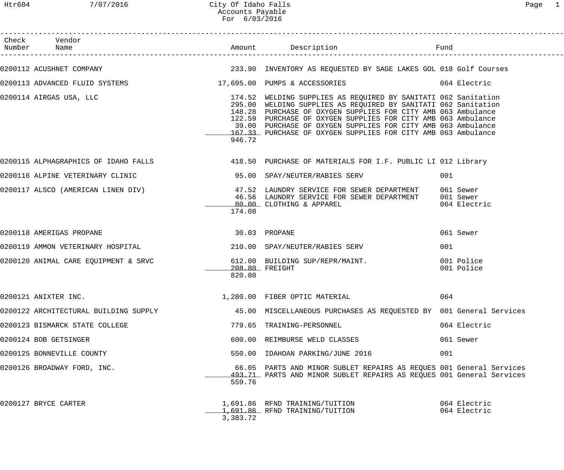| Check Vendor                                                         |               |                                                                                                                                                                                                                                                                                                                                                                                                     |                              |
|----------------------------------------------------------------------|---------------|-----------------------------------------------------------------------------------------------------------------------------------------------------------------------------------------------------------------------------------------------------------------------------------------------------------------------------------------------------------------------------------------------------|------------------------------|
|                                                                      |               | 0200112 ACUSHNET COMPANY (COMPANY ) THE SALE AND MUNISIAN 233.90 INVENTORY AS REQUESTED BY SAGE LAKES GOL 018 Golf Courses                                                                                                                                                                                                                                                                          |                              |
|                                                                      |               | 0200113 ADVANCED FLUID SYSTEMS 6 17,695.00 PUMPS & ACCESSORIES 6 064 Electric                                                                                                                                                                                                                                                                                                                       |                              |
| 0200114 AIRGAS USA, LLC                                              | 946.72        | 174.52 WELDING SUPPLIES AS REQUIRED BY SANITATI 062 Sanitation<br>295.00 WELDING SUPPLIES AS REQUIRED BY SANITATI 062 Sanitation<br>148.28 PURCHASE OF OXYGEN SUPPLIES FOR CITY AMB 063 Ambulance<br>122.59 PURCHASE OF OXYGEN SUPPLIES FOR CITY AMB 063 Ambulance<br>39.00 PURCHASE OF OXYGEN SUPPLIES FOR CITY AMB 063 Ambulance<br>167.33 PURCHASE OF OXYGEN SUPPLIES FOR CITY AMB 063 Ambulance |                              |
|                                                                      |               | 0200115 ALPHAGRAPHICS OF IDAHO FALLS 418.50 PURCHASE OF MATERIALS FOR I.F. PUBLIC LI 012 Library                                                                                                                                                                                                                                                                                                    |                              |
|                                                                      |               |                                                                                                                                                                                                                                                                                                                                                                                                     | 001                          |
|                                                                      | 174.08        | 0200117 ALSCO (AMERICAN LINEN DIV) 47.52 LAUNDRY SERVICE FOR SEWER DEPARTMENT 061 Sewer<br>46.56 LAUNDRY SERVICE FOR SEWER DEPARTMENT 061 Sewer<br>80.00 CLOTHING & APPAREL                                                                                                                                                                                                                         | 064 Electric                 |
| 0200118 AMERIGAS PROPANE                                             | 30.03 PROPANE |                                                                                                                                                                                                                                                                                                                                                                                                     | 061 Sewer                    |
|                                                                      |               |                                                                                                                                                                                                                                                                                                                                                                                                     | 001                          |
| 0200120 ANIMAL CARE EQUIPMENT & SRVC 612.00 BUILDING SUP/REPR/MAINT. | 820.80        | 208.80 FREIGHT                                                                                                                                                                                                                                                                                                                                                                                      | 001 Police<br>001 Police     |
| 0200121 ANIXTER INC.                                                 |               | 1,280.00 FIBER OPTIC MATERIAL                                                                                                                                                                                                                                                                                                                                                                       | 064                          |
| 0200122 ARCHITECTURAL BUILDING SUPPLY                                |               | 45.00 MISCELLANEOUS PURCHASES AS REQUESTED BY 001 General Services                                                                                                                                                                                                                                                                                                                                  |                              |
| 0200123 BISMARCK STATE COLLEGE                                       |               | 779.65 TRAINING-PERSONNEL                                                                                                                                                                                                                                                                                                                                                                           | 064 Electric                 |
| 0200124 BOB GETSINGER                                                |               | 600.00 REIMBURSE WELD CLASSES                                                                                                                                                                                                                                                                                                                                                                       | 061 Sewer                    |
| 0200125 BONNEVILLE COUNTY                                            |               | 550.00 IDAHOAN PARKING/JUNE 2016                                                                                                                                                                                                                                                                                                                                                                    | 001                          |
| 0200126 BROADWAY FORD, INC.                                          | 559.76        | 66.05 PARTS AND MINOR SUBLET REPAIRS AS REQUES 001 General Services<br>493.71 PARTS AND MINOR SUBLET REPAIRS AS REQUES 001 General Services                                                                                                                                                                                                                                                         |                              |
| 0200127 BRYCE CARTER                                                 | 3,383.72      | 1,691.86 RFND TRAINING/TUITION<br>1,691.86 RFND TRAINING/TUITION                                                                                                                                                                                                                                                                                                                                    | 064 Electric<br>064 Electric |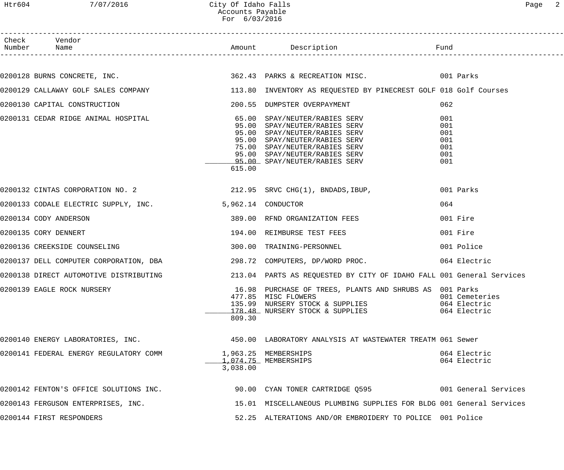| אαe |  |
|-----|--|
|-----|--|

|                                                                   | Accounts Payable<br>For 6/03/2016 |                                                                                                                                                                                                           |                                                |
|-------------------------------------------------------------------|-----------------------------------|-----------------------------------------------------------------------------------------------------------------------------------------------------------------------------------------------------------|------------------------------------------------|
| Check Vendor<br>Number Name                                       |                                   |                                                                                                                                                                                                           |                                                |
|                                                                   |                                   | 0200128 BURNS CONCRETE, INC. The Same Constant of the Second Second Second Second Second Second Second Second S                                                                                           |                                                |
|                                                                   |                                   | 0200129 CALLAWAY GOLF SALES COMPANY 113.80 INVENTORY AS REQUESTED BY PINECREST GOLF 018 Golf Courses                                                                                                      |                                                |
| 0200130 CAPITAL CONSTRUCTION                                      |                                   | 200.55 DUMPSTER OVERPAYMENT                                                                                                                                                                               | 062                                            |
| 0200131 CEDAR RIDGE ANIMAL HOSPITAL 65.00 SPAY/NEUTER/RABIES SERV | 615.00                            | 95.00 SPAY/NEUTER/RABIES SERV<br>95.00 SPAY/NEUTER/RABIES SERV<br>95.00 SPAY/NEUTER/RABIES SERV<br>75.00 SPAY/NEUTER/RABIES SERV<br>95.00 SPAY/NEUTER/RABIES SERV<br><u>95.00</u> SPAY/NEUTER/RABIES SERV | 001<br>001<br>001<br>001<br>001<br>001<br>001  |
|                                                                   |                                   | $0200132$ CINTAS CORPORATION NO. 2 212.95 SRVC CHG(1), BNDADS, IBUP,                                                                                                                                      | 001 Parks                                      |
| 0200133 CODALE ELECTRIC SUPPLY, INC.                              |                                   | 5,962.14 CONDUCTOR                                                                                                                                                                                        | 064                                            |
| 0200134 CODY ANDERSON                                             |                                   | 389.00 RFND ORGANIZATION FEES                                                                                                                                                                             | 001 Fire                                       |
| 0200135 CORY DENNERT                                              |                                   | 194.00 REIMBURSE TEST FEES                                                                                                                                                                                | 001 Fire                                       |
| 0200136 CREEKSIDE COUNSELING                                      | 300.00                            | TRAINING-PERSONNEL                                                                                                                                                                                        | 001 Police                                     |
|                                                                   |                                   |                                                                                                                                                                                                           |                                                |
| 0200138 DIRECT AUTOMOTIVE DISTRIBUTING                            |                                   | 213.04 PARTS AS REQUESTED BY CITY OF IDAHO FALL 001 General Services                                                                                                                                      |                                                |
| 0200139 EAGLE ROCK NURSERY                                        | 809.30                            | 16.98 PURCHASE OF TREES, PLANTS AND SHRUBS AS 001 Parks<br>477.85 MISC FLOWERS<br>135.99 NURSERY STOCK & SUPPLIES<br>178.48 NURSERY STOCK & SUPPLIES                                                      | 001 Cemeteries<br>064 Electric<br>064 Electric |
|                                                                   |                                   | 0200140 ENERGY LABORATORIES, INC.<br>450.00 LABORATORIES, INC. 450.00 LABORATORY ANALYSIS AT WASTEWATER TREATM 061 Sewer                                                                                  |                                                |
| 0200141 FEDERAL ENERGY REGULATORY COMM                            | 3,038.00                          | 1,963.25 MEMBERSHIPS<br>1,074.75 MEMBERSHIPS                                                                                                                                                              | 064 Electric<br>064 Electric                   |
|                                                                   |                                   | 0200142 FENTON'S OFFICE SOLUTIONS INC. 2000 90.00 CYAN TONER CARTRIDGE Q595                                                                                                                               |                                                |
| 0200143 FERGUSON ENTERPRISES, INC.                                |                                   | 15.01 MISCELLANEOUS PLUMBING SUPPLIES FOR BLDG 001 General Services                                                                                                                                       |                                                |
| 0200144 FIRST RESPONDERS                                          |                                   | 52.25 ALTERATIONS AND/OR EMBROIDERY TO POLICE 001 Police                                                                                                                                                  |                                                |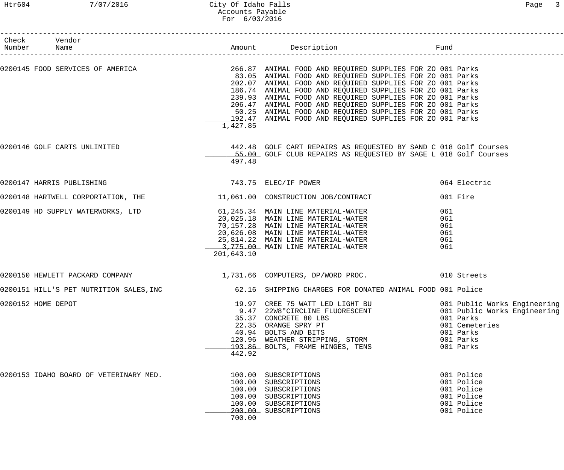| Check Vendor<br>Number Name |                                                                                                                                                                                                                                            |                                      |                                                                                                                                                                                                                                                                                                                                                                                                                                       |                                        |                                                                                                                                    |
|-----------------------------|--------------------------------------------------------------------------------------------------------------------------------------------------------------------------------------------------------------------------------------------|--------------------------------------|---------------------------------------------------------------------------------------------------------------------------------------------------------------------------------------------------------------------------------------------------------------------------------------------------------------------------------------------------------------------------------------------------------------------------------------|----------------------------------------|------------------------------------------------------------------------------------------------------------------------------------|
|                             | 0200145 FOOD SERVICES OF AMERICA THE SERVICE SUPPLIES FOR 266.87 ANIMAL FOOD AND REQUIRED SUPPLIES FOR ZO 001 Parks                                                                                                                        | 1,427.85                             | 83.05 ANIMAL FOOD AND REQUIRED SUPPLIES FOR ZO 001 Parks<br>202.07 ANIMAL FOOD AND REQUIRED SUPPLIES FOR ZO 001 Parks<br>186.74 ANIMAL FOOD AND REQUIRED SUPPLIES FOR ZO 001 Parks<br>239.93 ANIMAL FOOD AND REQUIRED SUPPLIES FOR ZO 001 Parks<br>206.47 ANIMAL FOOD AND REQUIRED SUPPLIES FOR ZO 001 Parks<br>50.25 ANIMAL FOOD AND REQUIRED SUPPLIES FOR ZO 001 Parks<br>192.47 ANIMAL FOOD AND REQUIRED SUPPLIES FOR ZO 001 Parks |                                        |                                                                                                                                    |
|                             | 0200146 GOLF CARTS UNLIMITED                                                                                                                                                                                                               | 497.48                               | 442.48 GOLF CART REPAIRS AS REQUESTED BY SAND C 018 Golf Courses<br>55.00 GOLF CLUB REPAIRS AS REQUESTED BY SAGE L 018 Golf Courses                                                                                                                                                                                                                                                                                                   |                                        |                                                                                                                                    |
|                             | 0200147 HARRIS PUBLISHING                                                                                                                                                                                                                  |                                      | 743.75 ELEC/IF POWER                                                                                                                                                                                                                                                                                                                                                                                                                  |                                        | 064 Electric                                                                                                                       |
|                             | 0200148 HARTWELL CORPORTATION, THE $11,061.00$ CONSTRUCTION JOB/CONTRACT                                                                                                                                                                   |                                      |                                                                                                                                                                                                                                                                                                                                                                                                                                       |                                        | 001 Fire                                                                                                                           |
|                             | 0200149 HD SUPPLY WATERWORKS, LTD<br>0200149 HD SUPPLY WATERWORKS, LTD<br>20,025.18 MAIN LINE MATERIAL-WATER<br>70,157.28 MAIN LINE MATERIAL-WATER<br>20,626.08 MAIN LINE MATERIAL-WATER<br>25,814.22 MAIN LINE MATERIAL-WATER<br>3,775.00 | 201,643.10                           |                                                                                                                                                                                                                                                                                                                                                                                                                                       | 061<br>061<br>061<br>061<br>061<br>061 |                                                                                                                                    |
|                             | 0200150 HEWLETT PACKARD COMPANY (2008) 2010 1,731.66 COMPUTERS, DP/WORD PROC.                                                                                                                                                              |                                      |                                                                                                                                                                                                                                                                                                                                                                                                                                       |                                        |                                                                                                                                    |
|                             | 0200151 HILL'S PET NUTRITION SALES,INC         62.16 SHIPPING CHARGES FOR DONATED ANIMAL FOOD 001 Police                                                                                                                                   |                                      |                                                                                                                                                                                                                                                                                                                                                                                                                                       |                                        |                                                                                                                                    |
| 0200152 HOME DEPOT          |                                                                                                                                                                                                                                            | 442.92                               | 19.97 CREE 75 WATT LED LIGHT BU<br>9.47 22W8 "CIRCLINE FLUORESCENT<br>35.37 CONCRETE 80 LBS<br>22.35 ORANGE SPRY PT<br>40.94 BOLTS AND BITS<br>120.96 WEATHER STRIPPING, STORM<br>193.86 BOLTS, FRAME HINGES, TENS                                                                                                                                                                                                                    |                                        | 001 Public Works Engineering<br>001 Public Works Engineering<br>001 Parks<br>001 Cemeteries<br>001 Parks<br>001 Parks<br>001 Parks |
|                             | 0200153 IDAHO BOARD OF VETERINARY MED.                                                                                                                                                                                                     | 100.00<br>100.00<br>100.00<br>700.00 | SUBSCRIPTIONS<br>SUBSCRIPTIONS<br>SUBSCRIPTIONS<br>100.00 SUBSCRIPTIONS<br>100.00 SUBSCRIPTIONS<br>200.00 SUBSCRIPTIONS                                                                                                                                                                                                                                                                                                               |                                        | 001 Police<br>001 Police<br>001 Police<br>001 Police<br>001 Police<br>001 Police                                                   |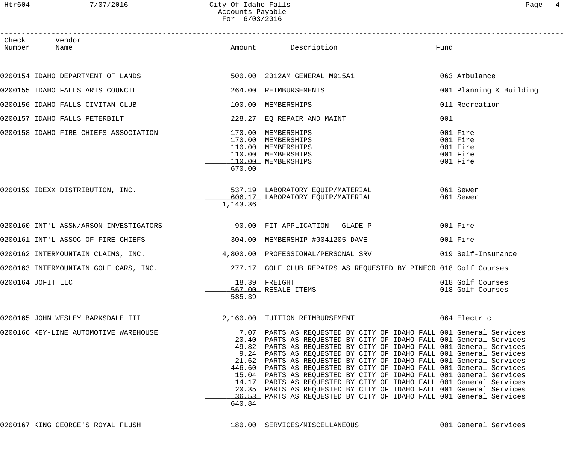| Check Vendor<br>Number Name                                              |          |                                                                                                                                                                                                                                                                                                                                                                                                                                                                                                                                                                                                                                                                                                                                   |                                                          |
|--------------------------------------------------------------------------|----------|-----------------------------------------------------------------------------------------------------------------------------------------------------------------------------------------------------------------------------------------------------------------------------------------------------------------------------------------------------------------------------------------------------------------------------------------------------------------------------------------------------------------------------------------------------------------------------------------------------------------------------------------------------------------------------------------------------------------------------------|----------------------------------------------------------|
|                                                                          |          |                                                                                                                                                                                                                                                                                                                                                                                                                                                                                                                                                                                                                                                                                                                                   |                                                          |
| 0200154 IDAHO DEPARTMENT OF LANDS 600 100 2012AM GENERAL M915A1          |          |                                                                                                                                                                                                                                                                                                                                                                                                                                                                                                                                                                                                                                                                                                                                   | 063 Ambulance                                            |
| 0200155 IDAHO FALLS ARTS COUNCIL                                         |          | 264.00 REIMBURSEMENTS                                                                                                                                                                                                                                                                                                                                                                                                                                                                                                                                                                                                                                                                                                             | 001 Planning & Building                                  |
| 0200156 IDAHO FALLS CIVITAN CLUB                                         |          | 100.00 MEMBERSHIPS                                                                                                                                                                                                                                                                                                                                                                                                                                                                                                                                                                                                                                                                                                                | 011 Recreation                                           |
| 0200157 IDAHO FALLS PETERBILT                                            |          | 228.27 EQ REPAIR AND MAINT                                                                                                                                                                                                                                                                                                                                                                                                                                                                                                                                                                                                                                                                                                        | 001                                                      |
| 0200158 IDAHO FIRE CHIEFS ASSOCIATION                                    | 670.00   | 170.00 MEMBERSHIPS<br>170.00 MEMBERSHIPS<br>110.00 MEMBERSHIPS<br>110.00 MEMBERSHIPS<br>110.00 MEMBERSHIPS                                                                                                                                                                                                                                                                                                                                                                                                                                                                                                                                                                                                                        | 001 Fire<br>001 Fire<br>001 Fire<br>001 Fire<br>001 Fire |
|                                                                          | 1,143.36 | 0200159 IDEXX DISTRIBUTION, INC.<br>ESS 17 INCORPORATORY EQUIP/MATERIAL<br>606.17 LABORATORY EQUIP/MATERIAL                                                                                                                                                                                                                                                                                                                                                                                                                                                                                                                                                                                                                       | 061 Sewer<br>061 Sewer                                   |
| 0200160 INT'L ASSN/ARSON INVESTIGATORS 600 000 FIT APPLICATION - GLADE P |          |                                                                                                                                                                                                                                                                                                                                                                                                                                                                                                                                                                                                                                                                                                                                   | 001 Fire                                                 |
| 0200161 INT'L ASSOC OF FIRE CHIEFS 304.00 MEMBERSHIP #0041205 DAVE       |          |                                                                                                                                                                                                                                                                                                                                                                                                                                                                                                                                                                                                                                                                                                                                   | 001 Fire                                                 |
|                                                                          |          | 0200162 INTERMOUNTAIN CLAIMS, INC. 4,800.00 PROFESSIONAL/PERSONAL SRV                                                                                                                                                                                                                                                                                                                                                                                                                                                                                                                                                                                                                                                             | 019 Self-Insurance                                       |
|                                                                          |          | 0200163 INTERMOUNTAIN GOLF CARS, INC. 277.17 GOLF CLUB REPAIRS AS REQUESTED BY PINECR 018 Golf Courses                                                                                                                                                                                                                                                                                                                                                                                                                                                                                                                                                                                                                            |                                                          |
| 0200164 JOFIT LLC                                                        | 585.39   | 18.39 FREIGHT<br>567.00 RESALE ITEMS                                                                                                                                                                                                                                                                                                                                                                                                                                                                                                                                                                                                                                                                                              | 018 Golf Courses<br>018 Golf Courses                     |
| 0200165 JOHN WESLEY BARKSDALE III                                        |          | 2,160.00 TUITION REIMBURSEMENT                                                                                                                                                                                                                                                                                                                                                                                                                                                                                                                                                                                                                                                                                                    | 064 Electric                                             |
| 0200166 KEY-LINE AUTOMOTIVE WAREHOUSE                                    | 640.84   | 7.07 PARTS AS REQUESTED BY CITY OF IDAHO FALL 001 General Services<br>20.40 PARTS AS REQUESTED BY CITY OF IDAHO FALL 001 General Services<br>49.82 PARTS AS REQUESTED BY CITY OF IDAHO FALL 001 General Services<br>9.24 PARTS AS REQUESTED BY CITY OF IDAHO FALL 001 General Services<br>21.62 PARTS AS REQUESTED BY CITY OF IDAHO FALL 001 General Services<br>446.60 PARTS AS REQUESTED BY CITY OF IDAHO FALL 001 General Services<br>15.04 PARTS AS REQUESTED BY CITY OF IDAHO FALL 001 General Services<br>14.17 PARTS AS REQUESTED BY CITY OF IDAHO FALL 001 General Services<br>20.35 PARTS AS REQUESTED BY CITY OF IDAHO FALL 001 General Services<br>36.53 PARTS AS REQUESTED BY CITY OF IDAHO FALL 001 General Services |                                                          |

0200167 KING GEORGE'S ROYAL FLUSH 180.00 SERVICES/MISCELLANEOUS 001 General Services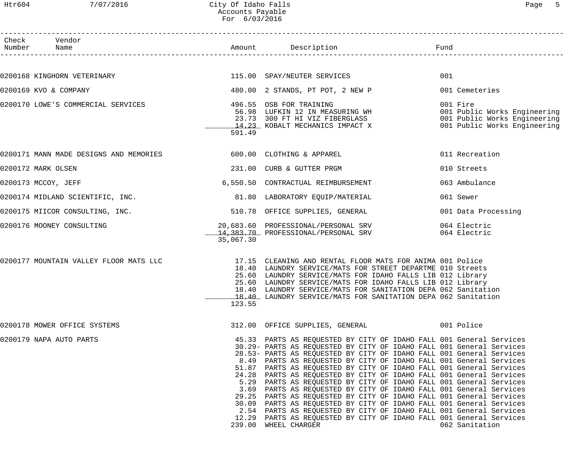## Htr604 7/07/2016 City Of Idaho Falls Page 5 Accounts Payable For 6/03/2016

| Check Vendor<br>Number Name                                      |           |                                                                                                                                                                                                                                                                                                                                                                                                                                                                                                                                                                                                                                                                                                                                                                                                                                                                                                        |                     |
|------------------------------------------------------------------|-----------|--------------------------------------------------------------------------------------------------------------------------------------------------------------------------------------------------------------------------------------------------------------------------------------------------------------------------------------------------------------------------------------------------------------------------------------------------------------------------------------------------------------------------------------------------------------------------------------------------------------------------------------------------------------------------------------------------------------------------------------------------------------------------------------------------------------------------------------------------------------------------------------------------------|---------------------|
|                                                                  |           |                                                                                                                                                                                                                                                                                                                                                                                                                                                                                                                                                                                                                                                                                                                                                                                                                                                                                                        |                     |
| 0200168 KINGHORN VETERINARY 115.00 SPAY/NEUTER SERVICES          |           |                                                                                                                                                                                                                                                                                                                                                                                                                                                                                                                                                                                                                                                                                                                                                                                                                                                                                                        | 001                 |
| 0200169 KVO & COMPANY                                            |           | 480.00 2 STANDS, PT POT, 2 NEW P                                                                                                                                                                                                                                                                                                                                                                                                                                                                                                                                                                                                                                                                                                                                                                                                                                                                       | 001 Cemeteries      |
| 0200170 LOWE'S COMMERCIAL SERVICES                               | 591.49    | 496.55 OSB FOR TRAINING<br>56.98 LUFKIN 12 IN MEASURING WH 23.73 300 FT HI VIZ FIBERGLASS<br>14.23 KOBALT MECHANICS IMPACT X 2001 Public Works Engineering                                                                                                                                                                                                                                                                                                                                                                                                                                                                                                                                                                                                                                                                                                                                             |                     |
| 0200171 MANN MADE DESIGNS AND MEMORIES 600.00 CLOTHING & APPAREL |           |                                                                                                                                                                                                                                                                                                                                                                                                                                                                                                                                                                                                                                                                                                                                                                                                                                                                                                        | 011 Recreation      |
| 0200172 MARK OLSEN                                               |           | 231.00 CURB & GUTTER PRGM                                                                                                                                                                                                                                                                                                                                                                                                                                                                                                                                                                                                                                                                                                                                                                                                                                                                              | 010 Streets         |
| 0200173 MCCOY, JEFF                                              |           | 6,550.50 CONTRACTUAL REIMBURSEMENT                                                                                                                                                                                                                                                                                                                                                                                                                                                                                                                                                                                                                                                                                                                                                                                                                                                                     | 063 Ambulance       |
| 0200174 MIDLAND SCIENTIFIC, INC. 31.80 LABORATORY EQUIP/MATERIAL |           |                                                                                                                                                                                                                                                                                                                                                                                                                                                                                                                                                                                                                                                                                                                                                                                                                                                                                                        | 061 Sewer           |
| 0200175 MIICOR CONSULTING, INC.                                  |           | 510.78 OFFICE SUPPLIES, GENERAL                                                                                                                                                                                                                                                                                                                                                                                                                                                                                                                                                                                                                                                                                                                                                                                                                                                                        | 001 Data Processing |
| 0200176 MOONEY CONSULTING                                        | 35,067.30 | 20,683.60 PROFESSIONAL/PERSONAL SRV<br>14,383.70 PROFESSIONAL/PERSONAL SRV 064 Electric                                                                                                                                                                                                                                                                                                                                                                                                                                                                                                                                                                                                                                                                                                                                                                                                                | 064 Electric        |
|                                                                  | 123.55    | 0200177 MOUNTAIN VALLEY FLOOR MATS LLC 17.15 CLEANING AND RENTAL FLOOR MATS FOR ANIMA 001 Police<br>18.40 LAUNDRY SERVICE/MATS FOR STREET DEPARTME 010 Streets<br>25.60 LAUNDRY SERVICE/MATS FOR IDAHO FALLS LIB 012 Library<br>25.60 LAUNDRY SERVICE/MATS FOR IDAHO FALLS LIB 012 Library<br>18.40 LAUNDRY SERVICE/MATS FOR SANITATION DEPA 062 Sanitation<br>18.40 LAUNDRY SERVICE/MATS FOR SANITATION DEPA 062 Sanitation                                                                                                                                                                                                                                                                                                                                                                                                                                                                           |                     |
| 0200178 MOWER OFFICE SYSTEMS                                     |           | 312.00 OFFICE SUPPLIES, GENERAL                                                                                                                                                                                                                                                                                                                                                                                                                                                                                                                                                                                                                                                                                                                                                                                                                                                                        | 001 Police          |
| 0200179 NAPA AUTO PARTS                                          |           | 45.33 PARTS AS REQUESTED BY CITY OF IDAHO FALL 001 General Services<br>30.29- PARTS AS REQUESTED BY CITY OF IDAHO FALL 001 General Services<br>28.53- PARTS AS REQUESTED BY CITY OF IDAHO FALL 001 General Services<br>8.49 PARTS AS REQUESTED BY CITY OF IDAHO FALL 001 General Services<br>51.87 PARTS AS REQUESTED BY CITY OF IDAHO FALL 001 General Services<br>24.28 PARTS AS REQUESTED BY CITY OF IDAHO FALL 001 General Services<br>5.29 PARTS AS REQUESTED BY CITY OF IDAHO FALL 001 General Services<br>3.69 PARTS AS REQUESTED BY CITY OF IDAHO FALL 001 General Services<br>29.25 PARTS AS REQUESTED BY CITY OF IDAHO FALL 001 General Services<br>30.09 PARTS AS REQUESTED BY CITY OF IDAHO FALL 001 General Services<br>2.54 PARTS AS REQUESTED BY CITY OF IDAHO FALL 001 General Services<br>12.29 PARTS AS REQUESTED BY CITY OF IDAHO FALL 001 General Services<br>239.00 WHEEL CHARGER | 062 Sanitation      |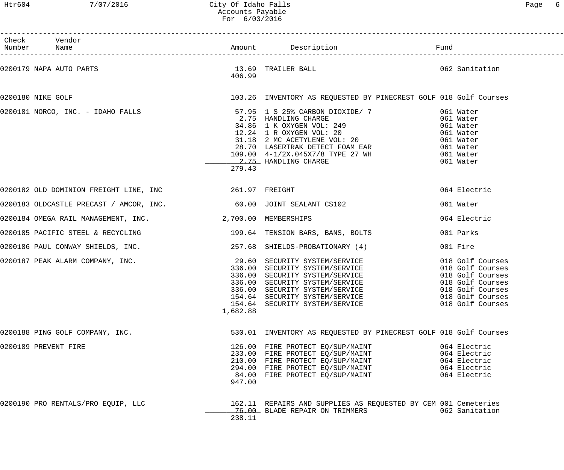Htr604 7/07/2016 City Of Idaho Falls Page 6 Accounts Payable For 6/03/2016

| n |
|---|
|   |

| Check Vendor<br>Number Name                                       |          |                                                                                                                                                                                                                                                                          |                                                                              |
|-------------------------------------------------------------------|----------|--------------------------------------------------------------------------------------------------------------------------------------------------------------------------------------------------------------------------------------------------------------------------|------------------------------------------------------------------------------|
|                                                                   | 406.99   | 0200179 NAPA AUTO PARTS CONTROLLER DALL CONTRAINER BALL CONTROLLER DALL                                                                                                                                                                                                  |                                                                              |
| 0200180 NIKE GOLF                                                 |          | 103.26 INVENTORY AS REQUESTED BY PINECREST GOLF 018 Golf Courses                                                                                                                                                                                                         |                                                                              |
|                                                                   | 279.43   |                                                                                                                                                                                                                                                                          |                                                                              |
| 0200182 OLD DOMINION FREIGHT LINE, INC $261.97$ FREIGHT           |          |                                                                                                                                                                                                                                                                          | 064 Electric                                                                 |
| 0200183 OLDCASTLE PRECAST / AMCOR, INC. 60.00 JOINT SEALANT CS102 |          |                                                                                                                                                                                                                                                                          | 061 Water                                                                    |
| 0200184 OMEGA RAIL MANAGEMENT, INC. 2,700.00 MEMBERSHIPS          |          |                                                                                                                                                                                                                                                                          | 064 Electric                                                                 |
|                                                                   |          | 0200185 PACIFIC STEEL & RECYCLING 199.64 TENSION BARS, BANS, BOLTS                                                                                                                                                                                                       | 001 Parks                                                                    |
|                                                                   |          | 0200186 PAUL CONWAY SHIELDS, INC. 257.68 SHIELDS-PROBATIONARY (4)                                                                                                                                                                                                        | 001 Fire                                                                     |
|                                                                   | 1,682.88 | 0200187 PEAK ALARM COMPANY, INC.<br>336.00 SECURITY SYSTEM/SERVICE 018 Golf Courses<br>336.00 SECURITY SYSTEM/SERVICE 018 Golf Courses<br>336.00 SECURITY SYSTEM/SERVICE 018 Golf Courses<br>336.00 SECURITY SYSTEM/SERVICE 018 Golf C<br>154.64 SECURITY SYSTEM/SERVICE | 018 Golf Courses                                                             |
| 0200188 PING GOLF COMPANY, INC.                                   |          | 530.01 INVENTORY AS REQUESTED BY PINECREST GOLF 018 Golf Courses                                                                                                                                                                                                         |                                                                              |
| 0200189 PREVENT FIRE                                              | 947.00   | 126.00 FIRE PROTECT EQ/SUP/MAINT<br>120.00 FIRE PROIECI EQ/SOP/MAINI<br>233.00 FIRE PROTECT EQ/SUP/MAINT<br>210.00 FIRE PROTECT EQ/SUP/MAINT<br>294.00 FIRE PROTECT EQ/SUP/MAINT<br>84.00 FIRE PROTECT EQ/SUP/MAINT                                                      | 064 Electric<br>064 Electric<br>064 Electric<br>064 Electric<br>064 Electric |
| 0200190 PRO RENTALS/PRO EQUIP, LLC                                | 238.11   | 162.11 REPAIRS AND SUPPLIES AS REQUESTED BY CEM 001 Cemeteries<br>76.00 BLADE REPAIR ON TRIMMERS                                                                                                                                                                         | 062 Sanitation                                                               |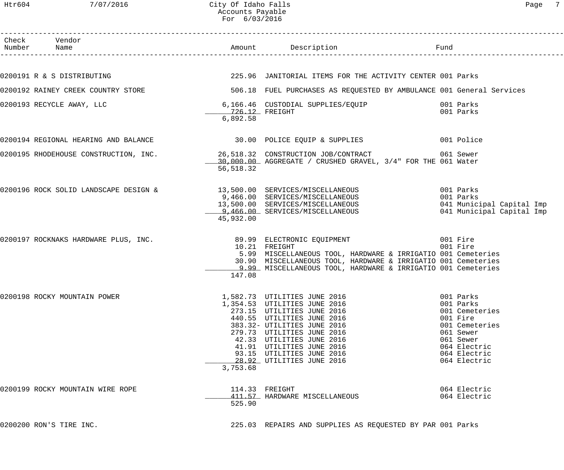## Htr604 7/07/2016 City Of Idaho Falls Page 7 Accounts Payable For 6/03/2016

| Check Vendor<br>Number Name          |                            | Amount Description <b>Example 1</b> Fund                                                                                                                                                                                                                                                                           |                                                                                                                                     |
|--------------------------------------|----------------------------|--------------------------------------------------------------------------------------------------------------------------------------------------------------------------------------------------------------------------------------------------------------------------------------------------------------------|-------------------------------------------------------------------------------------------------------------------------------------|
|                                      |                            |                                                                                                                                                                                                                                                                                                                    |                                                                                                                                     |
| 0200191 R & S DISTRIBUTING           |                            | 225.96 JANITORIAL ITEMS FOR THE ACTIVITY CENTER 001 Parks                                                                                                                                                                                                                                                          |                                                                                                                                     |
| 0200192 RAINEY CREEK COUNTRY STORE   |                            | 506.18 FUEL PURCHASES AS REQUESTED BY AMBULANCE 001 General Services                                                                                                                                                                                                                                               |                                                                                                                                     |
| 0200193 RECYCLE AWAY, LLC            | 726.12 FREIGHT<br>6,892.58 | 6,166.46 CUSTODIAL SUPPLIES/EQUIP                                                                                                                                                                                                                                                                                  | 001 Parks<br>001 Parks                                                                                                              |
| 0200194 REGIONAL HEARING AND BALANCE |                            | 30.00 POLICE EQUIP & SUPPLIES 001 Police                                                                                                                                                                                                                                                                           |                                                                                                                                     |
|                                      | 56,518.32                  | 0200195 RHODEHOUSE CONSTRUCTION, INC. 26,518.32 CONSTRUCTION JOB/CONTRACT 061 Sewer<br>30,000.00 AGGREGATE / CRUSHED GRAVEL, 3/4" FOR THE 061 Water                                                                                                                                                                |                                                                                                                                     |
|                                      | 45,932.00                  | 0200196 ROCK SOLID LANDSCAPE DESIGN & 13,500.00 SERVICES/MISCELLANEOUS<br>9,466.00 SERVICES/MISCELLANEOUS<br>13,500.00 SERVICES/MISCELLANEOUS<br>9,466.00 SERVICES/MISCELLANEOUS                                                                                                                                   | 001 Parks<br>001 Parks<br>041 Municipal Capital Imp<br>041 Municipal Capital Imp                                                    |
| 0200197 ROCKNAKS HARDWARE PLUS, INC. | 147.08                     | 89.99 ELECTRONIC EQUIPMENT<br>001 Fire<br>10.21 FREIGHT<br>5.99 MISCELLANEOUS TOOL, HARDWARE & IRRIGATIO 001 Cemeteries<br>30.90 MISCELLANEOUS TOOL, HARDWARE & IRRIGATIO 001 Cemeteries<br>9.99 MISCELLANEOUS TOOL, HARDWARE & IRRIGATIO 001 Cemeteries                                                           | 001 Fire                                                                                                                            |
| 0200198 ROCKY MOUNTAIN POWER         | 3,753.68                   | 1,582.73 UTILITIES JUNE 2016 1.582.73<br>1,354.53 UTILITIES JUNE 2016<br>273.15 UTILITIES JUNE 2016<br>440.55 UTILITIES JUNE 2016<br>383.32- UTILITIES JUNE 2016<br>279.73 UTILITIES JUNE 2016<br>42.33 UTILITIES JUNE 2016<br>41.91 UTILITIES JUNE 2016<br>93.15 UTILITIES JUNE 2016<br>28.92 UTILITIES JUNE 2016 | 001 Parks<br>001 Cemeteries<br>001 Fire<br>001 Cemeteries<br>061 Sewer<br>061 Sewer<br>064 Electric<br>064 Electric<br>064 Electric |
| 0200199 ROCKY MOUNTAIN WIRE ROPE     | 525.90                     | 114.33 FREIGHT<br>411.57 HARDWARE MISCELLANEOUS                                                                                                                                                                                                                                                                    | 064 Electric<br>064 Electric                                                                                                        |
| 0200200 RON'S TIRE INC.              |                            | 225.03 REPAIRS AND SUPPLIES AS REQUESTED BY PAR 001 Parks                                                                                                                                                                                                                                                          |                                                                                                                                     |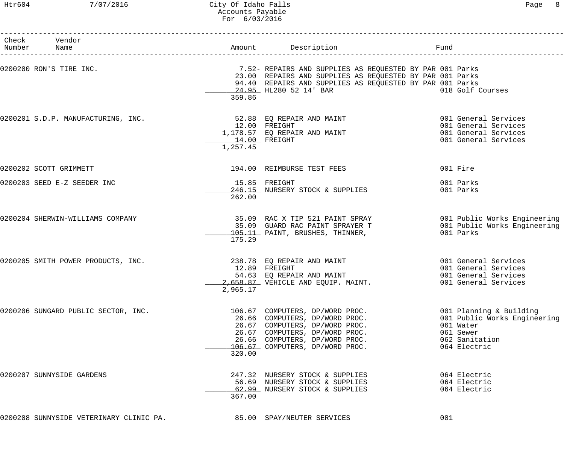## Htr604 7/07/2016 City Of Idaho Falls Page 8 Accounts Payable For 6/03/2016

| Check Vendor<br>Number Name                                        |                                            |                                                                                                                                                                                                                      | Fund                         |                                                                                              |
|--------------------------------------------------------------------|--------------------------------------------|----------------------------------------------------------------------------------------------------------------------------------------------------------------------------------------------------------------------|------------------------------|----------------------------------------------------------------------------------------------|
| 0200200 RON'S TIRE INC.                                            | 359.86                                     | 7.52- REPAIRS AND SUPPLIES AS REQUESTED BY PAR 001 Parks<br>23.00 REPAIRS AND SUPPLIES AS REQUESTED BY PAR 001 Parks<br>94.40 REPAIRS AND SUPPLIES AS REQUESTED BY PAR 001 Parks<br>24.95 HL280 52 14' BAR           |                              | 018 Golf Courses                                                                             |
| 0200201 S.D.P. MANUFACTURING, INC.                                 | 12.00 FREIGHT<br>14.00 FREIGHT<br>1,257.45 | 52.88 EQ REPAIR AND MAINT<br>1,178.57 EQ REPAIR AND MAINT                                                                                                                                                            |                              | 001 General Services<br>001 General Services<br>001 General Services<br>001 General Services |
| 0200202 SCOTT GRIMMETT                                             |                                            | 194.00 REIMBURSE TEST FEES                                                                                                                                                                                           | 001 Fire                     |                                                                                              |
| 0200203 SEED E-Z SEEDER INC                                        | 262.00                                     | 15.85 FREIGHT<br>246.15 NURSERY STOCK & SUPPLIES                                                                                                                                                                     | 001 Parks<br>001 Parks       |                                                                                              |
| 0200204 SHERWIN-WILLIAMS COMPANY                                   | 175.29                                     | 35.09  RAC X TIP 521 PAINT SPRAY                          001 Public Works Engineering<br>35.09  GUARD RAC PAINT SPRAYER T                        001 Public Works Engineering<br>105.11 PAINT, BRUSHES, THINNER,    | 001 Parks                    |                                                                                              |
| 0200205 SMITH POWER PRODUCTS, INC.                                 | 2,965.17                                   | 238.78 EQ REPAIR AND MAINT<br>12.89 FREIGHT<br>54.63 EQ REPAIR AND MAINT<br>2,658.87 VEHICLE AND EQUIP. MAINT.                                                                                                       |                              | 001 General Services<br>001 General Services<br>001 General Services<br>001 General Services |
| 0200206 SUNGARD PUBLIC SECTOR, INC.                                | 320.00                                     | 106.67 COMPUTERS, DP/WORD PROC.<br>26.66 COMPUTERS, DP/WORD PROC.<br>26.67 COMPUTERS, DP/WORD PROC.<br>26.67 COMPUTERS, DP/WORD PROC.<br>26.66 COMPUTERS, DP/WORD PROC.<br>106.67 COMPUTERS, DP/WORD PROC.<br>320.00 | 061 Water<br>061 Sewer       | 001 Planning & Building<br>001 Public Works Engineering<br>062 Sanitation<br>064 Electric    |
| 0200207 SUNNYSIDE GARDENS                                          | 367.00                                     | 247.32 NURSERY STOCK & SUPPLIES<br>56.69 NURSERY STOCK & SUPPLIES<br>62.99 NURSERY STOCK & SUPPLIES                                                                                                                  | 064 Electric<br>064 Electric | 064 Electric                                                                                 |
| 0200208 SUNNYSIDE VETERINARY CLINIC PA. 65.00 SPAY/NEUTER SERVICES |                                            |                                                                                                                                                                                                                      | 001                          |                                                                                              |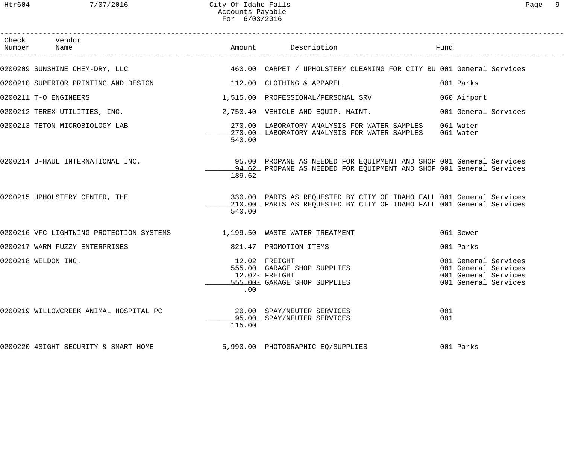| Check Vendor<br>Number Name                                                        |        | Amount Description                                                                                                                           | Fund        |                                                                                              |  |
|------------------------------------------------------------------------------------|--------|----------------------------------------------------------------------------------------------------------------------------------------------|-------------|----------------------------------------------------------------------------------------------|--|
| 0200209 SUNSHINE CHEM-DRY, LLC                                                     |        | 460.00 CARPET / UPHOLSTERY CLEANING FOR CITY BU 001 General Services                                                                         |             |                                                                                              |  |
| 0200210 SUPERIOR PRINTING AND DESIGN THE MANUSIC RESIGN MANUSIC ORDINING & APPAREL |        |                                                                                                                                              | 001 Parks   |                                                                                              |  |
| 0200211 T-O ENGINEERS                                                              |        | 1,515.00 PROFESSIONAL/PERSONAL SRV                                                                                                           | 060 Airport |                                                                                              |  |
| 0200212 TEREX UTILITIES, INC.                                                      |        | 2,753.40 VEHICLE AND EQUIP. MAINT.                                                                                                           |             | 001 General Services                                                                         |  |
| 0200213 TETON MICROBIOLOGY LAB                                                     | 540.00 | 270.00 LABORATORY ANALYSIS FOR WATER SAMPLES<br>270.00 LABORATORY ANALYSIS FOR WATER SAMPLES 061 Water                                       | 061 Water   |                                                                                              |  |
| 0200214 U-HAUL INTERNATIONAL INC.                                                  | 189.62 | 95.00 PROPANE AS NEEDED FOR EQUIPMENT AND SHOP 001 General Services<br>94.62 PROPANE AS NEEDED FOR EQUIPMENT AND SHOP 001 General Services   |             |                                                                                              |  |
| 0200215 UPHOLSTERY CENTER, THE                                                     | 540.00 | 330.00 PARTS AS REQUESTED BY CITY OF IDAHO FALL 001 General Services<br>210.00 PARTS AS REQUESTED BY CITY OF IDAHO FALL 001 General Services |             |                                                                                              |  |
| 0200216 VFC LIGHTNING PROTECTION SYSTEMS 1,199.50 WASTE WATER TREATMENT            |        |                                                                                                                                              | 061 Sewer   |                                                                                              |  |
| 0200217 WARM FUZZY ENTERPRISES                                                     |        | 821.47 PROMOTION ITEMS                                                                                                                       | 001 Parks   |                                                                                              |  |
| 0200218 WELDON INC.                                                                | .00    | 12.02 FREIGHT<br>555.00 GARAGE SHOP SUPPLIES<br>12.02- FREIGHT<br>555.00- GARAGE SHOP SUPPLIES                                               |             | 001 General Services<br>001 General Services<br>001 General Services<br>001 General Services |  |
| 0200219 WILLOWCREEK ANIMAL HOSPITAL PC                                             | 115.00 | 20.00 SPAY/NEUTER SERVICES<br>95.00 SPAY/NEUTER SERVICES                                                                                     | 001<br>001  |                                                                                              |  |
| 0200220 4SIGHT SECURITY & SMART HOME                                               |        | 5,990.00 PHOTOGRAPHIC EQ/SUPPLIES                                                                                                            | 001 Parks   |                                                                                              |  |
|                                                                                    |        |                                                                                                                                              |             |                                                                                              |  |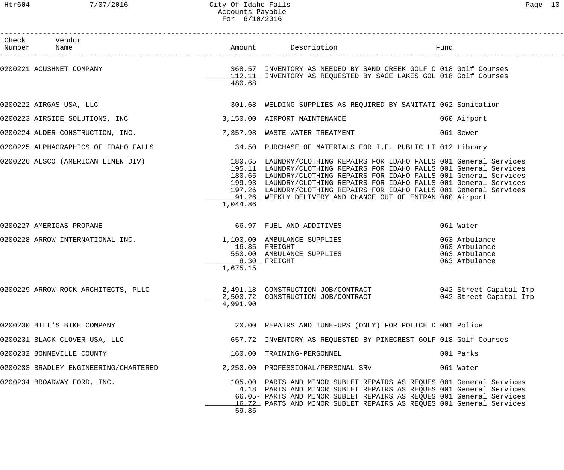| Check Vendor<br>Number Name           |                            | Amount Description                                                                                                                                                                                                                                                                                                                                                                                                                                                    | Fund |                                                                  |
|---------------------------------------|----------------------------|-----------------------------------------------------------------------------------------------------------------------------------------------------------------------------------------------------------------------------------------------------------------------------------------------------------------------------------------------------------------------------------------------------------------------------------------------------------------------|------|------------------------------------------------------------------|
|                                       | 480.68                     | 112.11 INVENTORY AS REQUESTED BY SAGE LAKES GOL 018 Golf Courses                                                                                                                                                                                                                                                                                                                                                                                                      |      |                                                                  |
| 0200222 AIRGAS USA, LLC               |                            | 301.68 WELDING SUPPLIES AS REQUIRED BY SANITATI 062 Sanitation                                                                                                                                                                                                                                                                                                                                                                                                        |      |                                                                  |
| 0200223 AIRSIDE SOLUTIONS, INC        |                            | 3,150.00 AIRPORT MAINTENANCE                                                                                                                                                                                                                                                                                                                                                                                                                                          |      | 060 Airport                                                      |
| 0200224 ALDER CONSTRUCTION, INC.      |                            | 7,357.98 WASTE WATER TREATMENT                                                                                                                                                                                                                                                                                                                                                                                                                                        |      | 061 Sewer                                                        |
|                                       |                            | 0200225 ALPHAGRAPHICS OF IDAHO FALLS 34.50 PURCHASE OF MATERIALS FOR I.F. PUBLIC LI 012 Library                                                                                                                                                                                                                                                                                                                                                                       |      |                                                                  |
|                                       | 1,044.86                   | 0200226 ALSCO (AMERICAN LINEN DIV) 180.65 LAUNDRY/CLOTHING REPAIRS FOR IDAHO FALLS 001 General Services<br>195.11 LAUNDRY/CLOTHING REPAIRS FOR IDAHO FALLS 001 General Services<br>180.65 LAUNDRY/CLOTHING REPAIRS FOR IDAHO FALLS 001 General Services<br>199.93 LAUNDRY/CLOTHING REPAIRS FOR IDAHO FALLS 001 General Services<br>197.26 LAUNDRY/CLOTHING REPAIRS FOR IDAHO FALLS 001 General Services<br>91.26 WEEKLY DELIVERY AND CHANGE OUT OF ENTRAN 060 Airport |      |                                                                  |
| 0200227 AMERIGAS PROPANE              |                            | 66.97 FUEL AND ADDITIVES                                                                                                                                                                                                                                                                                                                                                                                                                                              |      | 061 Water                                                        |
| 0200228 ARROW INTERNATIONAL INC.      | $8.30$ FREIGHT<br>1,675.15 | 1,100.00 AMBULANCE SUPPLIES<br>16.85 FREIGHT<br>550.00 AMBULANCE SUPPLIES                                                                                                                                                                                                                                                                                                                                                                                             |      | 063 Ambulance<br>063 Ambulance<br>063 Ambulance<br>063 Ambulance |
|                                       | 4,991.90                   | 0200229 ARROW ROCK ARCHITECTS, PLLC 2,491.18 CONSTRUCTION JOB/CONTRACT 042 Street Capital Imp<br>2,500.72 CONSTRUCTION JOB/CONTRACT 042 Street Capital Imp                                                                                                                                                                                                                                                                                                            |      |                                                                  |
| 0200230 BILL'S BIKE COMPANY           |                            | 20.00 REPAIRS AND TUNE-UPS (ONLY) FOR POLICE D 001 Police                                                                                                                                                                                                                                                                                                                                                                                                             |      |                                                                  |
| 0200231 BLACK CLOVER USA, LLC         |                            | 657.72 INVENTORY AS REQUESTED BY PINECREST GOLF 018 Golf Courses                                                                                                                                                                                                                                                                                                                                                                                                      |      |                                                                  |
| 0200232 BONNEVILLE COUNTY             |                            | 160.00 TRAINING-PERSONNEL                                                                                                                                                                                                                                                                                                                                                                                                                                             |      | 001 Parks                                                        |
| 0200233 BRADLEY ENGINEERING/CHARTERED |                            | 2,250.00 PROFESSIONAL/PERSONAL SRV                                                                                                                                                                                                                                                                                                                                                                                                                                    |      | 061 Water                                                        |
| 0200234 BROADWAY FORD, INC.           | 59.85                      | 105.00 PARTS AND MINOR SUBLET REPAIRS AS REQUES 001 General Services<br>4.18 PARTS AND MINOR SUBLET REPAIRS AS REQUES 001 General Services<br>66.05- PARTS AND MINOR SUBLET REPAIRS AS REQUES 001 General Services<br>16.72 PARTS AND MINOR SUBLET REPAIRS AS REQUES 001 General Services                                                                                                                                                                             |      |                                                                  |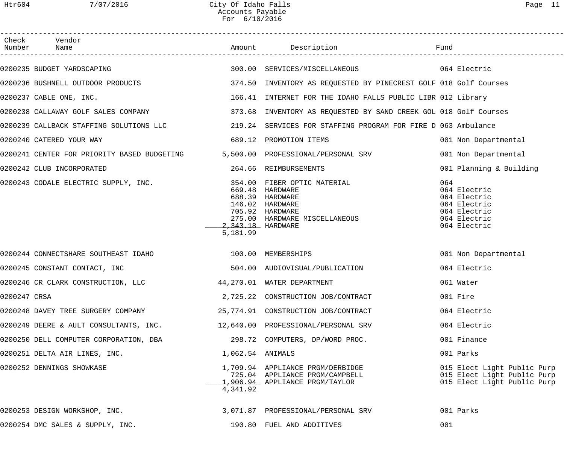| - |  |
|---|--|
|---|--|

| Check        | Vendor<br>Number Name                                                          |                               | Amount Description                                                                                                                       |                                                                                                     |
|--------------|--------------------------------------------------------------------------------|-------------------------------|------------------------------------------------------------------------------------------------------------------------------------------|-----------------------------------------------------------------------------------------------------|
|              | 0200235 BUDGET YARDSCAPING                                                     |                               | 300.00 SERVICES/MISCELLANEOUS 664 Electric                                                                                               |                                                                                                     |
|              | 0200236 BUSHNELL OUTDOOR PRODUCTS                                              |                               | 374.50 INVENTORY AS REQUESTED BY PINECREST GOLF 018 Golf Courses                                                                         |                                                                                                     |
|              | 0200237 CABLE ONE, INC.                                                        |                               | 166.41 INTERNET FOR THE IDAHO FALLS PUBLIC LIBR 012 Library                                                                              |                                                                                                     |
|              |                                                                                |                               | 0200238 CALLAWAY GOLF SALES COMPANY TERRORY 1973.68 INVENTORY AS REQUESTED BY SAND CREEK GOL 018 Golf Courses                            |                                                                                                     |
|              |                                                                                |                               | 0200239 CALLBACK STAFFING SOLUTIONS LLC 219.24 SERVICES FOR STAFFING PROGRAM FOR FIRE D 063 Ambulance                                    |                                                                                                     |
|              | 0200240 CATERED YOUR WAY                                                       |                               | 689.12 PROMOTION ITEMS                                                                                                                   | 001 Non Departmental                                                                                |
|              | 0200241 CENTER FOR PRIORITY BASED BUDGETING 5,500.00 PROFESSIONAL/PERSONAL SRV |                               |                                                                                                                                          | 001 Non Departmental                                                                                |
|              | 0200242 CLUB INCORPORATED                                                      |                               | 264.66 REIMBURSEMENTS                                                                                                                    | 001 Planning & Building                                                                             |
|              | 0200243 CODALE ELECTRIC SUPPLY, INC.                                           | 2.343.18 HARDWARE<br>5,181.99 | 354.00 FIBER OPTIC MATERIAL<br>669.48 HARDWARE<br>688.39 HARDWARE<br>146.02 HARDWARE<br>705.92 HARDWARE<br>275.00 HARDWARE MISCELLANEOUS | 064<br>064 Electric<br>064 Electric<br>064 Electric<br>064 Electric<br>064 Electric<br>064 Electric |
|              | 0200244 CONNECTSHARE SOUTHEAST IDAHO 100.00 MEMBERSHIPS                        |                               |                                                                                                                                          | 001 Non Departmental                                                                                |
|              | 0200245 CONSTANT CONTACT, INC                                                  |                               | 504.00 AUDIOVISUAL/PUBLICATION                                                                                                           | 064 Electric                                                                                        |
|              | 0200246 CR CLARK CONSTRUCTION, LLC                                             |                               | 44,270.01 WATER DEPARTMENT                                                                                                               | 061 Water                                                                                           |
| 0200247 CRSA |                                                                                |                               | 2,725.22 CONSTRUCTION JOB/CONTRACT                                                                                                       | 001 Fire                                                                                            |
|              | 0200248 DAVEY TREE SURGERY COMPANY                                             |                               | 25,774.91 CONSTRUCTION JOB/CONTRACT                                                                                                      | 064 Electric                                                                                        |
|              | 0200249 DEERE & AULT CONSULTANTS, INC.                                         |                               | 12,640.00 PROFESSIONAL/PERSONAL SRV                                                                                                      | 064 Electric                                                                                        |
|              | 0200250 DELL COMPUTER CORPORATION, DBA                                         |                               | 298.72 COMPUTERS, DP/WORD PROC.                                                                                                          | 001 Finance                                                                                         |
|              | 0200251 DELTA AIR LINES, INC.                                                  | 1,062.54 ANIMALS              |                                                                                                                                          | 001 Parks                                                                                           |
|              | 0200252 DENNINGS SHOWKASE                                                      | 4,341.92                      | 1,709.94 APPLIANCE PRGM/DERBIDGE<br>725.04 APPLIANCE PRGM/CAMPBELL<br>1,906.94 APPLIANCE PRGM/TAYLOR                                     | 015 Elect Light Public Purp<br>015 Elect Light Public Purp<br>015 Elect Light Public Purp           |
|              | 0200253 DESIGN WORKSHOP, INC.                                                  |                               | 3,071.87 PROFESSIONAL/PERSONAL SRV                                                                                                       | 001 Parks                                                                                           |
|              | 0200254 DMC SALES & SUPPLY, INC.                                               |                               | 190.80 FUEL AND ADDITIVES                                                                                                                | 001                                                                                                 |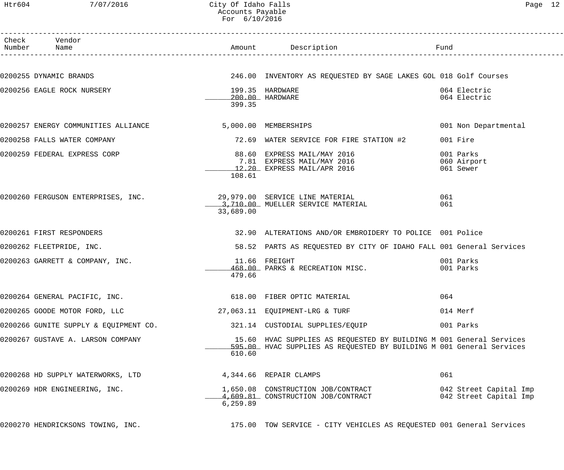# Htr604 7/07/2016 City Of Idaho Falls Page 12 Accounts Payable For 6/10/2016

| Check Vendor<br>Number Name                                        |           | Amount Description                                                                                                                          | Fund                         |
|--------------------------------------------------------------------|-----------|---------------------------------------------------------------------------------------------------------------------------------------------|------------------------------|
|                                                                    |           |                                                                                                                                             |                              |
| 0200255 DYNAMIC BRANDS                                             |           | 246.00 INVENTORY AS REQUESTED BY SAGE LAKES GOL 018 Golf Courses                                                                            |                              |
| 0200256 EAGLE ROCK NURSERY                                         |           | 199.35 HARDWARE                                                                                                                             | 064 Electric<br>064 Electric |
|                                                                    | 399.35    | 200.00 HARDWARE                                                                                                                             |                              |
| 0200257 ENERGY COMMUNITIES ALLIANCE                                |           | 5,000.00 MEMBERSHIPS                                                                                                                        | 001 Non Departmental         |
| 0200258 FALLS WATER COMPANY                                        |           | 72.69 WATER SERVICE FOR FIRE STATION #2                                                                                                     | 001 Fire                     |
| 0200259 FEDERAL EXPRESS CORP                                       |           |                                                                                                                                             | 001 Parks                    |
|                                                                    |           | 88.60 EXPRESS MAIL/MAY 2016<br>7.81 EXPRESS MAIL/MAY 2016<br>12.20 EXPRESS MAIL/APR 2016                                                    | 060 Airport<br>061 Sewer     |
|                                                                    | 108.61    |                                                                                                                                             |                              |
| 0200260 FERGUSON ENTERPRISES, INC. 29,979.00 SERVICE LINE MATERIAL |           |                                                                                                                                             | 061                          |
|                                                                    | 33,689.00 | 3,710.00 MUELLER SERVICE MATERIAL                                                                                                           | 061                          |
| 0200261 FIRST RESPONDERS                                           |           | 32.90 ALTERATIONS AND/OR EMBROIDERY TO POLICE 001 Police                                                                                    |                              |
| 0200262 FLEETPRIDE, INC.                                           |           | 58.52 PARTS AS REQUESTED BY CITY OF IDAHO FALL 001 General Services                                                                         |                              |
| 0200263 GARRETT & COMPANY, INC.                                    |           | 11.66 FREIGHT                                                                                                                               | 001 Parks                    |
|                                                                    | 479.66    | 468.00 PARKS & RECREATION MISC.                                                                                                             | 001 Parks                    |
| 0200264 GENERAL PACIFIC, INC.                                      |           | 618.00 FIBER OPTIC MATERIAL                                                                                                                 | 064                          |
| 0200265 GOODE MOTOR FORD, LLC                                      |           | 27,063.11 EQUIPMENT-LRG & TURF                                                                                                              | 014 Merf                     |
| 0200266 GUNITE SUPPLY & EQUIPMENT CO.                              |           | 321.14 CUSTODIAL SUPPLIES/EQUIP                                                                                                             | 001 Parks                    |
| 0200267 GUSTAVE A. LARSON COMPANY                                  |           | 15.60 HVAC SUPPLIES AS REQUESTED BY BUILDING M 001 General Services<br>595.00 HVAC SUPPLIES AS REQUESTED BY BUILDING M 001 General Services |                              |
|                                                                    | 610.60    |                                                                                                                                             |                              |
| 0200268 HD SUPPLY WATERWORKS, LTD                                  |           | 4,344.66 REPAIR CLAMPS                                                                                                                      | 061                          |
| 0200269 HDR ENGINEERING, INC.                                      |           |                                                                                                                                             | 042 Street Capital Imp       |
|                                                                    | 6, 259.89 |                                                                                                                                             | 042 Street Capital Imp       |
| 0200270 HENDRICKSONS TOWING, INC.                                  |           | 175.00 TOW SERVICE - CITY VEHICLES AS REQUESTED 001 General Services                                                                        |                              |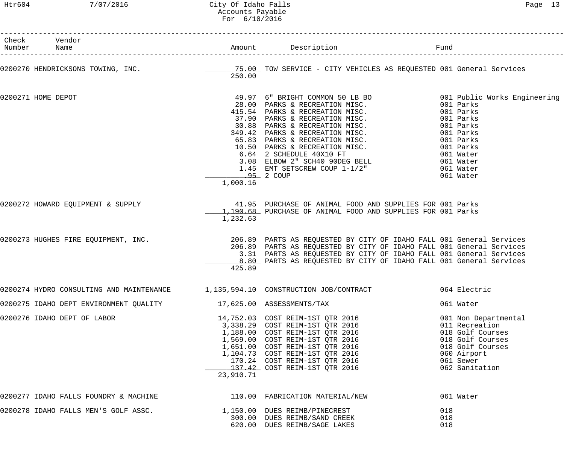#### Htr604 7/07/2016 City Of Idaho Falls Page 13 Accounts Payable For 6/10/2016

| Check Vendor<br>Number Name                                                          |           |                                                                                                                                                                                                                                                                                          |                                                                                                                                                  |
|--------------------------------------------------------------------------------------|-----------|------------------------------------------------------------------------------------------------------------------------------------------------------------------------------------------------------------------------------------------------------------------------------------------|--------------------------------------------------------------------------------------------------------------------------------------------------|
|                                                                                      | 250.00    | 0200270 HENDRICKSONS TOWING, INC. THE READ MALL TOW SERVICE - CITY VEHICLES AS REQUESTED 001 General Services                                                                                                                                                                            |                                                                                                                                                  |
| 0200271 HOME DEPOT                                                                   | 1,000.16  | 49.97 6" BRIGHT COMMON 50 LB BO<br>28.00 PARKS & RECREATION MISC.<br>415.54 PARKS & RECREATION MISC.<br>37.90 PARKS & RECREATION MISC.<br>30.88 PARKS & RECREATION MISC.<br>4001 Parks<br>39.88 PARKS & RECREATION MISC.<br>4001 Parks<br>45.<br><u>95</u> 2 COUP                        | 061 Water                                                                                                                                        |
|                                                                                      | 1,232.63  | 1,190.68 PURCHASE OF ANIMAL FOOD AND SUPPLIES FOR 001 Parks                                                                                                                                                                                                                              |                                                                                                                                                  |
| 0200273 HUGHES FIRE EQUIPMENT, INC.                                                  | 425.89    | 206.89 PARTS AS REQUESTED BY CITY OF IDAHO FALL 001 General Services<br>206.89 PARTS AS REQUESTED BY CITY OF IDAHO FALL 001 General Services<br>3.31 PARTS AS REQUESTED BY CITY OF IDAHO FALL 001 General Services<br>8.80 PARTS AS REQUESTED BY CITY OF IDAHO FALL 001 General Services |                                                                                                                                                  |
| 0200274 HYDRO CONSULTING AND MAINTENANCE                                             |           | 1,135,594.10 CONSTRUCTION JOB/CONTRACT<br>064 Electric                                                                                                                                                                                                                                   |                                                                                                                                                  |
| 0200275 IDAHO DEPT ENVIRONMENT QUALITY                     17,625.00 ASSESSMENTS/TAX |           |                                                                                                                                                                                                                                                                                          | 061 Water                                                                                                                                        |
| 0200276 IDAHO DEPT OF LABOR                                                          | 23,910.71 | 14,752.03 COST REIM-1ST QTR 2016<br>3,338.29 COST REIM-1ST QTR 2016<br>1,188.00 COST REIM-1ST QTR 2016<br>1,569.00 COST REIM-1ST QTR 2016<br>1,651.00 COST REIM-1ST QTR 2016<br>1,104.73 COST REIM-1ST QTR 2016<br>170.24 COST REIM-1ST QTR 2016                                         | 001 Non Departmental<br>011 Recreation<br>018 Golf Courses<br>018 Golf Courses<br>018 Golf Courses<br>060 Airport<br>061 Sewer<br>062 Sanitation |
| 0200277 IDAHO FALLS FOUNDRY & MACHINE $110.00$ FABRICATION MATERIAL/NEW              |           |                                                                                                                                                                                                                                                                                          | 061 Water                                                                                                                                        |
| 0200278 IDAHO FALLS MEN'S GOLF ASSC.                                                 |           | 1,150.00 DUES REIMB/PINECREST<br>300.00 DUES REIMB/SAND CREEK<br>620.00 DUES REIMB/SAGE LAKES                                                                                                                                                                                            | 018<br>018<br>018                                                                                                                                |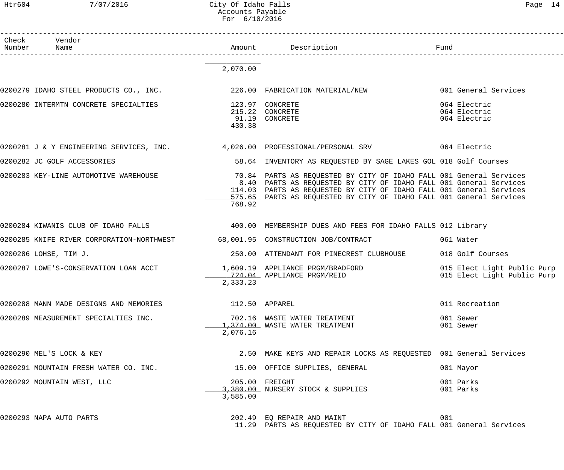Htr604 7/07/2016 City Of Idaho Falls Page 14 Accounts Payable For 6/10/2016

| Check | Vendor<br>Number Name                                                         |          | Amount Description<br>n<br>------------------------                                                                                                                                                                                                                                       | Fund                                                       |
|-------|-------------------------------------------------------------------------------|----------|-------------------------------------------------------------------------------------------------------------------------------------------------------------------------------------------------------------------------------------------------------------------------------------------|------------------------------------------------------------|
|       |                                                                               | 2,070.00 |                                                                                                                                                                                                                                                                                           |                                                            |
|       | 0200279 IDAHO STEEL PRODUCTS CO., INC. 226.00 FABRICATION MATERIAL/NEW        |          |                                                                                                                                                                                                                                                                                           | 001 General Services                                       |
|       | 0200280 INTERMTN CONCRETE SPECIALTIES                                         | 430.38   | 123.97 CONCRETE<br>215.22 CONCRETE<br>91.19 CONCRETE                                                                                                                                                                                                                                      | 064 Electric<br>064 Electric<br>064 Electric               |
|       |                                                                               |          | 0200281 J & Y ENGINEERING SERVICES, INC. 4,026.00 PROFESSIONAL/PERSONAL SRV 664 Electric                                                                                                                                                                                                  |                                                            |
|       | 0200282 JC GOLF ACCESSORIES                                                   |          | 58.64 INVENTORY AS REQUESTED BY SAGE LAKES GOL 018 Golf Courses                                                                                                                                                                                                                           |                                                            |
|       | 0200283 KEY-LINE AUTOMOTIVE WAREHOUSE                                         | 768.92   | 70.84 PARTS AS REQUESTED BY CITY OF IDAHO FALL 001 General Services<br>8.40 PARTS AS REQUESTED BY CITY OF IDAHO FALL 001 General Services<br>114.03 PARTS AS REQUESTED BY CITY OF IDAHO FALL 001 General Services<br>575.65 PARTS AS REQUESTED BY CITY OF IDAHO FALL 001 General Services |                                                            |
|       |                                                                               |          | 0200284 KIWANIS CLUB OF IDAHO FALLS (2000) 400.00 MEMBERSHIP DUES AND FEES FOR IDAHO FALLS 012 Library                                                                                                                                                                                    |                                                            |
|       | 0200285 KNIFE RIVER CORPORATION-NORTHWEST 68,001.95 CONSTRUCTION JOB/CONTRACT |          |                                                                                                                                                                                                                                                                                           | 061 Water                                                  |
|       | 0200286 LOHSE, TIM J.                                                         |          | 250.00 ATTENDANT FOR PINECREST CLUBHOUSE                                                                                                                                                                                                                                                  | 018 Golf Courses                                           |
|       |                                                                               | 2,333.23 | 0200287 LOWE'S-CONSERVATION LOAN ACCT 1,609.19 APPLIANCE PRGM/BRADFORD<br>724.04 APPLIANCE PRGM/REID                                                                                                                                                                                      | 015 Elect Light Public Purp<br>015 Elect Light Public Purp |
|       | 0200288 MANN MADE DESIGNS AND MEMORIES                                        |          | 112.50 APPAREL                                                                                                                                                                                                                                                                            | 011 Recreation                                             |
|       | 0200289 MEASUREMENT SPECIALTIES INC.                                          | 2,076.16 | 702.16 WASTE WATER TREATMENT<br>1,374.00 WASTE WATER TREATMENT                                                                                                                                                                                                                            | 061 Sewer<br>061 Sewer                                     |
|       | 0200290 MEL'S LOCK & KEY                                                      |          | 2.50 MAKE KEYS AND REPAIR LOCKS AS REQUESTED 001 General Services                                                                                                                                                                                                                         |                                                            |
|       | 0200291 MOUNTAIN FRESH WATER CO. INC.                                         |          | 15.00 OFFICE SUPPLIES, GENERAL                                                                                                                                                                                                                                                            | 001 Mayor                                                  |
|       | 0200292 MOUNTAIN WEST, LLC                                                    | 3,585.00 | 205.00 FREIGHT<br>3,380.00 NURSERY STOCK & SUPPLIES                                                                                                                                                                                                                                       | 001 Parks<br>001 Parks                                     |
|       | 0200293 NAPA AUTO PARTS                                                       |          | 202.49 EQ REPAIR AND MAINT<br>11.29 PARTS AS REQUESTED BY CITY OF IDAHO FALL 001 General Services                                                                                                                                                                                         | 001                                                        |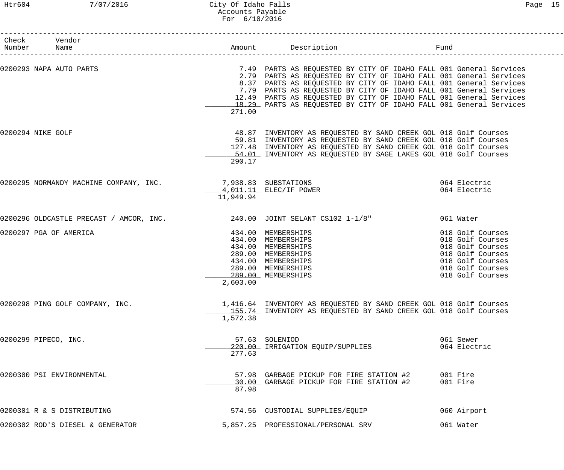## Htr604 7/07/2016 City Of Idaho Falls Page 15 Accounts Payable For 6/10/2016

| Check Vendor<br>Number Name                                                |                                                                                                                                                                    | Fund                                                                                                                                                                                                                                                                                                                                                                                                                               |                                                                                                                                          |
|----------------------------------------------------------------------------|--------------------------------------------------------------------------------------------------------------------------------------------------------------------|------------------------------------------------------------------------------------------------------------------------------------------------------------------------------------------------------------------------------------------------------------------------------------------------------------------------------------------------------------------------------------------------------------------------------------|------------------------------------------------------------------------------------------------------------------------------------------|
| 0200293 NAPA AUTO PARTS                                                    | 271.00                                                                                                                                                             | 7.49 PARTS AS REQUESTED BY CITY OF IDAHO FALL 001 General Services<br>2.79 PARTS AS REQUESTED BY CITY OF IDAHO FALL 001 General Services<br>8.37 PARTS AS REQUESTED BY CITY OF IDAHO FALL 001 General Services<br>7.79 PARTS AS REQUESTED BY CITY OF IDAHO FALL 001 General Services<br>12.49 PARTS AS REQUESTED BY CITY OF IDAHO FALL 001 General Services<br>18.29 PARTS AS REQUESTED BY CITY OF IDAHO FALL 001 General Services |                                                                                                                                          |
| 0200294 NIKE GOLF                                                          | 290.17                                                                                                                                                             | 48.87 INVENTORY AS REQUESTED BY SAND CREEK GOL 018 Golf Courses<br>59.81 INVENTORY AS REQUESTED BY SAND CREEK GOL 018 Golf Courses<br>127.48 INVENTORY AS REQUESTED BY SAND CREEK GOL 018 Golf Courses<br>54.01 INVENTORY AS REQUESTED BY SAGE LAKES GOL 018 Golf Courses                                                                                                                                                          |                                                                                                                                          |
| 0200295 NORMANDY MACHINE COMPANY, INC. 7,938.83 SUBSTATIONS                | 4,011.11 ELEC/IF POWER<br>11,949.94                                                                                                                                |                                                                                                                                                                                                                                                                                                                                                                                                                                    | 064 Electric<br>064 Electric                                                                                                             |
| 0200296 OLDCASTLE PRECAST / AMCOR, INC. $240.00$ JOINT SELANT CS102 1-1/8" |                                                                                                                                                                    |                                                                                                                                                                                                                                                                                                                                                                                                                                    | 061 Water                                                                                                                                |
| 0200297 PGA OF AMERICA                                                     | 434.00 MEMBERSHIPS<br>434.00 MEMBERSHIPS<br>434.00 MEMBERSHIPS<br>289.00 MEMBERSHIPS<br>434.00 MEMBERSHIPS<br>289.00 MEMBERSHIPS<br>289.00 MEMBERSHIPS<br>2,603.00 |                                                                                                                                                                                                                                                                                                                                                                                                                                    | 018 Golf Courses<br>018 Golf Courses<br>018 Golf Courses<br>018 Golf Courses<br>018 Golf Courses<br>018 Golf Courses<br>018 Golf Courses |
| 0200298 PING GOLF COMPANY, INC.                                            | 1,572.38                                                                                                                                                           | 1,416.64 INVENTORY AS REQUESTED BY SAND CREEK GOL 018 Golf Courses<br>155.74 INVENTORY AS REQUESTED BY SAND CREEK GOL 018 Golf Courses                                                                                                                                                                                                                                                                                             |                                                                                                                                          |
| 0200299 PIPECO, INC.                                                       | 57.63 SOLENIOD<br>220.00 IRRIGATION EQUIP/SUPPLIES<br>277.63                                                                                                       |                                                                                                                                                                                                                                                                                                                                                                                                                                    | 061 Sewer<br>064 Electric                                                                                                                |
| 0200300 PSI ENVIRONMENTAL                                                  | 30.00 GARBAGE PICKUP FOR FIRE STATION #2<br>87.98                                                                                                                  | 57.98 GARBAGE PICKUP FOR FIRE STATION #2                                                                                                                                                                                                                                                                                                                                                                                           | 001 Fire<br>001 Fire                                                                                                                     |
| 0200301 R & S DISTRIBUTING                                                 | 574.56 CUSTODIAL SUPPLIES/EQUIP                                                                                                                                    |                                                                                                                                                                                                                                                                                                                                                                                                                                    | 060 Airport                                                                                                                              |
| 0200302 ROD'S DIESEL & GENERATOR                                           | 5,857.25 PROFESSIONAL/PERSONAL SRV                                                                                                                                 |                                                                                                                                                                                                                                                                                                                                                                                                                                    | 061 Water                                                                                                                                |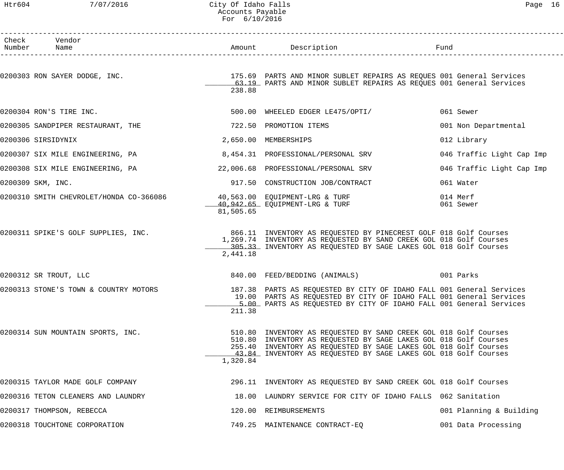#### Htr604 7/07/2016 City Of Idaho Falls Page 16 Accounts Payable For 6/10/2016

| Check Vendor<br>Number Name             |           | Amount Description                                                                                                                                                                                                                                                          | Fund                      |
|-----------------------------------------|-----------|-----------------------------------------------------------------------------------------------------------------------------------------------------------------------------------------------------------------------------------------------------------------------------|---------------------------|
| 0200303 RON SAYER DODGE, INC.           | 238.88    | 175.69 PARTS AND MINOR SUBLET REPAIRS AS REQUES 001 General Services<br>63.19 PARTS AND MINOR SUBLET REPAIRS AS REQUES 001 General Services                                                                                                                                 |                           |
| 0200304 RON'S TIRE INC.                 |           | 500.00 WHEELED EDGER LE475/OPTI/                                                                                                                                                                                                                                            | 061 Sewer                 |
| 0200305 SANDPIPER RESTAURANT, THE       |           | 722.50 PROMOTION ITEMS                                                                                                                                                                                                                                                      | 001 Non Departmental      |
| 0200306 SIRSIDYNIX                      |           | 2,650.00 MEMBERSHIPS                                                                                                                                                                                                                                                        | 012 Library               |
| 0200307 SIX MILE ENGINEERING, PA        |           | 8,454.31 PROFESSIONAL/PERSONAL SRV                                                                                                                                                                                                                                          | 046 Traffic Light Cap Imp |
| 0200308 SIX MILE ENGINEERING, PA        |           | 22,006.68 PROFESSIONAL/PERSONAL SRV                                                                                                                                                                                                                                         | 046 Traffic Light Cap Imp |
| 0200309 SKM, INC.                       |           | 917.50 CONSTRUCTION JOB/CONTRACT                                                                                                                                                                                                                                            | 061 Water                 |
| 0200310 SMITH CHEVROLET/HONDA CO-366086 | 81,505.65 | 40,563.00 EQUIPMENT-LRG & TURF<br>40,942.65 EQUIPMENT-LRG & TURF                                                                                                                                                                                                            | 014 Merf<br>061 Sewer     |
| 0200311 SPIKE'S GOLF SUPPLIES, INC.     | 2,441.18  | 866.11 INVENTORY AS REQUESTED BY PINECREST GOLF 018 Golf Courses<br>1,269.74 INVENTORY AS REQUESTED BY SAND CREEK GOL 018 Golf Courses<br>305.33 INVENTORY AS REQUESTED BY SAGE LAKES GOL 018 Golf Courses                                                                  |                           |
| 0200312 SR TROUT, LLC                   |           | 840.00 FEED/BEDDING (ANIMALS)                                                                                                                                                                                                                                               | 001 Parks                 |
| 0200313 STONE'S TOWN & COUNTRY MOTORS   | 211.38    | 187.38 PARTS AS REQUESTED BY CITY OF IDAHO FALL 001 General Services<br>19.00 PARTS AS REQUESTED BY CITY OF IDAHO FALL 001 General Services<br>5.00 PARTS AS REQUESTED BY CITY OF IDAHO FALL 001 General Services                                                           |                           |
| 0200314 SUN MOUNTAIN SPORTS, INC.       | 1,320.84  | 510.80 INVENTORY AS REQUESTED BY SAND CREEK GOL 018 Golf Courses<br>510.80 INVENTORY AS REQUESTED BY SAGE LAKES GOL 018 Golf Courses<br>255.40 INVENTORY AS REQUESTED BY SAGE LAKES GOL 018 Golf Courses<br>43.84 INVENTORY AS REQUESTED BY SAGE LAKES GOL 018 Golf Courses |                           |
| 0200315 TAYLOR MADE GOLF COMPANY        |           | 296.11 INVENTORY AS REQUESTED BY SAND CREEK GOL 018 Golf Courses                                                                                                                                                                                                            |                           |
| 0200316 TETON CLEANERS AND LAUNDRY      |           | 18.00 LAUNDRY SERVICE FOR CITY OF IDAHO FALLS 062 Sanitation                                                                                                                                                                                                                |                           |
| 0200317 THOMPSON, REBECCA               |           | 120.00 REIMBURSEMENTS                                                                                                                                                                                                                                                       | 001 Planning & Building   |
| 0200318 TOUCHTONE CORPORATION           |           | 749.25 MAINTENANCE CONTRACT-EQ                                                                                                                                                                                                                                              | 001 Data Processing       |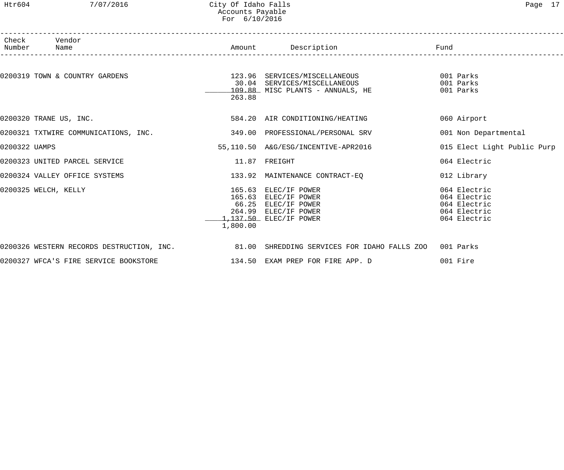#### Htr604 7/07/2016 City Of Idaho Falls Page 17 Accounts Payable For 6/10/2016

|               | Check Vendor<br>Number Name                                                     |          | Amount Description<br>___________________                                                                             | Fund                                                                         |
|---------------|---------------------------------------------------------------------------------|----------|-----------------------------------------------------------------------------------------------------------------------|------------------------------------------------------------------------------|
|               | 0200319 TOWN & COUNTRY GARDENS                                                  | 263.88   | 123.96 SERVICES/MISCELLANEOUS<br>30.04 SERVICES/MISCELLANEOUS<br>109.88 MISC PLANTS - ANNUALS, HE                     | 001 Parks<br>001 Parks<br>001 Parks                                          |
|               | 0200320 TRANE US, INC.                                                          |          | 584.20 AIR CONDITIONING/HEATING                                                                                       | 060 Airport                                                                  |
|               | 0200321 TXTWIRE COMMUNICATIONS, INC.           349.00 PROFESSIONAL/PERSONAL SRV |          |                                                                                                                       | 001 Non Departmental                                                         |
| 0200322 UAMPS |                                                                                 |          | 55,110.50 A&G/ESG/INCENTIVE-APR2016                                                                                   | 015 Elect Light Public Purp                                                  |
|               | 0200323 UNITED PARCEL SERVICE                                                   |          | $11.87$ FREIGHT                                                                                                       | 064 Electric                                                                 |
|               | 0200324 VALLEY OFFICE SYSTEMS                                                   |          | 133.92 MAINTENANCE CONTRACT-EQ                                                                                        | 012 Library                                                                  |
|               | 0200325 WELCH, KELLY                                                            | 1,800.00 | 165.63 ELEC/IF POWER<br>165.63 ELEC/IF POWER<br>66.25 ELEC/IF POWER<br>264.99 ELEC/IF POWER<br>1,137.50 ELEC/IF POWER | 064 Electric<br>064 Electric<br>064 Electric<br>064 Electric<br>064 Electric |
|               |                                                                                 |          | 0200326 WESTERN RECORDS DESTRUCTION, INC. 31.00 SHREDDING SERVICES FOR IDAHO FALLS ZOO 001 Parks                      |                                                                              |
|               | 0200327 WFCA'S FIRE SERVICE BOOKSTORE                                           |          | 134.50 EXAM PREP FOR FIRE APP. D                                                                                      | 001 Fire                                                                     |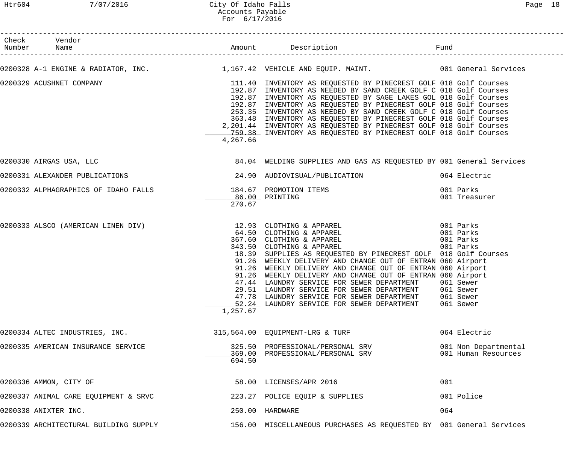#### Htr604 7/07/2016 City Of Idaho Falls Page 18 Accounts Payable For 6/17/2016

------------------------------------------------------------------------------------------------------------------------------------

| Check | Vendor<br>Number Name                 |          |                                                                                                                                                                                                                                                                                                                                                                                                                                                                                                                                                                                                                                      |                                             |
|-------|---------------------------------------|----------|--------------------------------------------------------------------------------------------------------------------------------------------------------------------------------------------------------------------------------------------------------------------------------------------------------------------------------------------------------------------------------------------------------------------------------------------------------------------------------------------------------------------------------------------------------------------------------------------------------------------------------------|---------------------------------------------|
|       |                                       |          | 0200328 A-1 ENGINE & RADIATOR, INC. 1,167.42 VEHICLE AND EQUIP. MAINT. 1997 1997 001 General Services                                                                                                                                                                                                                                                                                                                                                                                                                                                                                                                                |                                             |
|       | 0200329 ACUSHNET COMPANY              | 4,267.66 | 111.40  INVENTORY AS REQUESTED BY PINECREST GOLF 018 Golf Courses<br>192.87  INVENTORY AS NEEDED BY SAND CREEK GOLF C 018 Golf Courses<br>192.87 INVENTORY AS NEEDED BY SAND CREEK GOLF C 018 Golf Courses<br>192.87 INVENTORY AS REQUESTED BY SAGE LAKES GOL 018 Golf Courses<br>192.87 INVENTORY AS REQUESTED BY PINECREST GOLF 018 Golf Courses<br>253.35 INVENTORY AS NEEDED BY SAND CREEK GOLF C 018 Golf Courses<br>363.48 INVENTORY AS REQUESTED BY PINECREST GOLF 018 Golf Courses<br>2,201.44 INVENTORY AS REQUESTED BY PINECREST GOLF 018 Golf Courses<br>759.38 INVENTORY AS REQUESTED BY PINECREST GOLF 018 Golf Courses |                                             |
|       | 0200330 AIRGAS USA, LLC               |          | 84.04 WELDING SUPPLIES AND GAS AS REQUESTED BY 001 General Services                                                                                                                                                                                                                                                                                                                                                                                                                                                                                                                                                                  |                                             |
|       |                                       |          | 0200331 ALEXANDER PUBLICATIONS 34.90 AUDIOVISUAL/PUBLICATION 664 Electric                                                                                                                                                                                                                                                                                                                                                                                                                                                                                                                                                            |                                             |
|       |                                       | 270.67   | 0200332 ALPHAGRAPHICS OF IDAHO FALLS           184.67 PROMOTION ITEMS                 001 Parks<br>86.00 PRINTING                                                                                                                                                                                                                                                                                                                                                                                                                                                                                                                    | 001 Treasurer                               |
|       |                                       | 1,257.67 | 0200333 ALSCO (AMERICAN LINEN DIV) 12.93 CLOTHING & APPAREL 001 Parks<br>64.50 CLOTHING & APPAREL 001 Parks<br>18.39 SUPPLIES AS REQUESTED BY PINECREST GOLF 018 Golf Courses<br>91.26 WEEKLY DELIVERY AND CHANGE OUT OF ENTRAN 060 Airport<br>91.26 WEEKLY DELIVERY AND CHANGE OUT OF ENTRAN 060 Airport<br>91.26 WEEKLY DELIVERY AND CHANGE OUT OF ENTRAN 060 Airport<br>47.44 LAUNDRY SERVICE FOR SEWER DEPARTMENT<br>29.51 LAUNDRY SERVICE FOR SEWER DEPARTMENT 061 Sewer<br>47.78 LAUNDRY SERVICE FOR SEWER DEPARTMENT<br>52.24 LAUNDRY SERVICE FOR SEWER DEPARTMENT                                                            | 061 Sewer<br>061 Sewer<br>061 Sewer         |
|       | 0200334 ALTEC INDUSTRIES, INC.        |          | 315,564.00 EQUIPMENT-LRG & TURF                                                                                                                                                                                                                                                                                                                                                                                                                                                                                                                                                                                                      | 064 Electric                                |
|       | 0200335 AMERICAN INSURANCE SERVICE    | 694.50   | 325.50 PROFESSIONAL/PERSONAL SRV<br>369.00 PROFESSIONAL/PERSONAL SRV                                                                                                                                                                                                                                                                                                                                                                                                                                                                                                                                                                 | 001 Non Departmental<br>001 Human Resources |
|       | 0200336 AMMON, CITY OF                |          | 58.00 LICENSES/APR 2016                                                                                                                                                                                                                                                                                                                                                                                                                                                                                                                                                                                                              | 001                                         |
|       | 0200337 ANIMAL CARE EQUIPMENT & SRVC  |          | 223.27 POLICE EQUIP & SUPPLIES                                                                                                                                                                                                                                                                                                                                                                                                                                                                                                                                                                                                       | 001 Police                                  |
|       | 0200338 ANIXTER INC.                  |          | 250.00 HARDWARE                                                                                                                                                                                                                                                                                                                                                                                                                                                                                                                                                                                                                      | 064                                         |
|       | 0200339 ARCHITECTURAL BUILDING SUPPLY |          | 156.00 MISCELLANEOUS PURCHASES AS REQUESTED BY 001 General Services                                                                                                                                                                                                                                                                                                                                                                                                                                                                                                                                                                  |                                             |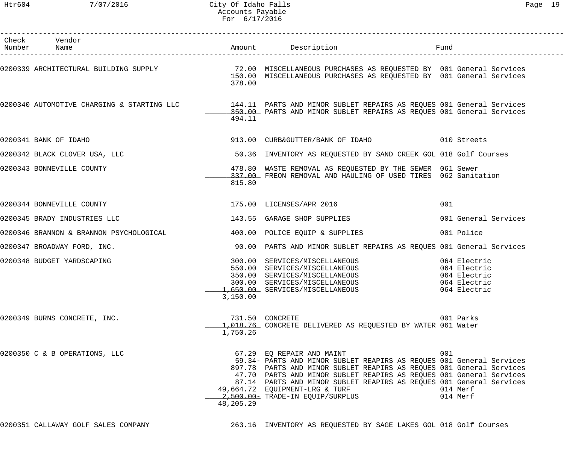| ില<br>⊣ |  |
|---------|--|
|---------|--|

| Check Vendor<br>Number Name                                                                                                                                                                            |           | Amount Description                                                                                                                                                                                                                                                                                                                                                                             | Fund                                                                         |
|--------------------------------------------------------------------------------------------------------------------------------------------------------------------------------------------------------|-----------|------------------------------------------------------------------------------------------------------------------------------------------------------------------------------------------------------------------------------------------------------------------------------------------------------------------------------------------------------------------------------------------------|------------------------------------------------------------------------------|
| 0200339 ARCHITECTURAL BUILDING SUPPLY                        72.00 MISCELLANEOUS PURCHASES AS REQUESTED BY 001 General Services<br>150.00 MISCELLANEOUS PURCHASES AS REQUESTED BY 001 General Services | 378.00    |                                                                                                                                                                                                                                                                                                                                                                                                |                                                                              |
| 0200340 AUTOMOTIVE CHARGING & STARTING LLC       144.11 PARTS AND MINOR SUBLET REPAIRS AS REQUES 001 General Services<br>350.00 PARTS AND MINOR SUBLET REPAIRS AS REQUES 001 General Services          | 494.11    |                                                                                                                                                                                                                                                                                                                                                                                                |                                                                              |
| 0200341 BANK OF IDAHO                                                                                                                                                                                  |           | 913.00 CURB&GUTTER/BANK OF IDAHO 610 Streets                                                                                                                                                                                                                                                                                                                                                   |                                                                              |
| 0200342 BLACK CLOVER USA, LLC                                                                                                                                                                          |           | 50.36 INVENTORY AS REQUESTED BY SAND CREEK GOL 018 Golf Courses                                                                                                                                                                                                                                                                                                                                |                                                                              |
| 0200343 BONNEVILLE COUNTY                                                                                                                                                                              | 815.80    | 478.80 WASTE REMOVAL AS REQUESTED BY THE SEWER 061 Sewer<br>337.00 FREON REMOVAL AND HAULING OF USED TIRES 062 Sanitation                                                                                                                                                                                                                                                                      |                                                                              |
| 0200344 BONNEVILLE COUNTY                                                                                                                                                                              |           | 175.00 LICENSES/APR 2016                                                                                                                                                                                                                                                                                                                                                                       | 001                                                                          |
| 0200345 BRADY INDUSTRIES LLC                                                                                                                                                                           |           | 143.55 GARAGE SHOP SUPPLIES                                                                                                                                                                                                                                                                                                                                                                    | 001 General Services                                                         |
| 0200346 BRANNON & BRANNON PSYCHOLOGICAL 400.00 POLICE EQUIP & SUPPLIES                                                                                                                                 |           |                                                                                                                                                                                                                                                                                                                                                                                                | 001 Police                                                                   |
| 0200347 BROADWAY FORD, INC.                                                                                                                                                                            |           | 90.00 PARTS AND MINOR SUBLET REPAIRS AS REQUES 001 General Services                                                                                                                                                                                                                                                                                                                            |                                                                              |
| 0200348 BUDGET YARDSCAPING                                                                                                                                                                             | 3,150.00  | 300.00 SERVICES/MISCELLANEOUS<br>550.00 SERVICES/MISCELLANEOUS<br>350.00 SERVICES/MISCELLANEOUS<br>300.00 SERVICES/MISCELLANEOUS<br>1,650.00 SERVICES/MISCELLANEOUS                                                                                                                                                                                                                            | 064 Electric<br>064 Electric<br>064 Electric<br>064 Electric<br>064 Electric |
| 0200349 BURNS CONCRETE, INC.                                                                                                                                                                           | 1,750.26  | 731.50 CONCRETE<br>1,018.76 CONCRETE DELIVERED AS REQUESTED BY WATER 061 Water                                                                                                                                                                                                                                                                                                                 | 001 Parks                                                                    |
| 0200350 C & B OPERATIONS, LLC                                                                                                                                                                          | 48,205.29 | 67.29 EQ REPAIR AND MAINT<br>59.34- PARTS AND MINOR SUBLET REAPIRS AS REQUES 001 General Services<br>897.78 PARTS AND MINOR SUBLET REAPIRS AS REQUES 001 General Services<br>47.70 PARTS AND MINOR SUBLET REAPIRS AS REQUES 001 General Services<br>87.14 PARTS AND MINOR SUBLET REAPIRS AS REQUES 001 General Services<br>49,664.72 EQUIPMENT-LRG & TURF<br>2,500.00 - TRADE-IN EQUIP/SURPLUS | 001<br>014 Merf<br>014 Merf                                                  |
| 0200351 CALLAWAY GOLF SALES COMPANY                                                                                                                                                                    |           | 263.16 INVENTORY AS REQUESTED BY SAGE LAKES GOL 018 Golf Courses                                                                                                                                                                                                                                                                                                                               |                                                                              |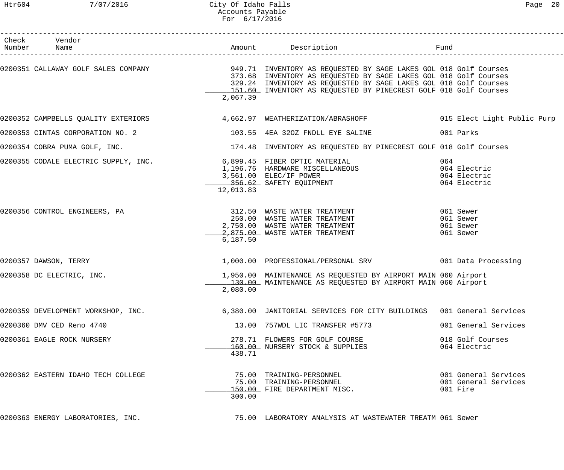| Check Vendor<br>Number Name        |           |                                                                                                                                                                                                                                                                                                                   |                                                          |
|------------------------------------|-----------|-------------------------------------------------------------------------------------------------------------------------------------------------------------------------------------------------------------------------------------------------------------------------------------------------------------------|----------------------------------------------------------|
|                                    | 2,067.39  | 0200351 CALLAWAY GOLF SALES COMPANY 1949.71 INVENTORY AS REQUESTED BY SAGE LAKES GOL 018 Golf Courses<br>373.68 INVENTORY AS REQUESTED BY SAGE LAKES GOL 018 Golf Courses<br>329.24 INVENTORY AS REQUESTED BY SAGE LAKES GOL 018 Golf Courses<br>151.60 INVENTORY AS REQUESTED BY PINECREST GOLF 018 Golf Courses |                                                          |
|                                    |           | 0200352 CAMPBELLS QUALITY EXTERIORS 662.97 WEATHERIZATION/ABRASHOFF 6015 Elect Light Public Purp                                                                                                                                                                                                                  |                                                          |
| 0200353 CINTAS CORPORATION NO. 2   |           | 103.55 4EA 320Z FNDLL EYE SALINE                                                                                                                                                                                                                                                                                  | 001 Parks                                                |
|                                    |           | 0200354 COBRA PUMA GOLF, INC. THE SAND SERVICE SERVICE 2018 ON THE SANDWARE SERVICES ON THE SAND SERVICES ON T                                                                                                                                                                                                    |                                                          |
|                                    | 12,013.83 | 0200355 CODALE ELECTRIC SUPPLY, INC.<br>1,196.76 HARDWARE MISCELLANEOUS<br>3,561.00 ELEC/IF POWER<br>356.62 SAFETY EQUIPMENT                                                                                                                                                                                      | 064<br>064 Electric<br>064 Electric<br>064 Electric      |
|                                    | 6,187.50  | 250.00 WASTE WATER TREATMENT<br>2,750.00 WASTE WATER TREATMENT<br>2,750.00 WASTE WATER TREATMENT<br>2,875.00 WASTE WATER TREATMENT                                                                                                                                                                                | 061 Sewer<br>061 Sewer<br>061 Sewer<br>061 Sewer         |
| 0200357 DAWSON, TERRY              |           | 1,000.00 PROFESSIONAL/PERSONAL SRV 001 Data Processing                                                                                                                                                                                                                                                            |                                                          |
| 0200358 DC ELECTRIC, INC.          | 2,080.00  | 1,950.00 MAINTENANCE AS REQUESTED BY AIRPORT MAIN 060 Airport<br>130.00 MAINTENANCE AS REQUESTED BY AIRPORT MAIN 060 Airport                                                                                                                                                                                      |                                                          |
| 0200359 DEVELOPMENT WORKSHOP, INC. |           | 6,380.00 JANITORIAL SERVICES FOR CITY BUILDINGS 001 General Services                                                                                                                                                                                                                                              |                                                          |
| 0200360 DMV CED Reno 4740          |           | 13.00 757WDL LIC TRANSFER #5773                                                                                                                                                                                                                                                                                   | 001 General Services                                     |
| 0200361 EAGLE ROCK NURSERY         | 438.71    | 278.71 FLOWERS FOR GOLF COURSE<br>160.00 NURSERY STOCK & SUPPLIES                                                                                                                                                                                                                                                 | 018 Golf Courses<br>064 Electric                         |
| 0200362 EASTERN IDAHO TECH COLLEGE | 300.00    | 75.00 TRAINING-PERSONNEL<br>75.00 TRAINING-PERSONNEL<br>150.00 FIRE DEPARTMENT MISC.                                                                                                                                                                                                                              | 001 General Services<br>001 General Services<br>001 Fire |
| 0200363 ENERGY LABORATORIES, INC.  |           | 75.00 LABORATORY ANALYSIS AT WASTEWATER TREATM 061 Sewer                                                                                                                                                                                                                                                          |                                                          |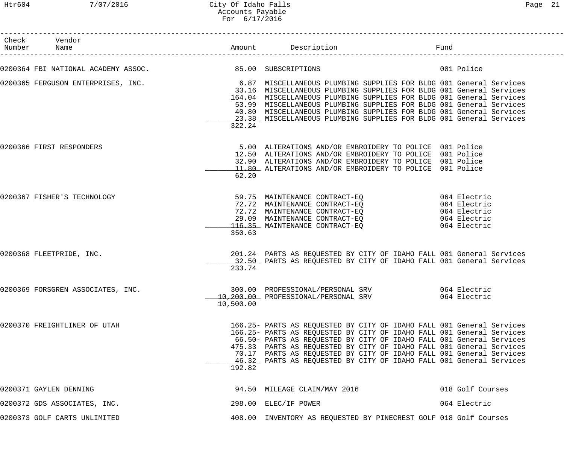## Htr604 7/07/2016 City Of Idaho Falls Page 21 Accounts Payable For 6/17/2016

| Check Vendor<br>Number Name       |                                                         | Amount Description Description Fund                                                                                                                                                                                                                                                                                                                                                                                                                                                  |                  |
|-----------------------------------|---------------------------------------------------------|--------------------------------------------------------------------------------------------------------------------------------------------------------------------------------------------------------------------------------------------------------------------------------------------------------------------------------------------------------------------------------------------------------------------------------------------------------------------------------------|------------------|
|                                   | 0200364 FBI NATIONAL ACADEMY ASSOC. 85.00 SUBSCRIPTIONS |                                                                                                                                                                                                                                                                                                                                                                                                                                                                                      | 001 Police       |
|                                   | 322.24                                                  | 0200365 FERGUSON ENTERPRISES, INC. <sup>6.87</sup> MISCELLANEOUS PLUMBING SUPPLIES FOR BLDG 001 General Services<br>33.16 MISCELLANEOUS PLUMBING SUPPLIES FOR BLDG 001 General Services<br>164.04 MISCELLANEOUS PLUMBING SUPPLIES FOR BLDG 001 General Services<br>53.99 MISCELLANEOUS PLUMBING SUPPLIES FOR BLDG 001 General Services<br>40.80 MISCELLANEOUS PLUMBING SUPPLIES FOR BLDG 001 General Services<br>23.38 MISCELLANEOUS PLUMBING SUPPLIES FOR BLDG 001 General Services |                  |
| 0200366 FIRST RESPONDERS          | 62.20                                                   | 5.00 ALTERATIONS AND/OR EMBROIDERY TO POLICE 001 Police<br>12.50 ALTERATIONS AND/OR EMBROIDERY TO POLICE 001 Police<br>32.90 ALTERATIONS AND/OR EMBROIDERY TO POLICE 001 Police<br>11.80 ALTERATIONS AND/OR EMBROIDERY TO POLICE 001 Police                                                                                                                                                                                                                                          |                  |
| 0200367 FISHER'S TECHNOLOGY       | 350.63                                                  | 59.75 MAINTENANCE CONTRACT-EQ 064 Electric<br>72.72 MAINTENANCE CONTRACT-EQ 064 Electric<br>12.72 MAINTENANCE CONTRACT-EQ<br>29.09 MAINTENANCE CONTRACT-EQ<br>116.35 MAINTENANCE CONTRACT-EQ 064 Electric<br>116.35 MAINTENANCE CONTRACT-EQ                                                                                                                                                                                                                                          |                  |
| 0200368 FLEETPRIDE, INC.          | 233.74                                                  | 201.24 PARTS AS REQUESTED BY CITY OF IDAHO FALL 001 General Services<br>32.50 PARTS AS REQUESTED BY CITY OF IDAHO FALL 001 General Services                                                                                                                                                                                                                                                                                                                                          |                  |
| 0200369 FORSGREN ASSOCIATES, INC. | 10,500.00                                               | 064 Electric<br>300.00 PROFESSIONAL/PERSONAL SRV<br>10,200.00 PROFESSIONAL/PERSONAL SRV 664 Electric                                                                                                                                                                                                                                                                                                                                                                                 |                  |
| 0200370 FREIGHTLINER OF UTAH      | 192.82                                                  | 166.25- PARTS AS REQUESTED BY CITY OF IDAHO FALL 001 General Services<br>166.25- PARTS AS REQUESTED BY CITY OF IDAHO FALL 001 General Services<br>66.50- PARTS AS REQUESTED BY CITY OF IDAHO FALL 001 General Services<br>475.33 PARTS AS REQUESTED BY CITY OF IDAHO FALL 001 General Services<br>70.17 PARTS AS REQUESTED BY CITY OF IDAHO FALL 001 General Services<br>46.32 PARTS AS REQUESTED BY CITY OF IDAHO FALL 001 General Services                                         |                  |
| 0200371 GAYLEN DENNING            |                                                         | 94.50 MILEAGE CLAIM/MAY 2016                                                                                                                                                                                                                                                                                                                                                                                                                                                         | 018 Golf Courses |
| 0200372 GDS ASSOCIATES, INC.      |                                                         | 298.00 ELEC/IF POWER                                                                                                                                                                                                                                                                                                                                                                                                                                                                 | 064 Electric     |
| 0200373 GOLF CARTS UNLIMITED      |                                                         | 408.00 INVENTORY AS REQUESTED BY PINECREST GOLF 018 Golf Courses                                                                                                                                                                                                                                                                                                                                                                                                                     |                  |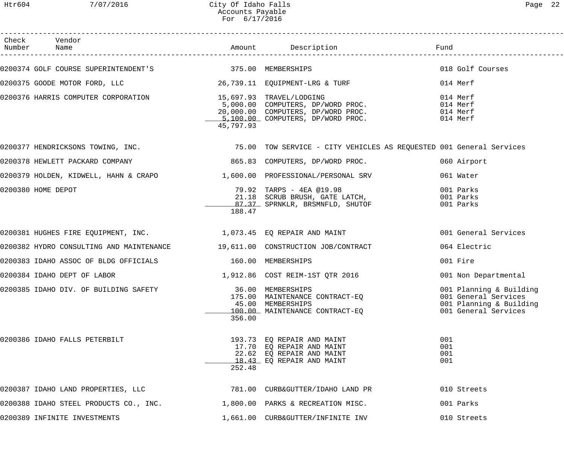| Check Vendor<br>Number Name                                                                                                                                                  |           | Amount Description                                                                                                | Fund                                                                                               |
|------------------------------------------------------------------------------------------------------------------------------------------------------------------------------|-----------|-------------------------------------------------------------------------------------------------------------------|----------------------------------------------------------------------------------------------------|
| 0200374 GOLF COURSE SUPERINTENDENT'S 375.00 MEMBERSHIPS                                                                                                                      |           |                                                                                                                   | 018 Golf Courses                                                                                   |
| 0200375 GOODE MOTOR FORD, LLC 26,739.11 EQUIPMENT-LRG & TURF                                                                                                                 |           |                                                                                                                   | 014 Merf                                                                                           |
| 0200376 HARRIS COMPUTER CORPORATION 15,697.93 TRAVEL/LODGING<br>5,000.00 COMPUTERS, DP/WORD PROC.<br>20,000.00 COMPUTERS, DP/WORD PROC.<br>5,100.00 COMPUTERS, DP/WORD PROC. | 45,797.93 |                                                                                                                   | 014 Merf<br>014 Merf<br>014 Merf<br>014 Merf                                                       |
|                                                                                                                                                                              |           | 0200377 HENDRICKSONS TOWING, INC. THE SALE READ TOW SERVICE - CITY VEHICLES AS REQUESTED 001 General Services     |                                                                                                    |
| 0200378 HEWLETT PACKARD COMPANY                                                                                                                                              |           | 865.83 COMPUTERS, DP/WORD PROC.                                                                                   | 060 Airport                                                                                        |
| 0200379 HOLDEN, KIDWELL, HAHN & CRAPO $1,600.00$ PROFESSIONAL/PERSONAL SRV                                                                                                   |           |                                                                                                                   | 061 Water                                                                                          |
| 0200380 HOME DEPOT                                                                                                                                                           | 188.47    | 79.92 TARPS - 4EA @19.98<br>21.18 SCRUB BRUSH, GATE LATCH,<br>$\frac{87.37}{100}$ SPRNKLR, BRSMNFLD, SHUTOF       | 001 Parks<br>001 Parks<br>001 Parks                                                                |
| 0200381 HUGHES FIRE EQUIPMENT, INC. 1,073.45 EQ REPAIR AND MAINT                                                                                                             |           |                                                                                                                   | 001 General Services                                                                               |
| 0200382 HYDRO CONSULTING AND MAINTENANCE 19,611.00 CONSTRUCTION JOB/CONTRACT                                                                                                 |           |                                                                                                                   | 064 Electric                                                                                       |
| 0200383 IDAHO ASSOC OF BLDG OFFICIALS 160.00 MEMBERSHIPS                                                                                                                     |           |                                                                                                                   | 001 Fire                                                                                           |
| 0200384 IDAHO DEPT OF LABOR                                                                                                                                                  |           | 1,912.86  COST REIM-1ST QTR  2016                                                                                 | 001 Non Departmental                                                                               |
| 0200385 IDAHO DIV. OF BUILDING SAFETY                                                                                                                                        | 356.00    | 36.00 MEMBERSHIPS<br>175.00 MAINTENANCE CONTRACT-EQ<br>45.00 MEMBERSHIPS<br>100.00 MAINTENANCE CONTRACT-EO        | 001 Planning & Building<br>001 General Services<br>001 Planning & Building<br>001 General Services |
| 0200386 IDAHO FALLS PETERBILT                                                                                                                                                | 252.48    | 193.73 EO REPAIR AND MAINT<br>17.70 EQ REPAIR AND MAINT<br>22.62 EQ REPAIR AND MAINT<br>18.43 EQ REPAIR AND MAINT | 001<br>001<br>001<br>001                                                                           |
| 0200387 IDAHO LAND PROPERTIES, LLC                                                                                                                                           |           | 781.00 CURB&GUTTER/IDAHO LAND PR                                                                                  | 010 Streets                                                                                        |
| 0200388 IDAHO STEEL PRODUCTS CO., INC.                                                                                                                                       |           | 1,800.00 PARKS & RECREATION MISC.                                                                                 | 001 Parks                                                                                          |
| 0200389 INFINITE INVESTMENTS                                                                                                                                                 |           | 1,661.00 CURB&GUTTER/INFINITE INV                                                                                 | 010 Streets                                                                                        |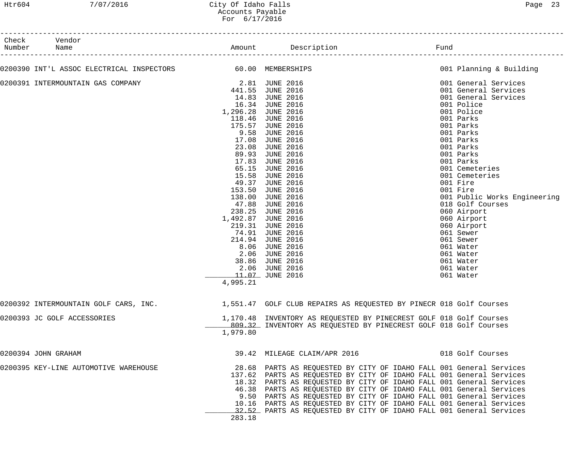| Check  | Vendor                                                                                                  |                |                                                                      |                              |
|--------|---------------------------------------------------------------------------------------------------------|----------------|----------------------------------------------------------------------|------------------------------|
| Number | Name                                                                                                    |                |                                                                      |                              |
|        | 0200390 INT'L ASSOC ELECTRICAL INSPECTORS 60.00 MEMBERSHIPS                                             |                |                                                                      | 001 Planning & Building      |
|        | 0200391 INTERMOUNTAIN GAS COMPANY                                                                       | 2.81 JUNE 2016 |                                                                      | 001 General Services         |
|        |                                                                                                         |                | 441.55 JUNE 2016                                                     | 001 General Services         |
|        |                                                                                                         |                | 14.83 JUNE 2016                                                      | 001 General Services         |
|        |                                                                                                         |                | 16.34 JUNE 2016                                                      | 001 Police                   |
|        |                                                                                                         |                | 1,296.28 JUNE 2016                                                   | 001 Police                   |
|        |                                                                                                         |                | 118.46 JUNE 2016                                                     | 001 Parks                    |
|        |                                                                                                         |                | 175.57 JUNE 2016                                                     | 001 Parks                    |
|        |                                                                                                         |                | 9.58 JUNE 2016                                                       | 001 Parks                    |
|        |                                                                                                         | 17.08          | <b>JUNE 2016</b>                                                     | 001 Parks                    |
|        |                                                                                                         | 23.08          | <b>JUNE 2016</b>                                                     | 001 Parks                    |
|        |                                                                                                         | 89.93          | <b>JUNE 2016</b>                                                     | 001 Parks                    |
|        |                                                                                                         | 17.83          | <b>JUNE 2016</b>                                                     | 001 Parks                    |
|        |                                                                                                         | 65.15          | <b>JUNE 2016</b>                                                     | 001 Cemeteries               |
|        |                                                                                                         | 15.58          | <b>JUNE 2016</b>                                                     | 001 Cemeteries               |
|        |                                                                                                         | 49.37          | <b>JUNE 2016</b>                                                     | 001 Fire                     |
|        |                                                                                                         | 153.50         | <b>JUNE 2016</b>                                                     | 001 Fire                     |
|        |                                                                                                         | 138.00         | <b>JUNE 2016</b>                                                     | 001 Public Works Engineering |
|        |                                                                                                         |                | 47.88 JUNE 2016                                                      | 018 Golf Courses             |
|        |                                                                                                         |                | 238.25 JUNE 2016                                                     | 060 Airport                  |
|        |                                                                                                         |                | 1,492.87 JUNE 2016                                                   | 060 Airport                  |
|        |                                                                                                         |                | 219.31 JUNE 2016                                                     | 060 Airport                  |
|        |                                                                                                         |                | 74.91 JUNE 2016                                                      | 061 Sewer                    |
|        |                                                                                                         |                | 214.94 JUNE 2016                                                     | 061 Sewer                    |
|        |                                                                                                         |                | 8.06 JUNE 2016                                                       | 061 Water                    |
|        |                                                                                                         | 2.06           | <b>JUNE 2016</b>                                                     | 061 Water                    |
|        |                                                                                                         |                | 38.86 JUNE 2016                                                      | 061 Water                    |
|        |                                                                                                         |                | 2.06 JUNE 2016                                                       | 061 Water                    |
|        |                                                                                                         |                | 11.07 JUNE 2016                                                      | 061 Water                    |
|        |                                                                                                         | 4,995.21       |                                                                      |                              |
|        | 0200392 INTERMOUNTAIN GOLF CARS, INC. 4551.47 GOLF CLUB REPAIRS AS REQUESTED BY PINECR 018 Golf Courses |                |                                                                      |                              |
|        | 0200393 JC GOLF ACCESSORIES                                                                             |                | 1,170.48 INVENTORY AS REQUESTED BY PINECREST GOLF 018 Golf Courses   |                              |
|        |                                                                                                         |                | 809.32 INVENTORY AS REQUESTED BY PINECREST GOLF 018 Golf Courses     |                              |
|        |                                                                                                         | 1,979.80       |                                                                      |                              |
|        | 0200394 JOHN GRAHAM                                                                                     |                | 39.42 MILEAGE CLAIM/APR 2016 6018 Golf Courses                       |                              |
|        | 0200395 KEY-LINE AUTOMOTIVE WAREHOUSE                                                                   |                | 28.68 PARTS AS REQUESTED BY CITY OF IDAHO FALL 001 General Services  |                              |
|        |                                                                                                         |                | 137.62 PARTS AS REQUESTED BY CITY OF IDAHO FALL 001 General Services |                              |
|        |                                                                                                         |                | 18.32 PARTS AS REQUESTED BY CITY OF IDAHO FALL 001 General Services  |                              |
|        |                                                                                                         |                | 46.38 PARTS AS REQUESTED BY CITY OF IDAHO FALL 001 General Services  |                              |
|        |                                                                                                         |                | 9.50 PARTS AS REQUESTED BY CITY OF IDAHO FALL 001 General Services   |                              |
|        |                                                                                                         |                | 10.16 PARTS AS REQUESTED BY CITY OF IDAHO FALL 001 General Services  |                              |
|        |                                                                                                         |                | 32.52 PARTS AS REQUESTED BY CITY OF IDAHO FALL 001 General Services  |                              |
|        |                                                                                                         | 283.18         |                                                                      |                              |
|        |                                                                                                         |                |                                                                      |                              |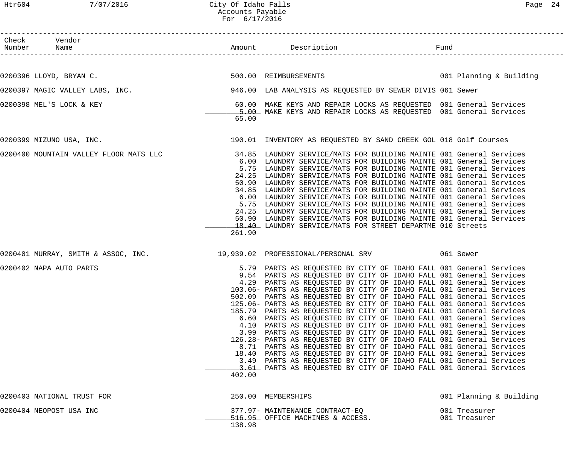Htr604 7/07/2016 City Of Idaho Falls Page 24 Accounts Payable For 6/17/2016

| Check Vendor<br>Number Name            |        |                                                                                                                                                                                                                                                                                                                                                                                                                                                                                                                                                                                                                                                                                                                                                                                                                                                                                                                                                                                                                                                                                                      | Fund |                                |
|----------------------------------------|--------|------------------------------------------------------------------------------------------------------------------------------------------------------------------------------------------------------------------------------------------------------------------------------------------------------------------------------------------------------------------------------------------------------------------------------------------------------------------------------------------------------------------------------------------------------------------------------------------------------------------------------------------------------------------------------------------------------------------------------------------------------------------------------------------------------------------------------------------------------------------------------------------------------------------------------------------------------------------------------------------------------------------------------------------------------------------------------------------------------|------|--------------------------------|
|                                        |        |                                                                                                                                                                                                                                                                                                                                                                                                                                                                                                                                                                                                                                                                                                                                                                                                                                                                                                                                                                                                                                                                                                      |      |                                |
| 0200396 LLOYD, BRYAN C.                |        | 500.00 REIMBURSEMENTS 6001 Planning & Building                                                                                                                                                                                                                                                                                                                                                                                                                                                                                                                                                                                                                                                                                                                                                                                                                                                                                                                                                                                                                                                       |      |                                |
| 0200397 MAGIC VALLEY LABS, INC.        |        | 946.00 LAB ANALYSIS AS REQUESTED BY SEWER DIVIS 061 Sewer                                                                                                                                                                                                                                                                                                                                                                                                                                                                                                                                                                                                                                                                                                                                                                                                                                                                                                                                                                                                                                            |      |                                |
| 0200398 MEL'S LOCK & KEY               | 65.00  | 60.00 MAKE KEYS AND REPAIR LOCKS AS REQUESTED 001 General Services<br>5.00 MAKE KEYS AND REPAIR LOCKS AS REQUESTED 001 General Services                                                                                                                                                                                                                                                                                                                                                                                                                                                                                                                                                                                                                                                                                                                                                                                                                                                                                                                                                              |      |                                |
| 0200399 MIZUNO USA, INC.               |        | 190.01 INVENTORY AS REQUESTED BY SAND CREEK GOL 018 Golf Courses                                                                                                                                                                                                                                                                                                                                                                                                                                                                                                                                                                                                                                                                                                                                                                                                                                                                                                                                                                                                                                     |      |                                |
| 0200400 MOUNTAIN VALLEY FLOOR MATS LLC | 261.90 | 34.85 LAUNDRY SERVICE/MATS FOR BUILDING MAINTE 001 General Services<br>6.00 LAUNDRY SERVICE/MATS FOR BUILDING MAINTE 001 General Services<br>5.75 LAUNDRY SERVICE/MATS FOR BUILDING MAINTE 001 General Services<br>24.25 LAUNDRY SERVICE/MATS FOR BUILDING MAINTE 001 General Services<br>50.90 LAUNDRY SERVICE/MATS FOR BUILDING MAINTE 001 General Services<br>34.85 LAUNDRY SERVICE/MATS FOR BUILDING MAINTE 001 General Services<br>6.00 LAUNDRY SERVICE/MATS FOR BUILDING MAINTE 001 General Services<br>5.75 LAUNDRY SERVICE/MATS FOR BUILDING MAINTE 001 General Services<br>24.25 LAUNDRY SERVICE/MATS FOR BUILDING MAINTE 001 General Services<br>50.90 LAUNDRY SERVICE/MATS FOR BUILDING MAINTE 001 General Services<br>18.40 LAUNDRY SERVICE/MATS FOR STREET DEPARTME 010 Streets                                                                                                                                                                                                                                                                                                         |      |                                |
|                                        |        | 0200401 MURRAY, SMITH & ASSOC, INC. 19,939.02 PROFESSIONAL/PERSONAL SRV 061 Sewer                                                                                                                                                                                                                                                                                                                                                                                                                                                                                                                                                                                                                                                                                                                                                                                                                                                                                                                                                                                                                    |      |                                |
| 0200402 NAPA AUTO PARTS                | 402.00 | 5.79 PARTS AS REQUESTED BY CITY OF IDAHO FALL 001 General Services<br>9.54 PARTS AS REQUESTED BY CITY OF IDAHO FALL 001 General Services<br>4.29 PARTS AS REQUESTED BY CITY OF IDAHO FALL 001 General Services<br>103.06- PARTS AS REQUESTED BY CITY OF IDAHO FALL 001 General Services<br>502.09 PARTS AS REQUESTED BY CITY OF IDAHO FALL 001 General Services<br>125.06- PARTS AS REQUESTED BY CITY OF IDAHO FALL 001 General Services<br>185.79 PARTS AS REQUESTED BY CITY OF IDAHO FALL 001 General Services<br>6.60 PARTS AS REQUESTED BY CITY OF IDAHO FALL 001 General Services<br>4.10 PARTS AS REQUESTED BY CITY OF IDAHO FALL 001 General Services<br>3.99 PARTS AS REQUESTED BY CITY OF IDAHO FALL 001 General Services<br>126.28- PARTS AS REQUESTED BY CITY OF IDAHO FALL 001 General Services<br>8.71 PARTS AS REQUESTED BY CITY OF IDAHO FALL 001 General Services<br>18.40 PARTS AS REQUESTED BY CITY OF IDAHO FALL 001 General Services<br>3.49 PARTS AS REQUESTED BY CITY OF IDAHO FALL 001 General Services<br>3.61 PARTS AS REQUESTED BY CITY OF IDAHO FALL 001 General Services |      |                                |
| 0200403 NATIONAL TRUST FOR             |        | 250.00 MEMBERSHIPS                                                                                                                                                                                                                                                                                                                                                                                                                                                                                                                                                                                                                                                                                                                                                                                                                                                                                                                                                                                                                                                                                   |      | 001 Planning & Building        |
| 0200404 NEOPOST USA INC                | 138.98 | 377.97- MAINTENANCE CONTRACT-EQ<br>516.95 OFFICE MACHINES & ACCESS.                                                                                                                                                                                                                                                                                                                                                                                                                                                                                                                                                                                                                                                                                                                                                                                                                                                                                                                                                                                                                                  |      | 001 Treasurer<br>001 Treasurer |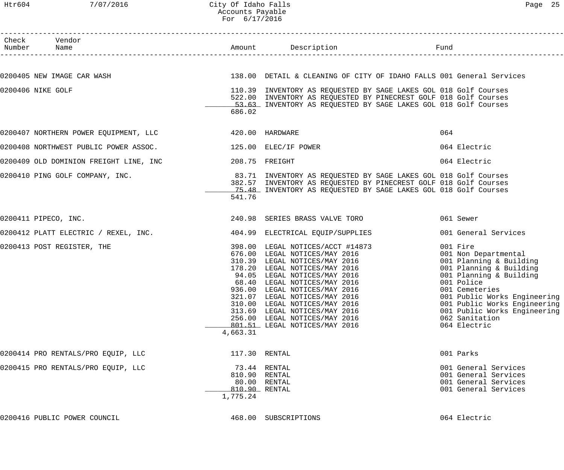| Check Vendor<br>Number Name                                                         |               |                                                                                                                                                                 |                                                              |
|-------------------------------------------------------------------------------------|---------------|-----------------------------------------------------------------------------------------------------------------------------------------------------------------|--------------------------------------------------------------|
|                                                                                     |               |                                                                                                                                                                 |                                                              |
| 0200405 NEW IMAGE CAR WASH                                                          |               | 138.00 DETAIL & CLEANING OF CITY OF IDAHO FALLS 001 General Services                                                                                            |                                                              |
| 0200406 NIKE GOLF                                                                   |               | 110.39 INVENTORY AS REQUESTED BY SAGE LAKES GOL 018 Golf Courses                                                                                                |                                                              |
|                                                                                     |               | 522.00 INVENTORY AS REQUESTED BY PINECREST GOLF 018 Golf Courses<br>53.63 INVENTORY AS REQUESTED BY SAGE LAKES GOL 018 Golf Courses                             |                                                              |
|                                                                                     | 686.02        |                                                                                                                                                                 |                                                              |
| 0200407 NORTHERN POWER EQUIPMENT, LLC <a> 6200407 NORTHERN POWER EQUIPMENT, LLC</a> |               |                                                                                                                                                                 | 064                                                          |
| 0200408 NORTHWEST PUBLIC POWER ASSOC.                                               |               | 125.00 ELEC/IF POWER                                                                                                                                            | 064 Electric                                                 |
| 0200409 OLD DOMINION FREIGHT LINE, INC                                              |               | 208.75 FREIGHT                                                                                                                                                  | 064 Electric                                                 |
| 0200410 PING GOLF COMPANY, INC.                                                     |               | 83.71 INVENTORY AS REQUESTED BY SAGE LAKES GOL 018 Golf Courses                                                                                                 |                                                              |
|                                                                                     |               | 382.57 INVENTORY AS REQUESTED BY PINECREST GOLF 018 Golf Courses<br>75.48 INVENTORY AS REQUESTED BY SAGE LAKES GOL 018 Golf Courses                             |                                                              |
|                                                                                     | 541.76        |                                                                                                                                                                 |                                                              |
| 0200411 PIPECO, INC.                                                                |               | 240.98 SERIES BRASS VALVE TORO                                                                                                                                  | 061 Sewer                                                    |
| 0200412 PLATT ELECTRIC / REXEL, INC.                                                |               | 404.99 ELECTRICAL EQUIP/SUPPLIES                                                                                                                                | 001 General Services                                         |
| 0200413 POST REGISTER, THE                                                          |               | 398.00 LEGAL NOTICES/ACCT #14873                                                                                                                                | 001 Fire                                                     |
|                                                                                     |               | 676.00 LEGAL NOTICES/MAY 2016                                                                                                                                   | 001 Non Departmental                                         |
|                                                                                     |               | 310.39 LEGAL NOTICES/MAY 2016<br>178.20 LEGAL NOTICES/MAY 2016<br>94.05 LEGAL NOTICES/MAY 2016<br>68.40 LEGAL NOTICES/MAY 2016<br>036.40 LEGAL NOTICES/MAY 2016 | 001 Planning & Building<br>001 Planning & Building           |
|                                                                                     |               |                                                                                                                                                                 | 001 Planning & Building                                      |
|                                                                                     |               |                                                                                                                                                                 | 001 Police                                                   |
|                                                                                     |               | 936.00 LEGAL NOTICES/MAY 2016<br>321.07 LEGAL NOTICES/MAY 2016                                                                                                  | 001 Cemeteries                                               |
|                                                                                     |               | 321.07 LEGAL NOTICES/MAY 2016<br>310.00 LEGAL NOTICES/MAY 2016                                                                                                  | 001 Public Works Engineering<br>001 Public Works Engineering |
|                                                                                     |               | 313.69 LEGAL NOTICES/MAY 2016                                                                                                                                   | 001 Public Works Engineering                                 |
|                                                                                     |               | 256.00 LEGAL NOTICES/MAY 2016                                                                                                                                   | 062 Sanitation                                               |
|                                                                                     |               | 801.51 LEGAL NOTICES/MAY 2016                                                                                                                                   | 064 Electric                                                 |
|                                                                                     | 4,663.31      |                                                                                                                                                                 |                                                              |
| 0200414 PRO RENTALS/PRO EQUIP, LLC                                                  | 117.30 RENTAL |                                                                                                                                                                 | 001 Parks                                                    |
| 0200415 PRO RENTALS/PRO EQUIP, LLC                                                  |               | 73.44 RENTAL                                                                                                                                                    | 001 General Services                                         |
|                                                                                     | 810.90 RENTAL |                                                                                                                                                                 | 001 General Services                                         |
|                                                                                     | 810.90 RENTAL | 80.00 RENTAL                                                                                                                                                    | 001 General Services<br>001 General Services                 |
|                                                                                     | 1,775.24      |                                                                                                                                                                 |                                                              |
| 0200416 PUBLIC POWER COUNCIL                                                        |               | 468.00 SUBSCRIPTIONS                                                                                                                                            | 064 Electric                                                 |
|                                                                                     |               |                                                                                                                                                                 |                                                              |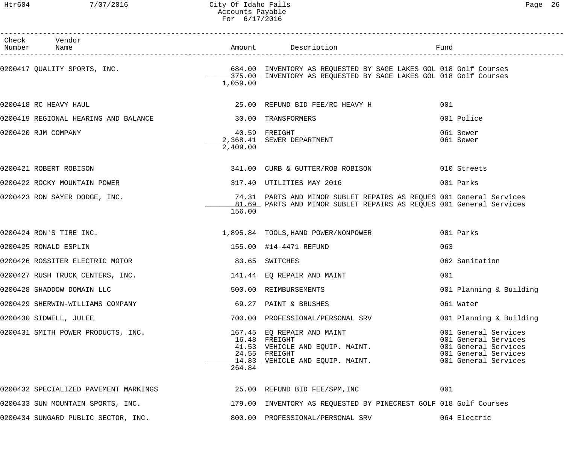#### Htr604 7/07/2016 City Of Idaho Falls Page 26 Accounts Payable For 6/17/2016

| Check Vendor<br>Number Name                                           |          | Amount Description                                                                                                                                                               | Fund                                                                                                                 |
|-----------------------------------------------------------------------|----------|----------------------------------------------------------------------------------------------------------------------------------------------------------------------------------|----------------------------------------------------------------------------------------------------------------------|
|                                                                       | 1,059.00 | 0200417 QUALITY SPORTS, INC. THE SALL RESOLUTION AND SERVES AND TRINGERED BY SAGE LAKES GOL 018 Golf Courses<br>375.00 INVENTORY AS REQUESTED BY SAGE LAKES GOL 018 Golf Courses |                                                                                                                      |
| 0200418 RC HEAVY HAUL                                                 |          | 25.00 REFUND BID FEE/RC HEAVY H                                                                                                                                                  | 001                                                                                                                  |
| 0200419 REGIONAL HEARING AND BALANCE 6 10 100 TRANSFORMERS            |          |                                                                                                                                                                                  | 001 Police                                                                                                           |
| 0200420 RJM COMPANY                                                   | 2,409.00 | 40.59 FREIGHT<br>2,368.41 SEWER DEPARTMENT                                                                                                                                       | 061 Sewer<br>061 Sewer                                                                                               |
| 0200421 ROBERT ROBISON                                                |          | 341.00 CURB & GUTTER/ROB ROBISON                                                                                                                                                 | 010 Streets                                                                                                          |
| 0200422 ROCKY MOUNTAIN POWER                                          |          | 317.40 UTILITIES MAY 2016                                                                                                                                                        | 001 Parks                                                                                                            |
| 0200423 RON SAYER DODGE, INC.                                         | 156.00   | 74.31 PARTS AND MINOR SUBLET REPAIRS AS REQUES 001 General Services<br>81.69 PARTS AND MINOR SUBLET REPAIRS AS REQUES 001 General Services                                       |                                                                                                                      |
| 0200424 RON'S TIRE INC.                                               |          | 1,895.84 TOOLS, HAND POWER/NONPOWER                                                                                                                                              | 001 Parks                                                                                                            |
| 0200425 RONALD ESPLIN                                                 |          | 155.00 #14-4471 REFUND                                                                                                                                                           | 063                                                                                                                  |
| 0200426 ROSSITER ELECTRIC MOTOR                                       |          | 83.65 SWITCHES                                                                                                                                                                   | 062 Sanitation                                                                                                       |
| 0200427 RUSH TRUCK CENTERS, INC.                                      |          | 141.44 EQ REPAIR AND MAINT                                                                                                                                                       | 001                                                                                                                  |
| 0200428 SHADDOW DOMAIN LLC                                            |          | 500.00 REIMBURSEMENTS                                                                                                                                                            | 001 Planning & Building                                                                                              |
| 0200429 SHERWIN-WILLIAMS COMPANY                                      |          | 69.27 PAINT & BRUSHES                                                                                                                                                            | 061 Water                                                                                                            |
| 0200430 SIDWELL, JULEE                                                |          | 700.00 PROFESSIONAL/PERSONAL SRV                                                                                                                                                 | 001 Planning & Building                                                                                              |
| 0200431 SMITH POWER PRODUCTS, INC.                                    | 264.84   | 167.45 EQ REPAIR AND MAINT<br>16.48 FREIGHT<br>41.53 VEHICLE AND EQUIP. MAINT.<br>24.55 FREIGHT<br>14.83 VEHICLE AND EQUIP. MAINT.                                               | 001 General Services<br>001 General Services<br>001 General Services<br>001 General Services<br>001 General Services |
| 0200432 SPECIALIZED PAVEMENT MARKINGS 6 25.00 REFUND BID FEE/SPM, INC |          |                                                                                                                                                                                  | 001                                                                                                                  |
|                                                                       |          | 0200433 SUN MOUNTAIN SPORTS, INC. THE SAME SERVICE OF THE SERVICE AS REQUESTED BY PINECREST GOLF 018 Golf Courses                                                                |                                                                                                                      |
| 0200434 SUNGARD PUBLIC SECTOR, INC.                                   |          | 800.00 PROFESSIONAL/PERSONAL SRV                                                                                                                                                 | 064 Electric                                                                                                         |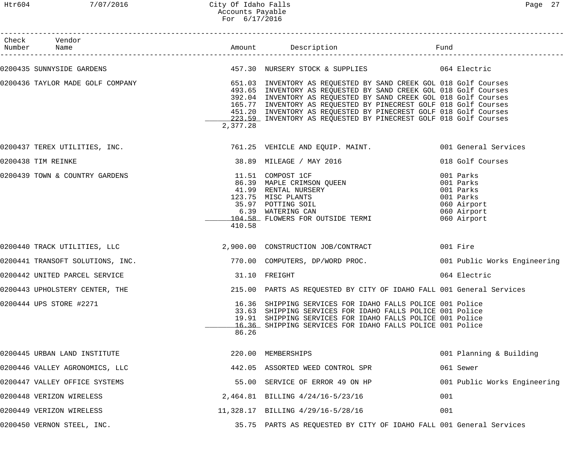Htr604 7/07/2016 City Of Idaho Falls Page 27 Accounts Payable For 6/17/2016

| Check Vendor<br>Number Name      |               |                                                                                                                                                                                                                                                                                                                                                                                                                      |                                                                                               |
|----------------------------------|---------------|----------------------------------------------------------------------------------------------------------------------------------------------------------------------------------------------------------------------------------------------------------------------------------------------------------------------------------------------------------------------------------------------------------------------|-----------------------------------------------------------------------------------------------|
|                                  |               |                                                                                                                                                                                                                                                                                                                                                                                                                      |                                                                                               |
| 0200436 TAYLOR MADE GOLF COMPANY | 2,377.28      | 651.03 INVENTORY AS REQUESTED BY SAND CREEK GOL 018 Golf Courses<br>493.65 INVENTORY AS REQUESTED BY SAND CREEK GOL 018 Golf Courses<br>392.04 INVENTORY AS REQUESTED BY SAND CREEK GOL 018 Golf Courses<br>165.77 INVENTORY AS REQUESTED BY PINECREST GOLF 018 Golf Courses<br>451.20 INVENTORY AS REQUESTED BY PINECREST GOLF 018 Golf Courses<br>223.59 INVENTORY AS REQUESTED BY PINECREST GOLF 018 Golf Courses |                                                                                               |
|                                  |               | 0200437 TEREX UTILITIES, INC. The Same Controller State of the Services of the Services of the Services of the Services                                                                                                                                                                                                                                                                                              |                                                                                               |
| 0200438 TIM REINKE               |               | 38.89 MILEAGE / MAY 2016                                                                                                                                                                                                                                                                                                                                                                                             | 018 Golf Courses                                                                              |
| 0200439 TOWN & COUNTRY GARDENS   | 410.58        | 11.51 COMPOST 1CF<br>86.39 MAPLE CRIMSON QUEEN<br>41.99 RENTAL NURSERY<br>123.75 MISC PLANTS<br>35.97 POTTING SOIL<br>6.39 WATERING CAN<br>104.58 FLOWERS FOR OUTSIDE TERMI                                                                                                                                                                                                                                          | 001 Parks<br>001 Parks<br>001 Parks<br>001 Parks<br>060 Airport<br>060 Airport<br>060 Airport |
|                                  |               | 0200440 TRACK UTILITIES, LLC and the state of the state of 2,900.00 CONSTRUCTION JOB/CONTRACT                                                                                                                                                                                                                                                                                                                        | 001 Fire                                                                                      |
|                                  |               | 0200441 TRANSOFT SOLUTIONS, INC. THE SERVICE RESOLUTIONS, INC. THE SERVICE RESOLUTIONS, INC.                                                                                                                                                                                                                                                                                                                         | 001 Public Works Engineering                                                                  |
| 0200442 UNITED PARCEL SERVICE    | 31.10 FREIGHT |                                                                                                                                                                                                                                                                                                                                                                                                                      | 064 Electric                                                                                  |
| 0200443 UPHOLSTERY CENTER, THE   |               | 215.00 PARTS AS REQUESTED BY CITY OF IDAHO FALL 001 General Services                                                                                                                                                                                                                                                                                                                                                 |                                                                                               |
| 0200444 UPS STORE #2271          | 86.26         | 16.36 SHIPPING SERVICES FOR IDAHO FALLS POLICE 001 Police<br>33.63 SHIPPING SERVICES FOR IDAHO FALLS POLICE 001 Police<br>19.91 SHIPPING SERVICES FOR IDAHO FALLS POLICE 001 Police<br>16.36 SHIPPING SERVICES FOR IDAHO FALLS POLICE 001 Police                                                                                                                                                                     |                                                                                               |
| 0200445 URBAN LAND INSTITUTE     |               | 220.00 MEMBERSHIPS                                                                                                                                                                                                                                                                                                                                                                                                   | 001 Planning & Building                                                                       |
| 0200446 VALLEY AGRONOMICS, LLC   |               | 442.05 ASSORTED WEED CONTROL SPR                                                                                                                                                                                                                                                                                                                                                                                     | 061 Sewer                                                                                     |
| 0200447 VALLEY OFFICE SYSTEMS    |               | 55.00 SERVICE OF ERROR 49 ON HP                                                                                                                                                                                                                                                                                                                                                                                      | 001 Public Works Engineering                                                                  |
| 0200448 VERIZON WIRELESS         |               | 2,464.81 BILLING 4/24/16-5/23/16                                                                                                                                                                                                                                                                                                                                                                                     | 001                                                                                           |
| 0200449 VERIZON WIRELESS         |               | 11,328.17 BILLING 4/29/16-5/28/16                                                                                                                                                                                                                                                                                                                                                                                    | 001                                                                                           |
| 0200450 VERNON STEEL, INC.       |               | 35.75 PARTS AS REQUESTED BY CITY OF IDAHO FALL 001 General Services                                                                                                                                                                                                                                                                                                                                                  |                                                                                               |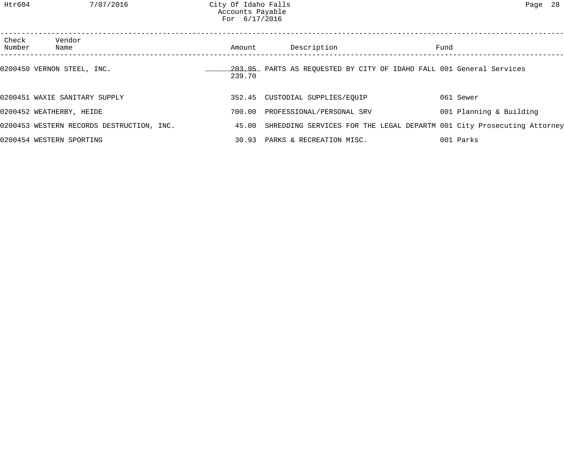| Check<br>Number | Vendor<br>Name                            | Amount | Description                                                                  | Fund                    |  |
|-----------------|-------------------------------------------|--------|------------------------------------------------------------------------------|-------------------------|--|
|                 | 0200450 VERNON STEEL, INC.                | 239.70 | 203.95 PARTS AS REQUESTED BY CITY OF IDAHO FALL 001 General Services         |                         |  |
|                 | 0200451 WAXIE SANITARY SUPPLY             |        | 352.45 CUSTODIAL SUPPLIES/EQUIP                                              | 061 Sewer               |  |
|                 | 0200452 WEATHERBY, HEIDE                  | 700.00 | PROFESSIONAL/PERSONAL SRV                                                    | 001 Planning & Building |  |
|                 | 0200453 WESTERN RECORDS DESTRUCTION, INC. |        | 45.00 SHREDDING SERVICES FOR THE LEGAL DEPARTM 001 City Prosecuting Attorney |                         |  |
|                 | 0200454 WESTERN SPORTING                  |        | 30.93 PARKS & RECREATION MISC.                                               | 001 Parks               |  |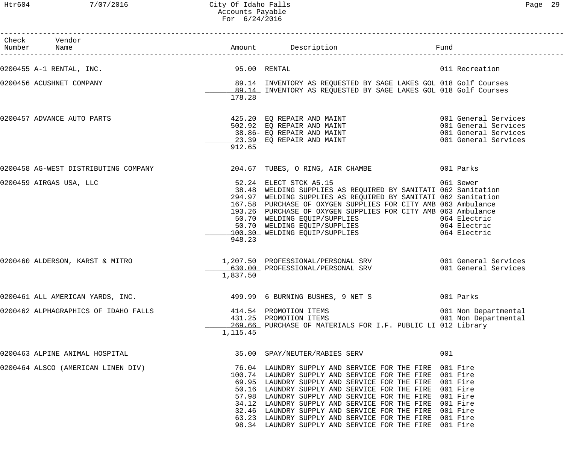Htr604 7/07/2016 City Of Idaho Falls Page 29 Accounts Payable For 6/24/2016

| Page |
|------|
|------|

| Check Vendor<br>Number Name                                                     |              |                                                                                                                                                                                                                                                                                                                                                                                                                                                                                                                                         |                      |
|---------------------------------------------------------------------------------|--------------|-----------------------------------------------------------------------------------------------------------------------------------------------------------------------------------------------------------------------------------------------------------------------------------------------------------------------------------------------------------------------------------------------------------------------------------------------------------------------------------------------------------------------------------------|----------------------|
| 0200455 A-1 RENTAL, INC.                                                        | 95.00 RENTAL |                                                                                                                                                                                                                                                                                                                                                                                                                                                                                                                                         | 011 Recreation       |
| 0200456 ACUSHNET COMPANY                                                        | 178.28       | 89.14 INVENTORY AS REQUESTED BY SAGE LAKES GOL 018 Golf Courses<br>89.14 INVENTORY AS REOUESTED BY SAGE LAKES GOL 018 Golf Courses<br>89.14 INVENTORY AS REQUESTED BY SAGE LAKES GOL 018 Golf Courses                                                                                                                                                                                                                                                                                                                                   |                      |
| 0200457 ADVANCE AUTO PARTS                                                      | 912.65       | 425.20 EQ REPAIR AND MAINT<br>502.92 EQ REPAIR AND MAINT<br>38.86- EQ REPAIR AND MAINT<br>23.39 EQ REPAIR AND MAINT<br>23.39 EQ REPAIR AND MAINT<br>001 General Services                                                                                                                                                                                                                                                                                                                                                                |                      |
| 0200458 AG-WEST DISTRIBUTING COMPANY 204.67 TUBES, O RING, AIR CHAMBE 001 Parks |              |                                                                                                                                                                                                                                                                                                                                                                                                                                                                                                                                         |                      |
| 0200459 AIRGAS USA, LLC                                                         | 948.23       | 52.24 ELECT STCK A5.15<br>38.48 WELDING SUPPLIES AS REQUIRED BY SANITATI 062 Sanitation<br>294.97 WELDING SUPPLIES AS REQUIRED BY SANITATI 062 Sanitation<br>167.58 PURCHASE OF OXYGEN SUPPLIES FOR CITY AMB 063 Ambulance<br>193.26 PURCHASE OF OXYGEN SUPPLIES FOR CITY AMB 063 Ambulance<br>50.70 WELDING EQUIP/SUPPLIES 064 Electric<br>50.70 WELDING EQUIP/SUPPLIES 064 Electric<br>100.30 WELDING EQUIP/SUPPLIES 064 Electric                                                                                                     | 061 Sewer            |
| 0200460 ALDERSON, KARST & MITRO                                                 | 1,837.50     | 1,207.50 PROFESSIONAL/PERSONAL SRV 6001 General Services<br>630.00 PROFESSIONAL/PERSONAL SRV                                                                                                                                                                                                                                                                                                                                                                                                                                            | 001 General Services |
| 0200461 ALL AMERICAN YARDS, INC.                                                |              |                                                                                                                                                                                                                                                                                                                                                                                                                                                                                                                                         |                      |
| 0200462 ALPHAGRAPHICS OF IDAHO FALLS                                            | 1,115.45     | 269.66 PURCHASE OF MATERIALS FOR I.F. PUBLIC LI 012 Library                                                                                                                                                                                                                                                                                                                                                                                                                                                                             |                      |
| 0200463 ALPINE ANIMAL HOSPITAL                                                  |              | 35.00 SPAY/NEUTER/RABIES SERV                                                                                                                                                                                                                                                                                                                                                                                                                                                                                                           | 001                  |
| 0200464 ALSCO (AMERICAN LINEN DIV)                                              |              | 76.04 LAUNDRY SUPPLY AND SERVICE FOR THE FIRE 001 Fire<br>100.74 LAUNDRY SUPPLY AND SERVICE FOR THE FIRE 001 Fire<br>69.95 LAUNDRY SUPPLY AND SERVICE FOR THE FIRE 001 Fire<br>50.16 LAUNDRY SUPPLY AND SERVICE FOR THE FIRE 001 Fire<br>57.98 LAUNDRY SUPPLY AND SERVICE FOR THE FIRE 001 Fire<br>34.12 LAUNDRY SUPPLY AND SERVICE FOR THE FIRE 001 Fire<br>32.46 LAUNDRY SUPPLY AND SERVICE FOR THE FIRE 001 Fire<br>63.23 LAUNDRY SUPPLY AND SERVICE FOR THE FIRE 001 Fire<br>98.34 LAUNDRY SUPPLY AND SERVICE FOR THE FIRE 001 Fire |                      |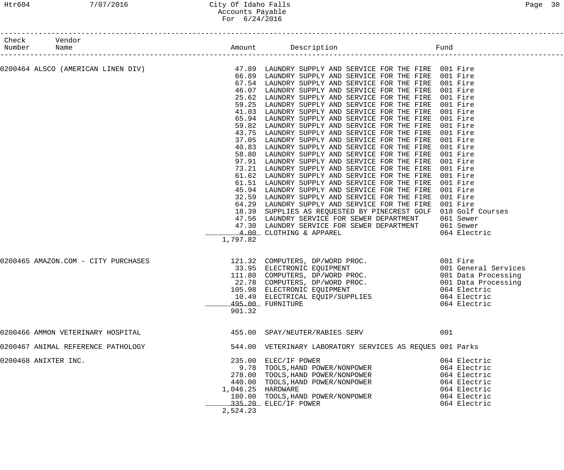#### Htr604 7/07/2016 City Of Idaho Falls Page 30 Accounts Payable For 6/24/2016

| Check Vendor<br>Number Name |                                     |          |                                                                                                                                                                                                                                                                                                                                                                                                                                                                                                                                                                                                                                                                                                                                                                                                                                                                                                                                                                                                                                                                                                                                                                                                                                                                                                                                                                                              |                                                                                                                                                                                      |
|-----------------------------|-------------------------------------|----------|----------------------------------------------------------------------------------------------------------------------------------------------------------------------------------------------------------------------------------------------------------------------------------------------------------------------------------------------------------------------------------------------------------------------------------------------------------------------------------------------------------------------------------------------------------------------------------------------------------------------------------------------------------------------------------------------------------------------------------------------------------------------------------------------------------------------------------------------------------------------------------------------------------------------------------------------------------------------------------------------------------------------------------------------------------------------------------------------------------------------------------------------------------------------------------------------------------------------------------------------------------------------------------------------------------------------------------------------------------------------------------------------|--------------------------------------------------------------------------------------------------------------------------------------------------------------------------------------|
|                             |                                     | 1,797.82 | 0200464 ALSCO (AMERICAN LINEN DIV)             47.89 LAUNDRY SUPPLY AND SERVICE FOR THE FIRE 001 Fire<br>66.89 LAUNDRY SUPPLY AND SERVICE FOR THE FIRE 001 Fire<br>66.89 LAUNDRY SUPPLY AND SERVICE FOR THE FIRE 001 Fire<br>67.54 LAUNDRY SUPPLY AND SERVICE FOR THE FIRE 001 Fire<br>46.07 LAUNDRY SUPPLY AND SERVICE FOR THE FIRE<br>25.62 LAUNDRY SUPPLY AND SERVICE FOR THE FIRE<br>59.25 LAUNDRY SUPPLY AND SERVICE FOR THE FIRE<br>41.03 LAUNDRY SUPPLY AND SERVICE FOR THE FIRE<br>65.94 LAUNDRY SUPPLY AND SERVICE FOR THE FIRE 001 Fire<br>59.82 LAUNDRY SUPPLY AND SERVICE FOR THE FIRE 001 Fire<br>43.75 LAUNDRY SUPPLY AND SERVICE FOR THE FIRE<br>37.05 LAUNDRY SUPPLY AND SERVICE FOR THE FIRE<br>40.83 LAUNDRY SUPPLY AND SERVICE FOR THE FIRE<br>58.80 LAUNDRY SUPPLY AND SERVICE FOR THE FIRE<br>97.91 LAUNDRY SUPPLY AND SERVICE FOR THE FIRE<br>73.21 LAUNDRY SUPPLY AND SERVICE FOR THE FIRE<br>61.62 LAUNDRY SUPPLY AND SERVICE FOR THE FIRE<br>61.51 LAUNDRY SUPPLY AND SERVICE FOR THE FIRE<br>45.94 LAUNDRY SUPPLY AND SERVICE FOR THE FIRE<br>32.59 LAUNDRY SUPPLY AND SERVICE FOR THE FIRE<br>64.29 LAUNDRY SUPPLY AND SERVICE FOR THE FIRE 001 Fire<br>18.39 SUPPLIES AS REQUESTED BY PINECREST GOLF 018 Golf Courses<br>47.56 LAUNDRY SERVICE FOR SEWER DEPARTMENT 061 Sewer<br>47.30 LAUNDRY SERVICE FOR SEWER DEPARTMENT 061 Sewer<br>4.00 CLOTHING & APPAREL | 001 Fire<br>001 Fire<br>001 Fire<br>001 Fire<br>001 Fire<br>001 Fire<br>001 Fire<br>001 Fire<br>001 Fire<br>001 Fire<br>001 Fire<br>001 Fire<br>001 Fire<br>001 Fire<br>064 Electric |
|                             | 0200465 AMAZON.COM - CITY PURCHASES | 901.32   | 121.32 COMPUTERS, DP/WORD PROC. 001 Fire<br>33.95 ELECTRONIC EQUIPMENT 001 General Services<br>111.80 COMPUTERS, DP/WORD PROC. 001 Data Processing<br>22.78 COMPUTERS, DP/WORD PROC. 001 Data Processing<br>105.98 ELECTRONIC EQUIPMEN<br>10.49 ELECTRICAL EQUIP/SUPPLIES<br>495.00 FURNITURE                                                                                                                                                                                                                                                                                                                                                                                                                                                                                                                                                                                                                                                                                                                                                                                                                                                                                                                                                                                                                                                                                                | 064 Electric<br>064 Electric                                                                                                                                                         |
|                             | 0200466 AMMON VETERINARY HOSPITAL   |          | 455.00 SPAY/NEUTER/RABIES SERV                                                                                                                                                                                                                                                                                                                                                                                                                                                                                                                                                                                                                                                                                                                                                                                                                                                                                                                                                                                                                                                                                                                                                                                                                                                                                                                                                               | 001                                                                                                                                                                                  |
|                             | 0200467 ANIMAL REFERENCE PATHOLOGY  |          | 544.00 VETERINARY LABORATORY SERVICES AS REQUES 001 Parks                                                                                                                                                                                                                                                                                                                                                                                                                                                                                                                                                                                                                                                                                                                                                                                                                                                                                                                                                                                                                                                                                                                                                                                                                                                                                                                                    |                                                                                                                                                                                      |
| 0200468 ANIXTER INC.        |                                     | 2,524.23 | 235.00 ELEC/IF POWER<br>9.78 TOOLS, HAND POWER/NONPOWER<br>278.00 TOOLS, HAND POWER/NONPOWER<br>440.00 TOOLS, HAND POWER/NONPOWER<br>1,046.25 HARDWARE<br>180.00 TOOLS, HAND POWER/NONPOWER<br>335.20 ELEC/IF POWER                                                                                                                                                                                                                                                                                                                                                                                                                                                                                                                                                                                                                                                                                                                                                                                                                                                                                                                                                                                                                                                                                                                                                                          | 064 Electric<br>064 Electric<br>064 Electric<br>064 Electric<br>064 Electric<br>064 Electric<br>064 Electric                                                                         |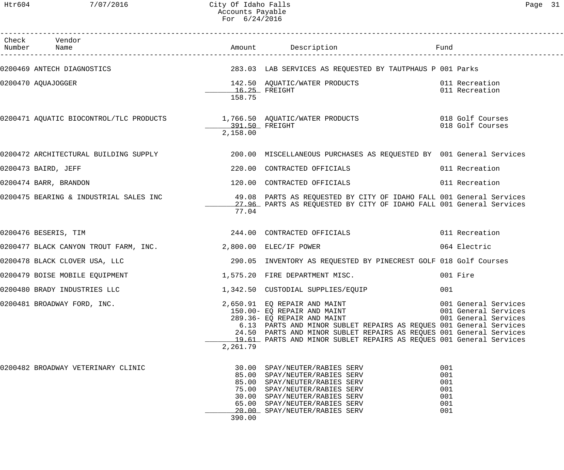Htr604 7/07/2016 City Of Idaho Falls Page 31 Accounts Payable For 6/24/2016

| Check Vendor<br>Number Name                                  |                           |                                                                                                                                                                                                                                                                                                                |                                                                      |
|--------------------------------------------------------------|---------------------------|----------------------------------------------------------------------------------------------------------------------------------------------------------------------------------------------------------------------------------------------------------------------------------------------------------------|----------------------------------------------------------------------|
|                                                              |                           | 0200469 ANTECH DIAGNOSTICS THE SERVICES AS REQUESTED BY TAUTPHAUS POO1 Parks                                                                                                                                                                                                                                   |                                                                      |
| 0200470 AQUAJOGGER                                           | $16.25$ FREIGHT<br>158.75 | 142.50 AQUATIC/WATER PRODUCTS 011 Recreation                                                                                                                                                                                                                                                                   | 011 Recreation                                                       |
|                                                              | 2,158.00                  | 0200471 AQUATIC BIOCONTROL/TLC PRODUCTS 1,766.50 AQUATIC/WATER PRODUCTS 018 Golf Courses                                                                                                                                                                                                                       | 018 Golf Courses                                                     |
|                                                              |                           | 0200472 ARCHITECTURAL BUILDING SUPPLY 200.00 MISCELLANEOUS PURCHASES AS REQUESTED BY 001 General Services                                                                                                                                                                                                      |                                                                      |
| 0200473 BAIRD, JEFF                                          |                           | 220.00 CONTRACTED OFFICIALS                                                                                                                                                                                                                                                                                    | 011 Recreation                                                       |
| 0200474 BARR, BRANDON                                        |                           | 120.00 CONTRACTED OFFICIALS                                                                                                                                                                                                                                                                                    | 011 Recreation                                                       |
|                                                              | 77.04                     | 0200475 BEARING & INDUSTRIAL SALES INC 49.08 PARTS AS REQUESTED BY CITY OF IDAHO FALL 001 General Services<br>27.96 PARTS AS REQUESTED BY CITY OF IDAHO FALL 001 General Services                                                                                                                              |                                                                      |
| 0200476 BESERIS, TIM                                         |                           | 244.00 CONTRACTED OFFICIALS                                                                                                                                                                                                                                                                                    | 011 Recreation                                                       |
| 0200477 BLACK CANYON TROUT FARM, INC. 2,800.00 ELEC/IF POWER |                           |                                                                                                                                                                                                                                                                                                                | 064 Electric                                                         |
| 0200478 BLACK CLOVER USA, LLC                                |                           | 290.05 INVENTORY AS REQUESTED BY PINECREST GOLF 018 Golf Courses                                                                                                                                                                                                                                               |                                                                      |
| 0200479 BOISE MOBILE EQUIPMENT                               |                           | 1,575.20 FIRE DEPARTMENT MISC.                                                                                                                                                                                                                                                                                 | 001 Fire                                                             |
| 0200480 BRADY INDUSTRIES LLC                                 |                           | 1,342.50 CUSTODIAL SUPPLIES/EQUIP                                                                                                                                                                                                                                                                              | 001                                                                  |
| 0200481 BROADWAY FORD, INC.                                  | 2,261.79                  | 2,650.91 EQ REPAIR AND MAINT<br>150.00- EQ REPAIR AND MAINT<br>289.36- EQ REPAIR AND MAINT<br>6.13 PARTS AND MINOR SUBLET REPAIRS AS REQUES 001 General Services<br>24.50 PARTS AND MINOR SUBLET REPAIRS AS REQUES 001 General Services<br>19.61 PARTS AND MINOR SUBLET REPAIRS AS REQUES 001 General Services | 001 General Services<br>001 General Services<br>001 General Services |
| 0200482 BROADWAY VETERINARY CLINIC                           | 390.00                    | 30.00 SPAY/NEUTER/RABIES SERV<br>85.00 SPAY/NEUTER/RABIES SERV<br>85.00 SPAY/NEUTER/RABIES SERV<br>75.00 SPAY/NEUTER/RABIES SERV<br>30.00 SPAY/NEUTER/RABIES SERV<br>65.00 SPAY/NEUTER/RABIES SERV<br>20.00 SPAY/NEUTER/RABIES SERV                                                                            | 001<br>001<br>001<br>001<br>001<br>001<br>001                        |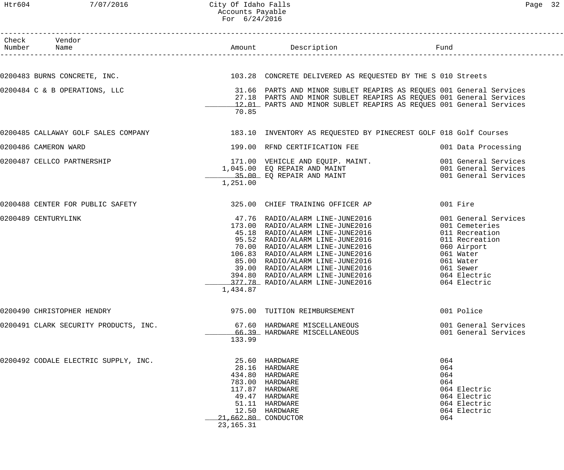#### Htr604 7/07/2016 City Of Idaho Falls Page 32 Accounts Payable For 6/24/2016

| Check Vendor<br>Number Name           |                                    | Amount Description <b>Example 1</b> Fund                                                                                                                                                                                                                                                                                   |                                                                                                                                                                  |
|---------------------------------------|------------------------------------|----------------------------------------------------------------------------------------------------------------------------------------------------------------------------------------------------------------------------------------------------------------------------------------------------------------------------|------------------------------------------------------------------------------------------------------------------------------------------------------------------|
|                                       |                                    |                                                                                                                                                                                                                                                                                                                            |                                                                                                                                                                  |
|                                       |                                    | 0200483 BURNS CONCRETE, INC. The Same CONCRETE DELIVERED AS REQUESTED BY THE SOLO Streets                                                                                                                                                                                                                                  |                                                                                                                                                                  |
| 0200484 C & B OPERATIONS, LLC         | 70.85                              | 31.66 PARTS AND MINOR SUBLET REAPIRS AS REQUES 001 General Services<br>27.18 PARTS AND MINOR SUBLET REAPIRS AS REQUES 001 General Services<br>12.01 PARTS AND MINOR SUBLET REAPIRS AS REQUES 001 General Services                                                                                                          |                                                                                                                                                                  |
| 0200485 CALLAWAY GOLF SALES COMPANY   |                                    | 183.10 INVENTORY AS REQUESTED BY PINECREST GOLF 018 Golf Courses                                                                                                                                                                                                                                                           |                                                                                                                                                                  |
| 0200486 CAMERON WARD                  |                                    | 199.00 RFND CERTIFICATION FEE                                                                                                                                                                                                                                                                                              | 001 Data Processing                                                                                                                                              |
| 0200487 CELLCO PARTNERSHIP            | 1,251.00                           | 171.00 VEHICLE AND EQUIP. MAINT. 001 General Services<br>1,045.00 EQ REPAIR AND MAINT 001 General Services<br>35.00 EQ REPAIR AND MAINT 001 General Services                                                                                                                                                               |                                                                                                                                                                  |
| 0200488 CENTER FOR PUBLIC SAFETY      |                                    | 325.00 CHIEF TRAINING OFFICER AP                                                                                                                                                                                                                                                                                           | 001 Fire                                                                                                                                                         |
| 0200489 CENTURYLINK                   | 1,434.87                           | 47.76 RADIO/ALARM LINE-JUNE2016<br>47.76 RADIO/ALARM LINE-JUNE2016<br>173.00 RADIO/ALARM LINE-JUNE2016<br>45.18 RADIO/ALARM LINE-JUNE2016<br>95.52 RADIO/ALARM LINE-JUNE2016<br>70.00 RADIO/ALARM LINE-JUNE2016<br>106.83 RADIO/ALARM LINE-JUNE2016<br>85.00 RADIO/ALARM LINE-JUNE2<br>$-377.78$ RADIO/ALARM LINE-JUNE2016 | 001 General Services<br>001 Cemeteries<br>011 Recreation<br>011 Recreation<br>060 Airport<br>061 Water<br>061 Water<br>061 Sewer<br>064 Electric<br>064 Electric |
| 0200490 CHRISTOPHER HENDRY            |                                    | 975.00 TUITION REIMBURSEMENT                                                                                                                                                                                                                                                                                               | 001 Police                                                                                                                                                       |
| 0200491 CLARK SECURITY PRODUCTS, INC. | 133.99                             | 67.60 HARDWARE MISCELLANEOUS<br>66.39 HARDWARE MISCELLANEOUS                                                                                                                                                                                                                                                               | 001 General Services<br>001 General Services                                                                                                                     |
| 0200492 CODALE ELECTRIC SUPPLY, INC.  | 21,662.80 CONDUCTOR<br>23, 165. 31 | 25.60 HARDWARE<br>28.16 HARDWARE<br>434.80 HARDWARE<br>783.00 HARDWARE<br>117.87 HARDWARE<br>49.47 HARDWARE<br>51.11 HARDWARE<br>12.50 HARDWARE                                                                                                                                                                            | 064<br>064<br>064<br>064<br>064 Electric<br>064 Electric<br>064 Electric<br>064 Electric<br>064                                                                  |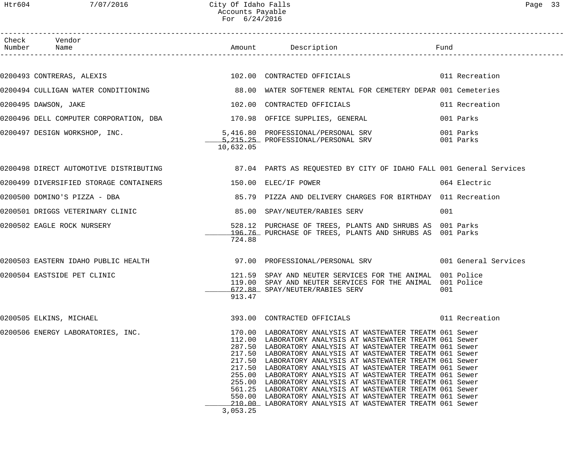| Check Vendor<br>Number Name                                            |           |                                                                                                                                                                                                                                                                                                                                                                                                                                                                                                                                                                                                                                                                                             |     |              |
|------------------------------------------------------------------------|-----------|---------------------------------------------------------------------------------------------------------------------------------------------------------------------------------------------------------------------------------------------------------------------------------------------------------------------------------------------------------------------------------------------------------------------------------------------------------------------------------------------------------------------------------------------------------------------------------------------------------------------------------------------------------------------------------------------|-----|--------------|
|                                                                        |           |                                                                                                                                                                                                                                                                                                                                                                                                                                                                                                                                                                                                                                                                                             |     |              |
|                                                                        |           | 0200493 CONTRERAS, ALEXIS 600 CONTRACTED OF SECONDENT CONTRACTED OF TICIALS                                                                                                                                                                                                                                                                                                                                                                                                                                                                                                                                                                                                                 |     |              |
|                                                                        |           | 0200494 CULLIGAN WATER CONDITIONING 68.00 WATER SOFTENER RENTAL FOR CEMETERY DEPAR 001 Cemeteries                                                                                                                                                                                                                                                                                                                                                                                                                                                                                                                                                                                           |     |              |
| 0200495 DAWSON, JAKE                                                   |           | 102.00 CONTRACTED OFFICIALS 6011 Recreation                                                                                                                                                                                                                                                                                                                                                                                                                                                                                                                                                                                                                                                 |     |              |
| 0200496 DELL COMPUTER CORPORATION, DBA 170.98 OFFICE SUPPLIES, GENERAL |           |                                                                                                                                                                                                                                                                                                                                                                                                                                                                                                                                                                                                                                                                                             |     | 001 Parks    |
|                                                                        | 10,632.05 | 0200497 DESIGN WORKSHOP, INC. 5,416.80 PROFESSIONAL/PERSONAL SRV 001 Parks 001 Parks 5,215.25 PROFESSIONAL/PERSONAL SRV                                                                                                                                                                                                                                                                                                                                                                                                                                                                                                                                                                     |     |              |
|                                                                        |           | 0200498 DIRECT AUTOMOTIVE DISTRIBUTING THE MANUS AND REARTS AS REQUESTED BY CITY OF IDAHO FALL 001 General Services                                                                                                                                                                                                                                                                                                                                                                                                                                                                                                                                                                         |     |              |
| 0200499 DIVERSIFIED STORAGE CONTAINERS 150.00 ELEC/IF POWER            |           |                                                                                                                                                                                                                                                                                                                                                                                                                                                                                                                                                                                                                                                                                             |     | 064 Electric |
|                                                                        |           | 0200500 DOMINO'S PIZZA - DBA (0200500 B5.79 PIZZA AND DELIVERY CHARGES FOR BIRTHDAY 011 Recreation                                                                                                                                                                                                                                                                                                                                                                                                                                                                                                                                                                                          |     |              |
|                                                                        |           |                                                                                                                                                                                                                                                                                                                                                                                                                                                                                                                                                                                                                                                                                             | 001 |              |
| 0200502 EAGLE ROCK NURSERY                                             | 724.88    | 528.12 PURCHASE OF TREES, PLANTS AND SHRUBS AS 001 Parks<br>196.76 PURCHASE OF TREES, PLANTS AND SHRUBS AS 001 Parks                                                                                                                                                                                                                                                                                                                                                                                                                                                                                                                                                                        |     |              |
|                                                                        |           | 0200503 EASTERN IDAHO PUBLIC HEALTH 37.00 PROFESSIONAL/PERSONAL SRV 3001 General Services                                                                                                                                                                                                                                                                                                                                                                                                                                                                                                                                                                                                   |     |              |
| 0200504 EASTSIDE PET CLINIC                                            | 913.47    | 121.59 SPAY AND NEUTER SERVICES FOR THE ANIMAL 001 Police<br>119.00 SPAY AND NEUTER SERVICES FOR THE ANIMAL 001 Police<br>672.88 SPAY/NEUTER/RABIES SERV                                                                                                                                                                                                                                                                                                                                                                                                                                                                                                                                    | 001 |              |
| 0200505 ELKINS, MICHAEL                                                |           | 393.00 CONTRACTED OFFICIALS 6011 Recreation                                                                                                                                                                                                                                                                                                                                                                                                                                                                                                                                                                                                                                                 |     |              |
| 0200506 ENERGY LABORATORIES, INC.                                      | 3,053.25  | 170.00 LABORATORY ANALYSIS AT WASTEWATER TREATM 061 Sewer<br>112.00 LABORATORY ANALYSIS AT WASTEWATER TREATM 061 Sewer<br>287.50 LABORATORY ANALYSIS AT WASTEWATER TREATM 061 Sewer<br>217.50 LABORATORY ANALYSIS AT WASTEWATER TREATM 061 Sewer<br>217.50 LABORATORY ANALYSIS AT WASTEWATER TREATM 061 Sewer<br>217.50 LABORATORY ANALYSIS AT WASTEWATER TREATM 061 Sewer<br>255.00 LABORATORY ANALYSIS AT WASTEWATER TREATM 061 Sewer<br>255.00 LABORATORY ANALYSIS AT WASTEWATER TREATM 061 Sewer<br>561.25 LABORATORY ANALYSIS AT WASTEWATER TREATM 061 Sewer<br>550.00 LABORATORY ANALYSIS AT WASTEWATER TREATM 061 Sewer<br>210.00 LABORATORY ANALYSIS AT WASTEWATER TREATM 061 Sewer |     |              |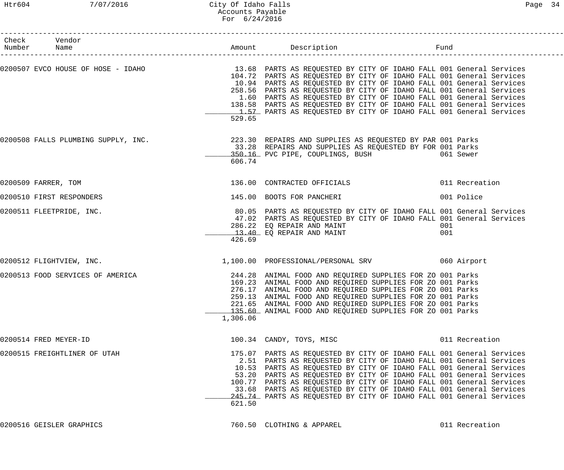#### Htr604 7/07/2016 City Of Idaho Falls Page 34 Accounts Payable For 6/24/2016

| Check Vendor<br>Number Name      |          |                                                                                                                                                                                                                                                                                                                                                                                                                                                                                                                                                   |                |
|----------------------------------|----------|---------------------------------------------------------------------------------------------------------------------------------------------------------------------------------------------------------------------------------------------------------------------------------------------------------------------------------------------------------------------------------------------------------------------------------------------------------------------------------------------------------------------------------------------------|----------------|
|                                  | 529.65   | 0200507 EVCO HOUSE OF HOSE - IDAHO 13.68 PARTS AS REQUESTED BY CITY OF IDAHO FALL 001 General Services<br>104.72 PARTS AS REQUESTED BY CITY OF IDAHO FALL 001 General Services<br>10.94 PARTS AS REQUESTED BY CITY OF IDAHO FALL 001 General Services<br>258.56 PARTS AS REQUESTED BY CITY OF IDAHO FALL 001 General Services<br>1.60 PARTS AS REQUESTED BY CITY OF IDAHO FALL 001 General Services<br>138.58 PARTS AS REQUESTED BY CITY OF IDAHO FALL 001 General Services<br>1.57 PARTS AS REQUESTED BY CITY OF IDAHO FALL 001 General Services |                |
|                                  | 606.74   | 0200508 FALLS PLUMBING SUPPLY, INC. 223.30 REPAIRS AND SUPPLIES AS REQUESTED BY PAR 001 Parks<br>33.28 REPAIRS AND SUPPLIES AS REQUESTED BY FOR 001 Parks<br>350.16 PVC PIPE, COUPLINGS, BUSH 6061 Sewer                                                                                                                                                                                                                                                                                                                                          |                |
| 0200509 FARRER, TOM              |          | 136.00 CONTRACTED OFFICIALS                                                                                                                                                                                                                                                                                                                                                                                                                                                                                                                       | 011 Recreation |
| 0200510 FIRST RESPONDERS         |          | 145.00 BOOTS FOR PANCHERI                                                                                                                                                                                                                                                                                                                                                                                                                                                                                                                         | 001 Police     |
| 0200511 FLEETPRIDE, INC.         | 426.69   | 80.05 PARTS AS REQUESTED BY CITY OF IDAHO FALL 001 General Services<br>47.02 PARTS AS REQUESTED BY CITY OF IDAHO FALL 001 General Services<br>286.22 EQ REPAIR AND MAINT<br>13.40 EQ REPAIR AND MAINT                                                                                                                                                                                                                                                                                                                                             | 001<br>001     |
| 0200512 FLIGHTVIEW, INC.         |          | 1,100.00 PROFESSIONAL/PERSONAL SRV 060 Airport                                                                                                                                                                                                                                                                                                                                                                                                                                                                                                    |                |
| 0200513 FOOD SERVICES OF AMERICA | 1,306.06 | 244.28 ANIMAL FOOD AND REQUIRED SUPPLIES FOR ZO 001 Parks<br>169.23 ANIMAL FOOD AND REQUIRED SUPPLIES FOR ZO 001 Parks<br>276.17 ANIMAL FOOD AND REQUIRED SUPPLIES FOR ZO 001 Parks<br>259.13 ANIMAL FOOD AND REQUIRED SUPPLIES FOR ZO 001 Parks<br>221.65 ANIMAL FOOD AND REQUIRED SUPPLIES FOR ZO 001 Parks<br>135.60 ANIMAL FOOD AND REQUIRED SUPPLIES FOR ZO 001 Parks                                                                                                                                                                        |                |
| 0200514 FRED MEYER-ID            |          | 100.34 CANDY, TOYS, MISC                                                                                                                                                                                                                                                                                                                                                                                                                                                                                                                          | 011 Recreation |
| 0200515 FREIGHTLINER OF UTAH     | 621.50   | 175.07 PARTS AS REQUESTED BY CITY OF IDAHO FALL 001 General Services<br>2.51 PARTS AS REQUESTED BY CITY OF IDAHO FALL 001 General Services<br>10.53 PARTS AS REQUESTED BY CITY OF IDAHO FALL 001 General Services<br>53.20 PARTS AS REQUESTED BY CITY OF IDAHO FALL 001 General Services<br>100.77 PARTS AS REQUESTED BY CITY OF IDAHO FALL 001 General Services<br>33.68 PARTS AS REQUESTED BY CITY OF IDAHO FALL 001 General Services<br>245.74 PARTS AS REQUESTED BY CITY OF IDAHO FALL 001 General Services                                   |                |

0200516 GEISLER GRAPHICS 760.50 CLOTHING & APPAREL 011 Recreation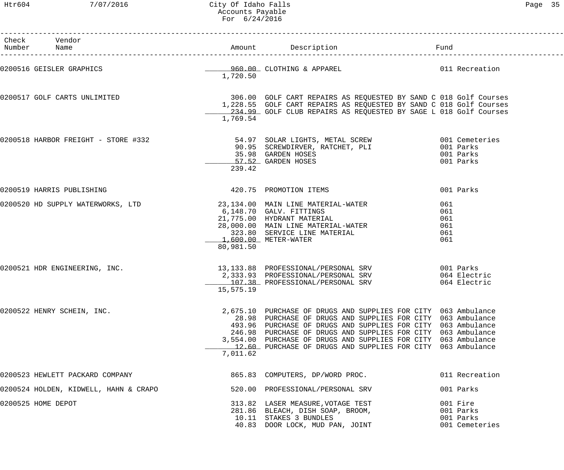Htr604 7/07/2016 City Of Idaho Falls Page 35 Accounts Payable For 6/24/2016

| Check Vendor<br>Number Name           |           |                                                                                                                                                                                                                                                                                                                                                                                                |                                                      |
|---------------------------------------|-----------|------------------------------------------------------------------------------------------------------------------------------------------------------------------------------------------------------------------------------------------------------------------------------------------------------------------------------------------------------------------------------------------------|------------------------------------------------------|
|                                       | 1,720.50  | 0200516 GEISLER GRAPHICS <b>COMPUTER CONSUMING ALCOVER SERVICES</b> 011 Recreation                                                                                                                                                                                                                                                                                                             |                                                      |
| 0200517 GOLF CARTS UNLIMITED          | 1,769.54  | 306.00 GOLF CART REPAIRS AS REQUESTED BY SAND C 018 Golf Courses<br>1,228.55 GOLF CART REPAIRS AS REQUESTED BY SAND C 018 Golf Courses<br>234.99 GOLF CLUB REPAIRS AS REQUESTED BY SAGE L 018 Golf Courses                                                                                                                                                                                     |                                                      |
| 0200518 HARBOR FREIGHT - STORE #332   | 239.42    | 54.97 SOLAR LIGHTS, METAL SCREW                          001 Cemeteries<br>90.95  SCREWDIRVER, RATCHET, PLI                          001 Parks<br>35.98 GARDEN HOSES<br>35.98 GARDEN HOSES<br>57.52 GARDEN HOSES                                                                                                                                                                               | 001 Parks<br>001 Parks                               |
| 0200519 HARRIS PUBLISHING             |           | 420.75 PROMOTION ITEMS                                                                                                                                                                                                                                                                                                                                                                         | 001 Parks                                            |
|                                       | 80,981.50 | 0200520 HD SUPPLY WATERWORKS, LTD 23,134.00 MAIN LINE MATERIAL-WATER<br>6,148.70 GALV. FITTINGS<br>21,775.00 HYDRANT MATERIAL<br>28,000.00 MAIN LINE MATERIAL-WATER<br>323.80 SERVICE LINE MATERIAL<br>1.600.00 METER WATER<br>6,148.70 GALV. FITTINGS<br>$1,600.00$ METER-WATER                                                                                                               | 061<br>061<br>061<br>061<br>061<br>061               |
| 0200521 HDR ENGINEERING, INC.         | 15,575.19 | 13,133.88 PROFESSIONAL/PERSONAL SRV 001 Parks<br>2,333.93 PROFESSIONAL/PERSONAL SRV 064 Electric<br>107.38 PROFESSIONAL/PERSONAL SRV 064 Electric                                                                                                                                                                                                                                              |                                                      |
| 0200522 HENRY SCHEIN, INC.            | 7,011.62  | 2,675.10 PURCHASE OF DRUGS AND SUPPLIES FOR CITY 063 Ambulance<br>28.98 PURCHASE OF DRUGS AND SUPPLIES FOR CITY 063 Ambulance<br>493.96 PURCHASE OF DRUGS AND SUPPLIES FOR CITY 063 Ambulance<br>246.98 PURCHASE OF DRUGS AND SUPPLIES FOR CITY 063 Ambulance<br>3,554.00 PURCHASE OF DRUGS AND SUPPLIES FOR CITY 063 Ambulance<br>12.60 PURCHASE OF DRUGS AND SUPPLIES FOR CITY 063 Ambulance |                                                      |
| 0200523 HEWLETT PACKARD COMPANY       |           | 865.83 COMPUTERS, DP/WORD PROC.                                                                                                                                                                                                                                                                                                                                                                | 011 Recreation                                       |
| 0200524 HOLDEN, KIDWELL, HAHN & CRAPO |           | 520.00 PROFESSIONAL/PERSONAL SRV                                                                                                                                                                                                                                                                                                                                                               | 001 Parks                                            |
| 0200525 HOME DEPOT                    |           | 313.82 LASER MEASURE, VOTAGE TEST<br>281.86 BLEACH, DISH SOAP, BROOM,<br>10.11 STAKES 3 BUNDLES<br>40.83 DOOR LOCK, MUD PAN, JOINT                                                                                                                                                                                                                                                             | 001 Fire<br>001 Parks<br>001 Parks<br>001 Cemeteries |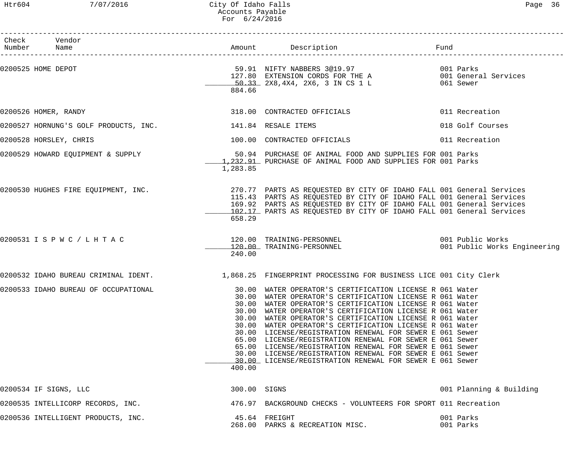## Htr604 7/07/2016 City Of Idaho Falls Page 36 Accounts Payable For 6/24/2016

| Check Vendor<br>Number Name                               |              | Amount Description                                                                                                   | Fund                         |
|-----------------------------------------------------------|--------------|----------------------------------------------------------------------------------------------------------------------|------------------------------|
| 0200525 HOME DEPOT                                        |              | 59.91 NIFTY NABBERS 3@19.97 001 Parks                                                                                |                              |
|                                                           |              |                                                                                                                      |                              |
|                                                           |              | 127.80 EXTENSION CORDS FOR THE A<br>50.33 2X8,4X4, 2X6, 3 IN CS 1 L 061 Sewer                                        |                              |
|                                                           | 884.66       |                                                                                                                      |                              |
| 0200526 HOMER, RANDY                                      |              | 318.00 CONTRACTED OFFICIALS                                                                                          | 011 Recreation               |
| 0200527 HORNUNG'S GOLF PRODUCTS, INC. 141.84 RESALE ITEMS |              |                                                                                                                      | 018 Golf Courses             |
| 0200528 HORSLEY, CHRIS                                    |              | 100.00 CONTRACTED OFFICIALS                                                                                          | 011 Recreation               |
| 0200529 HOWARD EQUIPMENT & SUPPLY                         |              | 50.94 PURCHASE OF ANIMAL FOOD AND SUPPLIES FOR 001 Parks                                                             |                              |
|                                                           |              | 1.232.91 PURCHASE OF ANIMAL FOOD AND SUPPLIES FOR 001 Parks                                                          |                              |
|                                                           | 1,283.85     |                                                                                                                      |                              |
|                                                           |              | 0200530 HUGHES FIRE EQUIPMENT, INC. 270.77 PARTS AS REQUESTED BY CITY OF IDAHO FALL 001 General Services             |                              |
|                                                           |              | 115.43 PARTS AS REQUESTED BY CITY OF IDAHO FALL 001 General Services                                                 |                              |
|                                                           |              | 169.92 PARTS AS REQUESTED BY CITY OF IDAHO FALL 001 General Services                                                 |                              |
|                                                           |              | 102.17 PARTS AS REQUESTED BY CITY OF IDAHO FALL 001 General Services                                                 |                              |
|                                                           | 658.29       |                                                                                                                      |                              |
| 0200531 I S P W C / L H T A C                             |              |                                                                                                                      |                              |
|                                                           | 240.00       |                                                                                                                      | 001 Public Works Engineering |
| 0200532 IDAHO BUREAU CRIMINAL IDENT.                      |              | 1,868.25 FINGERPRINT PROCESSING FOR BUSINESS LICE 001 City Clerk                                                     |                              |
| 0200533 IDAHO BUREAU OF OCCUPATIONAL                      |              | 30.00 WATER OPERATOR'S CERTIFICATION LICENSE R 061 Water                                                             |                              |
|                                                           |              | 30.00 WATER OPERATOR'S CERTIFICATION LICENSE R 061 Water                                                             |                              |
|                                                           | 30.00        | WATER OPERATOR'S CERTIFICATION LICENSE R 061 Water                                                                   |                              |
|                                                           |              | 30.00 WATER OPERATOR'S CERTIFICATION LICENSE R 061 Water<br>30.00 WATER OPERATOR'S CERTIFICATION LICENSE R 061 Water |                              |
|                                                           |              | 30.00 WATER OPERATOR'S CERTIFICATION LICENSE R 061 Water                                                             |                              |
|                                                           |              | 30.00 LICENSE/REGISTRATION RENEWAL FOR SEWER E 061 Sewer                                                             |                              |
|                                                           |              | 65.00 LICENSE/REGISTRATION RENEWAL FOR SEWER E 061 Sewer                                                             |                              |
|                                                           |              | 65.00 LICENSE/REGISTRATION RENEWAL FOR SEWER E 061 Sewer                                                             |                              |
|                                                           |              | 30.00 LICENSE/REGISTRATION RENEWAL FOR SEWER E 061 Sewer                                                             |                              |
|                                                           | 400.00       | 30.00 LICENSE/REGISTRATION RENEWAL FOR SEWER E 061 Sewer                                                             |                              |
|                                                           |              |                                                                                                                      |                              |
| 0200534 IF SIGNS, LLC                                     | 300.00 SIGNS |                                                                                                                      | 001 Planning & Building      |
| 0200535 INTELLICORP RECORDS, INC.                         |              | 476.97 BACKGROUND CHECKS - VOLUNTEERS FOR SPORT 011 Recreation                                                       |                              |
| 0200536 INTELLIGENT PRODUCTS, INC.                        |              | 45.64 FREIGHT                                                                                                        | 001 Parks                    |
|                                                           |              | 268.00 PARKS & RECREATION MISC.                                                                                      | 001 Parks                    |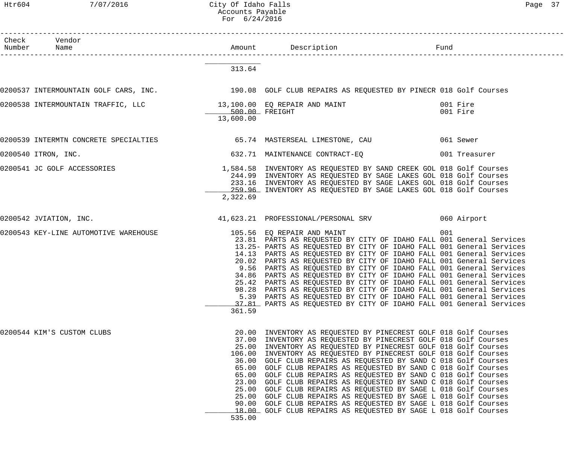Htr604 7/07/2016 City Of Idaho Falls Page 37 Accounts Payable For 6/24/2016

| Check Vendor<br>Number Name                                                                               |                                                                       |                                                                                                                                                                                                                                                                                                                                                                                                                                                                                                                                                                                                                                                                                                                                                                                         |                      |
|-----------------------------------------------------------------------------------------------------------|-----------------------------------------------------------------------|-----------------------------------------------------------------------------------------------------------------------------------------------------------------------------------------------------------------------------------------------------------------------------------------------------------------------------------------------------------------------------------------------------------------------------------------------------------------------------------------------------------------------------------------------------------------------------------------------------------------------------------------------------------------------------------------------------------------------------------------------------------------------------------------|----------------------|
|                                                                                                           | 313.64                                                                |                                                                                                                                                                                                                                                                                                                                                                                                                                                                                                                                                                                                                                                                                                                                                                                         |                      |
| 0200537 INTERMOUNTAIN GOLF CARS, INC.<br>190.08 GOLF CLUB REPAIRS AS REQUESTED BY PINECR 018 Golf Courses |                                                                       |                                                                                                                                                                                                                                                                                                                                                                                                                                                                                                                                                                                                                                                                                                                                                                                         |                      |
|                                                                                                           | 13,600.00                                                             |                                                                                                                                                                                                                                                                                                                                                                                                                                                                                                                                                                                                                                                                                                                                                                                         | 001 Fire<br>001 Fire |
| 0200539 INTERMTN CONCRETE SPECIALTIES 65.74 MASTERSEAL LIMESTONE, CAU 601 Sewer                           |                                                                       |                                                                                                                                                                                                                                                                                                                                                                                                                                                                                                                                                                                                                                                                                                                                                                                         |                      |
| 0200540 ITRON, INC.                                                                                       |                                                                       | 632.71 MAINTENANCE CONTRACT-EQ 632.71 MAINTENANCE CONTRACT-EQ                                                                                                                                                                                                                                                                                                                                                                                                                                                                                                                                                                                                                                                                                                                           |                      |
| 0200541 JC GOLF ACCESSORIES                                                                               | 2,322.69                                                              | 1,584.58 INVENTORY AS REQUESTED BY SAND CREEK GOL 018 Golf Courses<br>244.99 INVENTORY AS REQUESTED BY SAGE LAKES GOL 018 Golf Courses<br>233.16 INVENTORY AS REQUESTED BY SAGE LAKES GOL 018 Golf Courses<br>259.96 INVENTORY AS REQUESTED BY SAGE LAKES GOL 018 Golf Courses                                                                                                                                                                                                                                                                                                                                                                                                                                                                                                          |                      |
| 0200542 JVIATION, INC.                                                                                    |                                                                       | 41,623.21 PROFESSIONAL/PERSONAL SRV 060 Airport                                                                                                                                                                                                                                                                                                                                                                                                                                                                                                                                                                                                                                                                                                                                         |                      |
| 0200543 KEY-LINE AUTOMOTIVE WAREHOUSE                                                                     | 361.59                                                                | 105.56 EQ REPAIR AND MAINT<br>23.81 PARTS AS REQUESTED BY CITY OF IDAHO FALL 001 General Services<br>13.25- PARTS AS REQUESTED BY CITY OF IDAHO FALL 001 General Services<br>14.13 PARTS AS REQUESTED BY CITY OF IDAHO FALL 001 General Services<br>20.02 PARTS AS REQUESTED BY CITY OF IDAHO FALL 001 General Services<br>9.56 PARTS AS REQUESTED BY CITY OF IDAHO FALL 001 General Services<br>34.86 PARTS AS REQUESTED BY CITY OF IDAHO FALL 001 General Services<br>25.42 PARTS AS REQUESTED BY CITY OF IDAHO FALL 001 General Services<br>98.28 PARTS AS REQUESTED BY CITY OF IDAHO FALL 001 General Services<br>5.39 PARTS AS REQUESTED BY CITY OF IDAHO FALL 001 General Services<br>37.81 PARTS AS REQUESTED BY CITY OF IDAHO FALL 001 General Services                         | 001                  |
| 0200544 KIM'S CUSTOM CLUBS                                                                                | 20.00<br>65.00<br>65.00<br>23.00<br>25.00<br>25.00<br>90.00<br>535.00 | INVENTORY AS REQUESTED BY PINECREST GOLF 018 Golf Courses<br>37.00 INVENTORY AS REQUESTED BY PINECREST GOLF 018 Golf Courses<br>25.00 INVENTORY AS REQUESTED BY PINECREST GOLF 018 Golf Courses<br>106.00 INVENTORY AS REQUESTED BY PINECREST GOLF 018 Golf Courses<br>36.00 GOLF CLUB REPAIRS AS REQUESTED BY SAND C 018 Golf Courses<br>GOLF CLUB REPAIRS AS REQUESTED BY SAND C 018 Golf Courses<br>GOLF CLUB REPAIRS AS REQUESTED BY SAND C 018 Golf Courses<br>GOLF CLUB REPAIRS AS REQUESTED BY SAND C 018 Golf Courses<br>GOLF CLUB REPAIRS AS REQUESTED BY SAGE L 018 Golf Courses<br>GOLF CLUB REPAIRS AS REQUESTED BY SAGE L 018 Golf Courses<br>GOLF CLUB REPAIRS AS REQUESTED BY SAGE L 018 Golf Courses<br>18.00 GOLF CLUB REPAIRS AS REQUESTED BY SAGE L 018 Golf Courses |                      |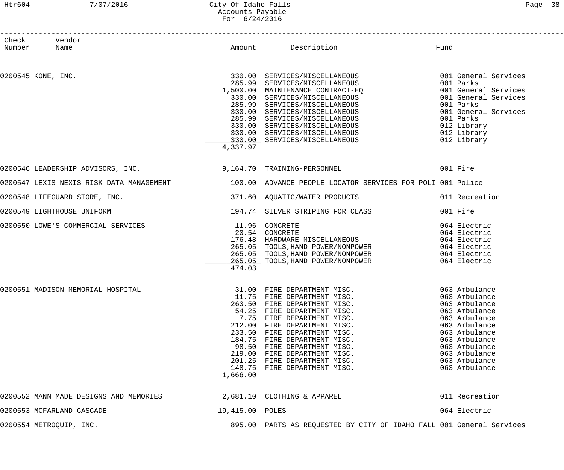#### Htr604 7/07/2016 City Of Idaho Falls Page 38 Accounts Payable For 6/24/2016

| Number Name        | Check Vendor                           |                 |                                                                                                                                                                                                                                                                                                                                                                                        |                                                                                                                                                                                                          |
|--------------------|----------------------------------------|-----------------|----------------------------------------------------------------------------------------------------------------------------------------------------------------------------------------------------------------------------------------------------------------------------------------------------------------------------------------------------------------------------------------|----------------------------------------------------------------------------------------------------------------------------------------------------------------------------------------------------------|
|                    |                                        |                 |                                                                                                                                                                                                                                                                                                                                                                                        |                                                                                                                                                                                                          |
| 0200545 KONE, INC. |                                        | 4,337.97        | 285.99 SERVICES/MISCELLANEOUS<br>1,500.00 MAINTENANCE CONTRACT-EQ<br>330.00 SERVICES/MISCELLANEOUS<br>285.99 SERVICES/MISCELLANEOUS<br>330.00 SERVICES/MISCELLANEOUS<br>285.99 SERVICES/MISCELLANEOUS<br>330.00 SERVICES/MISCELLANEOUS<br>330.00 SE                                                                                                                                    | 001 General Services<br>001 General Services<br>001 Parks<br>001 General Services<br>001 Parks<br>012 Library<br>012 Library<br>012 Library                                                              |
|                    |                                        |                 |                                                                                                                                                                                                                                                                                                                                                                                        |                                                                                                                                                                                                          |
|                    |                                        |                 | 0200546 LEADERSHIP ADVISORS, INC. 30 164.70 TRAINING-PERSONNEL 601 Fire                                                                                                                                                                                                                                                                                                                |                                                                                                                                                                                                          |
|                    |                                        |                 | 0200547 LEXIS NEXIS RISK DATA MANAGEMENT 100.00 ADVANCE PEOPLE LOCATOR SERVICES FOR POLI 001 Police                                                                                                                                                                                                                                                                                    |                                                                                                                                                                                                          |
|                    | 0200548 LIFEGUARD STORE, INC.          |                 | 371.60 AQUATIC/WATER PRODUCTS                                                                                                                                                                                                                                                                                                                                                          | 011 Recreation                                                                                                                                                                                           |
|                    | 0200549 LIGHTHOUSE UNIFORM             |                 | 194.74 SILVER STRIPING FOR CLASS                                                                                                                                                                                                                                                                                                                                                       | 001 Fire                                                                                                                                                                                                 |
|                    | 0200550 LOWE'S COMMERCIAL SERVICES     | 474.03          | 11.96 CONCRETE<br>20.54 CONCRETE<br>176.48 HARDWARE MISCELLANEOUS<br>265.05 TOOLS, HAND POWER/NONPOWER<br>265.05 TOOLS, HAND POWER/NONPOWER<br>265.05 TOOLS, HAND POWER/NONPOWER<br>265.05 TOOLS, HAND POWER/NONPOWER<br>265.05 TOOLS, HAND                                                                                                                                            |                                                                                                                                                                                                          |
|                    | 0200551 MADISON MEMORIAL HOSPITAL      | 1,666.00        | 31.00 FIRE DEPARTMENT MISC.<br>11.75 FIRE DEPARTMENT MISC.<br>263.50 FIRE DEPARTMENT MISC.<br>54.25 FIRE DEPARTMENT MISC.<br>7.75 FIRE DEPARTMENT MISC.<br>212.00 FIRE DEPARTMENT MISC.<br>233.50 FIRE DEPARTMENT MISC.<br>184.75 FIRE DEPARTMENT MISC.<br>98.50 FIRE DEPARTMENT MISC.<br>219.00 FIRE DEPARTMENT MISC.<br>201.25 FIRE DEPARTMENT MISC.<br>148.75 FIRE DEPARTMENT MISC. | 063 Ambulance<br>063 Ambulance<br>063 Ambulance<br>063 Ambulance<br>063 Ambulance<br>063 Ambulance<br>063 Ambulance<br>063 Ambulance<br>063 Ambulance<br>063 Ambulance<br>063 Ambulance<br>063 Ambulance |
|                    | 0200552 MANN MADE DESIGNS AND MEMORIES |                 | $2,681.10$ CLOTHING & APPAREL                                                                                                                                                                                                                                                                                                                                                          | 011 Recreation                                                                                                                                                                                           |
|                    | 0200553 MCFARLAND CASCADE              | 19,415.00 POLES |                                                                                                                                                                                                                                                                                                                                                                                        | 064 Electric                                                                                                                                                                                             |
|                    | 0200554 METROQUIP, INC.                |                 | 895.00 PARTS AS REQUESTED BY CITY OF IDAHO FALL 001 General Services                                                                                                                                                                                                                                                                                                                   |                                                                                                                                                                                                          |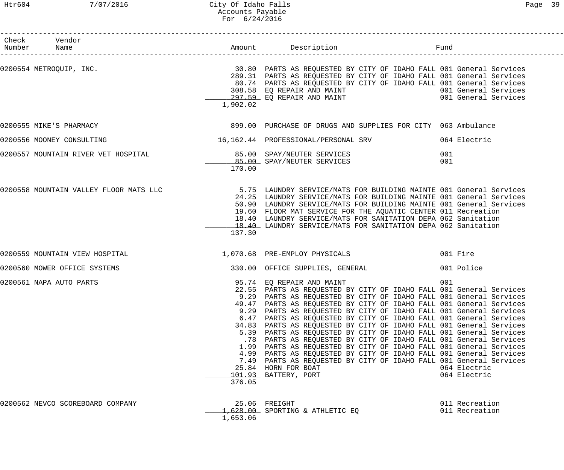## Htr604 7/07/2016 City Of Idaho Falls Page 39 Accounts Payable For 6/24/2016

| Check Vendor<br>Number Name                                                                  |                               |                                                                                                                                                                                                                                                                                                                                                                                                                                                                                                                                                                                                                                                                                                                                                                                                                                                                |                                     |
|----------------------------------------------------------------------------------------------|-------------------------------|----------------------------------------------------------------------------------------------------------------------------------------------------------------------------------------------------------------------------------------------------------------------------------------------------------------------------------------------------------------------------------------------------------------------------------------------------------------------------------------------------------------------------------------------------------------------------------------------------------------------------------------------------------------------------------------------------------------------------------------------------------------------------------------------------------------------------------------------------------------|-------------------------------------|
|                                                                                              | 1,902.02                      | 289.31 PARTS AS REQUESTED BY CITY OF IDAHO FALL 001 General Services<br>80.74 PARTS AS REQUESTED BY CITY OF IDAHO FALL 001 General Services<br>308.58 EQ REPAIR AND MAINT<br>297.59 EQ REPAIR AND MAINT 1997 (1998) 1997.59 EQ REPAIR AND MAINT                                                                                                                                                                                                                                                                                                                                                                                                                                                                                                                                                                                                                |                                     |
| 0200555 MIKE'S PHARMACY                                                                      |                               | 899.00 PURCHASE OF DRUGS AND SUPPLIES FOR CITY 063 Ambulance                                                                                                                                                                                                                                                                                                                                                                                                                                                                                                                                                                                                                                                                                                                                                                                                   |                                     |
| 0200556 MOONEY CONSULTING                                                                    |                               |                                                                                                                                                                                                                                                                                                                                                                                                                                                                                                                                                                                                                                                                                                                                                                                                                                                                |                                     |
| 0200557 MOUNTAIN RIVER VET HOSPITAL 65.00 SPAY/NEUTER SERVICES<br>85.00 SPAY/NEUTER SERVICES | 170.00                        |                                                                                                                                                                                                                                                                                                                                                                                                                                                                                                                                                                                                                                                                                                                                                                                                                                                                | 001<br>001                          |
|                                                                                              | 137.30                        | 0200558 MOUNTAIN VALLEY FLOOR MATS LLC 30 19 S.75 LAUNDRY SERVICE/MATS FOR BUILDING MAINTE 001 General Services<br>24.25 LAUNDRY SERVICE/MATS FOR BUILDING MAINTE 001 General Services<br>50.90 LAUNDRY SERVICE/MATS FOR BUILDING MAINTE 001 General Services<br>19.60 FLOOR MAT SERVICE FOR THE AQUATIC CENTER 011 Recreation<br>18.40 LAUNDRY SERVICE/MATS FOR SANITATION DEPA 062 Sanitation<br>18.40 LAUNDRY SERVICE/MATS FOR SANITATION DEPA 062 Sanitation                                                                                                                                                                                                                                                                                                                                                                                               |                                     |
| 0200559 MOUNTAIN VIEW HOSPITAL CONTROL CONTROL 2,070.68 PRE-EMPLOY PHYSICALS                 |                               |                                                                                                                                                                                                                                                                                                                                                                                                                                                                                                                                                                                                                                                                                                                                                                                                                                                                | 001 Fire                            |
| 0200560 MOWER OFFICE SYSTEMS                                                                 |                               | 330.00 OFFICE SUPPLIES, GENERAL                                                                                                                                                                                                                                                                                                                                                                                                                                                                                                                                                                                                                                                                                                                                                                                                                                | 001 Police                          |
| 0200561 NAPA AUTO PARTS                                                                      | .78<br>1.99<br>7.49<br>376.05 | 95.74 EQ REPAIR AND MAINT<br>22.55 PARTS AS REQUESTED BY CITY OF IDAHO FALL 001 General Services<br>9.29 PARTS AS REQUESTED BY CITY OF IDAHO FALL 001 General Services<br>49.47 PARTS AS REQUESTED BY CITY OF IDAHO FALL 001 General Services<br>9.29 PARTS AS REQUESTED BY CITY OF IDAHO FALL 001 General Services<br>6.47 PARTS AS REQUESTED BY CITY OF IDAHO FALL 001 General Services<br>34.83 PARTS AS REQUESTED BY CITY OF IDAHO FALL 001 General Services<br>5.39 PARTS AS REQUESTED BY CITY OF IDAHO FALL 001 General Services<br>PARTS AS REQUESTED BY CITY OF IDAHO FALL 001 General Services<br>PARTS AS REQUESTED BY CITY OF IDAHO FALL 001 General Services<br>4.99 PARTS AS REQUESTED BY CITY OF IDAHO FALL 001 General Services<br>PARTS AS REQUESTED BY CITY OF IDAHO FALL 001 General Services<br>25.84 HORN FOR BOAT<br>101.93 BATTERY, PORT | 001<br>064 Electric<br>064 Electric |
| 0200562 NEVCO SCOREBOARD COMPANY                                                             | 1,653.06                      | 25.06 FREIGHT<br>1,628.00 SPORTING & ATHLETIC EQ                                                                                                                                                                                                                                                                                                                                                                                                                                                                                                                                                                                                                                                                                                                                                                                                               | 011 Recreation<br>011 Recreation    |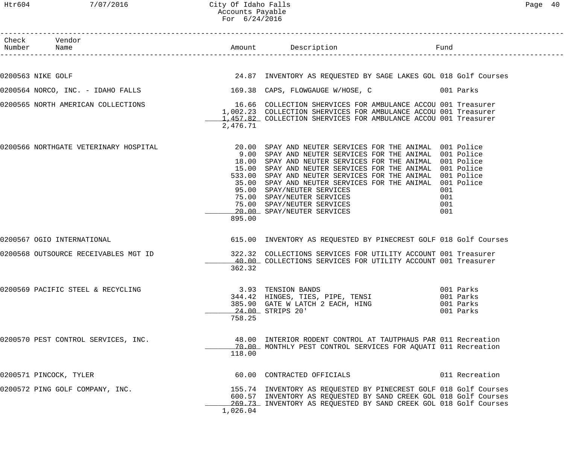|        |                                                                    | For 6/24/2016 |                                                                                                                                                                                                                                                                                                                                                                                                                                                                                              |                                                  |
|--------|--------------------------------------------------------------------|---------------|----------------------------------------------------------------------------------------------------------------------------------------------------------------------------------------------------------------------------------------------------------------------------------------------------------------------------------------------------------------------------------------------------------------------------------------------------------------------------------------------|--------------------------------------------------|
| Number | Check Vendor<br>Name                                               |               | Amount Description<br>Fund                                                                                                                                                                                                                                                                                                                                                                                                                                                                   |                                                  |
|        | 0200563 NIKE GOLF                                                  |               | 24.87 INVENTORY AS REQUESTED BY SAGE LAKES GOL 018 Golf Courses                                                                                                                                                                                                                                                                                                                                                                                                                              |                                                  |
|        | 0200564 NORCO, INC. - IDAHO FALLS 169.38 CAPS, FLOWGAUGE W/HOSE, C |               | and the 1001 Parks                                                                                                                                                                                                                                                                                                                                                                                                                                                                           |                                                  |
|        | 0200565 NORTH AMERICAN COLLECTIONS                                 | 2,476.71      | 16.66 COLLECTION SHERVICES FOR AMBULANCE ACCOU 001 Treasurer<br>1,002.23 COLLECTION SHERVICES FOR AMBULANCE ACCOU 001 Treasurer<br>1,457.82 COLLECTION SHERVICES FOR AMBULANCE ACCOU 001 Treasurer                                                                                                                                                                                                                                                                                           |                                                  |
|        | 0200566 NORTHGATE VETERINARY HOSPITAL                              | 895.00        | 20.00 SPAY AND NEUTER SERVICES FOR THE ANIMAL 001 Police<br>9.00 SPAY AND NEUTER SERVICES FOR THE ANIMAL 001 Police<br>18.00 SPAY AND NEUTER SERVICES FOR THE ANIMAL 001 Police<br>15.00 SPAY AND NEUTER SERVICES FOR THE ANIMAL 001 Police<br>533.00 SPAY AND NEUTER SERVICES FOR THE ANIMAL 001 Police<br>35.00 SPAY AND NEUTER SERVICES FOR THE ANIMAL 001 Police<br>95.00 SPAY/NEUTER SERVICES<br>75.00 SPAY/NEUTER SERVICES<br>75.00 SPAY/NEUTER SERVICES<br>20.00 SPAY/NEUTER SERVICES | 001<br>001<br>001<br>001                         |
|        | 0200567 OGIO INTERNATIONAL                                         |               | 615.00 INVENTORY AS REQUESTED BY PINECREST GOLF 018 Golf Courses                                                                                                                                                                                                                                                                                                                                                                                                                             |                                                  |
|        | 0200568 OUTSOURCE RECEIVABLES MGT ID                               | 362.32        | 322.32 COLLECTIONS SERVICES FOR UTILITY ACCOUNT 001 Treasurer<br>40.00 COLLECTIONS SERVICES FOR UTILITY ACCOUNT 001 Treasurer                                                                                                                                                                                                                                                                                                                                                                |                                                  |
|        | 0200569 PACIFIC STEEL & RECYCLING                                  | 758.25        | 3.93 TENSION BANDS<br>344.42 HINGES, TIES, PIPE, TENSI<br>385.90 GATE W LATCH 2 EACH, HING<br>24.00 STRIPS 20'                                                                                                                                                                                                                                                                                                                                                                               | 001 Parks<br>001 Parks<br>001 Parks<br>001 Parks |
|        | 0200570 PEST CONTROL SERVICES, INC.                                | 118.00        | 48.00 INTERIOR RODENT CONTROL AT TAUTPHAUS PAR 011 Recreation<br>70.00 MONTHLY PEST CONTROL SERVICES FOR AQUATI 011 Recreation                                                                                                                                                                                                                                                                                                                                                               |                                                  |
|        | 0200571 PINCOCK, TYLER                                             |               | 60.00 CONTRACTED OFFICIALS                                                                                                                                                                                                                                                                                                                                                                                                                                                                   | 011 Recreation                                   |
|        | 0200572 PING GOLF COMPANY, INC.                                    | 1,026.04      | 155.74 INVENTORY AS REQUESTED BY PINECREST GOLF 018 Golf Courses<br>600.57 INVENTORY AS REQUESTED BY SAND CREEK GOL 018 Golf Courses<br>269.73 INVENTORY AS REQUESTED BY SAND CREEK GOL 018 Golf Courses                                                                                                                                                                                                                                                                                     |                                                  |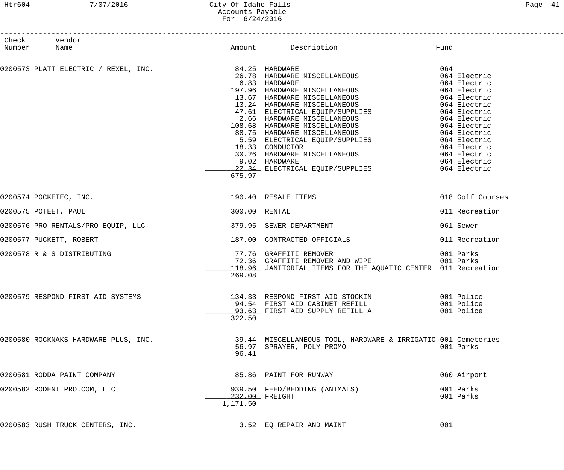#### Htr604 7/07/2016 City Of Idaho Falls Page 41 Accounts Payable For 6/24/2016

| Check Vendor<br>Number Name                                                                                                                                                                                                               |                         |                                                                     |                  |
|-------------------------------------------------------------------------------------------------------------------------------------------------------------------------------------------------------------------------------------------|-------------------------|---------------------------------------------------------------------|------------------|
|                                                                                                                                                                                                                                           |                         |                                                                     |                  |
| 0200573 PLATT ELECTRIC / REXEL, INC.<br>$34.25$ HARDWARE MISCELLANEOUS<br>$13.57$ HARDWARE MISCELLANEOUS<br>$13.57$ HARDWARE MISCELLANEOUS<br>$13.54$ HARDWARE MISCELLANEOUS<br>$13.24$ HARDWARE MISCELLANEOUS<br>$13.24$ HARDWARE MISCEL |                         |                                                                     |                  |
|                                                                                                                                                                                                                                           |                         |                                                                     |                  |
|                                                                                                                                                                                                                                           |                         |                                                                     |                  |
|                                                                                                                                                                                                                                           |                         |                                                                     |                  |
|                                                                                                                                                                                                                                           |                         |                                                                     |                  |
|                                                                                                                                                                                                                                           |                         |                                                                     |                  |
|                                                                                                                                                                                                                                           |                         |                                                                     |                  |
|                                                                                                                                                                                                                                           |                         |                                                                     |                  |
|                                                                                                                                                                                                                                           |                         |                                                                     |                  |
|                                                                                                                                                                                                                                           |                         |                                                                     |                  |
|                                                                                                                                                                                                                                           |                         |                                                                     |                  |
|                                                                                                                                                                                                                                           |                         |                                                                     |                  |
|                                                                                                                                                                                                                                           |                         | 22.34 ELECTRICAL EQUIP/SUPPLIES 064 Electric                        |                  |
|                                                                                                                                                                                                                                           | 675.97                  |                                                                     |                  |
| 0200574 POCKETEC, INC.                                                                                                                                                                                                                    | 190.40 RESALE ITEMS     |                                                                     | 018 Golf Courses |
| 0200575 POTEET, PAUL                                                                                                                                                                                                                      | 300.00 RENTAL           |                                                                     | 011 Recreation   |
| 0200576 PRO RENTALS/PRO EQUIP, LLC                                                                                                                                                                                                        | 379.95 SEWER DEPARTMENT |                                                                     | 061 Sewer        |
| 0200577 PUCKETT, ROBERT                                                                                                                                                                                                                   |                         | 187.00 CONTRACTED OFFICIALS                                         | 011 Recreation   |
| 0200578 R & S DISTRIBUTING                                                                                                                                                                                                                |                         | 77.76 GRAFFITI REMOVER<br>72.36 GRAFFITI REMOVER AND WIPE 601 Parks | 001 Parks        |
|                                                                                                                                                                                                                                           |                         | 118.96 JANITORIAL ITEMS FOR THE AQUATIC CENTER 011 Recreation       |                  |
|                                                                                                                                                                                                                                           | 269.08                  |                                                                     |                  |
| 0200579 RESPOND FIRST AID SYSTEMS                                                                                                                                                                                                         |                         | 134.33 RESPOND FIRST AID STOCKIN 001 Police                         |                  |
|                                                                                                                                                                                                                                           |                         | 94.54 FIRST AID CABINET REFILL                                      | 001 Police       |
|                                                                                                                                                                                                                                           |                         | 93.63 FIRST AID SUPPLY REFILL A                                     | 001 Police       |
|                                                                                                                                                                                                                                           | 322.50                  |                                                                     |                  |
| 0200580 ROCKNAKS HARDWARE PLUS, INC.                                                                                                                                                                                                      |                         | 39.44 MISCELLANEOUS TOOL, HARDWARE & IRRIGATIO 001 Cemeteries       |                  |
|                                                                                                                                                                                                                                           |                         | 56.97 SPRAYER, POLY PROMO                                           | 001 Parks        |
|                                                                                                                                                                                                                                           | 96.41                   |                                                                     |                  |
| 0200581 RODDA PAINT COMPANY                                                                                                                                                                                                               |                         | 85.86 PAINT FOR RUNWAY                                              | 060 Airport      |
| 0200582 RODENT PRO.COM, LLC                                                                                                                                                                                                               |                         | 939.50 FEED/BEDDING (ANIMALS)                                       | 001 Parks        |
|                                                                                                                                                                                                                                           |                         | 232.00 FREIGHT                                                      | 001 Parks        |
|                                                                                                                                                                                                                                           | 1,171.50                |                                                                     |                  |
| 0200583 RUSH TRUCK CENTERS, INC.                                                                                                                                                                                                          |                         | 3.52 EQ REPAIR AND MAINT                                            | 001              |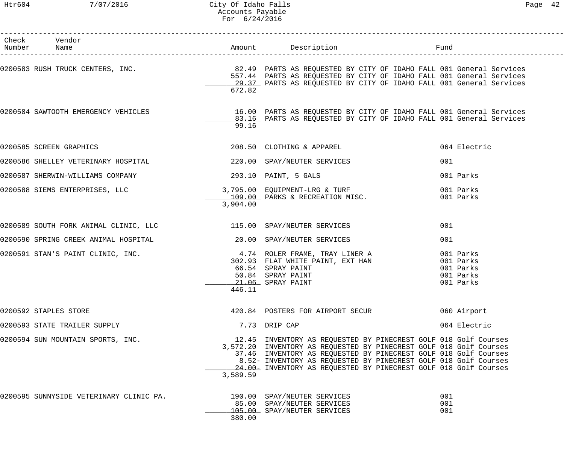| Check Vendor<br>Number Name                                                                                                                                                             |          |                                                                                                                                                                                                                                                                                                                                                 |                                     |
|-----------------------------------------------------------------------------------------------------------------------------------------------------------------------------------------|----------|-------------------------------------------------------------------------------------------------------------------------------------------------------------------------------------------------------------------------------------------------------------------------------------------------------------------------------------------------|-------------------------------------|
| 0200583 RUSH TRUCK CENTERS, INC. <sup>82.49</sup> PARTS AS REQUESTED BY CITY OF IDAHO FALL 001 General Services<br>557.44 DARTS AS REQUESTED BY CITY OF IDAHO FALL 001 General Services | 672.82   | 557.44 PARTS AS REQUESTED BY CITY OF IDAHO FALL 001 General Services<br>29.37 PARTS AS REQUESTED BY CITY OF IDAHO FALL 001 General Services                                                                                                                                                                                                     |                                     |
| 0200584 SAWTOOTH EMERGENCY VEHICLES THE SERIE READ ON PARTS AS REQUESTED BY CITY OF IDAHO FALL 001 General Services                                                                     | 99.16    | 83.16 PARTS AS REQUESTED BY CITY OF IDAHO FALL 001 General Services                                                                                                                                                                                                                                                                             |                                     |
| 0200585 SCREEN GRAPHICS                                                                                                                                                                 |          | 208.50 CLOTHING & APPAREL                                                                                                                                                                                                                                                                                                                       | 064 Electric                        |
| 0200586 SHELLEY VETERINARY HOSPITAL 220.00 SPAY/NEUTER SERVICES                                                                                                                         |          |                                                                                                                                                                                                                                                                                                                                                 | 001                                 |
|                                                                                                                                                                                         |          |                                                                                                                                                                                                                                                                                                                                                 | 001 Parks                           |
| 0200588 SIEMS ENTERPRISES, LLC (2008) 795.00 EQUIPMENT-LRG & TURF                                                                                                                       | 3,904.00 | 109.00 PARKS & RECREATION MISC.                                                                                                                                                                                                                                                                                                                 | 001 Parks<br>001 Parks              |
| 0200589 SOUTH FORK ANIMAL CLINIC, LLC <a> 115.00 SPAY/NEUTER SERVICES</a>                                                                                                               |          |                                                                                                                                                                                                                                                                                                                                                 | 001                                 |
| 0200590 SPRING CREEK ANIMAL HOSPITAL THE SERVICES 20.00 SPAY/NEUTER SERVICES                                                                                                            |          |                                                                                                                                                                                                                                                                                                                                                 | 001                                 |
| 0200591 STAN'S PAINT CLINIC, INC.<br>302.93 FLAT WHITE PAINT, EXT HAN 601 Parks<br>26.54 SPRAY DAINT, EXT HAN 601 Parks                                                                 | 446.11   | 66.54 SPRAY PAINT<br>50.84 SPRAY PAINT<br>21 06 SPRAY PAINT<br>21.06 SPRAY PAINT                                                                                                                                                                                                                                                                | 001 Parks<br>001 Parks<br>001 Parks |
| 0200592 STAPLES STORE                                                                                                                                                                   |          | 420.84 POSTERS FOR AIRPORT SECUR                                                                                                                                                                                                                                                                                                                | 060 Airport                         |
| 0200593 STATE TRAILER SUPPLY                                                                                                                                                            |          | 7.73 DRIP CAP                                                                                                                                                                                                                                                                                                                                   | 064 Electric                        |
| 0200594 SUN MOUNTAIN SPORTS, INC.                                                                                                                                                       | 3,589.59 | 12.45 INVENTORY AS REQUESTED BY PINECREST GOLF 018 Golf Courses<br>3,572.20 INVENTORY AS REQUESTED BY PINECREST GOLF 018 Golf Courses<br>37.46 INVENTORY AS REQUESTED BY PINECREST GOLF 018 Golf Courses<br>8.52- INVENTORY AS REQUESTED BY PINECREST GOLF 018 Golf Courses<br>24.00- INVENTORY AS REQUESTED BY PINECREST GOLF 018 Golf Courses |                                     |
| 0200595 SUNNYSIDE VETERINARY CLINIC PA.                                                                                                                                                 | 380.00   | 190.00 SPAY/NEUTER SERVICES<br>85.00 SPAY/NEUTER SERVICES<br>105.00 SPAY/NEUTER SERVICES                                                                                                                                                                                                                                                        | 001<br>001<br>001                   |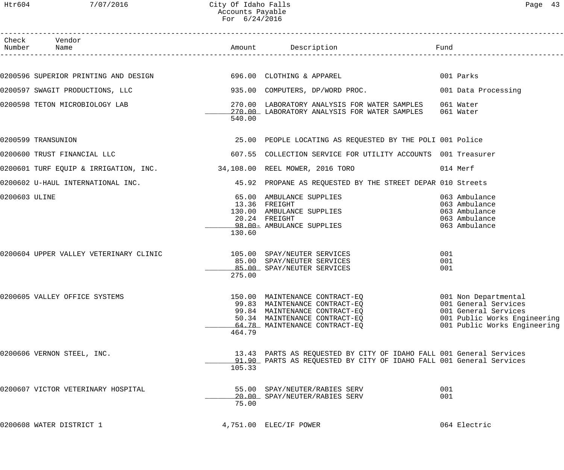Htr604 7/07/2016 City Of Idaho Falls Page 43 Accounts Payable For 6/24/2016

|               | Check Vendor<br>Number Name                                               |        | Amount Description                                                                                                                         | Fund                                                                                                         |
|---------------|---------------------------------------------------------------------------|--------|--------------------------------------------------------------------------------------------------------------------------------------------|--------------------------------------------------------------------------------------------------------------|
|               |                                                                           |        |                                                                                                                                            |                                                                                                              |
|               | 0200596 SUPERIOR PRINTING AND DESIGN 696.00 CLOTHING & APPAREL            |        |                                                                                                                                            | 001 Parks                                                                                                    |
|               | 0200597 SWAGIT PRODUCTIONS, LLC                                           |        | 935.00 COMPUTERS, DP/WORD PROC.                                                                                                            | 001 Data Processing                                                                                          |
|               | 0200598 TETON MICROBIOLOGY LAB                                            | 540.00 | 270.00 LABORATORY ANALYSIS FOR WATER SAMPLES<br>270.00 LABORATORY ANALYSIS FOR WATER SAMPLES 061 Water                                     | 061 Water                                                                                                    |
|               | 0200599 TRANSUNION                                                        |        | 25.00 PEOPLE LOCATING AS REQUESTED BY THE POLI 001 Police                                                                                  |                                                                                                              |
|               | 0200600 TRUST FINANCIAL LLC                                               |        | 607.55 COLLECTION SERVICE FOR UTILITY ACCOUNTS 001 Treasurer                                                                               |                                                                                                              |
|               | 0200601 TURF EQUIP & IRRIGATION, INC. 40 108,108.00 REEL MOWER, 2016 TORO |        |                                                                                                                                            | 014 Merf                                                                                                     |
|               | 0200602 U-HAUL INTERNATIONAL INC.                                         |        | 45.92 PROPANE AS REQUESTED BY THE STREET DEPAR 010 Streets                                                                                 |                                                                                                              |
| 0200603 ULINE |                                                                           | 130.60 | 65.00 AMBULANCE SUPPLIES<br>13.36 FREIGHT<br>130.00 AMBULANCE SUPPLIES<br>20.24 FREIGHT<br>98.00- AMBULANCE SUPPLIES                       | 063 Ambulance<br>063 Ambulance<br>063 Ambulance<br>063 Ambulance<br>063 Ambulance                            |
|               |                                                                           | 275.00 | 85.00 SPAY/NEUTER SERVICES<br>85.00 SPAY/NEUTER SERVICES                                                                                   | 001<br>001<br>001                                                                                            |
|               | 0200605 VALLEY OFFICE SYSTEMS                                             | 464.79 | 99.83 MAINTENANCE CONTRACT-EQ<br>99.84 MAINTENANCE CONTRACT-EQ<br>50.34 MAINTENANCE CONTRACT-EQ<br>64.78 MAINTENANCE CONTRACT-EQ           | 001 General Services<br>001 General Services<br>001 Public Works Engineering<br>001 Public Works Engineering |
|               | 0200606 VERNON STEEL, INC.                                                | 105.33 | 13.43 PARTS AS REQUESTED BY CITY OF IDAHO FALL 001 General Services<br>91.90 PARTS AS REQUESTED BY CITY OF IDAHO FALL 001 General Services |                                                                                                              |
|               | 0200607 VICTOR VETERINARY HOSPITAL                                        | 75.00  | 55.00 SPAY/NEUTER/RABIES SERV<br>20.00 SPAY/NEUTER/RABIES SERV                                                                             | 001<br>001                                                                                                   |
|               | 0200608 WATER DISTRICT 1                                                  |        | 4,751.00 ELEC/IF POWER                                                                                                                     | 064 Electric                                                                                                 |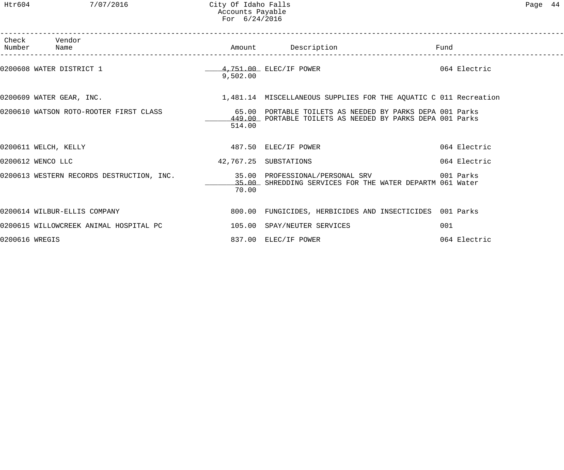Htr604 7/07/2016 City Of Idaho Falls Page 44 Accounts Payable For 6/24/2016

|                | Check Vendor<br>Number Name                                               |                       | Amount Description                                                                                                    | Fund         |  |
|----------------|---------------------------------------------------------------------------|-----------------------|-----------------------------------------------------------------------------------------------------------------------|--------------|--|
|                | 0200608 WATER DISTRICT 1                                                  | 9,502.00              | 4,751.00 ELEC/IF POWER                                                                                                | 064 Electric |  |
|                | 0200609 WATER GEAR, INC.                                                  |                       | 1,481.14 MISCELLANEOUS SUPPLIES FOR THE AQUATIC C 011 Recreation                                                      |              |  |
|                | 0200610 WATSON ROTO-ROOTER FIRST CLASS                                    | 514.00                | 65.00 PORTABLE TOILETS AS NEEDED BY PARKS DEPA 001 Parks<br>449.00 PORTABLE TOILETS AS NEEDED BY PARKS DEPA 001 Parks |              |  |
|                | 0200611 WELCH, KELLY                                                      |                       | 487.50 ELEC/IF POWER                                                                                                  | 064 Electric |  |
|                | 0200612 WENCO LLC                                                         | 42,767.25 SUBSTATIONS |                                                                                                                       | 064 Electric |  |
|                | 0200613 WESTERN RECORDS DESTRUCTION, INC. 35.00 PROFESSIONAL/PERSONAL SRV | 70.00                 | 35.00 SHREDDING SERVICES FOR THE WATER DEPARTM 061 Water                                                              | 001 Parks    |  |
|                | 0200614 WILBUR-ELLIS COMPANY                                              |                       | 800.00 FUNGICIDES, HERBICIDES AND INSECTICIDES 001 Parks                                                              |              |  |
|                | 0200615 WILLOWCREEK ANIMAL HOSPITAL PC 105.00 SPAY/NEUTER SERVICES        |                       |                                                                                                                       | 001          |  |
| 0200616 WREGIS |                                                                           |                       | 837.00 ELEC/IF POWER                                                                                                  | 064 Electric |  |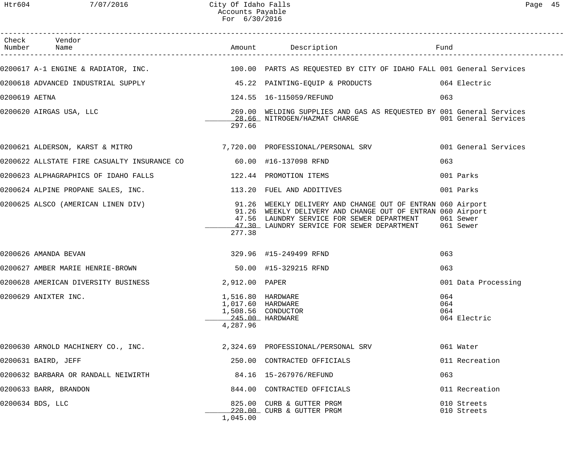|               | Check Vendor                                                      |                                                                       |                                                                                                                                                                                                                                                                             |                                   |
|---------------|-------------------------------------------------------------------|-----------------------------------------------------------------------|-----------------------------------------------------------------------------------------------------------------------------------------------------------------------------------------------------------------------------------------------------------------------------|-----------------------------------|
|               |                                                                   |                                                                       | 0200617 A-1 ENGINE & RADIATOR, INC.<br>100.00 PARTS AS REQUESTED BY CITY OF IDAHO FALL 001 General Services                                                                                                                                                                 |                                   |
|               |                                                                   |                                                                       | 0200618 ADVANCED INDUSTRIAL SUPPLY 15.22 PAINTING-EQUIP & PRODUCTS 064 Electric                                                                                                                                                                                             |                                   |
| 0200619 AETNA |                                                                   |                                                                       |                                                                                                                                                                                                                                                                             | 063                               |
|               | 0200620 AIRGAS USA, LLC                                           | 297.66                                                                | 269.00 WELDING SUPPLIES AND GAS AS REQUESTED BY 001 General Services<br>28.66 NITROGEN/HAZMAT CHARGE 6001 General Services                                                                                                                                                  |                                   |
|               |                                                                   |                                                                       | 0200621 ALDERSON, KARST & MITRO                   7,720.00 PROFESSIONAL/PERSONAL SRV             001 General Services                                                                                                                                                       |                                   |
|               | 0200622 ALLSTATE FIRE CASUALTY INSURANCE CO 60.00 #16-137098 RFND |                                                                       |                                                                                                                                                                                                                                                                             | 063                               |
|               | 0200623 ALPHAGRAPHICS OF IDAHO FALLS 122.44 PROMOTION ITEMS       |                                                                       |                                                                                                                                                                                                                                                                             | 001 Parks                         |
|               | 0200624 ALPINE PROPANE SALES, INC. 113.20 FUEL AND ADDITIVES      |                                                                       |                                                                                                                                                                                                                                                                             | 001 Parks                         |
|               |                                                                   | 277.38                                                                | 0200625 ALSCO (AMERICAN LINEN DIV) 31.26 WEEKLY DELIVERY AND CHANGE OUT OF ENTRAN 060 Airport<br>91.26 WEEKLY DELIVERY AND CHANGE OUT OF ENTRAN 060 Airport<br>47.56 LAUNDRY SERVICE FOR SEWER DEPARTMENT 061 Sewer<br>47.30 LAUNDRY SERVICE FOR SEWER DEPARTMENT 061 Sewer |                                   |
|               | 0200626 AMANDA BEVAN                                              |                                                                       | 329.96 #15-249499 RFND                                                                                                                                                                                                                                                      | 063                               |
|               | 0200627 AMBER MARIE HENRIE-BROWN 62000 115-329215 RFND            |                                                                       |                                                                                                                                                                                                                                                                             | 063                               |
|               | 0200628 AMERICAN DIVERSITY BUSINESS                               | 2,912.00 PAPER                                                        |                                                                                                                                                                                                                                                                             | 001 Data Processing               |
|               | 0200629 ANIXTER INC.                                              | 1,516.80 HARDWARE<br>1,017.60 HARDWARE<br>245.00 HARDWARE<br>4,287.96 | 1,508.56 CONDUCTOR                                                                                                                                                                                                                                                          | 064<br>064<br>064<br>064 Electric |
|               | 0200630 ARNOLD MACHINERY CO., INC.                                |                                                                       | 2,324.69 PROFESSIONAL/PERSONAL SRV                                                                                                                                                                                                                                          | 061 Water                         |
|               | 0200631 BAIRD, JEFF                                               |                                                                       | 250.00 CONTRACTED OFFICIALS                                                                                                                                                                                                                                                 | 011 Recreation                    |
|               | 0200632 BARBARA OR RANDALL NEIWIRTH                               |                                                                       | 84.16   15-267976/REFUND                                                                                                                                                                                                                                                    | 063                               |
|               | 0200633 BARR, BRANDON                                             |                                                                       | 844.00 CONTRACTED OFFICIALS                                                                                                                                                                                                                                                 | 011 Recreation                    |
|               | 0200634 BDS, LLC                                                  | 1,045.00                                                              | 825.00 CURB & GUTTER PRGM<br>220.00 CURB & GUTTER PRGM                                                                                                                                                                                                                      | 010 Streets<br>010 Streets        |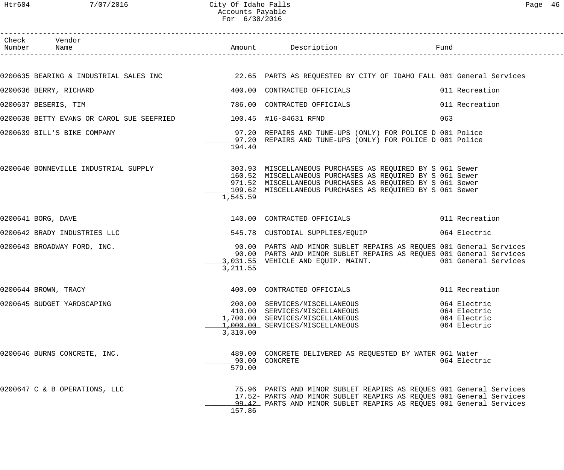| Check Vendor<br>Number Name                                     |           | Amount Description Tund                                                                                                                                                                                                                                                               |     |                                                              |
|-----------------------------------------------------------------|-----------|---------------------------------------------------------------------------------------------------------------------------------------------------------------------------------------------------------------------------------------------------------------------------------------|-----|--------------------------------------------------------------|
|                                                                 |           |                                                                                                                                                                                                                                                                                       |     |                                                              |
|                                                                 |           |                                                                                                                                                                                                                                                                                       |     |                                                              |
| 0200636 BERRY, RICHARD                                          |           | 400.00 CONTRACTED OFFICIALS 6011 Recreation                                                                                                                                                                                                                                           |     |                                                              |
| 0200637 BESERIS, TIM                                            |           |                                                                                                                                                                                                                                                                                       |     |                                                              |
| 0200638 BETTY EVANS OR CAROL SUE SEEFRIED 100.45 #16-84631 RFND |           |                                                                                                                                                                                                                                                                                       | 063 |                                                              |
|                                                                 | 194.40    | 0200639 BILL'S BIKE COMPANY (OME 197.20 REPAIRS AND TUNE-UPS (ONLY) FOR POLICE D 001 Police<br>97.20 REPAIRS AND TUNE-UPS (ONLY) FOR POLICE D 001 Police                                                                                                                              |     |                                                              |
|                                                                 | 1,545.59  | 0200640 BONNEVILLE INDUSTRIAL SUPPLY 303.93 MISCELLANEOUS PURCHASES AS REQUIRED BY S 061 Sewer<br>160.52 MISCELLANEOUS PURCHASES AS REQUIRED BY S 061 Sewer<br>971.52 MISCELLANEOUS PURCHASES AS REQUIRED BY S 061 Sewer<br>109.62 MISCELLANEOUS PURCHASES AS REQUIRED BY S 061 Sewer |     |                                                              |
| 0200641 BORG, DAVE                                              |           | 140.00 CONTRACTED OFFICIALS 6011 Recreation                                                                                                                                                                                                                                           |     |                                                              |
| 0200642 BRADY INDUSTRIES LLC                                    |           | 545.78 CUSTODIAL SUPPLIES/EQUIP 064 Electric                                                                                                                                                                                                                                          |     |                                                              |
| 0200643 BROADWAY FORD, INC.                                     | 3, 211.55 | 90.00 PARTS AND MINOR SUBLET REPAIRS AS REQUES 001 General Services<br>90.00 PARTS AND MINOR SUBLET REPAIRS AS REQUES 001 General Services<br>3,031.55 VEHICLE AND EQUIP. MAINT. 001 General Services                                                                                 |     |                                                              |
| 0200644 BROWN, TRACY                                            |           | 400.00 CONTRACTED OFFICIALS 6011 Recreation                                                                                                                                                                                                                                           |     |                                                              |
| 0200645 BUDGET YARDSCAPING                                      | 3,310.00  | 200.00 SERVICES/MISCELLANEOUS<br>410.00 SERVICES/MISCELLANEOUS<br>1,700.00 SERVICES/MISCELLANEOUS<br>1,000.00 SERVICES/MISCELLANEOUS                                                                                                                                                  |     | 064 Electric<br>064 Electric<br>064 Electric<br>064 Electric |
| 0200646 BURNS CONCRETE, INC.                                    | 579.00    | 489.00 CONCRETE DELIVERED AS REQUESTED BY WATER 061 Water<br>90.00 CONCRETE                                                                                                                                                                                                           |     | 064 Electric                                                 |
| 0200647 C & B OPERATIONS, LLC                                   | 157.86    | 75.96 PARTS AND MINOR SUBLET REAPIRS AS REQUES 001 General Services<br>17.52- PARTS AND MINOR SUBLET REAPIRS AS REQUES 001 General Services<br>99.42 PARTS AND MINOR SUBLET REAPIRS AS REQUES 001 General Services                                                                    |     |                                                              |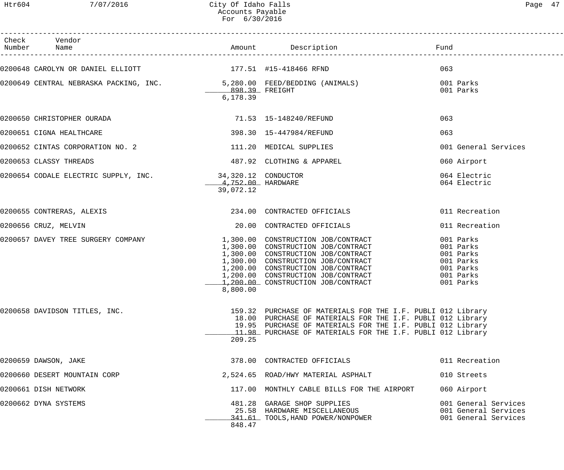# Htr604 7/07/2016 City Of Idaho Falls Page 47 Accounts Payable For 6/30/2016

| Check Vendor<br>Number Name                                                                                     |                                |                                                                                                                                                                                                                                                                        |                                                                                         |
|-----------------------------------------------------------------------------------------------------------------|--------------------------------|------------------------------------------------------------------------------------------------------------------------------------------------------------------------------------------------------------------------------------------------------------------------|-----------------------------------------------------------------------------------------|
| 0200648 CAROLYN OR DANIEL ELLIOTT 177.51 #15-418466 RFND                                                        |                                |                                                                                                                                                                                                                                                                        | 063                                                                                     |
| 0200649 CENTRAL NEBRASKA PACKING, INC.                        5,280.00 FEED/BEDDING (ANIMALS)<br>898.39 FREIGHT | 6,178.39                       |                                                                                                                                                                                                                                                                        | 001 Parks<br>001 Parks                                                                  |
| 0200650 CHRISTOPHER OURADA (2008) 2012/03/0200650 71.53 15-148240 2020                                          |                                |                                                                                                                                                                                                                                                                        | 063                                                                                     |
| 0200651 CIGNA HEALTHCARE                                                                                        |                                | 398.30   15-447984/REFUND                                                                                                                                                                                                                                              | 063                                                                                     |
| 0200652 CINTAS CORPORATION NO. 2                                                                                |                                | 111.20 MEDICAL SUPPLIES                                                                                                                                                                                                                                                | 001 General Services                                                                    |
| 0200653 CLASSY THREADS                                                                                          |                                | 487.92 CLOTHING & APPAREL                                                                                                                                                                                                                                              | 060 Airport                                                                             |
| 0200654 CODALE ELECTRIC SUPPLY, INC. 34,320.12 CONDUCTOR                                                        | 4,752.00 HARDWARE<br>39,072.12 |                                                                                                                                                                                                                                                                        | 064 Electric<br>064 Electric                                                            |
| 0200655 CONTRERAS, ALEXIS                                                                                       |                                | 234.00 CONTRACTED OFFICIALS                                                                                                                                                                                                                                            | 011 Recreation                                                                          |
| 0200656 CRUZ, MELVIN                                                                                            |                                | 20.00 CONTRACTED OFFICIALS                                                                                                                                                                                                                                             | 011 Recreation                                                                          |
| 0200657 DAVEY TREE SURGERY COMPANY                                                                              | 8,800.00                       | 1,300.00 CONSTRUCTION JOB/CONTRACT<br>1,300.00 CONSTRUCTION JOB/CONTRACT<br>1,300.00 CONSTRUCTION JOB/CONTRACT<br>1,300.00 CONSTRUCTION JOB/CONTRACT<br>1,200.00 CONSTRUCTION JOB/CONTRACT<br>1,200.00 CONSTRUCTION JOB/CONTRACT<br>1,200.00 CONSTRUCTION JOB/CONTRACT | 001 Parks<br>001 Parks<br>001 Parks<br>001 Parks<br>001 Parks<br>001 Parks<br>001 Parks |
| 0200658 DAVIDSON TITLES, INC.                                                                                   | 209.25                         | 159.32 PURCHASE OF MATERIALS FOR THE I.F. PUBLI 012 Library<br>18.00 PURCHASE OF MATERIALS FOR THE I.F. PUBLI 012 Library<br>19.95 PURCHASE OF MATERIALS FOR THE I.F. PUBLI 012 Library<br>11.98 PURCHASE OF MATERIALS FOR THE I.F. PUBLI 012 Library                  |                                                                                         |
| 0200659 DAWSON, JAKE                                                                                            |                                | 378.00 CONTRACTED OFFICIALS                                                                                                                                                                                                                                            | 011 Recreation                                                                          |
| 0200660 DESERT MOUNTAIN CORP                                                                                    |                                | 2,524.65 ROAD/HWY MATERIAL ASPHALT                                                                                                                                                                                                                                     | 010 Streets                                                                             |
| 0200661 DISH NETWORK                                                                                            |                                | 117.00 MONTHLY CABLE BILLS FOR THE AIRPORT                                                                                                                                                                                                                             | 060 Airport                                                                             |
| 0200662 DYNA SYSTEMS                                                                                            | 848.47                         | 481.28 GARAGE SHOP SUPPLIES<br>25.58 HARDWARE MISCELLANEOUS<br>341.61 TOOLS, HAND POWER/NONPOWER                                                                                                                                                                       | 001 General Services<br>001 General Services<br>001 General Services                    |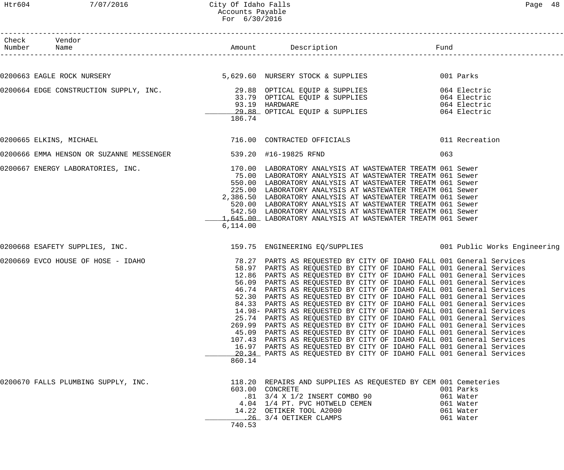# Htr604 7/07/2016 City Of Idaho Falls Page 48 Accounts Payable For 6/30/2016

| Check Vendor<br>Number Name                                    |                 |                                                                                                                                                                                                                                                                                                                                                                                                                                                                                                                                                                                                                                                                                                                                                                                                                                                                                                                                                                                                                                                                               |     |                                                               |
|----------------------------------------------------------------|-----------------|-------------------------------------------------------------------------------------------------------------------------------------------------------------------------------------------------------------------------------------------------------------------------------------------------------------------------------------------------------------------------------------------------------------------------------------------------------------------------------------------------------------------------------------------------------------------------------------------------------------------------------------------------------------------------------------------------------------------------------------------------------------------------------------------------------------------------------------------------------------------------------------------------------------------------------------------------------------------------------------------------------------------------------------------------------------------------------|-----|---------------------------------------------------------------|
|                                                                |                 |                                                                                                                                                                                                                                                                                                                                                                                                                                                                                                                                                                                                                                                                                                                                                                                                                                                                                                                                                                                                                                                                               |     |                                                               |
|                                                                |                 |                                                                                                                                                                                                                                                                                                                                                                                                                                                                                                                                                                                                                                                                                                                                                                                                                                                                                                                                                                                                                                                                               |     |                                                               |
|                                                                | 186.74          | 0200664 EDGE CONSTRUCTION SUPPLY, INC.<br>33.79 OPTICAL EQUIP & SUPPLIES 064 Electric<br>33.79 OPTICAL EQUIP & SUPPLIES 064 Electric<br>93.19 HARDWARE 064 Electric<br>29.88 OPTICAL EQUIP & SUPPLIES 064 Electric                                                                                                                                                                                                                                                                                                                                                                                                                                                                                                                                                                                                                                                                                                                                                                                                                                                            |     |                                                               |
| 0200665 ELKINS, MICHAEL                                        |                 | 716.00 CONTRACTED OFFICIALS 6011 Recreation                                                                                                                                                                                                                                                                                                                                                                                                                                                                                                                                                                                                                                                                                                                                                                                                                                                                                                                                                                                                                                   |     |                                                               |
| 0200666 EMMA HENSON OR SUZANNE MESSENGER 539.20 #16-19825 RFND |                 |                                                                                                                                                                                                                                                                                                                                                                                                                                                                                                                                                                                                                                                                                                                                                                                                                                                                                                                                                                                                                                                                               | 063 |                                                               |
| 0200667 ENERGY LABORATORIES, INC.                              | 6,114.00        | 170.00 LABORATORY ANALYSIS AT WASTEWATER TREATM 061 Sewer<br>75.00 LABORATORY ANALYSIS AT WASTEWATER TREATM 061 Sewer<br>550.00 LABORATORY ANALYSIS AT WASTEWATER TREATM 061 Sewer<br>225.00 LABORATORY ANALYSIS AT WASTEWATER TREATM 061 Sewer<br>2,386.50 LABORATORY ANALYSIS AT WASTEWATER TREATM 061 Sewer<br>520.00 LABORATORY ANALYSIS AT WASTEWATER TREATM 061 Sewer<br>542.50 LABORATORY ANALYSIS AT WASTEWATER TREATM 061 Sewer<br>1,645.00 LABORATORY ANALYSIS AT WASTEWATER TREATM 061 Sewer                                                                                                                                                                                                                                                                                                                                                                                                                                                                                                                                                                       |     |                                                               |
|                                                                |                 | 0200668 ESAFETY SUPPLIES, INC.                             159.75 ENGINEERING EQ/SUPPLIES             001 Public Works Engineering                                                                                                                                                                                                                                                                                                                                                                                                                                                                                                                                                                                                                                                                                                                                                                                                                                                                                                                                            |     |                                                               |
|                                                                | 45.09<br>860.14 | 0200669 EVCO HOUSE OF HOSE - IDAHO 10 100 100 100 78.27 PARTS AS REQUESTED BY CITY OF IDAHO FALL 001 General Services<br>58.97 PARTS AS REQUESTED BY CITY OF IDAHO FALL 001 General Services<br>12.86 PARTS AS REQUESTED BY CITY OF IDAHO FALL 001 General Services<br>56.09 PARTS AS REQUESTED BY CITY OF IDAHO FALL 001 General Services<br>46.74 PARTS AS REQUESTED BY CITY OF IDAHO FALL 001 General Services<br>52.30 PARTS AS REQUESTED BY CITY OF IDAHO FALL 001 General Services<br>84.33 PARTS AS REQUESTED BY CITY OF IDAHO FALL 001 General Services<br>14.98- PARTS AS REQUESTED BY CITY OF IDAHO FALL 001 General Services<br>25.74 PARTS AS REQUESTED BY CITY OF IDAHO FALL 001 General Services<br>269.99 PARTS AS REQUESTED BY CITY OF IDAHO FALL 001 General Services<br>PARTS AS REQUESTED BY CITY OF IDAHO FALL 001 General Services<br>107.43 PARTS AS REQUESTED BY CITY OF IDAHO FALL 001 General Services<br>16.97 PARTS AS REQUESTED BY CITY OF IDAHO FALL 001 General Services<br>20.34 PARTS AS REQUESTED BY CITY OF IDAHO FALL 001 General Services |     |                                                               |
| 0200670 FALLS PLUMBING SUPPLY, INC.                            | 740.53          | 118.20 REPAIRS AND SUPPLIES AS REQUESTED BY CEM 001 Cemeteries<br>603.00 CONCRETE<br>.81 3/4 X 1/2 INSERT COMBO 90<br>4.04 1/4 PT. PVC HOTWELD CEMEN<br>14.22 OETIKER TOOL A2000<br>26 3/4 OETIKER CLAMPS                                                                                                                                                                                                                                                                                                                                                                                                                                                                                                                                                                                                                                                                                                                                                                                                                                                                     |     | 001 Parks<br>061 Water<br>061 Water<br>061 Water<br>061 Water |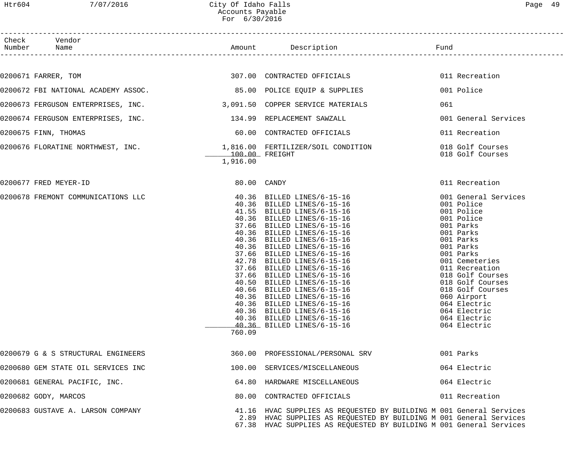| Check Vendor<br>Number Name         |                                     | ription<br>------------------------------                                                                                                                                                                                                                                                                                                                                                                                                                                                                                                                                                                            | Fund<br>____________________________                                                                                                                                                                                                                                                                           |  |
|-------------------------------------|-------------------------------------|----------------------------------------------------------------------------------------------------------------------------------------------------------------------------------------------------------------------------------------------------------------------------------------------------------------------------------------------------------------------------------------------------------------------------------------------------------------------------------------------------------------------------------------------------------------------------------------------------------------------|----------------------------------------------------------------------------------------------------------------------------------------------------------------------------------------------------------------------------------------------------------------------------------------------------------------|--|
| 0200671 FARRER, TOM                 |                                     | 307.00 CONTRACTED OFFICIALS                                                                                                                                                                                                                                                                                                                                                                                                                                                                                                                                                                                          | 011 Recreation                                                                                                                                                                                                                                                                                                 |  |
|                                     |                                     |                                                                                                                                                                                                                                                                                                                                                                                                                                                                                                                                                                                                                      |                                                                                                                                                                                                                                                                                                                |  |
| 0200672 FBI NATIONAL ACADEMY ASSOC. |                                     | 85.00 POLICE EQUIP & SUPPLIES                                                                                                                                                                                                                                                                                                                                                                                                                                                                                                                                                                                        | 001 Police                                                                                                                                                                                                                                                                                                     |  |
| 0200673 FERGUSON ENTERPRISES, INC.  |                                     | 3,091.50 COPPER SERVICE MATERIALS                                                                                                                                                                                                                                                                                                                                                                                                                                                                                                                                                                                    | 061                                                                                                                                                                                                                                                                                                            |  |
| 0200674 FERGUSON ENTERPRISES, INC.  |                                     | 134.99 REPLACEMENT SAWZALL                                                                                                                                                                                                                                                                                                                                                                                                                                                                                                                                                                                           | 001 General Services                                                                                                                                                                                                                                                                                           |  |
| 0200675 FINN, THOMAS                |                                     | 60.00 CONTRACTED OFFICIALS                                                                                                                                                                                                                                                                                                                                                                                                                                                                                                                                                                                           | 011 Recreation                                                                                                                                                                                                                                                                                                 |  |
| 0200676 FLORATINE NORTHWEST, INC.   | _________100.00 FREIGHT<br>1,916.00 | 1,816.00 FERTILIZER/SOIL CONDITION                                                                                                                                                                                                                                                                                                                                                                                                                                                                                                                                                                                   | 018 Golf Courses<br>018 Golf Courses                                                                                                                                                                                                                                                                           |  |
| 0200677 FRED MEYER-ID               | $80.00$ CANDY                       |                                                                                                                                                                                                                                                                                                                                                                                                                                                                                                                                                                                                                      | 011 Recreation                                                                                                                                                                                                                                                                                                 |  |
| 0200678 FREMONT COMMUNICATIONS LLC  | 760.09                              | 40.36 BILLED LINES/6-15-16<br>40.36 BILLED LINES/6-15-16<br>41.55 BILLED LINES/6-15-16<br>40.36 BILLED LINES/6-15-16<br>37.66 BILLED LINES/6-15-16<br>40.36 BILLED LINES/6-15-16<br>40.36 BILLED LINES/6-15-16<br>40.36 BILLED LINES/6-15-16<br>37.66 BILLED LINES/6-15-16<br>42.78 BILLED LINES/6-15-16<br>37.66 BILLED LINES/6-15-16<br>37.66 BILLED LINES/6-15-16<br>40.50 BILLED LINES/6-15-16<br>40.66 BILLED LINES/6-15-16<br>40.36 BILLED LINES/6-15-16<br>40.36 BILLED LINES/6-15-16<br>40.36 BILLED LINES/6-15-16<br>40.36 BILLED LINES/6-15-16<br>40.36 BILLED LINES/6-15-16<br>40.36 BILLED LINES/6-15-16 | 001 General Services<br>001 Police<br>001 Police<br>001 Police<br>001 Parks<br>001 Parks<br>001 Parks<br>001 Parks<br>001 Parks<br>001 Cemeteries<br>011 Recreation<br>018 Golf Courses<br>018 Golf Courses<br>018 Golf Courses<br>060 Airport<br>064 Electric<br>064 Electric<br>064 Electric<br>064 Electric |  |
| 0200679 G & S STRUCTURAL ENGINEERS  |                                     | 360.00 PROFESSIONAL/PERSONAL SRV                                                                                                                                                                                                                                                                                                                                                                                                                                                                                                                                                                                     | 001 Parks                                                                                                                                                                                                                                                                                                      |  |
| 0200680 GEM STATE OIL SERVICES INC  |                                     | 100.00 SERVICES/MISCELLANEOUS                                                                                                                                                                                                                                                                                                                                                                                                                                                                                                                                                                                        | 064 Electric                                                                                                                                                                                                                                                                                                   |  |
| 0200681 GENERAL PACIFIC, INC.       |                                     | 64.80 HARDWARE MISCELLANEOUS                                                                                                                                                                                                                                                                                                                                                                                                                                                                                                                                                                                         | 064 Electric                                                                                                                                                                                                                                                                                                   |  |
| 0200682 GODY, MARCOS                |                                     | 80.00 CONTRACTED OFFICIALS                                                                                                                                                                                                                                                                                                                                                                                                                                                                                                                                                                                           | 011 Recreation                                                                                                                                                                                                                                                                                                 |  |
| 0200683 GUSTAVE A. LARSON COMPANY   |                                     | 41.16 HVAC SUPPLIES AS REQUESTED BY BUILDING M 001 General Services<br>2.89 HVAC SUPPLIES AS REQUESTED BY BUILDING M 001 General Services<br>67.38 HVAC SUPPLIES AS REQUESTED BY BUILDING M 001 General Services                                                                                                                                                                                                                                                                                                                                                                                                     |                                                                                                                                                                                                                                                                                                                |  |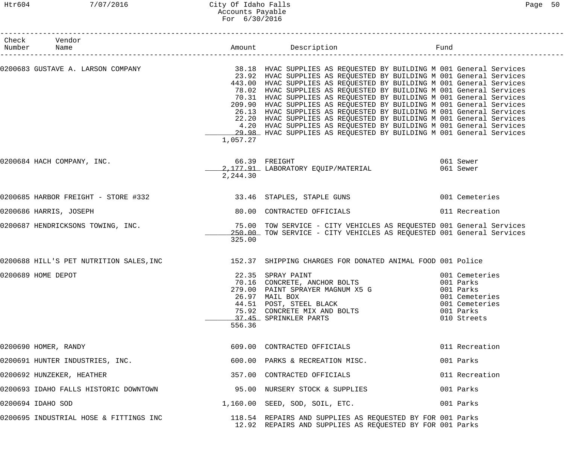| Check Vendor<br>Number Name                                                                                  |                           |                                                                                                                                                                                                                                                                                                                                                                                                                                                                                                                                                                                                                                                              | Fund                                                                                                     |
|--------------------------------------------------------------------------------------------------------------|---------------------------|--------------------------------------------------------------------------------------------------------------------------------------------------------------------------------------------------------------------------------------------------------------------------------------------------------------------------------------------------------------------------------------------------------------------------------------------------------------------------------------------------------------------------------------------------------------------------------------------------------------------------------------------------------------|----------------------------------------------------------------------------------------------------------|
| 0200683 GUSTAVE A. LARSON COMPANY (2008) 28.18 HVAC SUPPLIES AS REQUESTED BY BUILDING M 001 General Services | 1,057.27                  | 23.92 HVAC SUPPLIES AS REQUESTED BY BUILDING M 001 General Services<br>443.00 HVAC SUPPLIES AS REQUESTED BY BUILDING M 001 General Services<br>78.02 HVAC SUPPLIES AS REQUESTED BY BUILDING M 001 General Services<br>70.31 HVAC SUPPLIES AS REQUESTED BY BUILDING M 001 General Services<br>209.90 HVAC SUPPLIES AS REQUESTED BY BUILDING M 001 General Services<br>26.13 HVAC SUPPLIES AS REQUESTED BY BUILDING M 001 General Services<br>22.20 HVAC SUPPLIES AS REQUESTED BY BUILDING M 001 General Services<br>4.20 HVAC SUPPLIES AS REQUESTED BY BUILDING M 001 General Services<br>29.98 HVAC SUPPLIES AS REQUESTED BY BUILDING M 001 General Services |                                                                                                          |
| 0200684 HACH COMPANY, INC.                                                                                   | 66.39 FREIGHT<br>2,244.30 | 2,177.91 LABORATORY EQUIP/MATERIAL                                                                                                                                                                                                                                                                                                                                                                                                                                                                                                                                                                                                                           | 061 Sewer<br>061 Sewer                                                                                   |
| 0200685 HARBOR FREIGHT - STORE #332                                                                          |                           | 33.46 STAPLES, STAPLE GUNS                                                                                                                                                                                                                                                                                                                                                                                                                                                                                                                                                                                                                                   | 001 Cemeteries                                                                                           |
| 0200686 HARRIS, JOSEPH                                                                                       |                           | 80.00 CONTRACTED OFFICIALS                                                                                                                                                                                                                                                                                                                                                                                                                                                                                                                                                                                                                                   | 011 Recreation                                                                                           |
| 0200687 HENDRICKSONS TOWING, INC.                                                                            | 325.00                    | 75.00 TOW SERVICE - CITY VEHICLES AS REQUESTED 001 General Services<br>250.00 TOW SERVICE - CITY VEHICLES AS REQUESTED 001 General Services                                                                                                                                                                                                                                                                                                                                                                                                                                                                                                                  |                                                                                                          |
| 0200688 HILL'S PET NUTRITION SALES, INC 152.37 SHIPPING CHARGES FOR DONATED ANIMAL FOOD 001 Police           |                           |                                                                                                                                                                                                                                                                                                                                                                                                                                                                                                                                                                                                                                                              |                                                                                                          |
| 0200689 HOME DEPOT                                                                                           | 556.36                    | 22.35 SPRAY PAINT<br>70.16 CONCRETE, ANCHOR BOLTS<br>279.00 PAINT SPRAYER MAGNUM X5 G<br>26.97 MAIL BOX<br>44.51 POST, STEEL BLACK<br>75.92 CONCRETE MIX AND BOLTS<br>37.45 SPRINKLER PARTS                                                                                                                                                                                                                                                                                                                                                                                                                                                                  | 001 Cemeteries<br>001 Parks<br>001 Parks<br>001 Cemeteries<br>001 Cemeteries<br>001 Parks<br>010 Streets |
| 0200690 HOMER, RANDY                                                                                         |                           | 609.00 CONTRACTED OFFICIALS                                                                                                                                                                                                                                                                                                                                                                                                                                                                                                                                                                                                                                  | 011 Recreation                                                                                           |
| 0200691 HUNTER INDUSTRIES, INC.                                                                              |                           | 600.00 PARKS & RECREATION MISC.                                                                                                                                                                                                                                                                                                                                                                                                                                                                                                                                                                                                                              | 001 Parks                                                                                                |
| 0200692 HUNZEKER, HEATHER                                                                                    |                           | 357.00 CONTRACTED OFFICIALS                                                                                                                                                                                                                                                                                                                                                                                                                                                                                                                                                                                                                                  | 011 Recreation                                                                                           |
| 0200693 IDAHO FALLS HISTORIC DOWNTOWN                                                                        |                           | 95.00 NURSERY STOCK & SUPPLIES                                                                                                                                                                                                                                                                                                                                                                                                                                                                                                                                                                                                                               | 001 Parks                                                                                                |
| 0200694 IDAHO SOD                                                                                            |                           | 1,160.00 SEED, SOD, SOIL, ETC.                                                                                                                                                                                                                                                                                                                                                                                                                                                                                                                                                                                                                               | 001 Parks                                                                                                |
| 0200695 INDUSTRIAL HOSE & FITTINGS INC                                                                       |                           | 118.54 REPAIRS AND SUPPLIES AS REQUESTED BY FOR 001 Parks<br>12.92 REPAIRS AND SUPPLIES AS REQUESTED BY FOR 001 Parks                                                                                                                                                                                                                                                                                                                                                                                                                                                                                                                                        |                                                                                                          |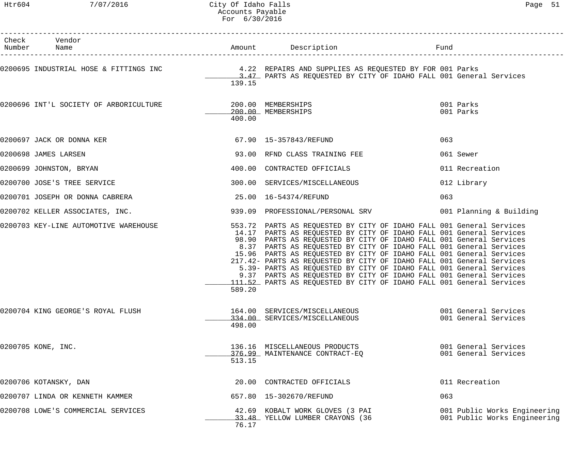| Check Vendor<br>Number Name                                                                    |        |                                                                                                                                                                                                                                                                                                                                                                                                                                                                                                                                                                                                                                                               | Fund |                                                              |
|------------------------------------------------------------------------------------------------|--------|---------------------------------------------------------------------------------------------------------------------------------------------------------------------------------------------------------------------------------------------------------------------------------------------------------------------------------------------------------------------------------------------------------------------------------------------------------------------------------------------------------------------------------------------------------------------------------------------------------------------------------------------------------------|------|--------------------------------------------------------------|
| 0200695 INDUSTRIAL HOSE & FITTINGS INC 4.22 REPAIRS AND SUPPLIES AS REQUESTED BY FOR 001 Parks | 139.15 | 3.47 PARTS AS REQUESTED BY CITY OF IDAHO FALL 001 General Services                                                                                                                                                                                                                                                                                                                                                                                                                                                                                                                                                                                            |      |                                                              |
| 0200696 INT'L SOCIETY OF ARBORICULTURE                                                         | 400.00 | 200.00 MEMBERSHIPS<br>200.00 MEMBERSHIPS                                                                                                                                                                                                                                                                                                                                                                                                                                                                                                                                                                                                                      |      | 001 Parks<br>001 Parks                                       |
| 0200697 JACK OR DONNA KER                                                                      |        | 67.90   15-357843/REFUND                                                                                                                                                                                                                                                                                                                                                                                                                                                                                                                                                                                                                                      | 063  |                                                              |
| 0200698 JAMES LARSEN                                                                           |        | 93.00 RFND CLASS TRAINING FEE                                                                                                                                                                                                                                                                                                                                                                                                                                                                                                                                                                                                                                 |      | 061 Sewer                                                    |
| 0200699 JOHNSTON, BRYAN                                                                        |        | 400.00 CONTRACTED OFFICIALS                                                                                                                                                                                                                                                                                                                                                                                                                                                                                                                                                                                                                                   |      | 011 Recreation                                               |
| 0200700 JOSE'S TREE SERVICE                                                                    |        | 300.00 SERVICES/MISCELLANEOUS                                                                                                                                                                                                                                                                                                                                                                                                                                                                                                                                                                                                                                 |      | 012 Library                                                  |
| 0200701 JOSEPH OR DONNA CABRERA                                                                |        |                                                                                                                                                                                                                                                                                                                                                                                                                                                                                                                                                                                                                                                               | 063  |                                                              |
| 0200702 KELLER ASSOCIATES, INC.                                                                |        | 939.09 PROFESSIONAL/PERSONAL SRV 001 Planning & Building                                                                                                                                                                                                                                                                                                                                                                                                                                                                                                                                                                                                      |      |                                                              |
| 0200703 KEY-LINE AUTOMOTIVE WAREHOUSE                                                          | 589.20 | 553.72 PARTS AS REQUESTED BY CITY OF IDAHO FALL 001 General Services<br>14.17 PARTS AS REQUESTED BY CITY OF IDAHO FALL 001 General Services<br>98.90 PARTS AS REQUESTED BY CITY OF IDAHO FALL 001 General Services<br>8.37 PARTS AS REQUESTED BY CITY OF IDAHO FALL 001 General Services<br>15.96 PARTS AS REQUESTED BY CITY OF IDAHO FALL 001 General Services<br>217.42- PARTS AS REQUESTED BY CITY OF IDAHO FALL 001 General Services<br>5.39- PARTS AS REQUESTED BY CITY OF IDAHO FALL 001 General Services<br>9.37 PARTS AS REQUESTED BY CITY OF IDAHO FALL 001 General Services<br>111.52 PARTS AS REQUESTED BY CITY OF IDAHO FALL 001 General Services |      |                                                              |
| 0200704 KING GEORGE'S ROYAL FLUSH                                                              | 498.00 | 164.00 SERVICES/MISCELLANEOUS<br>334.00 SERVICES/MISCELLANEOUS                                                                                                                                                                                                                                                                                                                                                                                                                                                                                                                                                                                                |      | 001 General Services<br>001 General Services                 |
| 0200705 KONE, INC.                                                                             | 513.15 | 136.16 MISCELLANEOUS PRODUCTS<br>376.99 MAINTENANCE CONTRACT-EO                                                                                                                                                                                                                                                                                                                                                                                                                                                                                                                                                                                               |      | 001 General Services<br>001 General Services                 |
| 0200706 KOTANSKY, DAN                                                                          |        | 20.00 CONTRACTED OFFICIALS                                                                                                                                                                                                                                                                                                                                                                                                                                                                                                                                                                                                                                    |      | 011 Recreation                                               |
| 0200707 LINDA OR KENNETH KAMMER                                                                |        | 657.80  15-302670/REFUND                                                                                                                                                                                                                                                                                                                                                                                                                                                                                                                                                                                                                                      | 063  |                                                              |
| 0200708 LOWE'S COMMERCIAL SERVICES                                                             | 76.17  | 42.69 KOBALT WORK GLOVES (3 PAI<br>33.48 YELLOW LUMBER CRAYONS (36                                                                                                                                                                                                                                                                                                                                                                                                                                                                                                                                                                                            |      | 001 Public Works Engineering<br>001 Public Works Engineering |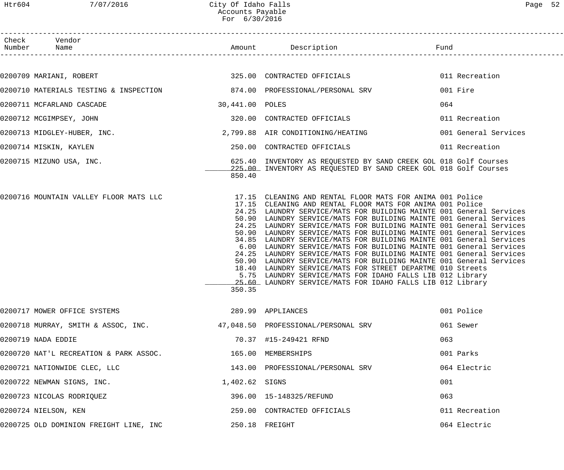| Htr604 | 7/07/2016                              | City Of Idaho Falls<br>Accounts Payable<br>For 6/30/2016 |                                                                                                                                                                                                                                                                                                                                                                                                                                                                                                                                                                                                                                                                                                                                                                                                                                                                                                                                               |                      | Page 52 |
|--------|----------------------------------------|----------------------------------------------------------|-----------------------------------------------------------------------------------------------------------------------------------------------------------------------------------------------------------------------------------------------------------------------------------------------------------------------------------------------------------------------------------------------------------------------------------------------------------------------------------------------------------------------------------------------------------------------------------------------------------------------------------------------------------------------------------------------------------------------------------------------------------------------------------------------------------------------------------------------------------------------------------------------------------------------------------------------|----------------------|---------|
|        | Check Vendor<br>Number Name            |                                                          | Amount Description                                                                                                                                                                                                                                                                                                                                                                                                                                                                                                                                                                                                                                                                                                                                                                                                                                                                                                                            | Fund                 |         |
|        |                                        |                                                          | 325.00 CONTRACTED OFFICIALS                                                                                                                                                                                                                                                                                                                                                                                                                                                                                                                                                                                                                                                                                                                                                                                                                                                                                                                   | 011 Recreation       |         |
|        | 0200709 MARIANI, ROBERT                |                                                          |                                                                                                                                                                                                                                                                                                                                                                                                                                                                                                                                                                                                                                                                                                                                                                                                                                                                                                                                               |                      |         |
|        |                                        |                                                          | 0200710 MATERIALS TESTING & INSPECTION 674.00 PROFESSIONAL/PERSONAL SRV                                                                                                                                                                                                                                                                                                                                                                                                                                                                                                                                                                                                                                                                                                                                                                                                                                                                       | 001 Fire             |         |
|        | 0200711 MCFARLAND CASCADE              | 30,441.00 POLES                                          |                                                                                                                                                                                                                                                                                                                                                                                                                                                                                                                                                                                                                                                                                                                                                                                                                                                                                                                                               | 064                  |         |
|        | 0200712 MCGIMPSEY, JOHN                |                                                          | 320.00 CONTRACTED OFFICIALS                                                                                                                                                                                                                                                                                                                                                                                                                                                                                                                                                                                                                                                                                                                                                                                                                                                                                                                   | 011 Recreation       |         |
|        | 0200713 MIDGLEY-HUBER, INC.            |                                                          | 2,799.88 AIR CONDITIONING/HEATING                                                                                                                                                                                                                                                                                                                                                                                                                                                                                                                                                                                                                                                                                                                                                                                                                                                                                                             | 001 General Services |         |
|        | 0200714 MISKIN, KAYLEN                 |                                                          | 250.00 CONTRACTED OFFICIALS                                                                                                                                                                                                                                                                                                                                                                                                                                                                                                                                                                                                                                                                                                                                                                                                                                                                                                                   | 011 Recreation       |         |
|        | 0200715 MIZUNO USA, INC.               | 850.40                                                   | 625.40 INVENTORY AS REQUESTED BY SAND CREEK GOL 018 Golf Courses<br>225.00 INVENTORY AS REQUESTED BY SAND CREEK GOL 018 Golf Courses                                                                                                                                                                                                                                                                                                                                                                                                                                                                                                                                                                                                                                                                                                                                                                                                          |                      |         |
|        |                                        | 350.35                                                   | 0200716 MOUNTAIN VALLEY FLOOR MATS LLC 17.15 CLEANING AND RENTAL FLOOR MATS FOR ANIMA 001 Police<br>17.15 CLEANING AND RENTAL FLOOR MATS FOR ANIMA 001 Police<br>24.25 LAUNDRY SERVICE/MATS FOR BUILDING MAINTE 001 General Services<br>50.90 LAUNDRY SERVICE/MATS FOR BUILDING MAINTE 001 General Services<br>24.25 LAUNDRY SERVICE/MATS FOR BUILDING MAINTE 001 General Services<br>50.90 LAUNDRY SERVICE/MATS FOR BUILDING MAINTE 001 General Services<br>34.85 LAUNDRY SERVICE/MATS FOR BUILDING MAINTE 001 General Services<br>6.00 LAUNDRY SERVICE/MATS FOR BUILDING MAINTE 001 General Services<br>24.25 LAUNDRY SERVICE/MATS FOR BUILDING MAINTE 001 General Services<br>50.90 LAUNDRY SERVICE/MATS FOR BUILDING MAINTE 001 General Services<br>18.40 LAUNDRY SERVICE/MATS FOR STREET DEPARTME 010 Streets<br>5.75 LAUNDRY SERVICE/MATS FOR IDAHO FALLS LIB 012 Library<br>25.60 LAUNDRY SERVICE/MATS FOR IDAHO FALLS LIB 012 Library |                      |         |
|        | 0200717 MOWER OFFICE SYSTEMS           |                                                          | 289.99 APPLIANCES                                                                                                                                                                                                                                                                                                                                                                                                                                                                                                                                                                                                                                                                                                                                                                                                                                                                                                                             | 001 Police           |         |
|        | 0200718 MURRAY, SMITH & ASSOC, INC.    |                                                          | 47,048.50 PROFESSIONAL/PERSONAL SRV                                                                                                                                                                                                                                                                                                                                                                                                                                                                                                                                                                                                                                                                                                                                                                                                                                                                                                           | 061 Sewer            |         |
|        | 0200719 NADA EDDIE                     |                                                          | 70.37 #15-249421 RFND                                                                                                                                                                                                                                                                                                                                                                                                                                                                                                                                                                                                                                                                                                                                                                                                                                                                                                                         | 063                  |         |
|        | 0200720 NAT'L RECREATION & PARK ASSOC. |                                                          | 165.00 MEMBERSHIPS                                                                                                                                                                                                                                                                                                                                                                                                                                                                                                                                                                                                                                                                                                                                                                                                                                                                                                                            | 001 Parks            |         |
|        | 0200721 NATIONWIDE CLEC, LLC           |                                                          | 143.00 PROFESSIONAL/PERSONAL SRV                                                                                                                                                                                                                                                                                                                                                                                                                                                                                                                                                                                                                                                                                                                                                                                                                                                                                                              | 064 Electric         |         |
|        | 0200722 NEWMAN SIGNS, INC.             | 1,402.62 SIGNS                                           |                                                                                                                                                                                                                                                                                                                                                                                                                                                                                                                                                                                                                                                                                                                                                                                                                                                                                                                                               | 001                  |         |
|        | 0200723 NICOLAS RODRIQUEZ              |                                                          | 396.00   15-148325/REFUND                                                                                                                                                                                                                                                                                                                                                                                                                                                                                                                                                                                                                                                                                                                                                                                                                                                                                                                     | 063                  |         |
|        | 0200724 NIELSON, KEN                   |                                                          | 259.00 CONTRACTED OFFICIALS                                                                                                                                                                                                                                                                                                                                                                                                                                                                                                                                                                                                                                                                                                                                                                                                                                                                                                                   | 011 Recreation       |         |
|        |                                        |                                                          |                                                                                                                                                                                                                                                                                                                                                                                                                                                                                                                                                                                                                                                                                                                                                                                                                                                                                                                                               |                      |         |

0200725 OLD DOMINION FREIGHT LINE, INC 250.18 FREIGHT 064 Electric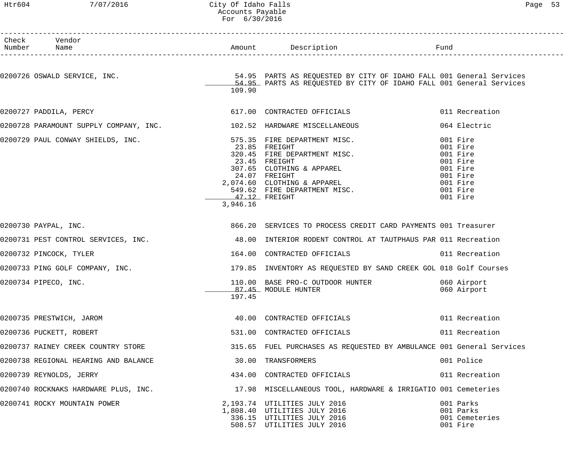# Htr604 7/07/2016 City Of Idaho Falls Page 53 Accounts Payable For 6/30/2016

| Check Vendor<br>Number Name                                          |                           |                                                                                                                                                                                                                              |                                                                                                          |
|----------------------------------------------------------------------|---------------------------|------------------------------------------------------------------------------------------------------------------------------------------------------------------------------------------------------------------------------|----------------------------------------------------------------------------------------------------------|
|                                                                      | 109.90                    |                                                                                                                                                                                                                              |                                                                                                          |
| 0200727 PADDILA, PERCY                                               |                           | 617.00 CONTRACTED OFFICIALS                                                                                                                                                                                                  | 011 Recreation                                                                                           |
| 0200728 PARAMOUNT SUPPLY COMPANY, INC. 102.52 HARDWARE MISCELLANEOUS |                           |                                                                                                                                                                                                                              | 064 Electric                                                                                             |
| 0200729 PAUL CONWAY SHIELDS, INC.<br>575.35 FIRE DEPARTMENT MISC.    | 47.12 FREIGHT<br>3,946.16 | 575.35 FIRE DEPARTMENT MISC.<br>23.85 FREIGHT<br>320.45 FIRE DEPARTMENT MISC.<br>23.45 FREIGHT<br>307.65 CLOTHING & APPAREL<br>24.07 FREIGHT<br>2,074.60 CLOTHING & APPAREL<br>549.62 FIRE DEPARTMENT MISC.<br>47.12 FPFICUT | 001 Fire<br>001 Fire<br>001 Fire<br>001 Fire<br>001 Fire<br>001 Fire<br>001 Fire<br>001 Fire<br>001 Fire |
| 0200730 PAYPAL, INC.                                                 |                           | 866.20 SERVICES TO PROCESS CREDIT CARD PAYMENTS 001 Treasurer                                                                                                                                                                |                                                                                                          |
|                                                                      |                           | 0200731 PEST CONTROL SERVICES, INC. 48.00 INTERIOR RODENT CONTROL AT TAUTPHAUS PAR 011 Recreation                                                                                                                            |                                                                                                          |
| 0200732 PINCOCK, TYLER                                               |                           | 164.00 CONTRACTED OFFICIALS                                                                                                                                                                                                  | 011 Recreation                                                                                           |
|                                                                      |                           | 0200733 PING GOLF COMPANY, INC. THE SAME SERVIEW RESOLUTION AS REQUESTED BY SAND CREEK GOL 018 Golf Courses                                                                                                                  |                                                                                                          |
| 0200734 PIPECO, INC.                                                 | 197.45                    | 110.00 BASE PRO-C OUTDOOR HUNTER 060 Airport<br>87.45 MODULE HUNTER                                                                                                                                                          | 060 Airport                                                                                              |
| 0200735 PRESTWICH, JAROM                                             |                           | 40.00 CONTRACTED OFFICIALS                                                                                                                                                                                                   | 011 Recreation                                                                                           |
| 0200736 PUCKETT, ROBERT                                              |                           | 531.00 CONTRACTED OFFICIALS                                                                                                                                                                                                  | 011 Recreation                                                                                           |
| 0200737 RAINEY CREEK COUNTRY STORE                                   |                           | 315.65 FUEL PURCHASES AS REQUESTED BY AMBULANCE 001 General Services                                                                                                                                                         |                                                                                                          |
| 0200738 REGIONAL HEARING AND BALANCE                                 |                           | 30.00 TRANSFORMERS                                                                                                                                                                                                           | 001 Police                                                                                               |
| 0200739 REYNOLDS, JERRY                                              |                           | 434.00 CONTRACTED OFFICIALS                                                                                                                                                                                                  | 011 Recreation                                                                                           |
| 0200740 ROCKNAKS HARDWARE PLUS, INC.                                 |                           | 17.98 MISCELLANEOUS TOOL, HARDWARE & IRRIGATIO 001 Cemeteries                                                                                                                                                                |                                                                                                          |
| 0200741 ROCKY MOUNTAIN POWER                                         |                           | 2,193.74 UTILITIES JULY 2016<br>1,808.40 UTILITIES JULY 2016<br>336.15 UTILITIES JULY 2016<br>508.57 UTILITIES JULY 2016                                                                                                     | 001 Parks<br>001 Parks<br>001 Cemeteries<br>001 Fire                                                     |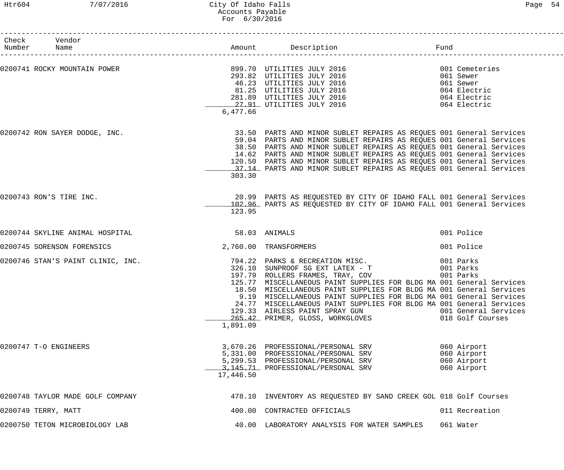# Htr604 7/07/2016 City Of Idaho Falls Page 54 Accounts Payable For 6/30/2016

| Check Vendor<br>Number Name       |           |                                                                                                                                                                                                                                                                                                                                                                                                                                                                           | Fund                                                                            |
|-----------------------------------|-----------|---------------------------------------------------------------------------------------------------------------------------------------------------------------------------------------------------------------------------------------------------------------------------------------------------------------------------------------------------------------------------------------------------------------------------------------------------------------------------|---------------------------------------------------------------------------------|
| 0200741 ROCKY MOUNTAIN POWER      | 6,477.66  | 899.70 UTILITIES JULY 2016<br>293.82 UTILITIES JULY 2016<br>46.23 UTILITIES JULY 2016<br>81.25 UTILITIES JULY 2016<br>281.89 UTILITIES JULY 2016<br>27.91 UTILITIES JULY 2016<br>27.91 UTILITIES JULY 2016<br>27.91 UTILITIES JULY 2016<br>27.                                                                                                                                                                                                                            |                                                                                 |
| 0200742 RON SAYER DODGE, INC.     | 303.30    | 33.50 PARTS AND MINOR SUBLET REPAIRS AS REQUES 001 General Services<br>59.04 PARTS AND MINOR SUBLET REPAIRS AS REQUES 001 General Services<br>38.50 PARTS AND MINOR SUBLET REPAIRS AS REQUES 001 General Services<br>14.62 PARTS AND MINOR SUBLET REPAIRS AS REQUES 001 General Services<br>120.50 PARTS AND MINOR SUBLET REPAIRS AS REQUES 001 General Services<br>17.14 PARTS AND MINOR SUBLET REPAIRS AS REQUES 001 General Services                                   |                                                                                 |
| 0200743 RON'S TIRE INC.           | 123.95    | 20.99 PARTS AS REQUESTED BY CITY OF IDAHO FALL 001 General Services<br>102.96 PARTS AS REQUESTED BY CITY OF IDAHO FALL 001 General Services                                                                                                                                                                                                                                                                                                                               |                                                                                 |
| 0200744 SKYLINE ANIMAL HOSPITAL   |           | 58.03 ANIMALS                                                                                                                                                                                                                                                                                                                                                                                                                                                             | 001 Police                                                                      |
| 0200745 SORENSON FORENSICS        |           | 2,760.00 TRANSFORMERS                                                                                                                                                                                                                                                                                                                                                                                                                                                     | 001 Police                                                                      |
| 0200746 STAN'S PAINT CLINIC, INC. | 1,891.09  | 794.22 PARKS & RECREATION MISC.<br>326.10 SUNPROOF SG EXT LATEX - T<br>197.79 ROLLERS FRAMES, TRAY, COV<br>125.77 MISCELLANEOUS PAINT SUPPLIES FOR BLDG MA 001 General Services<br>18.50 MISCELLANEOUS PAINT SUPPLIES FOR BLDG MA 001 General Services<br>9.19 MISCELLANEOUS PAINT SUPPLIES FOR BLDG MA 001 General Services<br>24.77 MISCELLANEOUS PAINT SUPPLIES FOR BLDG MA 001 General Services<br>129.33 AIRLESS PAINT SPRAY GUN<br>265.42 PRIMER, GLOSS, WORKGLOVES | 001 Parks<br>001 Parks<br>001 Parks<br>001 General Services<br>018 Golf Courses |
| 0200747 T-O ENGINEERS             | 17,446.50 | 3,670.26 PROFESSIONAL/PERSONAL SRV<br>5,331.00 PROFESSIONAL/PERSONAL SRV<br>5,299.53 PROFESSIONAL/PERSONAL SRV<br>3,145.71 PROFESSIONAL/PERSONAL SRV                                                                                                                                                                                                                                                                                                                      | 060 Airport<br>060 Airport<br>060 Airport<br>060 Airport                        |
| 0200748 TAYLOR MADE GOLF COMPANY  |           | 478.10 INVENTORY AS REQUESTED BY SAND CREEK GOL 018 Golf Courses                                                                                                                                                                                                                                                                                                                                                                                                          |                                                                                 |
| 0200749 TERRY, MATT               |           | 400.00 CONTRACTED OFFICIALS                                                                                                                                                                                                                                                                                                                                                                                                                                               | 011 Recreation                                                                  |
| 0200750 TETON MICROBIOLOGY LAB    |           | 40.00 LABORATORY ANALYSIS FOR WATER SAMPLES                                                                                                                                                                                                                                                                                                                                                                                                                               | 061 Water                                                                       |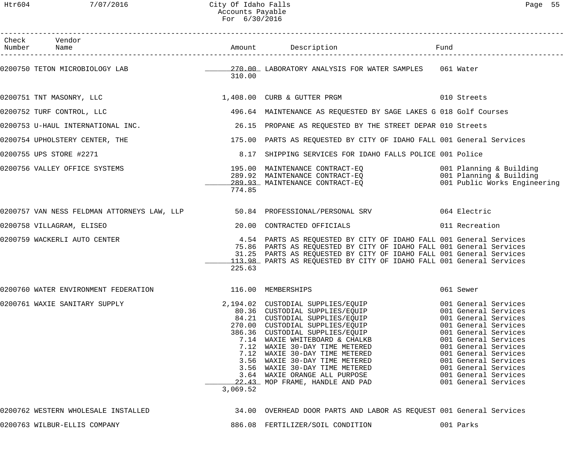| Htr604          | 7/07/2016                            | City Of Idaho Falls<br>Accounts Payable<br>For 6/30/2016 |                                                                                                                                                                                                                                                                                                                                                                                                                                                                                                                                     | Page 55                                                                                      |
|-----------------|--------------------------------------|----------------------------------------------------------|-------------------------------------------------------------------------------------------------------------------------------------------------------------------------------------------------------------------------------------------------------------------------------------------------------------------------------------------------------------------------------------------------------------------------------------------------------------------------------------------------------------------------------------|----------------------------------------------------------------------------------------------|
| Check<br>Number | Vendor<br>Name                       |                                                          | Amount Description                                                                                                                                                                                                                                                                                                                                                                                                                                                                                                                  | Fund                                                                                         |
|                 | 0200750 TETON MICROBIOLOGY LAB       | 310.00                                                   | 161 Water (270.00 LABORATORY ANALYSIS FOR WATER SAMPLES 1961 Water                                                                                                                                                                                                                                                                                                                                                                                                                                                                  |                                                                                              |
|                 | 0200751 TNT MASONRY, LLC             |                                                          | 1,408.00 CURB & GUTTER PRGM 010 Streets                                                                                                                                                                                                                                                                                                                                                                                                                                                                                             |                                                                                              |
|                 | 0200752 TURF CONTROL, LLC            |                                                          | 496.64 MAINTENANCE AS REQUESTED BY SAGE LAKES G 018 Golf Courses                                                                                                                                                                                                                                                                                                                                                                                                                                                                    |                                                                                              |
|                 | 0200753 U-HAUL INTERNATIONAL INC.    |                                                          | 26.15 PROPANE AS REQUESTED BY THE STREET DEPAR 010 Streets                                                                                                                                                                                                                                                                                                                                                                                                                                                                          |                                                                                              |
|                 | 0200754 UPHOLSTERY CENTER, THE       |                                                          | 175.00 PARTS AS REQUESTED BY CITY OF IDAHO FALL 001 General Services                                                                                                                                                                                                                                                                                                                                                                                                                                                                |                                                                                              |
|                 | 0200755 UPS STORE #2271              | 8.17                                                     | SHIPPING SERVICES FOR IDAHO FALLS POLICE 001 Police                                                                                                                                                                                                                                                                                                                                                                                                                                                                                 |                                                                                              |
|                 | 0200756 VALLEY OFFICE SYSTEMS        | 774.85                                                   | 195.00 MAINTENANCE CONTRACT-EQ<br>289.92 MAINTENANCE CONTRACT-EQ<br>289.93 MAINTENANCE CONTRACT-EQ                           001 Planning & Building                                                                                                                                                                                                                                                                                                                                                                                | 001 Public Works Engineering                                                                 |
|                 |                                      |                                                          | 0200757 VAN NESS FELDMAN ATTORNEYS LAW, LLP 50.84 PROFESSIONAL/PERSONAL SRV 664 Electric                                                                                                                                                                                                                                                                                                                                                                                                                                            |                                                                                              |
|                 | 0200758 VILLAGRAM, ELISEO            |                                                          | 20.00 CONTRACTED OFFICIALS                                                                                                                                                                                                                                                                                                                                                                                                                                                                                                          | 011 Recreation                                                                               |
|                 | 0200759 WACKERLI AUTO CENTER         | 225.63                                                   | 4.54 PARTS AS REQUESTED BY CITY OF IDAHO FALL 001 General Services<br>75.86 PARTS AS REQUESTED BY CITY OF IDAHO FALL 001 General Services<br>31.25 PARTS AS REQUESTED BY CITY OF IDAHO FALL 001 General Services<br>113.98 PARTS AS REQUESTED BY CITY OF IDAHO FALL 001 General Services                                                                                                                                                                                                                                            |                                                                                              |
|                 | 0200760 WATER ENVIRONMENT FEDERATION | 116.00 MEMBERSHIPS                                       |                                                                                                                                                                                                                                                                                                                                                                                                                                                                                                                                     | 061 Sewer                                                                                    |
|                 | 0200761 WAXIE SANITARY SUPPLY        | 3,069.52                                                 | 2,194.02 CUSTODIAL SUPPLIES/EQUIP<br>80.36 CUSTODIAL SUPPLIES/EQUIP<br>84.21 CUSTODIAL SUPPLIES/EQUIP<br>270.00 CUSTODIAL SUPPLIES/EQUIP<br>386.36 CUSTODIAL SUPPLIES/EQUIP<br>386.36 CUSTODIAL SUPPLIES/EQUIP<br>386.36 CUSTODIAL SUPPLIE<br>7.14 WAXIE WHITEBOARD & CHALKB<br>7.12 WAXIE 30-DAY TIME METERED<br>7.12 WAXIE 30-DAY TIME METERED<br>3.56 WAXIE 30-DAY TIME METERED<br>3.56 WAXIE 30-DAY TIME METERED<br>3.64 WAXIE ORANGE ALL PURPOSE 6001 General Services<br>22.43 MOP FRAME, HANDLE AND PAD 601 General Services | 001 General Services<br>001 General Services<br>001 General Services<br>001 General Services |

0200762 WESTERN WHOLESALE INSTALLED 34.00 OVERHEAD DOOR PARTS AND LABOR AS REQUEST 001 General Services 0200763 WILBUR-ELLIS COMPANY 886.08 FERTILIZER/SOIL CONDITION 001 Parks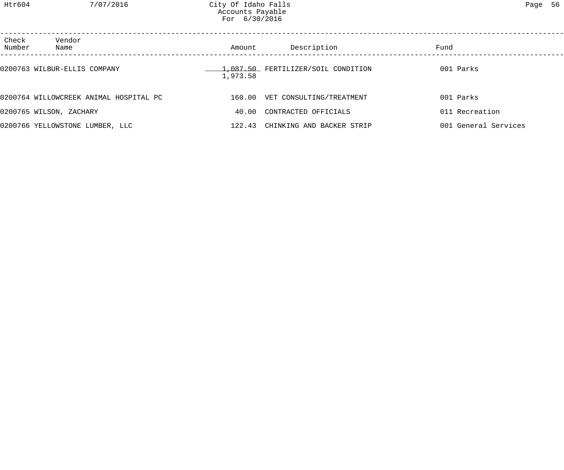Htr604 7/07/2016 City Of Idaho Falls Page 56 Accounts Payable For 6/30/2016

| Check<br>Number | Vendor<br>Name                         | Amount   | Description                        | Fund                 |  |
|-----------------|----------------------------------------|----------|------------------------------------|----------------------|--|
|                 | 0200763 WILBUR-ELLIS COMPANY           | 1,973.58 | 1,087.50 FERTILIZER/SOIL CONDITION | 001 Parks            |  |
|                 | 0200764 WILLOWCREEK ANIMAL HOSPITAL PC |          | 160.00 VET CONSULTING/TREATMENT    | 001 Parks            |  |
|                 | 0200765 WILSON, ZACHARY                | 40.00    | CONTRACTED OFFICIALS               | 011 Recreation       |  |
|                 | 0200766 YELLOWSTONE LUMBER, LLC        | 122.43   | CHINKING AND BACKER STRIP          | 001 General Services |  |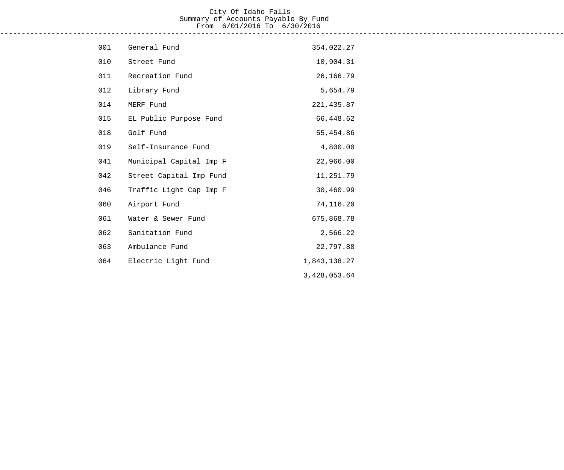#### City Of Idaho Falls Summary of Accounts Payable By Fund From 6/01/2016 To 6/30/2016 ------------------------------------------------------------------------------------------------------------------------------------

| 001 | General Fund            | 354,022.27   |
|-----|-------------------------|--------------|
| 010 | Street Fund             | 10,904.31    |
| 011 | Recreation Fund         | 26, 166.79   |
| 012 | Library Fund            | 5,654.79     |
| 014 | MERF Fund               | 221, 435.87  |
| 015 | EL Public Purpose Fund  | 66,448.62    |
| 018 | Golf Fund               | 55,454.86    |
| 019 | Self-Insurance Fund     | 4,800.00     |
| 041 | Municipal Capital Imp F | 22,966.00    |
| 042 | Street Capital Imp Fund | 11,251.79    |
| 046 | Traffic Light Cap Imp F | 30,460.99    |
| 060 | Airport Fund            | 74,116.20    |
| 061 | Water & Sewer Fund      | 675,868.78   |
| 062 | Sanitation Fund         | 2,566.22     |
| 063 | Ambulance Fund          | 22,797.88    |
| 064 | Electric Light Fund     | 1,843,138.27 |
|     |                         | 3,428,053.64 |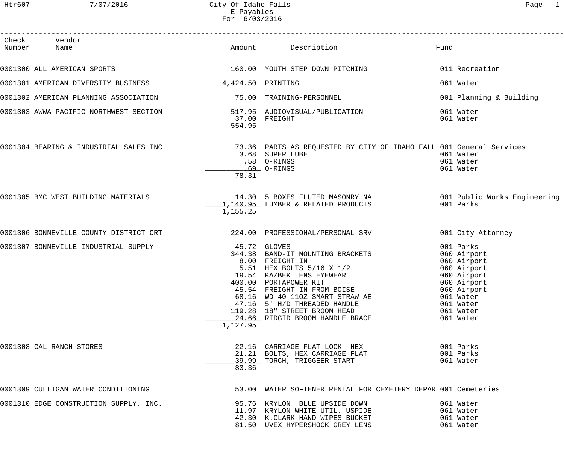| Check Vendor<br>Number Name                                           |                          |                                                                                                                                                                                                                                                                                                                                      |                                                                                                                                                         |
|-----------------------------------------------------------------------|--------------------------|--------------------------------------------------------------------------------------------------------------------------------------------------------------------------------------------------------------------------------------------------------------------------------------------------------------------------------------|---------------------------------------------------------------------------------------------------------------------------------------------------------|
| 0001300 ALL AMERICAN SPORTS                                           |                          | 160.00 YOUTH STEP DOWN PITCHING                                                                                                                                                                                                                                                                                                      | 011 Recreation                                                                                                                                          |
| 0001301 AMERICAN DIVERSITY BUSINESS 4,424.50 PRINTING                 |                          |                                                                                                                                                                                                                                                                                                                                      | 061 Water                                                                                                                                               |
|                                                                       |                          |                                                                                                                                                                                                                                                                                                                                      |                                                                                                                                                         |
|                                                                       |                          |                                                                                                                                                                                                                                                                                                                                      | 001 Planning & Building                                                                                                                                 |
| 0001303 AWWA-PACIFIC NORTHWEST SECTION 517.95 AUDIOVISUAL/PUBLICATION | 37.00 FREIGHT            |                                                                                                                                                                                                                                                                                                                                      | 061 Water<br>061 Water                                                                                                                                  |
|                                                                       | 554.95                   |                                                                                                                                                                                                                                                                                                                                      |                                                                                                                                                         |
|                                                                       | 78.31                    | 3.68 SUPER LUBE<br>.58 O-RINGS<br>69 O-RINGS                                                                                                                                                                                                                                                                                         | 061 Water<br>061 Water<br>061 Water                                                                                                                     |
| 0001305 BMC WEST BUILDING MATERIALS                                   | 1,155.25                 | 14.30 5 BOXES FLUTED MASONRY NA 6001 Public Works Engineering<br>1,140.95 LUMBER & RELATED PRODUCTS                                                                                                                                                                                                                                  | 001 Parks                                                                                                                                               |
|                                                                       |                          |                                                                                                                                                                                                                                                                                                                                      | 001 City Attorney                                                                                                                                       |
| 0001307 BONNEVILLE INDUSTRIAL SUPPLY                                  | 45.72 GLOVES<br>1,127.95 | 344.38 BAND-IT MOUNTING BRACKETS<br>8.00 FREIGHT IN<br>5.51 HEX BOLTS 5/16 X 1/2<br>19.54 KAZBEK LENS EYEWEAR<br>400.00 PORTAPOWER KIT<br>400.00 PORTAPOWER KIT<br>45.54 FREIGHT IN FROM BOISE<br>68.16 WD-40 110Z SMART STRAW AE<br>47.16 5' H/D THREADED HANDLE<br>119.28 18" STREET BROOM HEAD<br>24.66 RIDGID BROOM HANDLE BRACE | 001 Parks<br>060 Airport<br>060 Airport<br>060 Airport<br>060 Airport<br>060 Airport<br>060 Airport<br>061 Water<br>061 Water<br>061 Water<br>061 Water |
| 0001308 CAL RANCH STORES                                              | 83.36                    | 22.16 CARRIAGE FLAT LOCK HEX<br>21.21 BOLTS, HEX CARRIAGE FLAT<br>39.99 TORCH, TRIGGEER START                                                                                                                                                                                                                                        | 001 Parks<br>001 Parks<br>061 Water                                                                                                                     |
| 0001309 CULLIGAN WATER CONDITIONING                                   |                          | 53.00 WATER SOFTENER RENTAL FOR CEMETERY DEPAR 001 Cemeteries                                                                                                                                                                                                                                                                        |                                                                                                                                                         |
| 0001310 EDGE CONSTRUCTION SUPPLY, INC.                                |                          | 95.76 KRYLON BLUE UPSIDE DOWN<br>11.97 KRYLON WHITE UTIL. USPIDE<br>42.30 K.CLARK HAND WIPES BUCKET<br>81.50 UVEX HYPERSHOCK GREY LENS                                                                                                                                                                                               | 061 Water<br>061 Water<br>061 Water<br>061 Water                                                                                                        |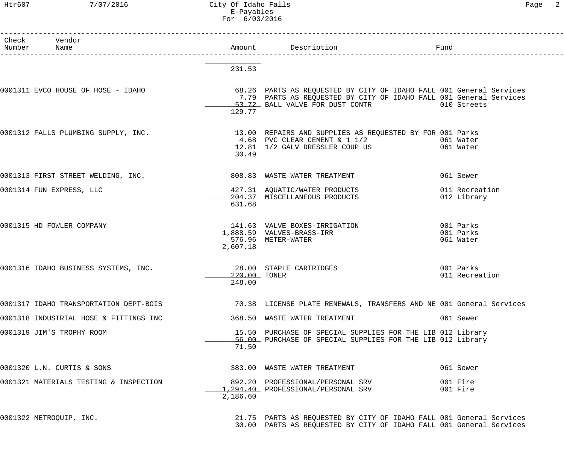# Htr607 7/07/2016 City Of Idaho Falls Page 2 E-Payables For 6/03/2016

| Check Vendor<br>Number Name            |                        |                                                                                                                                                                                          |                                     |
|----------------------------------------|------------------------|------------------------------------------------------------------------------------------------------------------------------------------------------------------------------------------|-------------------------------------|
|                                        | 231.53                 |                                                                                                                                                                                          |                                     |
| 0001311 EVCO HOUSE OF HOSE - IDAHO     | 129.77                 | 68.26 PARTS AS REQUESTED BY CITY OF IDAHO FALL 001 General Services<br>7.79 PARTS AS REQUESTED BY CITY OF IDAHO FALL 001 General Services<br>53.72 BALL VALVE FOR DUST CONTR 010 Streets |                                     |
| 0001312 FALLS PLUMBING SUPPLY, INC.    | 30.49                  | 13.00 REPAIRS AND SUPPLIES AS REQUESTED BY FOR 001 Parks<br>4.68 PVC CLEAR CEMENT & 1 1/2 061 Water<br>12.81 1/2 GALV DRESSLER COUP US 061 Water                                         |                                     |
| 0001313 FIRST STREET WELDING, INC.     |                        | 808.83 WASTE WATER TREATMENT                                                                                                                                                             | 061 Sewer                           |
| 0001314 FUN EXPRESS, LLC               | 631.68                 | 427.31 AQUATIC/WATER PRODUCTS<br>204.37 MISCELLANEOUS PRODUCTS                                                                                                                           | 011 Recreation<br>012 Library       |
| 0001315 HD FOWLER COMPANY              | 2,607.18               | 141.63 VALVE BOXES-IRRIGATION<br>1,888.59 VALVES-BRASS-IRR<br>576.96 METER-WATER                                                                                                         | 001 Parks<br>001 Parks<br>061 Water |
| 0001316 IDAHO BUSINESS SYSTEMS, INC.   | 220.00 TONER<br>248.00 | 28.00 STAPLE CARTRIDGES                                                                                                                                                                  | 001 Parks<br>011 Recreation         |
| 0001317 IDAHO TRANSPORTATION DEPT-BOIS |                        | 70.38 LICENSE PLATE RENEWALS, TRANSFERS AND NE 001 General Services                                                                                                                      |                                     |
| 0001318 INDUSTRIAL HOSE & FITTINGS INC |                        | 368.50 WASTE WATER TREATMENT                                                                                                                                                             | 061 Sewer                           |
| 0001319 JIM'S TROPHY ROOM              | 71.50                  | 15.50 PURCHASE OF SPECIAL SUPPLIES FOR THE LIB 012 Library<br>56.00 PURCHASE OF SPECIAL SUPPLIES FOR THE LIB 012 Library                                                                 |                                     |
| 0001320 L.N. CURTIS & SONS             |                        | 383.00 WASTE WATER TREATMENT                                                                                                                                                             | 061 Sewer                           |
| 0001321 MATERIALS TESTING & INSPECTION | 2,186.60               | 892.20 PROFESSIONAL/PERSONAL SRV<br>1,294.40 PROFESSIONAL/PERSONAL SRV                                                                                                                   | 001 Fire<br>001 Fire                |
| 0001322 METROQUIP, INC.                |                        | 21.75 PARTS AS REQUESTED BY CITY OF IDAHO FALL 001 General Services<br>30.00 PARTS AS REQUESTED BY CITY OF IDAHO FALL 001 General Services                                               |                                     |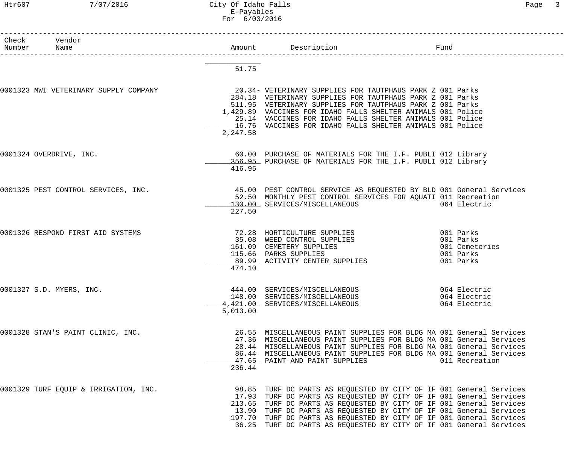# Htr607 7/07/2016 City Of Idaho Falls Page 3 E-Payables For 6/03/2016

| Check Vendor<br>Number Name                                                                             |          | Amount Description                                                                                                                      | Fund           |
|---------------------------------------------------------------------------------------------------------|----------|-----------------------------------------------------------------------------------------------------------------------------------------|----------------|
|                                                                                                         |          | 1<br>------------------------                                                                                                           |                |
|                                                                                                         | 51.75    |                                                                                                                                         |                |
|                                                                                                         |          |                                                                                                                                         |                |
| 0001323 MWI VETERINARY SUPPLY COMPANY                                                                   |          | 20.34- VETERINARY SUPPLIES FOR TAUTPHAUS PARK Z 001 Parks                                                                               |                |
|                                                                                                         |          | 284.18 VETERINARY SUPPLIES FOR TAUTPHAUS PARK Z 001 Parks                                                                               |                |
|                                                                                                         |          | 511.95 VETERINARY SUPPLIES FOR TAUTPHAUS PARK Z 001 Parks                                                                               |                |
|                                                                                                         |          | 1,429.89 VACCINES FOR IDAHO FALLS SHELTER ANIMALS 001 Police<br>25.14 VACCINES FOR IDAHO FALLS SHELTER ANIMALS 001 Police               |                |
|                                                                                                         |          | 16.76 VACCINES FOR IDAHO FALLS SHELTER ANIMALS 001 Police                                                                               |                |
|                                                                                                         | 2,247.58 |                                                                                                                                         |                |
|                                                                                                         |          |                                                                                                                                         |                |
| 0001324 OVERDRIVE, INC.                                                                                 |          | 60.00 PURCHASE OF MATERIALS FOR THE I.F. PUBLI 012 Library                                                                              |                |
|                                                                                                         |          | 356.95 PURCHASE OF MATERIALS FOR THE I.F. PUBLI 012 Library                                                                             |                |
|                                                                                                         | 416.95   |                                                                                                                                         |                |
| 0001325 PEST CONTROL SERVICES, INC. 45.00 PEST CONTROL SERVICE AS REQUESTED BY BLD 001 General Services |          |                                                                                                                                         |                |
|                                                                                                         |          | 52.50 MONTHLY PEST CONTROL SERVICES FOR AQUATI 011 Recreation                                                                           |                |
|                                                                                                         |          | 130.00 SERVICES/MISCELLANEOUS                                                                                                           | 064 Electric   |
|                                                                                                         | 227.50   |                                                                                                                                         |                |
| 0001326 RESPOND FIRST AID SYSTEMS                                                                       |          | 72.28 HORTICULTURE SUPPLIES 601 Parks                                                                                                   |                |
|                                                                                                         |          |                                                                                                                                         |                |
|                                                                                                         |          |                                                                                                                                         | 001 Cemeteries |
|                                                                                                         |          | 35.08 WEED CONTROL SUPPLIES<br>161.09 CEMETERY SUPPLIES<br>115.66 PARKS SUPPLIES 001 Cemete<br>89.99 ACTIVITY CENTER SUPPLIES 001 Parks |                |
|                                                                                                         |          |                                                                                                                                         |                |
|                                                                                                         | 474.10   |                                                                                                                                         |                |
| 0001327 S.D. MYERS, INC.                                                                                |          | 444.00 SERVICES/MISCELLANEOUS                                                                                                           | 064 Electric   |
|                                                                                                         |          | 148.00 SERVICES/MISCELLANEOUS                                                                                                           | 064 Electric   |
|                                                                                                         |          | 4,421.00 SERVICES/MISCELLANEOUS                                                                                                         | 064 Electric   |
|                                                                                                         | 5,013.00 |                                                                                                                                         |                |
| 0001328 STAN'S PAINT CLINIC, INC.                                                                       |          | 26.55 MISCELLANEOUS PAINT SUPPLIES FOR BLDG MA 001 General Services                                                                     |                |
|                                                                                                         |          | 47.36 MISCELLANEOUS PAINT SUPPLIES FOR BLDG MA 001 General Services                                                                     |                |
|                                                                                                         |          | 28.44 MISCELLANEOUS PAINT SUPPLIES FOR BLDG MA 001 General Services                                                                     |                |
|                                                                                                         |          | 86.44 MISCELLANEOUS PAINT SUPPLIES FOR BLDG MA 001 General Services                                                                     |                |
|                                                                                                         |          | 47.65 PAINT AND PAINT SUPPLIES                                                                                                          | 011 Recreation |
|                                                                                                         | 236.44   |                                                                                                                                         |                |
| 0001329 TURF EQUIP & IRRIGATION, INC.                                                                   |          | 98.85 TURF DC PARTS AS REQUESTED BY CITY OF IF 001 General Services                                                                     |                |
|                                                                                                         |          | 17.93 TURF DC PARTS AS REQUESTED BY CITY OF IF 001 General Services                                                                     |                |
|                                                                                                         |          | 213.65 TURF DC PARTS AS REQUESTED BY CITY OF IF 001 General Services                                                                    |                |
|                                                                                                         |          | 13.90 TURF DC PARTS AS REQUESTED BY CITY OF IF 001 General Services                                                                     |                |
|                                                                                                         |          | 197.70 TURF DC PARTS AS REQUESTED BY CITY OF IF 001 General Services                                                                    |                |
|                                                                                                         |          | 36.25 TURF DC PARTS AS REQUESTED BY CITY OF IF 001 General Services                                                                     |                |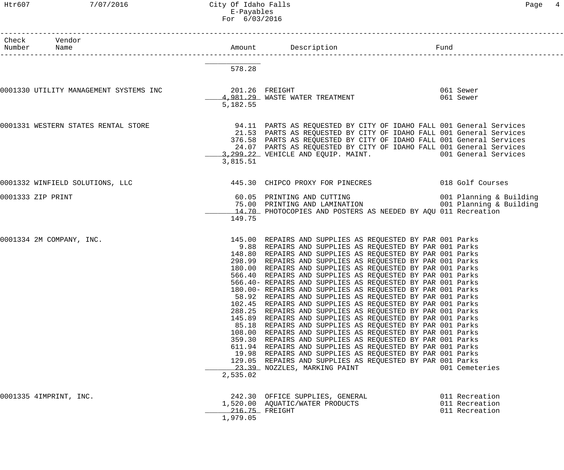# Htr607 7/07/2016 City Of Idaho Falls Page 4 E-Payables For 6/03/2016

------------------------------------------------------------------------------------------------------------------------------------

| Page | 4 |
|------|---|
|      |   |
|      |   |

| Check<br>Number | Vendor<br>Name                                        |          | Amount Description<br>-------------------------------                                                                                                                                                                                                                                                                                                                                                                                                                                                                                                                                                                                                                                                                                                                                                                                                                                                                                                                                                                                                                                                                                                               | Fund                                               |
|-----------------|-------------------------------------------------------|----------|---------------------------------------------------------------------------------------------------------------------------------------------------------------------------------------------------------------------------------------------------------------------------------------------------------------------------------------------------------------------------------------------------------------------------------------------------------------------------------------------------------------------------------------------------------------------------------------------------------------------------------------------------------------------------------------------------------------------------------------------------------------------------------------------------------------------------------------------------------------------------------------------------------------------------------------------------------------------------------------------------------------------------------------------------------------------------------------------------------------------------------------------------------------------|----------------------------------------------------|
|                 |                                                       | 578.28   |                                                                                                                                                                                                                                                                                                                                                                                                                                                                                                                                                                                                                                                                                                                                                                                                                                                                                                                                                                                                                                                                                                                                                                     |                                                    |
|                 | 0001330 UTILITY MANAGEMENT SYSTEMS INC 301.26 FREIGHT | 5,182.55 | 4,981.29 WASTE WATER TREATMENT                                                                                                                                                                                                                                                                                                                                                                                                                                                                                                                                                                                                                                                                                                                                                                                                                                                                                                                                                                                                                                                                                                                                      | 061 Sewer<br>061 Sewer                             |
|                 | 0001331 WESTERN STATES RENTAL STORE                   | 3,815.51 | 94.11 PARTS AS REQUESTED BY CITY OF IDAHO FALL 001 General Services<br>21.53 PARTS AS REQUESTED BY CITY OF IDAHO FALL 001 General Services<br>376.58 PARTS AS REQUESTED BY CITY OF IDAHO FALL 001 General Services<br>24.07 PARTS AS REQUESTED BY CITY OF IDAHO FALL 001 General Services<br>3, 299.22 VEHICLE AND EQUIP. MAINT. 001 General Services                                                                                                                                                                                                                                                                                                                                                                                                                                                                                                                                                                                                                                                                                                                                                                                                               |                                                    |
|                 | 0001332 WINFIELD SOLUTIONS, LLC                       |          | 445.30 CHIPCO PROXY FOR PINECRES 6018 Golf Courses                                                                                                                                                                                                                                                                                                                                                                                                                                                                                                                                                                                                                                                                                                                                                                                                                                                                                                                                                                                                                                                                                                                  |                                                    |
|                 | 0001333 ZIP PRINT                                     | 149.75   | 60.05 PRINTING AND CUTTING<br>75.00 PRINTING AND LAMINATION 6001 Planning & Building<br>14.70 PHOTOCOPIES AND POSTERS AS NEEDED BY AQU 011 Recreation                                                                                                                                                                                                                                                                                                                                                                                                                                                                                                                                                                                                                                                                                                                                                                                                                                                                                                                                                                                                               |                                                    |
|                 | 0001334 2M COMPANY, INC.                              | 2,535.02 | 145.00 REPAIRS AND SUPPLIES AS REQUESTED BY PAR 001 Parks<br>9.88 REPAIRS AND SUPPLIES AS REQUESTED BY PAR 001 Parks<br>148.80 REPAIRS AND SUPPLIES AS REQUESTED BY PAR 001 Parks<br>298.99 REPAIRS AND SUPPLIES AS REQUESTED BY PAR 001 Parks<br>180.00 REPAIRS AND SUPPLIES AS REQUESTED BY PAR 001 Parks<br>566.40 REPAIRS AND SUPPLIES AS REQUESTED BY PAR 001 Parks<br>566.40- REPAIRS AND SUPPLIES AS REQUESTED BY PAR 001 Parks<br>180.00- REPAIRS AND SUPPLIES AS REQUESTED BY PAR 001 Parks<br>58.92 REPAIRS AND SUPPLIES AS REQUESTED BY PAR 001 Parks<br>102.45 REPAIRS AND SUPPLIES AS REQUESTED BY PAR 001 Parks<br>288.25 REPAIRS AND SUPPLIES AS REQUESTED BY PAR 001 Parks<br>145.89 REPAIRS AND SUPPLIES AS REQUESTED BY PAR 001 Parks<br>85.18 REPAIRS AND SUPPLIES AS REQUESTED BY PAR 001 Parks<br>108.00 REPAIRS AND SUPPLIES AS REQUESTED BY PAR 001 Parks<br>359.30 REPAIRS AND SUPPLIES AS REQUESTED BY PAR 001 Parks<br>611.94 REPAIRS AND SUPPLIES AS REQUESTED BY PAR 001 Parks<br>19.98 REPAIRS AND SUPPLIES AS REQUESTED BY PAR 001 Parks<br>129.05 REPAIRS AND SUPPLIES AS REQUESTED BY PAR 001 Parks<br>23.39 NOZZLES, MARKING PAINT | 001 Cemeteries                                     |
|                 | 0001335 4IMPRINT, INC.                                | 1,979.05 | 242.30 OFFICE SUPPLIES, GENERAL<br>1,520.00 AQUATIC/WATER PRODUCTS<br>216.75 FREIGHT                                                                                                                                                                                                                                                                                                                                                                                                                                                                                                                                                                                                                                                                                                                                                                                                                                                                                                                                                                                                                                                                                | 011 Recreation<br>011 Recreation<br>011 Recreation |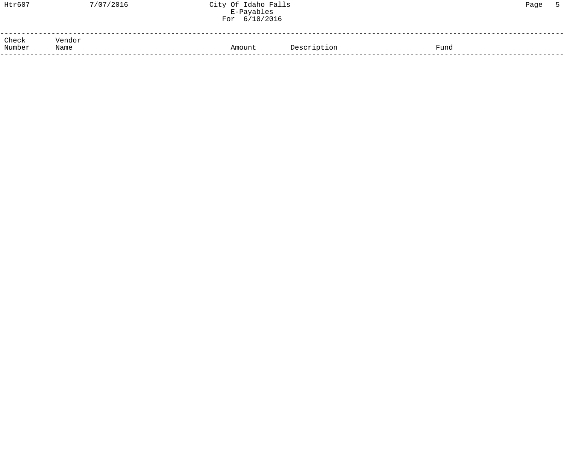| Htr607                  | 7/07/2016 | City Of Idaho Falls<br>E-Payables<br>For 6/10/2016 |             |      | Page |  |
|-------------------------|-----------|----------------------------------------------------|-------------|------|------|--|
| Check<br>Number<br>Name | Vendor    | Amount                                             | Description | Fund |      |  |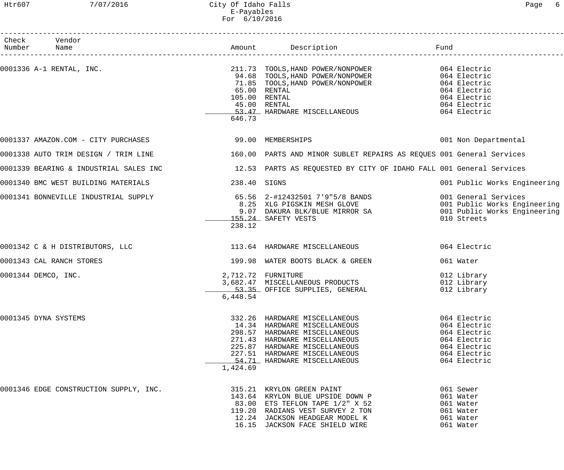# Htr607 7/07/2016 City Of Idaho Falls Page 6 E-Payables For 6/10/2016

| Check Vendor                                                  |                                |                                                                                                                                                                                                                                                                                             |                                                                                                              |
|---------------------------------------------------------------|--------------------------------|---------------------------------------------------------------------------------------------------------------------------------------------------------------------------------------------------------------------------------------------------------------------------------------------|--------------------------------------------------------------------------------------------------------------|
| Number Name                                                   |                                |                                                                                                                                                                                                                                                                                             |                                                                                                              |
|                                                               | 646.73                         | 0001336 A-1 RENTAL, INC.<br>94.68 TOOLS, HAND POWER/NONPOWER<br>71.85 TOOLS, HAND POWER/NONPOWER 064 Electric<br>71.85 TOOLS, HAND POWER/NONPOWER 064 Electric<br>FLOOLS, HAND POWER/NONPOWER 064 Electric<br>65.00 RENTAL<br>105.00 RENTAL<br>45.00 RENTAL<br>53.47 HARDWARE MISCELLANEOUS | 064 Electric<br>064 Electric<br>064 Electric<br>064 Electric                                                 |
|                                                               |                                |                                                                                                                                                                                                                                                                                             | 001 Non Departmental                                                                                         |
|                                                               |                                | 0001338 AUTO TRIM DESIGN / TRIM LINE 160.00 PARTS AND MINOR SUBLET REPAIRS AS REQUES 001 General Services                                                                                                                                                                                   |                                                                                                              |
|                                                               |                                | 0001339 BEARING & INDUSTRIAL SALES INC 12.53 PARTS AS REQUESTED BY CITY OF IDAHO FALL 001 General Services                                                                                                                                                                                  |                                                                                                              |
| 0001340 BMC WEST BUILDING MATERIALS                           | 238.40 SIGNS                   |                                                                                                                                                                                                                                                                                             | 001 Public Works Engineering                                                                                 |
|                                                               | 238.12                         | 155.24 SAFETY VESTS                                                                                                                                                                                                                                                                         | 010 Streets                                                                                                  |
| 0001342 C & H DISTRIBUTORS, LLC 113.64 HARDWARE MISCELLANEOUS |                                |                                                                                                                                                                                                                                                                                             | 064 Electric                                                                                                 |
| 0001343 CAL RANCH STORES                                      |                                | 199.98 WATER BOOTS BLACK & GREEN                                                                                                                                                                                                                                                            | 061 Water                                                                                                    |
| 0001344 DEMCO, INC.                                           | 2,712.72 FURNITURE<br>6,448.54 | 3,682.47 MISCELLANEOUS PRODUCTS<br>53.35 OFFICE SUPPLIES, GENERAL                                                                                                                                                                                                                           | 012 Library<br>012 Library<br>012 Library                                                                    |
| 0001345 DYNA SYSTEMS                                          | 1,424.69                       | 332.26 HARDWARE MISCELLANEOUS<br>14.34 HARDWARE MISCELLANEOUS<br>298.57 HARDWARE MISCELLANEOUS<br>271.43 HARDWARE MISCELLANEOUS<br>225.87 HARDWARE MISCELLANEOUS<br>227.51 HARDWARE MISCELLANEOUS<br>54.71 HARDWARE MISCELLANEOUS                                                           | 064 Electric<br>064 Electric<br>064 Electric<br>064 Electric<br>064 Electric<br>064 Electric<br>064 Electric |
| 0001346 EDGE CONSTRUCTION SUPPLY, INC.                        |                                | 315.21 KRYLON GREEN PAINT<br>CORN P<br>119.20 RADIANS VEST SURVEY 2 TON<br>12.24 JACKSON HEADGEAR MODEL K<br>16.15 JACKSON FACE CULLER                                                                                                                                                      | 061 Sewer<br>061 Water<br>061 Water<br>061 Water<br>061 Water<br>061 Water                                   |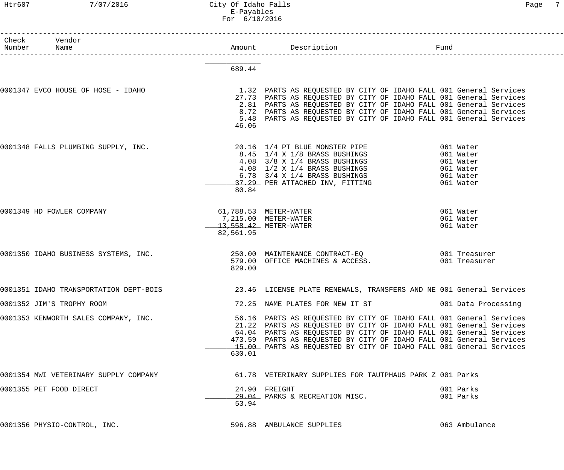# Htr607 7/07/2016 City Of Idaho Falls Page 7 E-Payables For 6/10/2016

| Check Vendor<br>Number Name            |           |                                                                                                                                                                                                                                                                                                                                                                  | Fund                                             |                                     |
|----------------------------------------|-----------|------------------------------------------------------------------------------------------------------------------------------------------------------------------------------------------------------------------------------------------------------------------------------------------------------------------------------------------------------------------|--------------------------------------------------|-------------------------------------|
|                                        |           |                                                                                                                                                                                                                                                                                                                                                                  |                                                  |                                     |
|                                        | 689.44    |                                                                                                                                                                                                                                                                                                                                                                  |                                                  |                                     |
| 0001347 EVCO HOUSE OF HOSE - IDAHO     | 46.06     | 1.32 PARTS AS REQUESTED BY CITY OF IDAHO FALL 001 General Services<br>27.73 PARTS AS REQUESTED BY CITY OF IDAHO FALL 001 General Services<br>2.81 PARTS AS REQUESTED BY CITY OF IDAHO FALL 001 General Services<br>8.72 PARTS AS REQUESTED BY CITY OF IDAHO FALL 001 General Services<br>5.48 PARTS AS REQUESTED BY CITY OF IDAHO FALL 001 General Services      |                                                  |                                     |
| 0001348 FALLS PLUMBING SUPPLY, INC.    | 80.84     | 20.16 1/4 PT BLUE MONSTER PIPE<br>8.45 1/4 x 1/8 BRASS BUSHINGS<br>4.08 3/8 x 1/4 BRASS BUSHINGS<br>4.08 1/2 x 1/4 BRASS BUSHINGS<br>6.78 3/4 x 1/4 BRASS BUSHINGS<br>37.29 PER ATTACHED INV, FITTING                                                                                                                                                            | 061 Water<br>061 Water<br>061 Water<br>061 Water | 061 Water<br>061 Water<br>061 Water |
| 0001349 HD FOWLER COMPANY              | 82,561.95 | 61,788.53 METER-WATER<br>7,215.00 METER-WATER<br>13,558.42 METER-WATER                                                                                                                                                                                                                                                                                           |                                                  | 061 Water<br>061 Water<br>061 Water |
| 0001350 IDAHO BUSINESS SYSTEMS, INC.   | 829.00    | 250.00 MAINTENANCE CONTRACT-EQ 001 Treasurer<br>579.00 OFFICE MACHINES & ACCESS.                                                                                                                                                                                                                                                                                 |                                                  | 001 Treasurer                       |
| 0001351 IDAHO TRANSPORTATION DEPT-BOIS |           | 23.46 LICENSE PLATE RENEWALS, TRANSFERS AND NE 001 General Services                                                                                                                                                                                                                                                                                              |                                                  |                                     |
| 0001352 JIM'S TROPHY ROOM              |           | 72.25 NAME PLATES FOR NEW IT ST 601 Data Processing                                                                                                                                                                                                                                                                                                              |                                                  |                                     |
| 0001353 KENWORTH SALES COMPANY, INC.   | 630.01    | 56.16 PARTS AS REQUESTED BY CITY OF IDAHO FALL 001 General Services<br>21.22 PARTS AS REQUESTED BY CITY OF IDAHO FALL 001 General Services<br>64.04 PARTS AS REQUESTED BY CITY OF IDAHO FALL 001 General Services<br>473.59 PARTS AS REQUESTED BY CITY OF IDAHO FALL 001 General Services<br>15.00 PARTS AS REQUESTED BY CITY OF IDAHO FALL 001 General Services |                                                  |                                     |
| 0001354 MWI VETERINARY SUPPLY COMPANY  |           | 61.78 VETERINARY SUPPLIES FOR TAUTPHAUS PARK Z 001 Parks                                                                                                                                                                                                                                                                                                         |                                                  |                                     |
| 0001355 PET FOOD DIRECT                | 53.94     | 24.90 FREIGHT<br>29.04 PARKS & RECREATION MISC.                                                                                                                                                                                                                                                                                                                  |                                                  | 001 Parks<br>001 Parks              |
| 0001356 PHYSIO-CONTROL, INC.           |           | 596.88 AMBULANCE SUPPLIES                                                                                                                                                                                                                                                                                                                                        |                                                  | 063 Ambulance                       |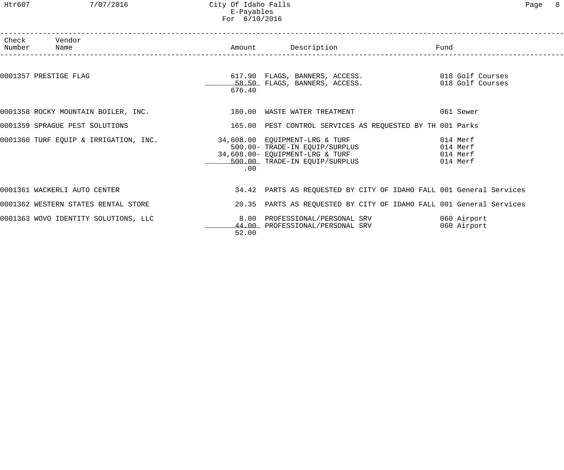# Htr607 7/07/2016 City Of Idaho Falls Page 8 E-Payables For 6/10/2016

| Check Vendor<br>Number Name                                                                                                               |          | Amount Description <b>Example 1</b> Fund                            |                                              |
|-------------------------------------------------------------------------------------------------------------------------------------------|----------|---------------------------------------------------------------------|----------------------------------------------|
| 0001357 PRESTIGE FLAG                                                                                                                     | 676.40   |                                                                     |                                              |
| 0001358 ROCKY MOUNTAIN BOILER, INC. 480 180.00 WASTE WATER TREATMENT                                                                      |          |                                                                     | 061 Sewer                                    |
| 0001359 SPRAGUE PEST SOLUTIONS                                                                                                            |          | 165.00 PEST CONTROL SERVICES AS REQUESTED BY TH 001 Parks           |                                              |
| 0001360 TURF EQUIP & IRRIGATION, INC. 34,608.00 EQUIPMENT-LRG & TURF<br>500.00- TRADE-IN EQUIP/SURPLUS<br>34,608.00- EQUIPMENT-LRG & TURF | $.00 \,$ | 500.00 TRADE-IN EQUIP/SURPLUS                                       | 014 Merf<br>014 Merf<br>014 Merf<br>014 Merf |
| 0001361 WACKERLI AUTO CENTER                                                                                                              |          | 34.42 PARTS AS REQUESTED BY CITY OF IDAHO FALL 001 General Services |                                              |
| 0001362 WESTERN STATES RENTAL STORE                                                                                                       |          | 20.35 PARTS AS REQUESTED BY CITY OF IDAHO FALL 001 General Services |                                              |
| 0001363 WOVO IDENTITY SOLUTIONS, LLC                                                                                                      | 52.00    | 8.00 PROFESSIONAL/PERSONAL SRV<br>44.00 PROFESSIONAL/PERSONAL SRV   | 060 Airport<br>060 Airport                   |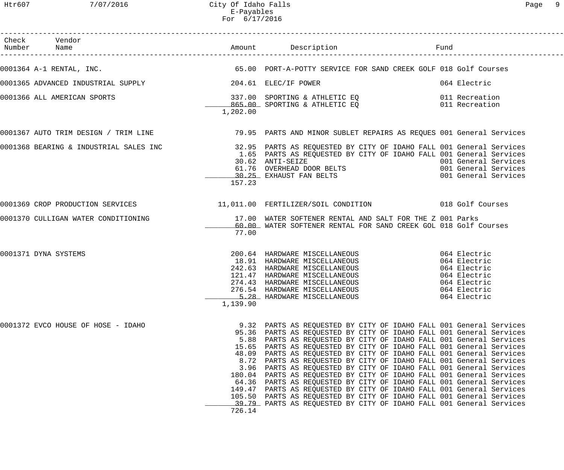| Check Vendor<br>Number Name        |                                                     |                                                                                                                                                                                                                                                                                                                                                                                                                                                                                                                                                                                                                                                                                                                                                                                                                                                   |                      |
|------------------------------------|-----------------------------------------------------|---------------------------------------------------------------------------------------------------------------------------------------------------------------------------------------------------------------------------------------------------------------------------------------------------------------------------------------------------------------------------------------------------------------------------------------------------------------------------------------------------------------------------------------------------------------------------------------------------------------------------------------------------------------------------------------------------------------------------------------------------------------------------------------------------------------------------------------------------|----------------------|
|                                    |                                                     | 0001364 A-1 RENTAL, INC. THE SALE STRIP OF SALE SERVICE FOR SAND CREEK GOLF 018 Golf Courses                                                                                                                                                                                                                                                                                                                                                                                                                                                                                                                                                                                                                                                                                                                                                      |                      |
|                                    |                                                     | 064 Electric                                                                                                                                                                                                                                                                                                                                                                                                                                                                                                                                                                                                                                                                                                                                                                                                                                      |                      |
| 0001366 ALL AMERICAN SPORTS        | 1,202.00                                            | 337.00 SPORTING & ATHLETIC EQ 011 Recreation<br>865.00 SPORTING & ATHLETIC EQ 011 Recreation                                                                                                                                                                                                                                                                                                                                                                                                                                                                                                                                                                                                                                                                                                                                                      |                      |
|                                    |                                                     | 0001367 AUTO TRIM DESIGN / TRIM LINE                      79.95 PARTS AND MINOR SUBLET REPAIRS AS REQUES 001 General Services                                                                                                                                                                                                                                                                                                                                                                                                                                                                                                                                                                                                                                                                                                                     |                      |
|                                    | 157.23                                              | 0001368 BEARING & INDUSTRIAL SALES INC <sup>32.95</sup> PARTS AS REQUESTED BY CITY OF IDAHO FALL 001 General Services (0001368 BEARING & INDUSTRIAL SALES INC<br>1.65 PARTS AS REQUESTED BY CITY OF IDAHO FALL 001 General Services<br>30.62 ANTI-SEIZE                                                                                                                                                                                                                                                                                                                                                                                                                                                                                                                                                                                           | 001 General Services |
|                                    |                                                     | 0001369 CROP PRODUCTION SERVICES 11,011.00 FERTILIZER/SOIL CONDITION 018 Golf Courses                                                                                                                                                                                                                                                                                                                                                                                                                                                                                                                                                                                                                                                                                                                                                             |                      |
|                                    | 77.00                                               | 0001370 CULLIGAN WATER CONDITIONING THE SUBSECT MATER SOFTENER RENTAL AND SALT FOR THE Z 001 Parks<br>60.00_WATER SOFTENER RENTAL FOR SAND CREEK GOL 018 Golf (SAND CREEK GOL 018 Golf )<br>60.00 WATER SOFTENER RENTAL FOR SAND CREEK GOL 018 Golf Courses                                                                                                                                                                                                                                                                                                                                                                                                                                                                                                                                                                                       |                      |
| 0001371 DYNA SYSTEMS               | 1,139.90                                            | 200.64 HARDWARE MISCELLANEOUS 064 Electric<br>18.91 HARDWARE MISCELLANEOUS 064 Electric<br>242.63 HARDWARE MISCELLANEOUS 064 Electric<br>121.47 HARDWARE MISCELLANEOUS 064 Electric<br>274.43 HARDWARE MISCELLANEOUS 064 Electric<br>276<br>5.28 HARDWARE MISCELLANEOUS<br>064 Electric                                                                                                                                                                                                                                                                                                                                                                                                                                                                                                                                                           |                      |
| 0001372 EVCO HOUSE OF HOSE - IDAHO | 8.72<br>3.96<br>180.04<br>64.36<br>149.47<br>726.14 | 9.32 PARTS AS REQUESTED BY CITY OF IDAHO FALL 001 General Services<br>95.36 PARTS AS REQUESTED BY CITY OF IDAHO FALL 001 General Services<br>5.88 PARTS AS REQUESTED BY CITY OF IDAHO FALL 001 General Services<br>15.65 PARTS AS REQUESTED BY CITY OF IDAHO FALL 001 General Services<br>48.09 PARTS AS REQUESTED BY CITY OF IDAHO FALL 001 General Services<br>PARTS AS REQUESTED BY CITY OF IDAHO FALL 001 General Services<br>PARTS AS REQUESTED BY CITY OF IDAHO FALL 001 General Services<br>PARTS AS REQUESTED BY CITY OF IDAHO FALL 001 General Services<br>PARTS AS REQUESTED BY CITY OF IDAHO FALL 001 General Services<br>PARTS AS REQUESTED BY CITY OF IDAHO FALL 001 General Services<br>105.50 PARTS AS REQUESTED BY CITY OF IDAHO FALL 001 General Services<br>39.79 PARTS AS REQUESTED BY CITY OF IDAHO FALL 001 General Services |                      |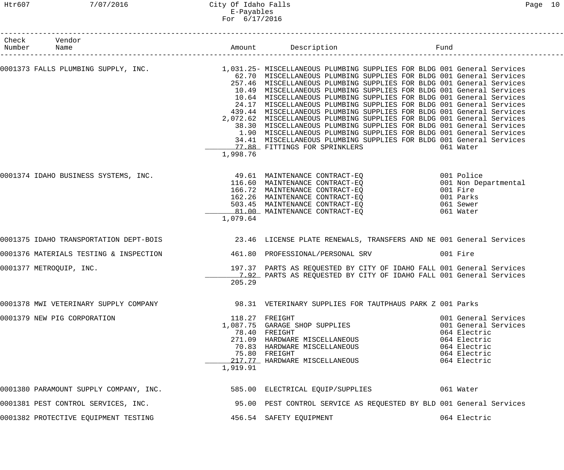# Htr607 7/07/2016 City Of Idaho Falls Page 10 E-Payables For 6/17/2016

| Check<br>Number | Vendor                                                                                |          |                                                                                                                                                                                                                                                                                                                                                                                                                                                                                                                                                                                                                                                                                                                                                                                                                                                                                        | Fund                                                                                                                         |
|-----------------|---------------------------------------------------------------------------------------|----------|----------------------------------------------------------------------------------------------------------------------------------------------------------------------------------------------------------------------------------------------------------------------------------------------------------------------------------------------------------------------------------------------------------------------------------------------------------------------------------------------------------------------------------------------------------------------------------------------------------------------------------------------------------------------------------------------------------------------------------------------------------------------------------------------------------------------------------------------------------------------------------------|------------------------------------------------------------------------------------------------------------------------------|
|                 |                                                                                       | 1,998.76 | 0001373 FALLS PLUMBING SUPPLY, INC. 1.031.25- MISCELLANEOUS PLUMBING SUPPLIES FOR BLDG 001 General Services<br>62.70 MISCELLANEOUS PLUMBING SUPPLIES FOR BLDG 001 General Services<br>257.46 MISCELLANEOUS PLUMBING SUPPLIES FOR BLDG 001 General Services<br>10.49 MISCELLANEOUS PLUMBING SUPPLIES FOR BLDG 001 General Services<br>10.64 MISCELLANEOUS PLUMBING SUPPLIES FOR BLDG 001 General Services<br>24.17 MISCELLANEOUS PLUMBING SUPPLIES FOR BLDG 001 General Services<br>439.44 MISCELLANEOUS PLUMBING SUPPLIES FOR BLDG 001 General Services<br>2,072.62 MISCELLANEOUS PLUMBING SUPPLIES FOR BLDG 001 General Services<br>38.30 MISCELLANEOUS PLUMBING SUPPLIES FOR BLDG 001 General Services<br>1.90 MISCELLANEOUS PLUMBING SUPPLIES FOR BLDG 001 General Services<br>34.41 MISCELLANEOUS PLUMBING SUPPLIES FOR BLDG 001 General Services<br>77.88 FITTINGS FOR SPRINKLERS | 061 Water                                                                                                                    |
|                 | 0001374 IDAHO BUSINESS SYSTEMS, INC.                                                  | 1,079.64 | 49.61 MAINTENANCE CONTRACT-EQ<br>116.60 MAINTENANCE CONTRACT-EQ<br>166.72 MAINTENANCE CONTRACT-EQ<br>162.26 MAINTENANCE CONTRACT-EQ<br>503.45 MAINTENANCE CONTRACT-EQ<br>81.00 MAINTENANCE CONTRACT-EQ                                                                                                                                                                                                                                                                                                                                                                                                                                                                                                                                                                                                                                                                                 | 001 Police<br>001 Non Departmental<br>001 Fire<br>001 Parks<br>061 Sewer<br>061 Water                                        |
|                 |                                                                                       |          | 0001375 IDAHO TRANSPORTATION DEPT-BOIS 600000 23.46 LICENSE PLATE RENEWALS, TRANSFERS AND NE 001 General Services                                                                                                                                                                                                                                                                                                                                                                                                                                                                                                                                                                                                                                                                                                                                                                      |                                                                                                                              |
|                 | 0001376 MATERIALS TESTING & INSPECTION                                                |          | 461.80 PROFESSIONAL/PERSONAL SRV                                                                                                                                                                                                                                                                                                                                                                                                                                                                                                                                                                                                                                                                                                                                                                                                                                                       | 001 Fire                                                                                                                     |
|                 | 0001377 METROQUIP, INC.                                                               | 205.29   | 197.37 PARTS AS REQUESTED BY CITY OF IDAHO FALL 001 General Services<br>7.92 PARTS AS REQUESTED BY CITY OF IDAHO FALL 001 General Services                                                                                                                                                                                                                                                                                                                                                                                                                                                                                                                                                                                                                                                                                                                                             |                                                                                                                              |
|                 |                                                                                       |          | 0001378 MWI VETERINARY SUPPLY COMPANY 198.31 VETERINARY SUPPLIES FOR TAUTPHAUS PARK Z 001 Parks                                                                                                                                                                                                                                                                                                                                                                                                                                                                                                                                                                                                                                                                                                                                                                                        |                                                                                                                              |
|                 | 0001379 NEW PIG CORPORATION                                                           | 1,919.91 | 118.27 FREIGHT<br>1,087.75 GARAGE SHOP SUPPLIES<br>78.40 FREIGHT<br>/8.40 FREIGHT<br>271.09 HARDWARE MISCELLANEOUS<br>70.83 HARDWARE MISCELLANEOUS<br>75.80 FREIGHT<br>217.77 HARDWARE MISCELLANEOUS                                                                                                                                                                                                                                                                                                                                                                                                                                                                                                                                                                                                                                                                                   | 001 General Services<br>001 General Services<br>064 Electric<br>064 Electric<br>064 Electric<br>064 Electric<br>064 Electric |
|                 | 0001380 PARAMOUNT SUPPLY COMPANY, INC.                                                |          | 585.00 ELECTRICAL EQUIP/SUPPLIES 061 Water                                                                                                                                                                                                                                                                                                                                                                                                                                                                                                                                                                                                                                                                                                                                                                                                                                             |                                                                                                                              |
|                 |                                                                                       |          | 0001381 PEST CONTROL SERVICES, INC. 40 195.00 PEST CONTROL SERVICE AS REQUESTED BY BLD 001 General Services                                                                                                                                                                                                                                                                                                                                                                                                                                                                                                                                                                                                                                                                                                                                                                            |                                                                                                                              |
|                 | 0001382 PROTECTIVE EQUIPMENT TESTING                         456.54  SAFETY EQUIPMENT |          |                                                                                                                                                                                                                                                                                                                                                                                                                                                                                                                                                                                                                                                                                                                                                                                                                                                                                        | 064 Electric                                                                                                                 |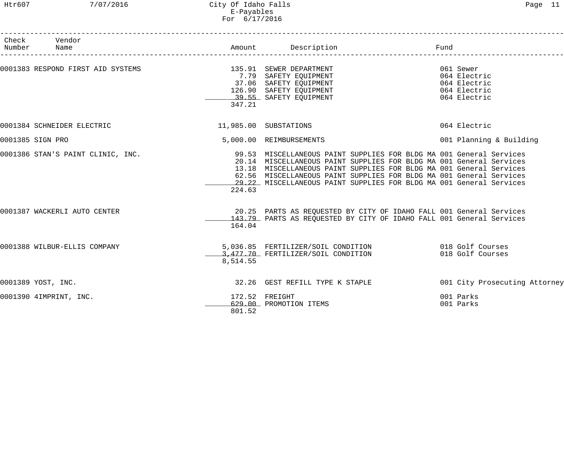Htr607 7/07/2016 City Of Idaho Falls Page 11 E-Payables For 6/17/2016

| Check              | Vendor                            |          |                                                                             |      |                               |
|--------------------|-----------------------------------|----------|-----------------------------------------------------------------------------|------|-------------------------------|
| Number             | Name                              |          | Amount Description                                                          | Fund |                               |
|                    |                                   |          |                                                                             |      | 061 Sewer                     |
|                    |                                   |          |                                                                             |      | 064 Electric                  |
|                    |                                   |          |                                                                             |      | 064 Electric                  |
|                    |                                   |          | 37.06 SAFETY EQUIPMENT<br>126.90 SAFETY EQUIPMENT<br>39.55 SAFETY EQUIPMENT |      | 064 Electric                  |
|                    |                                   |          |                                                                             |      | 064 Electric                  |
|                    |                                   | 347.21   |                                                                             |      |                               |
|                    | 0001384 SCHNEIDER ELECTRIC        |          | 11,985.00 SUBSTATIONS                                                       |      | 064 Electric                  |
| 0001385 SIGN PRO   |                                   |          | 5,000.00 REIMBURSEMENTS                                                     |      | 001 Planning & Building       |
|                    | 0001386 STAN'S PAINT CLINIC, INC. |          | 99.53 MISCELLANEOUS PAINT SUPPLIES FOR BLDG MA 001 General Services         |      |                               |
|                    |                                   |          | 20.14 MISCELLANEOUS PAINT SUPPLIES FOR BLDG MA 001 General Services         |      |                               |
|                    |                                   |          | 13.18 MISCELLANEOUS PAINT SUPPLIES FOR BLDG MA 001 General Services         |      |                               |
|                    |                                   |          | 62.56 MISCELLANEOUS PAINT SUPPLIES FOR BLDG MA 001 General Services         |      |                               |
|                    |                                   |          | 29.22 MISCELLANEOUS PAINT SUPPLIES FOR BLDG MA 001 General Services         |      |                               |
|                    |                                   | 224.63   |                                                                             |      |                               |
|                    | 0001387 WACKERLI AUTO CENTER      |          | 20.25 PARTS AS REQUESTED BY CITY OF IDAHO FALL 001 General Services         |      |                               |
|                    |                                   |          | 143.79 PARTS AS REQUESTED BY CITY OF IDAHO FALL 001 General Services        |      |                               |
|                    |                                   | 164.04   |                                                                             |      |                               |
|                    | 0001388 WILBUR-ELLIS COMPANY      |          | 5,036.85 FERTILIZER/SOIL CONDITION 018 Golf Courses                         |      |                               |
|                    |                                   |          | 3,477.70 FERTILIZER/SOIL CONDITION                                          |      | 018 Golf Courses              |
|                    |                                   | 8,514.55 |                                                                             |      |                               |
| 0001389 YOST, INC. |                                   |          | 32.26 GEST REFILL TYPE K STAPLE                                             |      | 001 City Prosecuting Attorney |
|                    | 0001390 4IMPRINT, INC.            |          | 172.52 FREIGHT                                                              |      | 001 Parks                     |
|                    |                                   |          | 629.00 PROMOTION ITEMS                                                      |      | 001 Parks                     |
|                    |                                   | 801.52   |                                                                             |      |                               |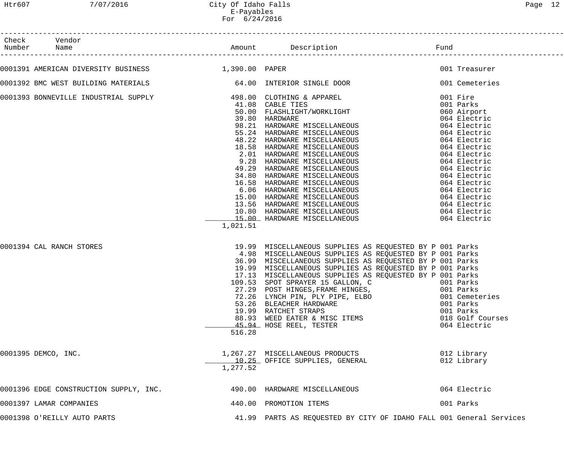| Check Vendor                                       |          |                                                                                                                                                                                                                                                                                                                                                                                                                                                                                                                                                                                |                                                                              |
|----------------------------------------------------|----------|--------------------------------------------------------------------------------------------------------------------------------------------------------------------------------------------------------------------------------------------------------------------------------------------------------------------------------------------------------------------------------------------------------------------------------------------------------------------------------------------------------------------------------------------------------------------------------|------------------------------------------------------------------------------|
| 0001391 AMERICAN DIVERSITY BUSINESS 1,390.00 PAPER |          |                                                                                                                                                                                                                                                                                                                                                                                                                                                                                                                                                                                | 001 Treasurer                                                                |
|                                                    |          | 0001392 BMC WEST BUILDING MATERIALS 64.00 INTERIOR SINGLE DOOR 001 Cemeteries                                                                                                                                                                                                                                                                                                                                                                                                                                                                                                  |                                                                              |
|                                                    | 1,021.51 | COOLSE NOW THE METHANE SUPPLY<br>39.00 CLOTHERS APPROX<br>49.00 CLOTHERS APPREL<br>49.00 CLOTHERS APPREL<br>49.00 PARELTIES<br>49.00 PARELTIES<br>49.00 PARELTIES<br>49.00 PARELTIES<br>49.00 PARELTIES<br>49.00 PARELTIES<br>49.20 HARDWARE MISCE                                                                                                                                                                                                                                                                                                                             |                                                                              |
| 0001394 CAL RANCH STORES                           | 516.28   | 19.99 MISCELLANEOUS SUPPLIES AS REQUESTED BY P 001 Parks<br>4.98 MISCELLANEOUS SUPPLIES AS REQUESTED BY P 001 Parks<br>36.99 MISCELLANEOUS SUPPLIES AS REQUESTED BY P 001 Parks<br>19.99 MISCELLANEOUS SUPPLIES AS REQUESTED BY P 001 Parks<br>17.13 MISCELLANEOUS SUPPLIES AS REQUESTED BY P 001 Parks<br>109.53 SPOT SPRAYER 15 GALLON, C 6001 Parks<br>27.29 POST HINGES, FRAME HINGES, 601 Parks<br>72.26 LYNCH PIN, PLY PIPE, ELBO<br>53.26 BLEACHER HARDWARE<br>19.99 RATCHET STRAPS<br>19.99 RATCHET STRAPS<br>88.93 WEED EATER & MISC ITEMS<br>45.94 HOSE REEL, TESTER | 001 Cemeteries<br>001 Parks<br>001 Parks<br>018 Golf Courses<br>064 Electric |
| 0001395 DEMCO, INC.                                | 1,277.52 | 1,267.27 MISCELLANEOUS PRODUCTS<br>10.25 OFFICE SUPPLIES, GENERAL                                                                                                                                                                                                                                                                                                                                                                                                                                                                                                              | 012 Library<br>012 Library                                                   |
| 0001396 EDGE CONSTRUCTION SUPPLY, INC.             |          | 490.00 HARDWARE MISCELLANEOUS                                                                                                                                                                                                                                                                                                                                                                                                                                                                                                                                                  | 064 Electric                                                                 |
| 0001397 LAMAR COMPANIES                            |          | 440.00 PROMOTION ITEMS                                                                                                                                                                                                                                                                                                                                                                                                                                                                                                                                                         | 001 Parks                                                                    |
| 0001398 O'REILLY AUTO PARTS                        |          | 41.99 PARTS AS REQUESTED BY CITY OF IDAHO FALL 001 General Services                                                                                                                                                                                                                                                                                                                                                                                                                                                                                                            |                                                                              |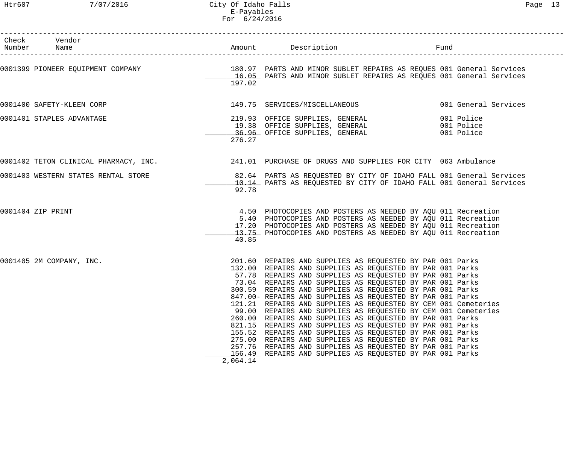| Check Vendor<br>Number Name                                                                                                                                                              |                    | Amount Description Description Fund                                                                                                                                                                                                                                                                                                                                                                                                                                                                                                                                                                                                                                                                                                                                                                                                                                                 |  |
|------------------------------------------------------------------------------------------------------------------------------------------------------------------------------------------|--------------------|-------------------------------------------------------------------------------------------------------------------------------------------------------------------------------------------------------------------------------------------------------------------------------------------------------------------------------------------------------------------------------------------------------------------------------------------------------------------------------------------------------------------------------------------------------------------------------------------------------------------------------------------------------------------------------------------------------------------------------------------------------------------------------------------------------------------------------------------------------------------------------------|--|
| 0001399 PIONEER EQUIPMENT COMPANY 180 180.97 PARTS AND MINOR SUBLET REPAIRS AS REQUES 001 General Services<br>16.05 PARTS AND MINOR SUBLET REPAIRS AS REQUES 001 General Services        | 197.02             |                                                                                                                                                                                                                                                                                                                                                                                                                                                                                                                                                                                                                                                                                                                                                                                                                                                                                     |  |
| 0001400 SAFETY-KLEEN CORP                                                                                                                                                                |                    | 149.75 SERVICES/MISCELLANEOUS 001 General Services                                                                                                                                                                                                                                                                                                                                                                                                                                                                                                                                                                                                                                                                                                                                                                                                                                  |  |
| 0001401 STAPLES ADVANTAGE                                                                                                                                                                | 276.27             | 219.93 OFFICE SUPPLIES, GENERAL (19.38 OFFICE SUPPLIES, GENERAL (19.38 OFFICE SUPPLIES, GENERAL (2001 Police )<br>26.96 OFFICE SUPPLIES, GENERAL (2001 Police )                                                                                                                                                                                                                                                                                                                                                                                                                                                                                                                                                                                                                                                                                                                     |  |
| 0001402 TETON CLINICAL PHARMACY, INC. 241.01 PURCHASE OF DRUGS AND SUPPLIES FOR CITY 063 Ambulance                                                                                       |                    |                                                                                                                                                                                                                                                                                                                                                                                                                                                                                                                                                                                                                                                                                                                                                                                                                                                                                     |  |
| 0001403 WESTERN STATES RENTAL STORE 1999 1999 10.14 PARTS AS REQUESTED BY CITY OF IDAHO FALL 001 General Services<br>10.14 PARTS AS REQUESTED BY CITY OF IDAHO FALL 001 General Services | 92.78              |                                                                                                                                                                                                                                                                                                                                                                                                                                                                                                                                                                                                                                                                                                                                                                                                                                                                                     |  |
| 0001404 ZIP PRINT                                                                                                                                                                        | 40.85              | 4.50 PHOTOCOPIES AND POSTERS AS NEEDED BY AQU 011 Recreation<br>5.40 PHOTOCOPIES AND POSTERS AS NEEDED BY AQU 011 Recreation<br>17.20 PHOTOCOPIES AND POSTERS AS NEEDED BY AQU 011 Recreation<br>13.75 PHOTOCOPIES AND POSTERS AS NEEDED BY AQU 011 Recreation                                                                                                                                                                                                                                                                                                                                                                                                                                                                                                                                                                                                                      |  |
| 0001405 2M COMPANY, INC.                                                                                                                                                                 | 821.15<br>2,064.14 | 201.60 REPAIRS AND SUPPLIES AS REQUESTED BY PAR 001 Parks<br>132.00 REPAIRS AND SUPPLIES AS REQUESTED BY PAR 001 Parks<br>57.78 REPAIRS AND SUPPLIES AS REQUESTED BY PAR 001 Parks<br>73.04 REPAIRS AND SUPPLIES AS REQUESTED BY PAR 001 Parks<br>300.59 REPAIRS AND SUPPLIES AS REQUESTED BY PAR 001 Parks<br>847.00- REPAIRS AND SUPPLIES AS REQUESTED BY PAR 001 Parks<br>121.21 REPAIRS AND SUPPLIES AS REQUESTED BY CEM 001 Cemeteries<br>99.00 REPAIRS AND SUPPLIES AS REQUESTED BY CEM 001 Cemeteries<br>260.00 REPAIRS AND SUPPLIES AS REQUESTED BY PAR 001 Parks<br>REPAIRS AND SUPPLIES AS REQUESTED BY PAR 001 Parks<br>155.52 REPAIRS AND SUPPLIES AS REQUESTED BY PAR 001 Parks<br>275.00 REPAIRS AND SUPPLIES AS REQUESTED BY PAR 001 Parks<br>257.76 REPAIRS AND SUPPLIES AS REQUESTED BY PAR 001 Parks<br>156.49 REPAIRS AND SUPPLIES AS REQUESTED BY PAR 001 Parks |  |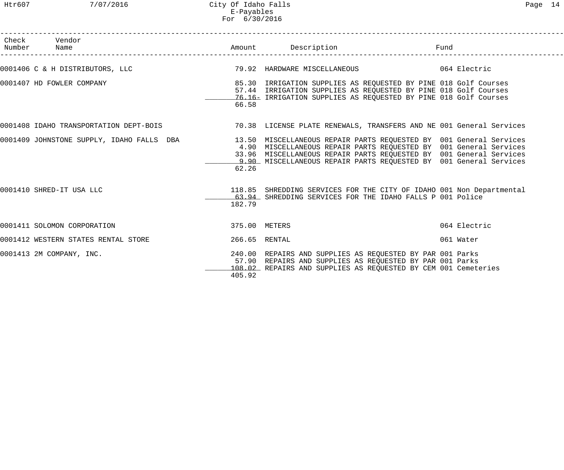| Check Vendor<br>Number Name                                                                                  |               |                                                                                                                                                                                                              | Fund         |
|--------------------------------------------------------------------------------------------------------------|---------------|--------------------------------------------------------------------------------------------------------------------------------------------------------------------------------------------------------------|--------------|
| 0001406 C & H DISTRIBUTORS, LLC                                                                              |               | 79.92 HARDWARE MISCELLANEOUS 664 Electric                                                                                                                                                                    |              |
| 0001407 HD FOWLER COMPANY                                                                                    | 66.58         | 85.30 IRRIGATION SUPPLIES AS REQUESTED BY PINE 018 Golf Courses<br>57.44 IRRIGATION SUPPLIES AS REQUESTED BY PINE 018 Golf Courses<br>76.16- IRRIGATION SUPPLIES AS REQUESTED BY PINE 018 Golf Courses       |              |
| 0001408 IDAHO TRANSPORTATION DEPT-BOIS 70.38 LICENSE PLATE RENEWALS, TRANSFERS AND NE 001 General Services   |               |                                                                                                                                                                                                              |              |
| 0001409 JOHNSTONE SUPPLY, IDAHO FALLS DBA 13.50 MISCELLANEOUS REPAIR PARTS REQUESTED BY 001 General Services | 62.26         | 4.90 MISCELLANEOUS REPAIR PARTS REQUESTED BY 001 General Services<br>33.96 MISCELLANEOUS REPAIR PARTS REQUESTED BY 001 General Services<br>9.90 MISCELLANEOUS REPAIR PARTS REQUESTED BY 001 General Services |              |
| 0001410 SHRED-IT USA LLC                                                                                     | 182.79        | 118.85 SHREDDING SERVICES FOR THE CITY OF IDAHO 001 Non Departmental<br>63.94 SHREDDING SERVICES FOR THE IDAHO FALLS P 001 Police                                                                            |              |
| 0001411 SOLOMON CORPORATION                                                                                  | 375.00 METERS |                                                                                                                                                                                                              | 064 Electric |
| 0001412 WESTERN STATES RENTAL STORE                                                                          | 266.65 RENTAL |                                                                                                                                                                                                              | 061 Water    |
| 0001413 2M COMPANY, INC.                                                                                     | 405.92        | 240.00 REPAIRS AND SUPPLIES AS REQUESTED BY PAR 001 Parks<br>57.90 REPAIRS AND SUPPLIES AS REQUESTED BY PAR 001 Parks<br>108.02 REPAIRS AND SUPPLIES AS REQUESTED BY CEM 001 Cemeteries                      |              |

------------------------------------------------------------------------------------------------------------------------------------